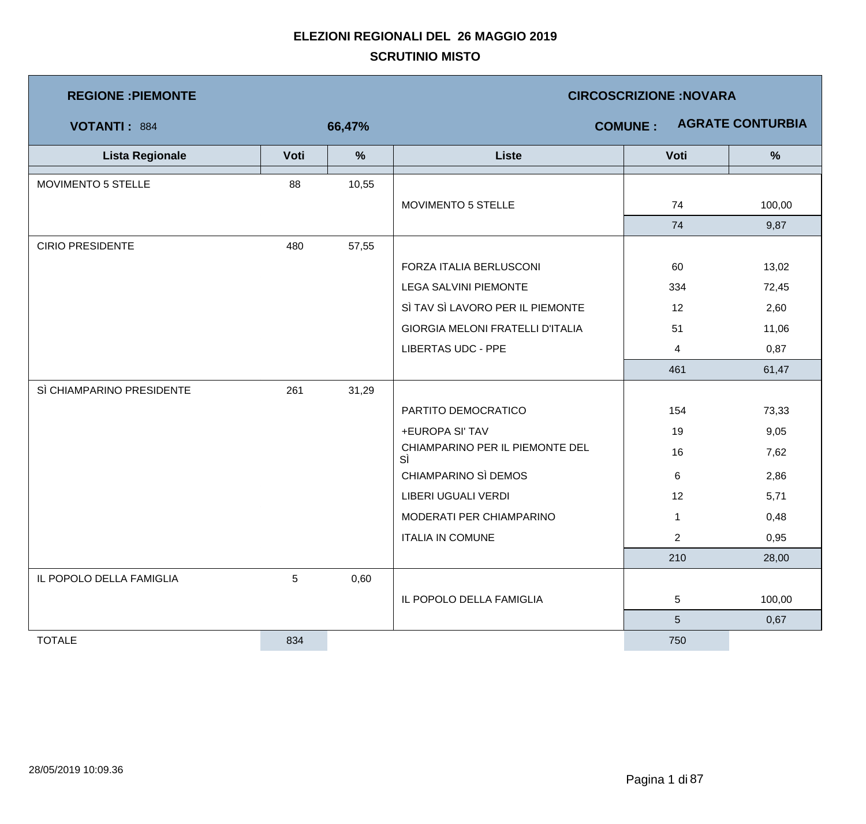| <b>REGIONE: PIEMONTE</b>  |                 |               | <b>CIRCOSCRIZIONE: NOVARA</b>           |                |                         |  |  |
|---------------------------|-----------------|---------------|-----------------------------------------|----------------|-------------------------|--|--|
| VOTANTI: 884              |                 | 66,47%        |                                         | <b>COMUNE:</b> | <b>AGRATE CONTURBIA</b> |  |  |
| <b>Lista Regionale</b>    | Voti            | $\frac{9}{6}$ | <b>Liste</b>                            | Voti           | $\frac{0}{0}$           |  |  |
| MOVIMENTO 5 STELLE        | 88              | 10,55         |                                         |                |                         |  |  |
|                           |                 |               | MOVIMENTO 5 STELLE                      | 74             | 100,00                  |  |  |
|                           |                 |               |                                         | 74             | 9,87                    |  |  |
| <b>CIRIO PRESIDENTE</b>   | 480             | 57,55         |                                         |                |                         |  |  |
|                           |                 |               | FORZA ITALIA BERLUSCONI                 | 60             | 13,02                   |  |  |
|                           |                 |               | <b>LEGA SALVINI PIEMONTE</b>            | 334            | 72,45                   |  |  |
|                           |                 |               | SÌ TAV SÌ LAVORO PER IL PIEMONTE        | 12             | 2,60                    |  |  |
|                           |                 |               | <b>GIORGIA MELONI FRATELLI D'ITALIA</b> | 51             | 11,06                   |  |  |
|                           |                 |               | <b>LIBERTAS UDC - PPE</b>               | $\overline{4}$ | 0,87                    |  |  |
|                           |                 |               |                                         | 461            | 61,47                   |  |  |
| SÌ CHIAMPARINO PRESIDENTE | 261             | 31,29         |                                         |                |                         |  |  |
|                           |                 |               | PARTITO DEMOCRATICO                     | 154            | 73,33                   |  |  |
|                           |                 |               | +EUROPA SI' TAV                         | 19             | 9,05                    |  |  |
|                           |                 |               | CHIAMPARINO PER IL PIEMONTE DEL<br>SÌ   | 16             | 7,62                    |  |  |
|                           |                 |               | CHIAMPARINO SÌ DEMOS                    | 6              | 2,86                    |  |  |
|                           |                 |               | LIBERI UGUALI VERDI                     | 12             | 5,71                    |  |  |
|                           |                 |               | MODERATI PER CHIAMPARINO                | $\mathbf{1}$   | 0,48                    |  |  |
|                           |                 |               | <b>ITALIA IN COMUNE</b>                 | $\overline{2}$ | 0,95                    |  |  |
|                           |                 |               |                                         | 210            | 28,00                   |  |  |
| IL POPOLO DELLA FAMIGLIA  | $5\phantom{.0}$ | 0,60          |                                         |                |                         |  |  |
|                           |                 |               | IL POPOLO DELLA FAMIGLIA                | 5              | 100,00                  |  |  |
|                           |                 |               |                                         | 5 <sup>5</sup> | 0,67                    |  |  |
| <b>TOTALE</b>             | 834             |               |                                         | 750            |                         |  |  |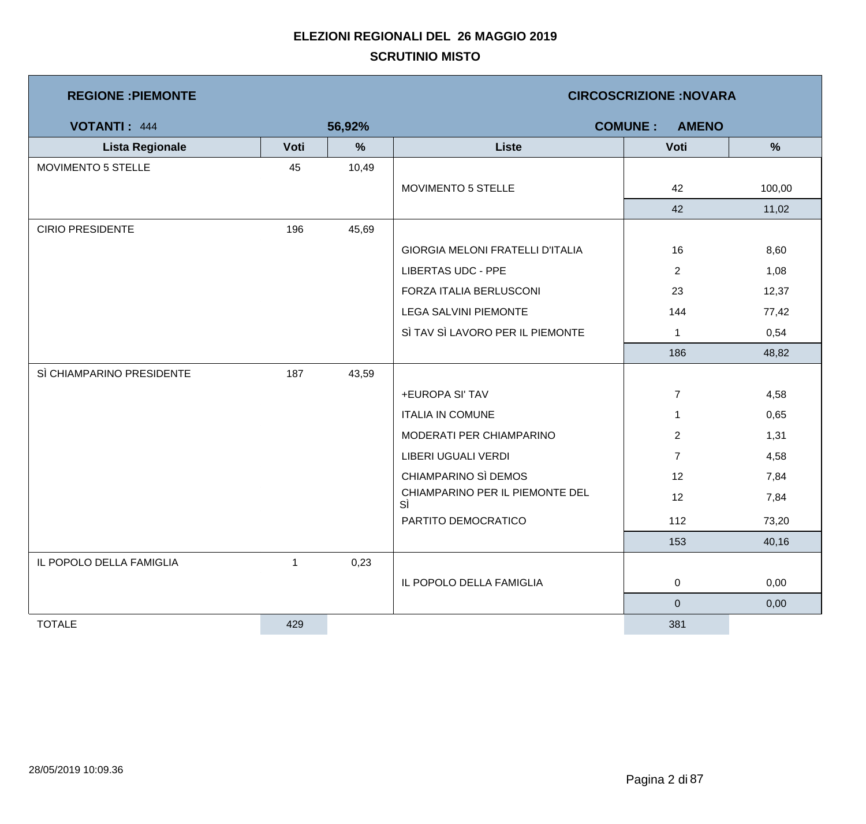| <b>REGIONE: PIEMONTE</b>  |              |               | <b>CIRCOSCRIZIONE: NOVARA</b>         |                                |        |  |  |
|---------------------------|--------------|---------------|---------------------------------------|--------------------------------|--------|--|--|
| <b>VOTANTI: 444</b>       |              | 56,92%        |                                       | <b>COMUNE:</b><br><b>AMENO</b> |        |  |  |
| <b>Lista Regionale</b>    | Voti         | $\frac{9}{6}$ | <b>Liste</b>                          | Voti                           | %      |  |  |
| MOVIMENTO 5 STELLE        | 45           | 10,49         |                                       |                                |        |  |  |
|                           |              |               | MOVIMENTO 5 STELLE                    | 42                             | 100,00 |  |  |
|                           |              |               |                                       | 42                             | 11,02  |  |  |
| <b>CIRIO PRESIDENTE</b>   | 196          | 45,69         |                                       |                                |        |  |  |
|                           |              |               | GIORGIA MELONI FRATELLI D'ITALIA      | 16                             | 8,60   |  |  |
|                           |              |               | <b>LIBERTAS UDC - PPE</b>             | $\overline{2}$                 | 1,08   |  |  |
|                           |              |               | FORZA ITALIA BERLUSCONI               | 23                             | 12,37  |  |  |
|                           |              |               | <b>LEGA SALVINI PIEMONTE</b>          | 144                            | 77,42  |  |  |
|                           |              |               | SÌ TAV SÌ LAVORO PER IL PIEMONTE      | $\mathbf{1}$                   | 0,54   |  |  |
|                           |              |               |                                       | 186                            | 48,82  |  |  |
| SÌ CHIAMPARINO PRESIDENTE | 187          | 43,59         |                                       |                                |        |  |  |
|                           |              |               | +EUROPA SI' TAV                       | $\overline{7}$                 | 4,58   |  |  |
|                           |              |               | <b>ITALIA IN COMUNE</b>               | $\mathbf{1}$                   | 0,65   |  |  |
|                           |              |               | MODERATI PER CHIAMPARINO              | $\overline{2}$                 | 1,31   |  |  |
|                           |              |               | LIBERI UGUALI VERDI                   | $\overline{7}$                 | 4,58   |  |  |
|                           |              |               | CHIAMPARINO SÌ DEMOS                  | 12                             | 7,84   |  |  |
|                           |              |               | CHIAMPARINO PER IL PIEMONTE DEL<br>SÌ | 12                             | 7,84   |  |  |
|                           |              |               | PARTITO DEMOCRATICO                   | 112                            | 73,20  |  |  |
|                           |              |               |                                       | 153                            | 40,16  |  |  |
| IL POPOLO DELLA FAMIGLIA  | $\mathbf{1}$ | 0,23          |                                       |                                |        |  |  |
|                           |              |               | IL POPOLO DELLA FAMIGLIA              | $\mathbf 0$                    | 0,00   |  |  |
|                           |              |               |                                       | $\overline{0}$                 | 0,00   |  |  |
| <b>TOTALE</b>             | 429          |               |                                       | 381                            |        |  |  |

m,

and the state of the state of the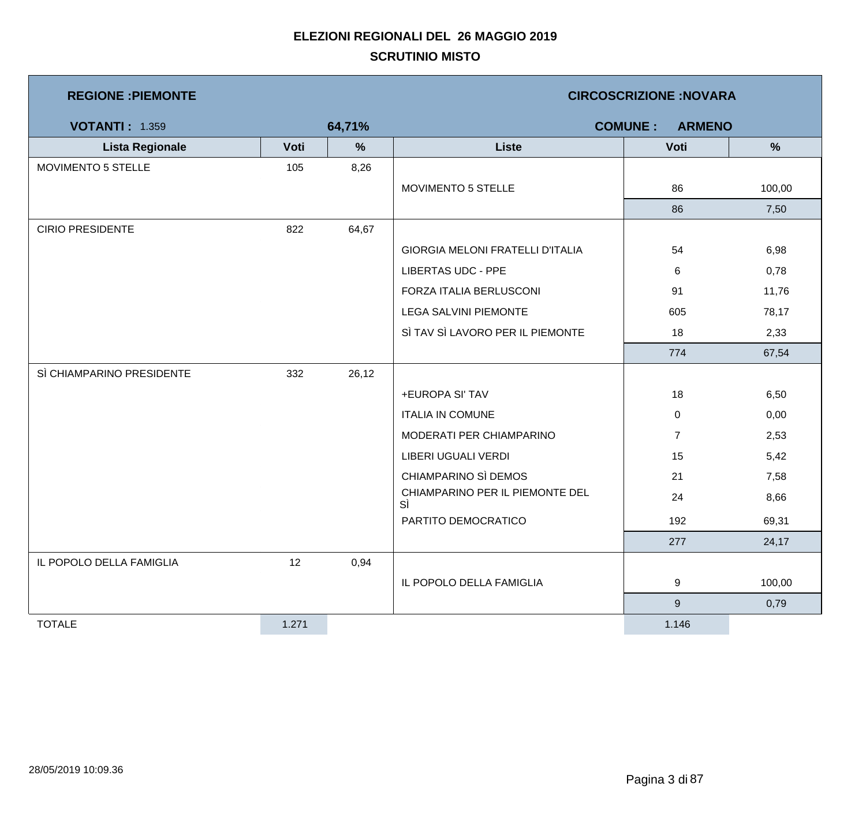| <b>REGIONE : PIEMONTE</b> |       |        | <b>CIRCOSCRIZIONE:NOVARA</b>            |                                 |               |  |  |
|---------------------------|-------|--------|-----------------------------------------|---------------------------------|---------------|--|--|
| <b>VOTANTI: 1.359</b>     |       | 64,71% |                                         | <b>COMUNE:</b><br><b>ARMENO</b> |               |  |  |
| <b>Lista Regionale</b>    | Voti  | $\%$   | <b>Liste</b>                            | Voti                            | $\frac{0}{0}$ |  |  |
| MOVIMENTO 5 STELLE        | 105   | 8,26   |                                         |                                 |               |  |  |
|                           |       |        | MOVIMENTO 5 STELLE                      | 86                              | 100,00        |  |  |
|                           |       |        |                                         | 86                              | 7,50          |  |  |
| <b>CIRIO PRESIDENTE</b>   | 822   | 64,67  |                                         |                                 |               |  |  |
|                           |       |        | <b>GIORGIA MELONI FRATELLI D'ITALIA</b> | 54                              | 6,98          |  |  |
|                           |       |        | <b>LIBERTAS UDC - PPE</b>               | 6                               | 0,78          |  |  |
|                           |       |        | FORZA ITALIA BERLUSCONI                 | 91                              | 11,76         |  |  |
|                           |       |        | <b>LEGA SALVINI PIEMONTE</b>            | 605                             | 78,17         |  |  |
|                           |       |        | SÌ TAV SÌ LAVORO PER IL PIEMONTE        | 18                              | 2,33          |  |  |
|                           |       |        |                                         | 774                             | 67,54         |  |  |
| SÌ CHIAMPARINO PRESIDENTE | 332   | 26,12  |                                         |                                 |               |  |  |
|                           |       |        | +EUROPA SI' TAV                         | 18                              | 6,50          |  |  |
|                           |       |        | <b>ITALIA IN COMUNE</b>                 | 0                               | 0,00          |  |  |
|                           |       |        | MODERATI PER CHIAMPARINO                | $\overline{7}$                  | 2,53          |  |  |
|                           |       |        | LIBERI UGUALI VERDI                     | 15                              | 5,42          |  |  |
|                           |       |        | CHIAMPARINO SÌ DEMOS                    | 21                              | 7,58          |  |  |
|                           |       |        | CHIAMPARINO PER IL PIEMONTE DEL<br>SÌ   | 24                              | 8,66          |  |  |
|                           |       |        | PARTITO DEMOCRATICO                     | 192                             | 69,31         |  |  |
|                           |       |        |                                         | 277                             | 24,17         |  |  |
| IL POPOLO DELLA FAMIGLIA  | 12    | 0,94   |                                         |                                 |               |  |  |
|                           |       |        | IL POPOLO DELLA FAMIGLIA                | 9                               | 100,00        |  |  |
|                           |       |        |                                         | $\boldsymbol{9}$                | 0,79          |  |  |
| <b>TOTALE</b>             | 1.271 |        |                                         | 1.146                           |               |  |  |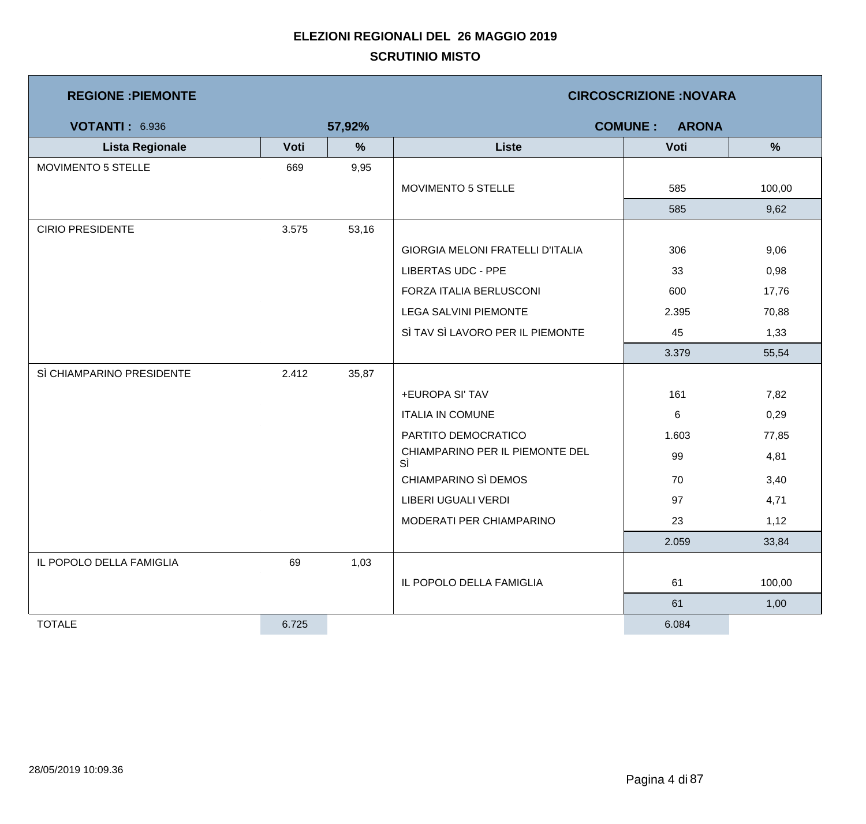| <b>REGIONE : PIEMONTE</b> |       |        | <b>CIRCOSCRIZIONE:NOVARA</b>            |       |        |  |  |
|---------------------------|-------|--------|-----------------------------------------|-------|--------|--|--|
| <b>VOTANTI: 6.936</b>     |       | 57,92% | <b>COMUNE:</b><br><b>ARONA</b>          |       |        |  |  |
| <b>Lista Regionale</b>    | Voti  | %      | <b>Liste</b>                            | Voti  | %      |  |  |
| MOVIMENTO 5 STELLE        | 669   | 9,95   |                                         |       |        |  |  |
|                           |       |        | MOVIMENTO 5 STELLE                      | 585   | 100,00 |  |  |
|                           |       |        |                                         | 585   | 9,62   |  |  |
| <b>CIRIO PRESIDENTE</b>   | 3.575 | 53,16  |                                         |       |        |  |  |
|                           |       |        | <b>GIORGIA MELONI FRATELLI D'ITALIA</b> | 306   | 9,06   |  |  |
|                           |       |        | <b>LIBERTAS UDC - PPE</b>               | 33    | 0,98   |  |  |
|                           |       |        | FORZA ITALIA BERLUSCONI                 | 600   | 17,76  |  |  |
|                           |       |        | <b>LEGA SALVINI PIEMONTE</b>            | 2.395 | 70,88  |  |  |
|                           |       |        | SÌ TAV SÌ LAVORO PER IL PIEMONTE        | 45    | 1,33   |  |  |
|                           |       |        |                                         | 3.379 | 55,54  |  |  |
| SÌ CHIAMPARINO PRESIDENTE | 2.412 | 35,87  |                                         |       |        |  |  |
|                           |       |        | +EUROPA SI' TAV                         | 161   | 7,82   |  |  |
|                           |       |        | <b>ITALIA IN COMUNE</b>                 | 6     | 0,29   |  |  |
|                           |       |        | PARTITO DEMOCRATICO                     | 1.603 | 77,85  |  |  |
|                           |       |        | CHIAMPARINO PER IL PIEMONTE DEL<br>SÌ   | 99    | 4,81   |  |  |
|                           |       |        | CHIAMPARINO SÌ DEMOS                    | 70    | 3,40   |  |  |
|                           |       |        | LIBERI UGUALI VERDI                     | 97    | 4,71   |  |  |
|                           |       |        | MODERATI PER CHIAMPARINO                | 23    | 1,12   |  |  |
|                           |       |        |                                         | 2.059 | 33,84  |  |  |
| IL POPOLO DELLA FAMIGLIA  | 69    | 1,03   |                                         |       |        |  |  |
|                           |       |        | IL POPOLO DELLA FAMIGLIA                | 61    | 100,00 |  |  |
|                           |       |        |                                         | 61    | 1,00   |  |  |
| <b>TOTALE</b>             | 6.725 |        |                                         | 6.084 |        |  |  |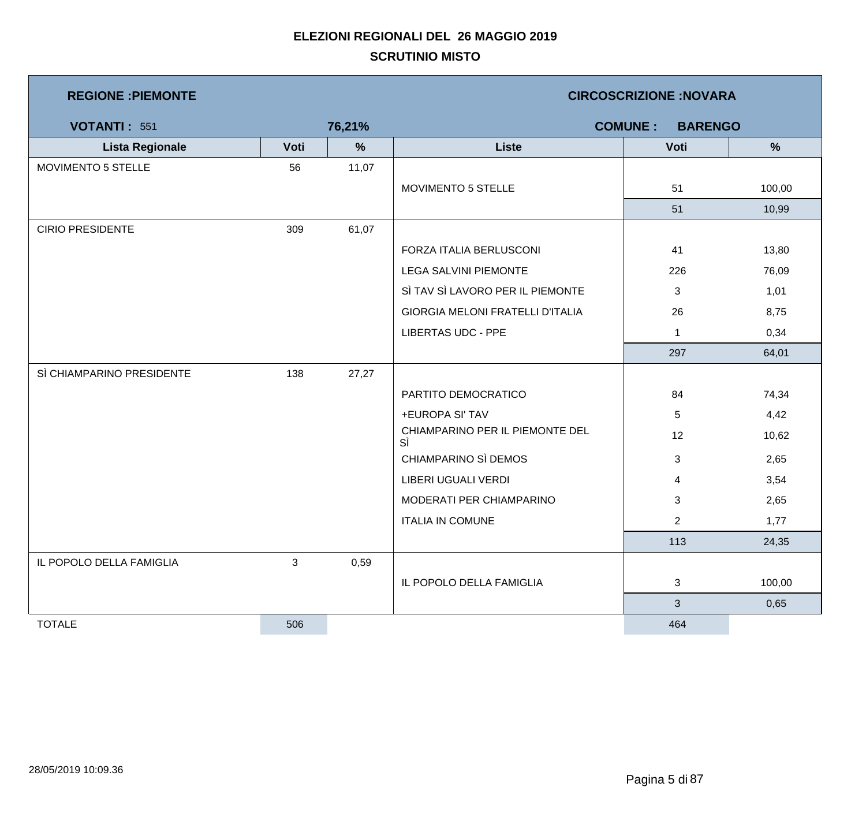| <b>REGIONE : PIEMONTE</b> |              |        | <b>CIRCOSCRIZIONE: NOVARA</b>           |                |               |  |  |
|---------------------------|--------------|--------|-----------------------------------------|----------------|---------------|--|--|
| <b>VOTANTI: 551</b>       |              | 76,21% | <b>COMUNE:</b><br><b>BARENGO</b>        |                |               |  |  |
| <b>Lista Regionale</b>    | Voti         | $\%$   | <b>Liste</b>                            | Voti           | $\frac{9}{6}$ |  |  |
| MOVIMENTO 5 STELLE        | 56           | 11,07  |                                         |                |               |  |  |
|                           |              |        | MOVIMENTO 5 STELLE                      | 51             | 100,00        |  |  |
|                           |              |        |                                         | 51             | 10,99         |  |  |
| <b>CIRIO PRESIDENTE</b>   | 309          | 61,07  |                                         |                |               |  |  |
|                           |              |        | FORZA ITALIA BERLUSCONI                 | 41             | 13,80         |  |  |
|                           |              |        | <b>LEGA SALVINI PIEMONTE</b>            | 226            | 76,09         |  |  |
|                           |              |        | SÌ TAV SÌ LAVORO PER IL PIEMONTE        | 3              | 1,01          |  |  |
|                           |              |        | <b>GIORGIA MELONI FRATELLI D'ITALIA</b> | 26             | 8,75          |  |  |
|                           |              |        | <b>LIBERTAS UDC - PPE</b>               | $\mathbf{1}$   | 0,34          |  |  |
|                           |              |        |                                         | 297            | 64,01         |  |  |
| SÌ CHIAMPARINO PRESIDENTE | 138          | 27,27  |                                         |                |               |  |  |
|                           |              |        | PARTITO DEMOCRATICO                     | 84             | 74,34         |  |  |
|                           |              |        | +EUROPA SI' TAV                         | 5              | 4,42          |  |  |
|                           |              |        | CHIAMPARINO PER IL PIEMONTE DEL<br>SÌ   | 12             | 10,62         |  |  |
|                           |              |        | CHIAMPARINO SÌ DEMOS                    | 3              | 2,65          |  |  |
|                           |              |        | <b>LIBERI UGUALI VERDI</b>              | 4              | 3,54          |  |  |
|                           |              |        | MODERATI PER CHIAMPARINO                | 3              | 2,65          |  |  |
|                           |              |        | <b>ITALIA IN COMUNE</b>                 | $\overline{2}$ | 1,77          |  |  |
|                           |              |        |                                         | 113            | 24,35         |  |  |
| IL POPOLO DELLA FAMIGLIA  | $\mathbf{3}$ | 0,59   |                                         |                |               |  |  |
|                           |              |        | IL POPOLO DELLA FAMIGLIA                | 3              | 100,00        |  |  |
|                           |              |        |                                         | $\mathbf{3}$   | 0,65          |  |  |
| <b>TOTALE</b>             | 506          |        |                                         | 464            |               |  |  |

a sa kacamatan ing Kabupatèn Kabupatèn Ing

J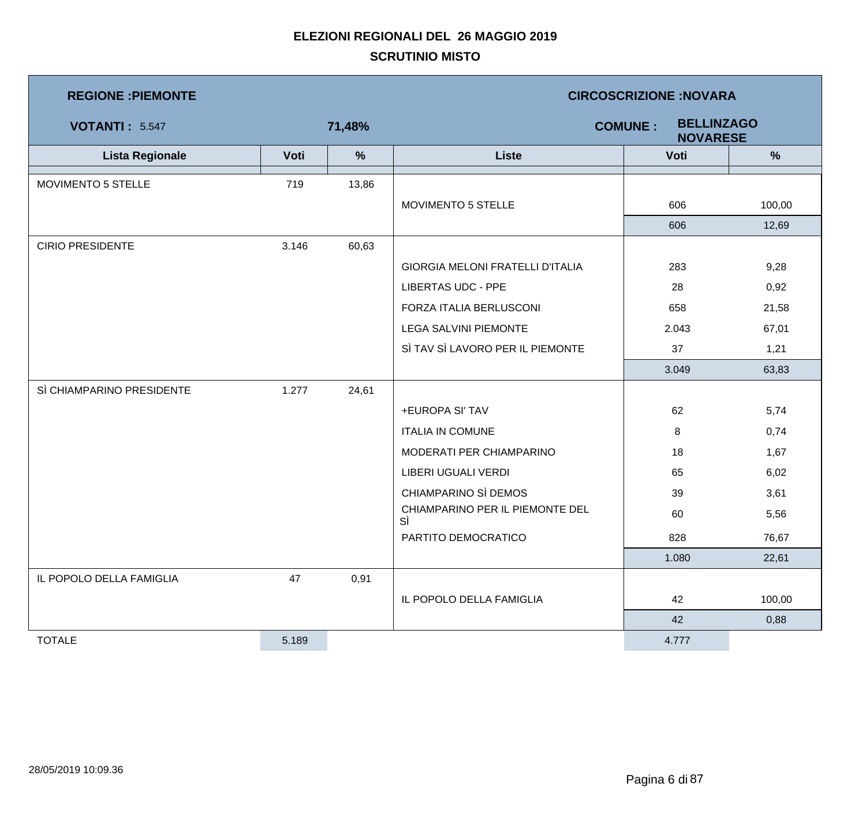| <b>REGIONE: PIEMONTE</b>  |       |               | <b>CIRCOSCRIZIONE:NOVARA</b>          |                                                        |               |  |  |
|---------------------------|-------|---------------|---------------------------------------|--------------------------------------------------------|---------------|--|--|
| <b>VOTANTI: 5.547</b>     |       | 71,48%        |                                       | <b>BELLINZAGO</b><br><b>COMUNE:</b><br><b>NOVARESE</b> |               |  |  |
| <b>Lista Regionale</b>    | Voti  | $\frac{9}{6}$ | <b>Liste</b>                          | Voti                                                   | $\frac{9}{6}$ |  |  |
| MOVIMENTO 5 STELLE        | 719   | 13,86         |                                       |                                                        |               |  |  |
|                           |       |               | MOVIMENTO 5 STELLE                    | 606                                                    | 100,00        |  |  |
|                           |       |               |                                       | 606                                                    | 12,69         |  |  |
| <b>CIRIO PRESIDENTE</b>   | 3.146 | 60,63         |                                       |                                                        |               |  |  |
|                           |       |               | GIORGIA MELONI FRATELLI D'ITALIA      | 283                                                    | 9,28          |  |  |
|                           |       |               | <b>LIBERTAS UDC - PPE</b>             | 28                                                     | 0,92          |  |  |
|                           |       |               | FORZA ITALIA BERLUSCONI               | 658                                                    | 21,58         |  |  |
|                           |       |               | <b>LEGA SALVINI PIEMONTE</b>          | 2.043                                                  | 67,01         |  |  |
|                           |       |               | SÌ TAV SÌ LAVORO PER IL PIEMONTE      | 37                                                     | 1,21          |  |  |
|                           |       |               |                                       | 3.049                                                  | 63,83         |  |  |
| SÌ CHIAMPARINO PRESIDENTE | 1.277 | 24,61         |                                       |                                                        |               |  |  |
|                           |       |               | +EUROPA SI' TAV                       | 62                                                     | 5,74          |  |  |
|                           |       |               | <b>ITALIA IN COMUNE</b>               | 8                                                      | 0,74          |  |  |
|                           |       |               | MODERATI PER CHIAMPARINO              | 18                                                     | 1,67          |  |  |
|                           |       |               | LIBERI UGUALI VERDI                   | 65                                                     | 6,02          |  |  |
|                           |       |               | CHIAMPARINO SÌ DEMOS                  | 39                                                     | 3,61          |  |  |
|                           |       |               | CHIAMPARINO PER IL PIEMONTE DEL<br>SÌ | 60                                                     | 5,56          |  |  |
|                           |       |               | PARTITO DEMOCRATICO                   | 828                                                    | 76,67         |  |  |
|                           |       |               |                                       | 1.080                                                  | 22,61         |  |  |
| IL POPOLO DELLA FAMIGLIA  | 47    | 0,91          |                                       |                                                        |               |  |  |
|                           |       |               | IL POPOLO DELLA FAMIGLIA              | 42                                                     | 100,00        |  |  |
|                           |       |               |                                       | 42                                                     | 0,88          |  |  |
| <b>TOTALE</b>             | 5.189 |               |                                       | 4.777                                                  |               |  |  |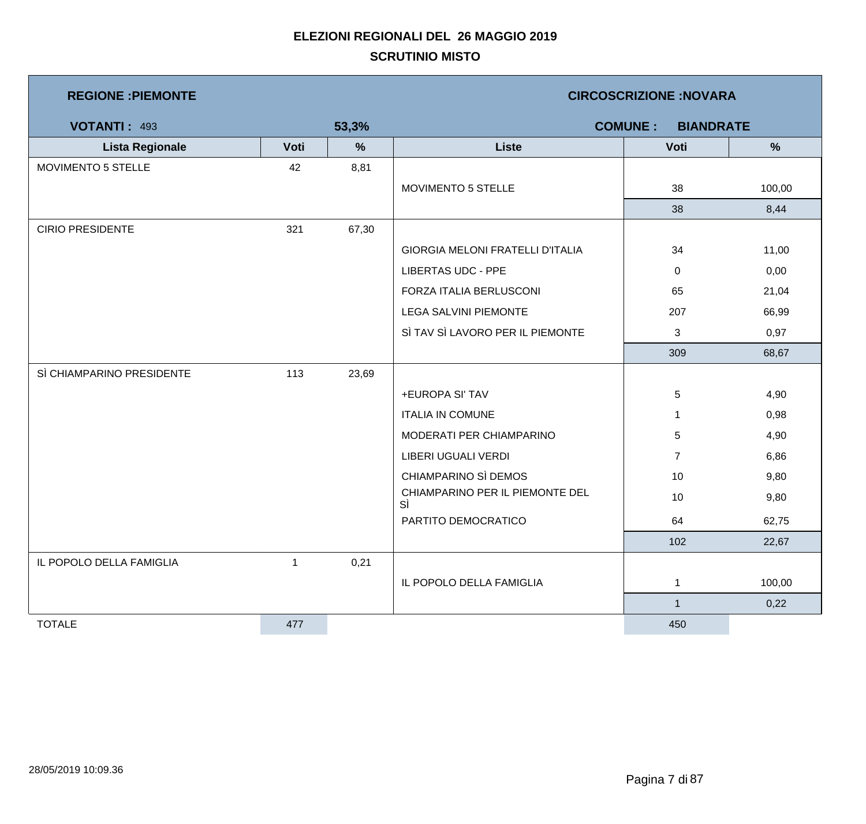| <b>REGIONE : PIEMONTE</b> |              |       | <b>CIRCOSCRIZIONE: NOVARA</b>           |                                    |               |  |  |
|---------------------------|--------------|-------|-----------------------------------------|------------------------------------|---------------|--|--|
| <b>VOTANTI: 493</b>       |              | 53,3% |                                         | <b>COMUNE:</b><br><b>BIANDRATE</b> |               |  |  |
| <b>Lista Regionale</b>    | Voti         | %     | <b>Liste</b>                            | Voti                               | $\frac{9}{6}$ |  |  |
| MOVIMENTO 5 STELLE        | 42           | 8,81  |                                         |                                    |               |  |  |
|                           |              |       | MOVIMENTO 5 STELLE                      | 38                                 | 100,00        |  |  |
|                           |              |       |                                         | 38                                 | 8,44          |  |  |
| <b>CIRIO PRESIDENTE</b>   | 321          | 67,30 |                                         |                                    |               |  |  |
|                           |              |       | <b>GIORGIA MELONI FRATELLI D'ITALIA</b> | 34                                 | 11,00         |  |  |
|                           |              |       | <b>LIBERTAS UDC - PPE</b>               | 0                                  | 0,00          |  |  |
|                           |              |       | FORZA ITALIA BERLUSCONI                 | 65                                 | 21,04         |  |  |
|                           |              |       | <b>LEGA SALVINI PIEMONTE</b>            | 207                                | 66,99         |  |  |
|                           |              |       | SÌ TAV SÌ LAVORO PER IL PIEMONTE        | 3                                  | 0,97          |  |  |
|                           |              |       |                                         | 309                                | 68,67         |  |  |
| SÌ CHIAMPARINO PRESIDENTE | 113          | 23,69 |                                         |                                    |               |  |  |
|                           |              |       | +EUROPA SI' TAV                         | 5                                  | 4,90          |  |  |
|                           |              |       | <b>ITALIA IN COMUNE</b>                 | 1                                  | 0,98          |  |  |
|                           |              |       | MODERATI PER CHIAMPARINO                | 5                                  | 4,90          |  |  |
|                           |              |       | LIBERI UGUALI VERDI                     | $\overline{7}$                     | 6,86          |  |  |
|                           |              |       | CHIAMPARINO SÌ DEMOS                    | 10                                 | 9,80          |  |  |
|                           |              |       | CHIAMPARINO PER IL PIEMONTE DEL<br>SÌ   | 10                                 | 9,80          |  |  |
|                           |              |       | PARTITO DEMOCRATICO                     | 64                                 | 62,75         |  |  |
|                           |              |       |                                         | 102                                | 22,67         |  |  |
| IL POPOLO DELLA FAMIGLIA  | $\mathbf{1}$ | 0,21  |                                         |                                    |               |  |  |
|                           |              |       | IL POPOLO DELLA FAMIGLIA                | 1                                  | 100,00        |  |  |
|                           |              |       |                                         | $\mathbf{1}$                       | 0,22          |  |  |
| <b>TOTALE</b>             | 477          |       |                                         | 450                                |               |  |  |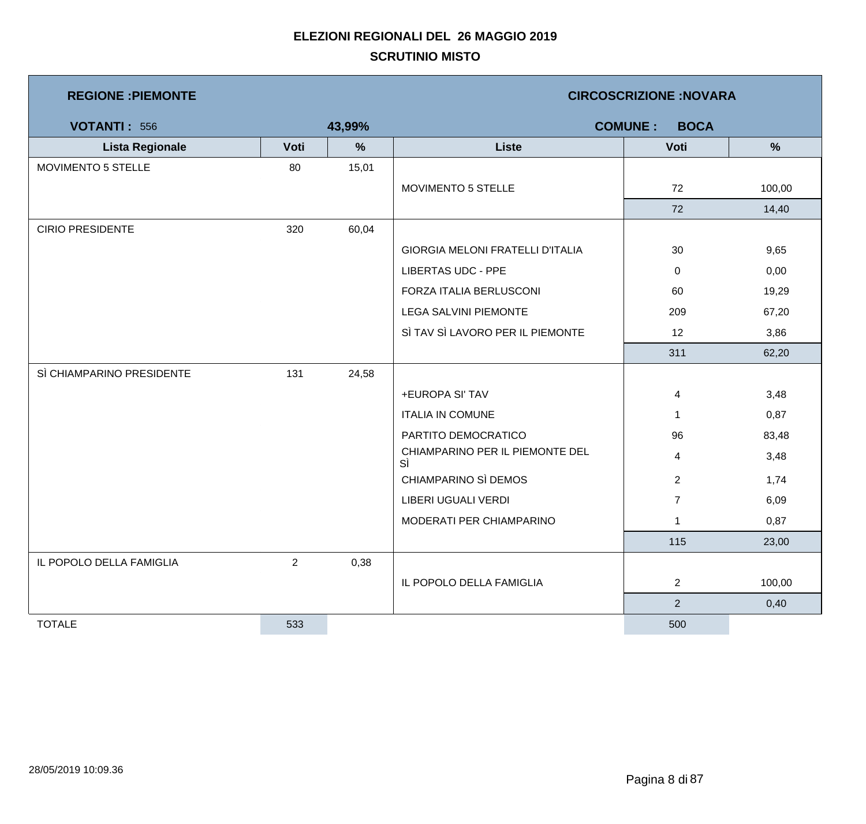| <b>REGIONE : PIEMONTE</b> |      |        |                                       | <b>CIRCOSCRIZIONE: NOVARA</b> |        |
|---------------------------|------|--------|---------------------------------------|-------------------------------|--------|
| <b>VOTANTI: 556</b>       |      | 43,99% |                                       | <b>COMUNE:</b><br><b>BOCA</b> |        |
| <b>Lista Regionale</b>    | Voti | $\%$   | <b>Liste</b>                          | Voti                          | %      |
| MOVIMENTO 5 STELLE        | 80   | 15,01  |                                       |                               |        |
|                           |      |        | MOVIMENTO 5 STELLE                    | 72                            | 100,00 |
|                           |      |        |                                       | 72                            | 14,40  |
| <b>CIRIO PRESIDENTE</b>   | 320  | 60,04  |                                       |                               |        |
|                           |      |        | GIORGIA MELONI FRATELLI D'ITALIA      | 30                            | 9,65   |
|                           |      |        | <b>LIBERTAS UDC - PPE</b>             | 0                             | 0,00   |
|                           |      |        | FORZA ITALIA BERLUSCONI               | 60                            | 19,29  |
|                           |      |        | <b>LEGA SALVINI PIEMONTE</b>          | 209                           | 67,20  |
|                           |      |        | SÌ TAV SÌ LAVORO PER IL PIEMONTE      | 12                            | 3,86   |
|                           |      |        |                                       | 311                           | 62,20  |
| SÌ CHIAMPARINO PRESIDENTE | 131  | 24,58  |                                       |                               |        |
|                           |      |        | +EUROPA SI' TAV                       | 4                             | 3,48   |
|                           |      |        | <b>ITALIA IN COMUNE</b>               | $\mathbf 1$                   | 0,87   |
|                           |      |        | PARTITO DEMOCRATICO                   | 96                            | 83,48  |
|                           |      |        | CHIAMPARINO PER IL PIEMONTE DEL<br>SÌ | 4                             | 3,48   |
|                           |      |        | CHIAMPARINO SÌ DEMOS                  | $\overline{2}$                | 1,74   |
|                           |      |        | LIBERI UGUALI VERDI                   | $\overline{7}$                | 6,09   |
|                           |      |        | MODERATI PER CHIAMPARINO              | 1                             | 0,87   |
|                           |      |        |                                       | 115                           | 23,00  |
| IL POPOLO DELLA FAMIGLIA  | 2    | 0,38   |                                       |                               |        |
|                           |      |        | IL POPOLO DELLA FAMIGLIA              | $\overline{2}$                | 100,00 |
|                           |      |        |                                       | $\overline{2}$                | 0,40   |
| <b>TOTALE</b>             | 533  |        |                                       | 500                           |        |

m,

<u> 1989 - Johann Barnett, mars et al. 1989 - Anna anno 1989 - Anna ann an t-</u>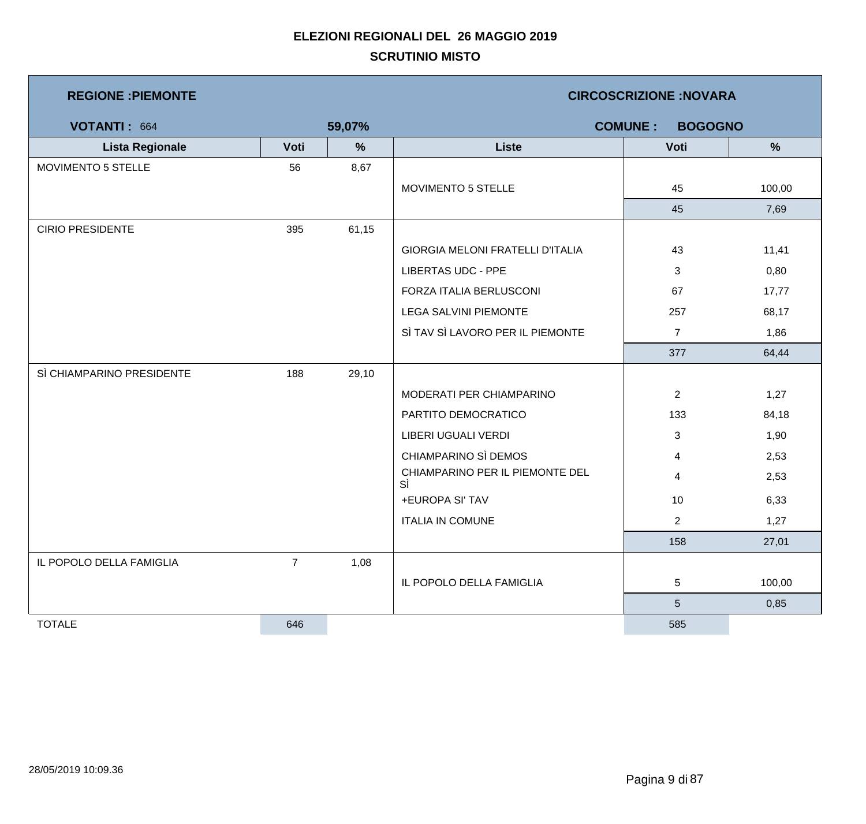| <b>REGIONE : PIEMONTE</b> |                |        | <b>CIRCOSCRIZIONE:NOVARA</b><br><b>COMUNE:</b><br><b>BOGOGNO</b> |                |               |  |  |
|---------------------------|----------------|--------|------------------------------------------------------------------|----------------|---------------|--|--|
| VOTANTI: 664              |                | 59,07% |                                                                  |                |               |  |  |
| <b>Lista Regionale</b>    | Voti           | $\%$   | <b>Liste</b>                                                     | Voti           | $\frac{9}{6}$ |  |  |
| MOVIMENTO 5 STELLE        | 56             | 8,67   |                                                                  |                |               |  |  |
|                           |                |        | MOVIMENTO 5 STELLE                                               | 45             | 100,00        |  |  |
|                           |                |        |                                                                  | 45             | 7,69          |  |  |
| <b>CIRIO PRESIDENTE</b>   | 395            | 61,15  |                                                                  |                |               |  |  |
|                           |                |        | <b>GIORGIA MELONI FRATELLI D'ITALIA</b>                          | 43             | 11,41         |  |  |
|                           |                |        | <b>LIBERTAS UDC - PPE</b>                                        | 3              | 0,80          |  |  |
|                           |                |        | FORZA ITALIA BERLUSCONI                                          | 67             | 17,77         |  |  |
|                           |                |        | <b>LEGA SALVINI PIEMONTE</b>                                     | 257            | 68,17         |  |  |
|                           |                |        | SÌ TAV SÌ LAVORO PER IL PIEMONTE                                 | $\overline{7}$ | 1,86          |  |  |
|                           |                |        |                                                                  | 377            | 64,44         |  |  |
| SÌ CHIAMPARINO PRESIDENTE | 188            | 29,10  |                                                                  |                |               |  |  |
|                           |                |        | MODERATI PER CHIAMPARINO                                         | $\overline{2}$ | 1,27          |  |  |
|                           |                |        | PARTITO DEMOCRATICO                                              | 133            | 84,18         |  |  |
|                           |                |        | LIBERI UGUALI VERDI                                              | 3              | 1,90          |  |  |
|                           |                |        | CHIAMPARINO SÌ DEMOS                                             | 4              | 2,53          |  |  |
|                           |                |        | CHIAMPARINO PER IL PIEMONTE DEL<br>SÌ                            | 4              | 2,53          |  |  |
|                           |                |        | +EUROPA SI' TAV                                                  | 10             | 6,33          |  |  |
|                           |                |        | <b>ITALIA IN COMUNE</b>                                          | $\overline{2}$ | 1,27          |  |  |
|                           |                |        |                                                                  | 158            | 27,01         |  |  |
| IL POPOLO DELLA FAMIGLIA  | $\overline{7}$ | 1,08   |                                                                  |                |               |  |  |
|                           |                |        | IL POPOLO DELLA FAMIGLIA                                         | 5              | 100,00        |  |  |
|                           |                |        |                                                                  | $\sqrt{5}$     | 0,85          |  |  |
| <b>TOTALE</b>             | 646            |        |                                                                  | 585            |               |  |  |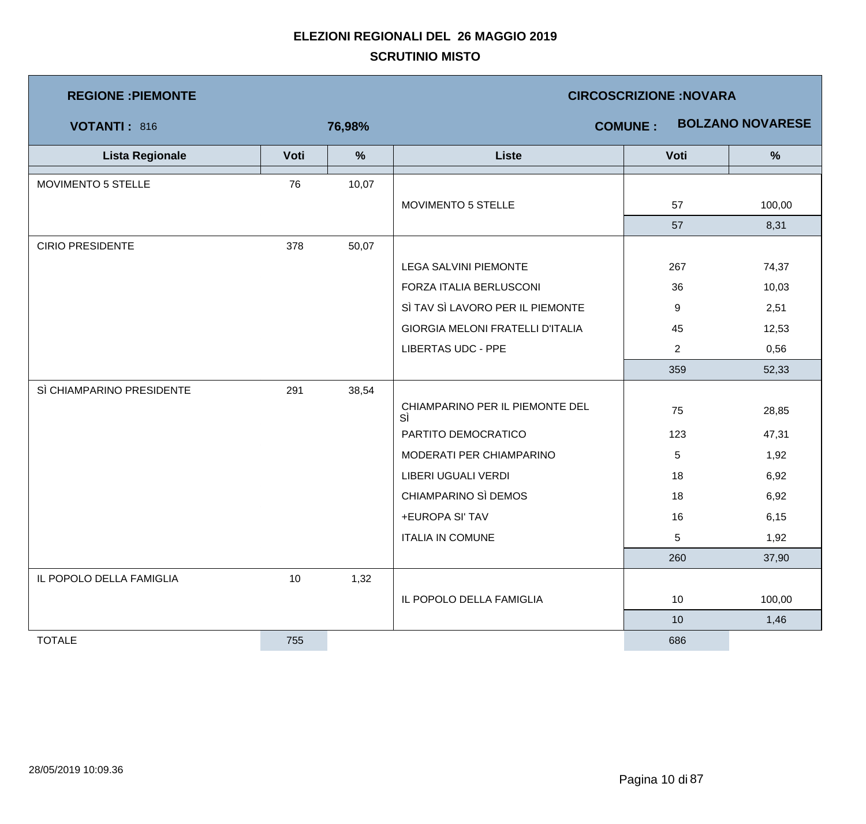| <b>REGIONE : PIEMONTE</b> |      |        | <b>CIRCOSCRIZIONE:NOVARA</b>          |                |                         |  |  |
|---------------------------|------|--------|---------------------------------------|----------------|-------------------------|--|--|
| VOTANTI: 816              |      | 76,98% |                                       | <b>COMUNE:</b> | <b>BOLZANO NOVARESE</b> |  |  |
| <b>Lista Regionale</b>    | Voti | $\%$   | <b>Liste</b>                          | Voti           | $\frac{9}{6}$           |  |  |
| MOVIMENTO 5 STELLE        | 76   | 10,07  |                                       |                |                         |  |  |
|                           |      |        | MOVIMENTO 5 STELLE                    | 57             | 100,00                  |  |  |
|                           |      |        |                                       | 57             | 8,31                    |  |  |
| <b>CIRIO PRESIDENTE</b>   | 378  | 50,07  |                                       |                |                         |  |  |
|                           |      |        | LEGA SALVINI PIEMONTE                 | 267            | 74,37                   |  |  |
|                           |      |        | FORZA ITALIA BERLUSCONI               | 36             | 10,03                   |  |  |
|                           |      |        | SÌ TAV SÌ LAVORO PER IL PIEMONTE      | 9              | 2,51                    |  |  |
|                           |      |        | GIORGIA MELONI FRATELLI D'ITALIA      | 45             | 12,53                   |  |  |
|                           |      |        | <b>LIBERTAS UDC - PPE</b>             | $\overline{2}$ | 0,56                    |  |  |
|                           |      |        |                                       | 359            | 52,33                   |  |  |
| SÌ CHIAMPARINO PRESIDENTE | 291  | 38,54  |                                       |                |                         |  |  |
|                           |      |        | CHIAMPARINO PER IL PIEMONTE DEL<br>SÌ | 75             | 28,85                   |  |  |
|                           |      |        | PARTITO DEMOCRATICO                   | 123            | 47,31                   |  |  |
|                           |      |        | MODERATI PER CHIAMPARINO              | 5              | 1,92                    |  |  |
|                           |      |        | <b>LIBERI UGUALI VERDI</b>            | 18             | 6,92                    |  |  |
|                           |      |        | CHIAMPARINO SÌ DEMOS                  | 18             | 6,92                    |  |  |
|                           |      |        | +EUROPA SI' TAV                       | 16             | 6, 15                   |  |  |
|                           |      |        | <b>ITALIA IN COMUNE</b>               | 5              | 1,92                    |  |  |
|                           |      |        |                                       | 260            | 37,90                   |  |  |
| IL POPOLO DELLA FAMIGLIA  | 10   | 1,32   |                                       |                |                         |  |  |
|                           |      |        | IL POPOLO DELLA FAMIGLIA              | 10             | 100,00                  |  |  |
|                           |      |        |                                       | 10             | 1,46                    |  |  |
| <b>TOTALE</b>             | 755  |        |                                       | 686            |                         |  |  |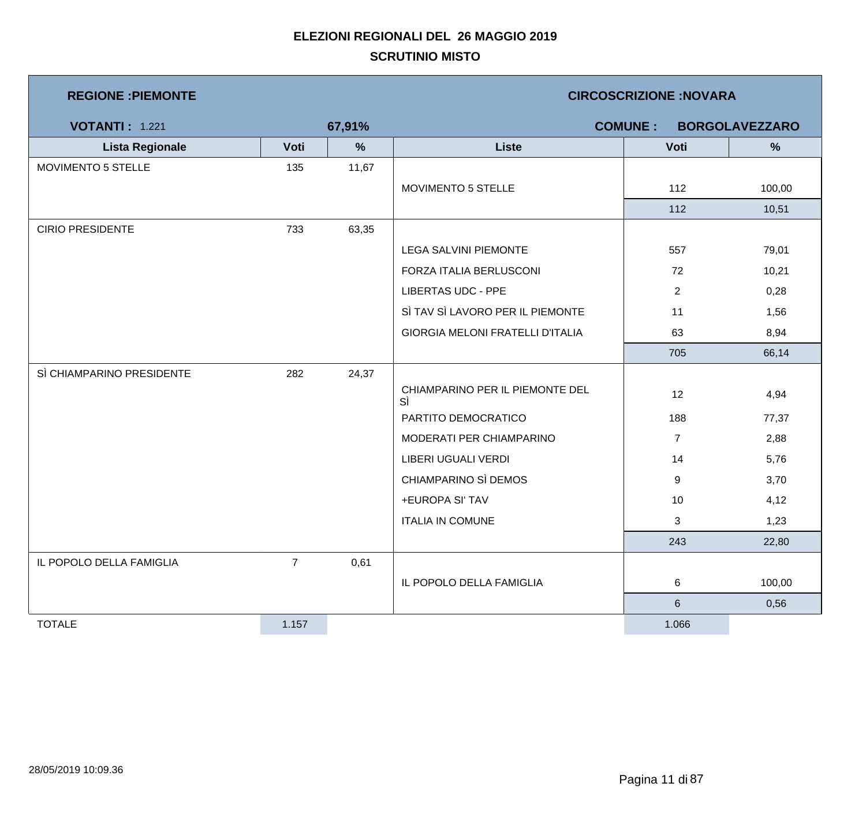| <b>REGIONE : PIEMONTE</b> |                |        | <b>CIRCOSCRIZIONE:NOVARA</b>          |                                         |        |  |  |
|---------------------------|----------------|--------|---------------------------------------|-----------------------------------------|--------|--|--|
| <b>VOTANTI: 1.221</b>     |                | 67,91% |                                       | <b>COMUNE:</b><br><b>BORGOLAVEZZARO</b> |        |  |  |
| <b>Lista Regionale</b>    | Voti           | $\%$   | <b>Liste</b>                          | Voti                                    | %      |  |  |
| MOVIMENTO 5 STELLE        | 135            | 11,67  |                                       |                                         |        |  |  |
|                           |                |        | MOVIMENTO 5 STELLE                    | 112                                     | 100,00 |  |  |
|                           |                |        |                                       | 112                                     | 10,51  |  |  |
| <b>CIRIO PRESIDENTE</b>   | 733            | 63,35  |                                       |                                         |        |  |  |
|                           |                |        | <b>LEGA SALVINI PIEMONTE</b>          | 557                                     | 79,01  |  |  |
|                           |                |        | FORZA ITALIA BERLUSCONI               | 72                                      | 10,21  |  |  |
|                           |                |        | <b>LIBERTAS UDC - PPE</b>             | $\overline{2}$                          | 0,28   |  |  |
|                           |                |        | SÌ TAV SÌ LAVORO PER IL PIEMONTE      | 11                                      | 1,56   |  |  |
|                           |                |        | GIORGIA MELONI FRATELLI D'ITALIA      | 63                                      | 8,94   |  |  |
|                           |                |        |                                       | 705                                     | 66,14  |  |  |
| SÌ CHIAMPARINO PRESIDENTE | 282            | 24,37  |                                       |                                         |        |  |  |
|                           |                |        | CHIAMPARINO PER IL PIEMONTE DEL<br>SÌ | 12                                      | 4,94   |  |  |
|                           |                |        | PARTITO DEMOCRATICO                   | 188                                     | 77,37  |  |  |
|                           |                |        | MODERATI PER CHIAMPARINO              | $\overline{7}$                          | 2,88   |  |  |
|                           |                |        | LIBERI UGUALI VERDI                   | 14                                      | 5,76   |  |  |
|                           |                |        | CHIAMPARINO SÌ DEMOS                  | 9                                       | 3,70   |  |  |
|                           |                |        | +EUROPA SI' TAV                       | 10                                      | 4,12   |  |  |
|                           |                |        | <b>ITALIA IN COMUNE</b>               | 3                                       | 1,23   |  |  |
|                           |                |        |                                       | 243                                     | 22,80  |  |  |
| IL POPOLO DELLA FAMIGLIA  | $\overline{7}$ | 0,61   |                                       |                                         |        |  |  |
|                           |                |        | IL POPOLO DELLA FAMIGLIA              | 6                                       | 100,00 |  |  |
|                           |                |        |                                       | $6\phantom{.}6$                         | 0,56   |  |  |
| <b>TOTALE</b>             | 1.157          |        |                                       | 1.066                                   |        |  |  |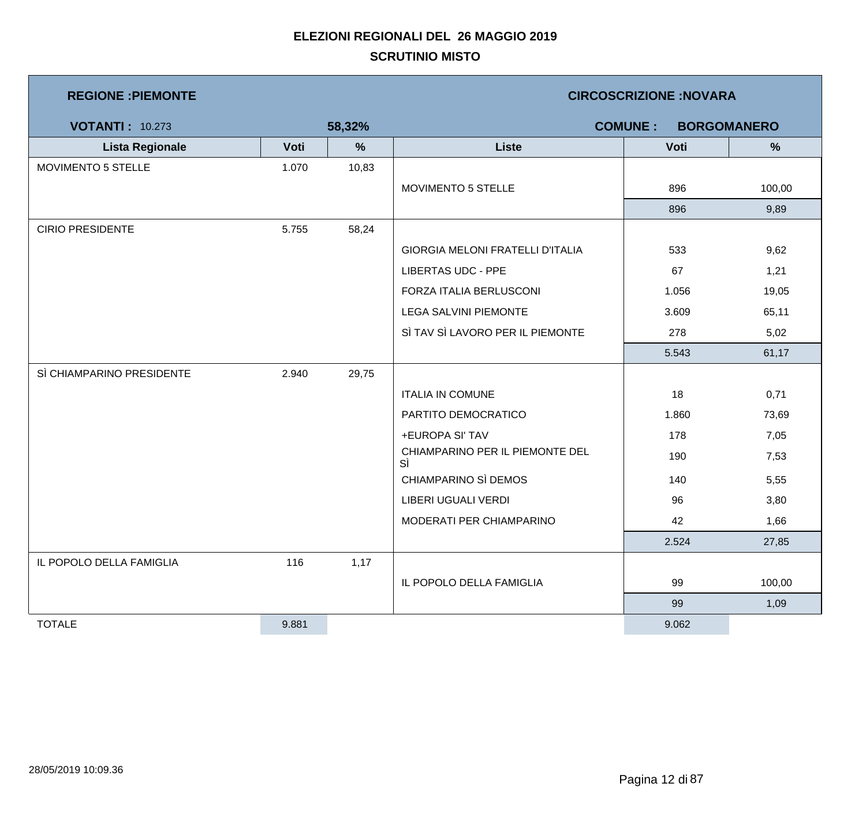| <b>REGIONE : PIEMONTE</b> |       |        | <b>CIRCOSCRIZIONE:NOVARA</b>          |                |                    |  |  |
|---------------------------|-------|--------|---------------------------------------|----------------|--------------------|--|--|
| <b>VOTANTI: 10.273</b>    |       | 58,32% |                                       | <b>COMUNE:</b> | <b>BORGOMANERO</b> |  |  |
| <b>Lista Regionale</b>    | Voti  | $\%$   | <b>Liste</b>                          | Voti           | $\frac{9}{6}$      |  |  |
| MOVIMENTO 5 STELLE        | 1.070 | 10,83  |                                       |                |                    |  |  |
|                           |       |        | MOVIMENTO 5 STELLE                    | 896            | 100,00             |  |  |
|                           |       |        |                                       | 896            | 9,89               |  |  |
| <b>CIRIO PRESIDENTE</b>   | 5.755 | 58,24  |                                       |                |                    |  |  |
|                           |       |        | GIORGIA MELONI FRATELLI D'ITALIA      | 533            | 9,62               |  |  |
|                           |       |        | <b>LIBERTAS UDC - PPE</b>             | 67             | 1,21               |  |  |
|                           |       |        | FORZA ITALIA BERLUSCONI               | 1.056          | 19,05              |  |  |
|                           |       |        | <b>LEGA SALVINI PIEMONTE</b>          | 3.609          | 65,11              |  |  |
|                           |       |        | SÌ TAV SÌ LAVORO PER IL PIEMONTE      | 278            | 5,02               |  |  |
|                           |       |        |                                       | 5.543          | 61,17              |  |  |
| SÌ CHIAMPARINO PRESIDENTE | 2.940 | 29,75  |                                       |                |                    |  |  |
|                           |       |        | <b>ITALIA IN COMUNE</b>               | 18             | 0,71               |  |  |
|                           |       |        | PARTITO DEMOCRATICO                   | 1.860          | 73,69              |  |  |
|                           |       |        | +EUROPA SI' TAV                       | 178            | 7,05               |  |  |
|                           |       |        | CHIAMPARINO PER IL PIEMONTE DEL<br>SÌ | 190            | 7,53               |  |  |
|                           |       |        | CHIAMPARINO SÌ DEMOS                  | 140            | 5,55               |  |  |
|                           |       |        | LIBERI UGUALI VERDI                   | 96             | 3,80               |  |  |
|                           |       |        | MODERATI PER CHIAMPARINO              | 42             | 1,66               |  |  |
|                           |       |        |                                       | 2.524          | 27,85              |  |  |
| IL POPOLO DELLA FAMIGLIA  | 116   | 1,17   |                                       |                |                    |  |  |
|                           |       |        | IL POPOLO DELLA FAMIGLIA              | 99             | 100,00             |  |  |
|                           |       |        |                                       | 99             | 1,09               |  |  |
| <b>TOTALE</b>             | 9.881 |        |                                       | 9.062          |                    |  |  |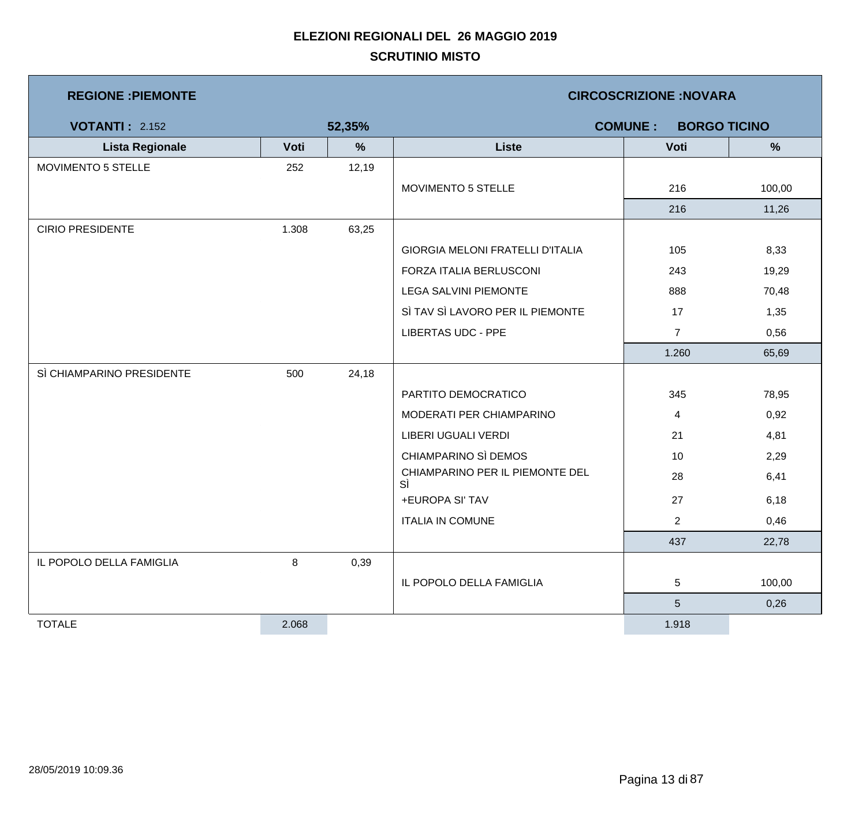| <b>REGIONE : PIEMONTE</b> |       |        | <b>CIRCOSCRIZIONE: NOVARA</b>           |                |        |  |  |
|---------------------------|-------|--------|-----------------------------------------|----------------|--------|--|--|
| <b>VOTANTI: 2.152</b>     |       | 52,35% | <b>COMUNE:</b><br><b>BORGO TICINO</b>   |                |        |  |  |
| <b>Lista Regionale</b>    | Voti  | $\%$   | <b>Liste</b>                            | Voti           | %      |  |  |
| MOVIMENTO 5 STELLE        | 252   | 12,19  |                                         |                |        |  |  |
|                           |       |        | MOVIMENTO 5 STELLE                      | 216            | 100,00 |  |  |
|                           |       |        |                                         | 216            | 11,26  |  |  |
| <b>CIRIO PRESIDENTE</b>   | 1.308 | 63,25  |                                         |                |        |  |  |
|                           |       |        | <b>GIORGIA MELONI FRATELLI D'ITALIA</b> | 105            | 8,33   |  |  |
|                           |       |        | FORZA ITALIA BERLUSCONI                 | 243            | 19,29  |  |  |
|                           |       |        | <b>LEGA SALVINI PIEMONTE</b>            | 888            | 70,48  |  |  |
|                           |       |        | SÌ TAV SÌ LAVORO PER IL PIEMONTE        | 17             | 1,35   |  |  |
|                           |       |        | <b>LIBERTAS UDC - PPE</b>               | $\overline{7}$ | 0,56   |  |  |
|                           |       |        |                                         | 1.260          | 65,69  |  |  |
| SÌ CHIAMPARINO PRESIDENTE | 500   | 24,18  |                                         |                |        |  |  |
|                           |       |        | PARTITO DEMOCRATICO                     | 345            | 78,95  |  |  |
|                           |       |        | MODERATI PER CHIAMPARINO                | 4              | 0,92   |  |  |
|                           |       |        | LIBERI UGUALI VERDI                     | 21             | 4,81   |  |  |
|                           |       |        | CHIAMPARINO SÌ DEMOS                    | 10             | 2,29   |  |  |
|                           |       |        | CHIAMPARINO PER IL PIEMONTE DEL<br>SÌ   | 28             | 6,41   |  |  |
|                           |       |        | +EUROPA SI' TAV                         | 27             | 6,18   |  |  |
|                           |       |        | <b>ITALIA IN COMUNE</b>                 | $\overline{2}$ | 0,46   |  |  |
|                           |       |        |                                         | 437            | 22,78  |  |  |
| IL POPOLO DELLA FAMIGLIA  | 8     | 0,39   |                                         |                |        |  |  |
|                           |       |        | IL POPOLO DELLA FAMIGLIA                | 5              | 100,00 |  |  |
|                           |       |        |                                         | $\sqrt{5}$     | 0,26   |  |  |
| <b>TOTALE</b>             | 2.068 |        |                                         | 1.918          |        |  |  |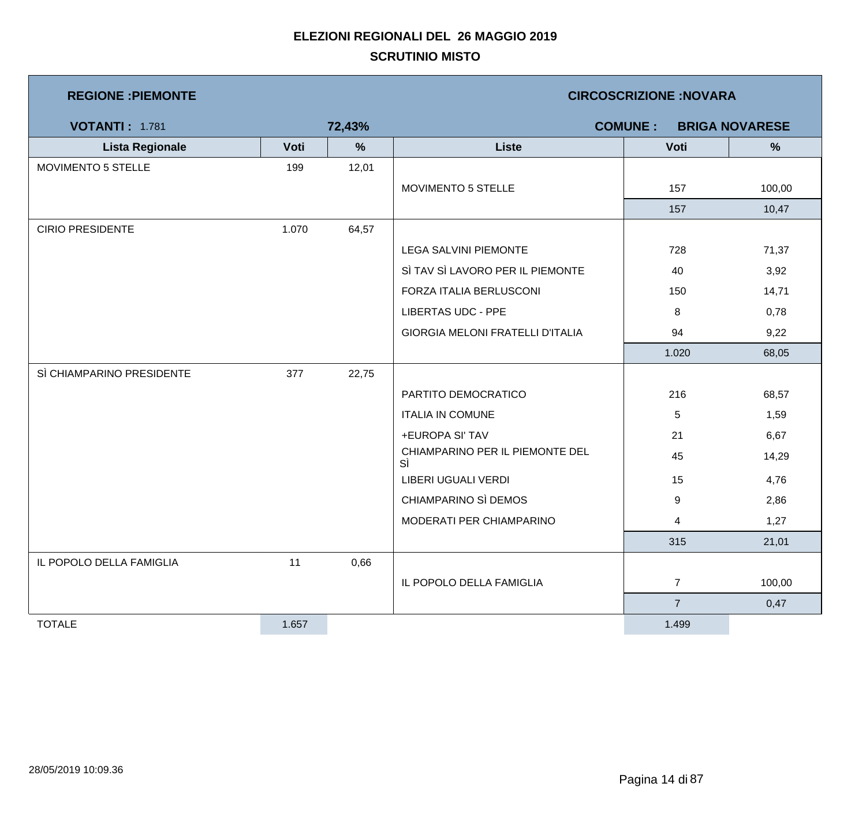| <b>REGIONE : PIEMONTE</b> |       |               | <b>CIRCOSCRIZIONE:NOVARA</b>            |                |                       |  |
|---------------------------|-------|---------------|-----------------------------------------|----------------|-----------------------|--|
| <b>VOTANTI: 1.781</b>     |       | 72,43%        |                                         | <b>COMUNE:</b> | <b>BRIGA NOVARESE</b> |  |
| <b>Lista Regionale</b>    | Voti  | $\frac{9}{6}$ | <b>Liste</b>                            | Voti           | %                     |  |
| MOVIMENTO 5 STELLE        | 199   | 12,01         |                                         |                |                       |  |
|                           |       |               | MOVIMENTO 5 STELLE                      | 157            | 100,00                |  |
|                           |       |               |                                         | 157            | 10,47                 |  |
| <b>CIRIO PRESIDENTE</b>   | 1.070 | 64,57         |                                         |                |                       |  |
|                           |       |               | <b>LEGA SALVINI PIEMONTE</b>            | 728            | 71,37                 |  |
|                           |       |               | SÌ TAV SÌ LAVORO PER IL PIEMONTE        | 40             | 3,92                  |  |
|                           |       |               | FORZA ITALIA BERLUSCONI                 | 150            | 14,71                 |  |
|                           |       |               | <b>LIBERTAS UDC - PPE</b>               | 8              | 0,78                  |  |
|                           |       |               | <b>GIORGIA MELONI FRATELLI D'ITALIA</b> | 94             | 9,22                  |  |
|                           |       |               |                                         | 1.020          | 68,05                 |  |
| SÌ CHIAMPARINO PRESIDENTE | 377   | 22,75         |                                         |                |                       |  |
|                           |       |               | PARTITO DEMOCRATICO                     | 216            | 68,57                 |  |
|                           |       |               | <b>ITALIA IN COMUNE</b>                 | 5              | 1,59                  |  |
|                           |       |               | +EUROPA SI' TAV                         | 21             | 6,67                  |  |
|                           |       |               | CHIAMPARINO PER IL PIEMONTE DEL<br>SÌ   | 45             | 14,29                 |  |
|                           |       |               | LIBERI UGUALI VERDI                     | 15             | 4,76                  |  |
|                           |       |               | CHIAMPARINO SÌ DEMOS                    | 9              | 2,86                  |  |
|                           |       |               | MODERATI PER CHIAMPARINO                | 4              | 1,27                  |  |
|                           |       |               |                                         | 315            | 21,01                 |  |
| IL POPOLO DELLA FAMIGLIA  | 11    | 0,66          |                                         |                |                       |  |
|                           |       |               | IL POPOLO DELLA FAMIGLIA                | $\overline{7}$ | 100,00                |  |
|                           |       |               |                                         | $\overline{7}$ | 0,47                  |  |
| <b>TOTALE</b>             | 1.657 |               |                                         | 1.499          |                       |  |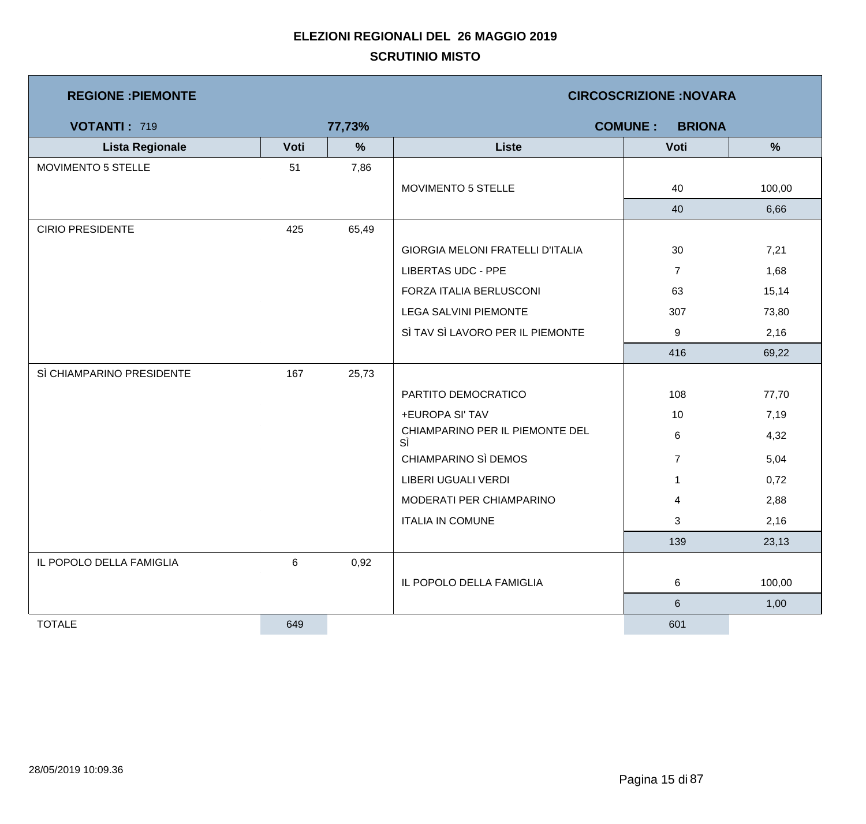| <b>REGIONE : PIEMONTE</b> |      |               |                                         | <b>CIRCOSCRIZIONE: NOVARA</b>   |        |
|---------------------------|------|---------------|-----------------------------------------|---------------------------------|--------|
| <b>VOTANTI: 719</b>       |      | 77,73%        |                                         | <b>COMUNE:</b><br><b>BRIONA</b> |        |
| <b>Lista Regionale</b>    | Voti | $\frac{9}{6}$ | <b>Liste</b>                            | Voti                            | %      |
| MOVIMENTO 5 STELLE        | 51   | 7,86          |                                         |                                 |        |
|                           |      |               | MOVIMENTO 5 STELLE                      | 40                              | 100,00 |
|                           |      |               |                                         | 40                              | 6,66   |
| <b>CIRIO PRESIDENTE</b>   | 425  | 65,49         |                                         |                                 |        |
|                           |      |               | <b>GIORGIA MELONI FRATELLI D'ITALIA</b> | 30                              | 7,21   |
|                           |      |               | <b>LIBERTAS UDC - PPE</b>               | $\overline{7}$                  | 1,68   |
|                           |      |               | FORZA ITALIA BERLUSCONI                 | 63                              | 15,14  |
|                           |      |               | LEGA SALVINI PIEMONTE                   | 307                             | 73,80  |
|                           |      |               | SÌ TAV SÌ LAVORO PER IL PIEMONTE        | 9                               | 2,16   |
|                           |      |               |                                         | 416                             | 69,22  |
| SÌ CHIAMPARINO PRESIDENTE | 167  | 25,73         |                                         |                                 |        |
|                           |      |               | PARTITO DEMOCRATICO                     | 108                             | 77,70  |
|                           |      |               | +EUROPA SI' TAV                         | 10                              | 7,19   |
|                           |      |               | CHIAMPARINO PER IL PIEMONTE DEL<br>SÌ   | 6                               | 4,32   |
|                           |      |               | CHIAMPARINO SÌ DEMOS                    | $\overline{7}$                  | 5,04   |
|                           |      |               | LIBERI UGUALI VERDI                     | $\mathbf 1$                     | 0,72   |
|                           |      |               | MODERATI PER CHIAMPARINO                | 4                               | 2,88   |
|                           |      |               | <b>ITALIA IN COMUNE</b>                 | 3                               | 2,16   |
|                           |      |               |                                         | 139                             | 23,13  |
| IL POPOLO DELLA FAMIGLIA  | 6    | 0,92          |                                         |                                 |        |
|                           |      |               | IL POPOLO DELLA FAMIGLIA                | 6                               | 100,00 |
|                           |      |               |                                         | $6\phantom{a}$                  | 1,00   |
| <b>TOTALE</b>             | 649  |               |                                         | 601                             |        |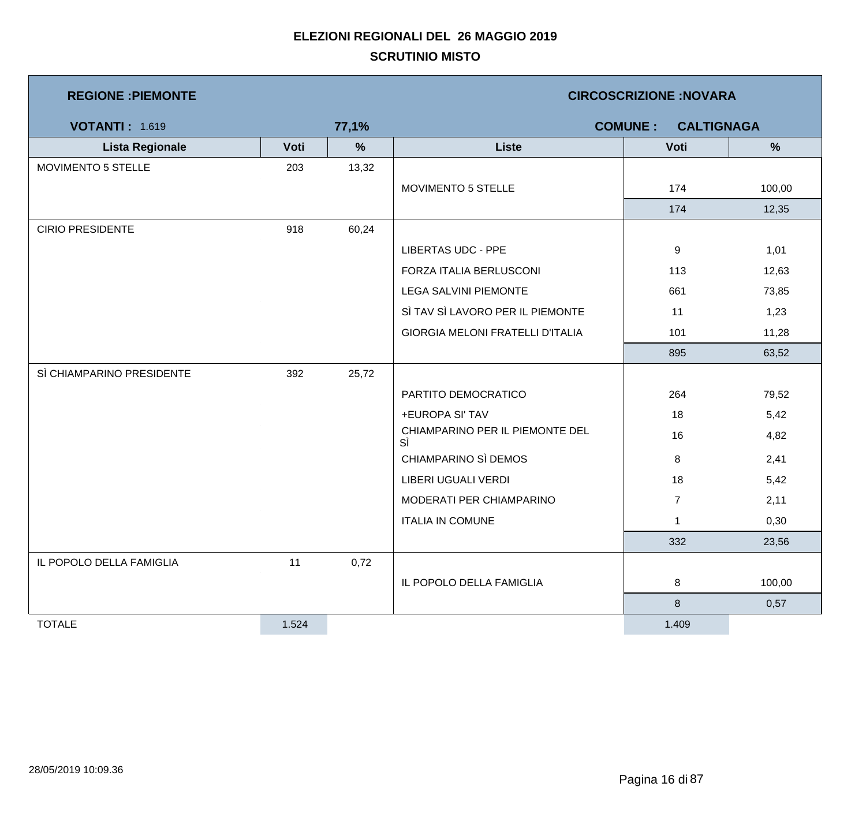| <b>REGIONE : PIEMONTE</b> |       |       | <b>CIRCOSCRIZIONE: NOVARA</b>           |                |        |  |  |
|---------------------------|-------|-------|-----------------------------------------|----------------|--------|--|--|
| <b>VOTANTI: 1.619</b>     | 77,1% |       | <b>COMUNE:</b><br><b>CALTIGNAGA</b>     |                |        |  |  |
| <b>Lista Regionale</b>    | Voti  | $\%$  | <b>Liste</b>                            | Voti           | %      |  |  |
| MOVIMENTO 5 STELLE        | 203   | 13,32 |                                         |                |        |  |  |
|                           |       |       | MOVIMENTO 5 STELLE                      | 174            | 100,00 |  |  |
|                           |       |       |                                         | 174            | 12,35  |  |  |
| <b>CIRIO PRESIDENTE</b>   | 918   | 60,24 |                                         |                |        |  |  |
|                           |       |       | <b>LIBERTAS UDC - PPE</b>               | 9              | 1,01   |  |  |
|                           |       |       | FORZA ITALIA BERLUSCONI                 | 113            | 12,63  |  |  |
|                           |       |       | LEGA SALVINI PIEMONTE                   | 661            | 73,85  |  |  |
|                           |       |       | SÌ TAV SÌ LAVORO PER IL PIEMONTE        | 11             | 1,23   |  |  |
|                           |       |       | <b>GIORGIA MELONI FRATELLI D'ITALIA</b> | 101            | 11,28  |  |  |
|                           |       |       |                                         | 895            | 63,52  |  |  |
| SÌ CHIAMPARINO PRESIDENTE | 392   | 25,72 |                                         |                |        |  |  |
|                           |       |       | PARTITO DEMOCRATICO                     | 264            | 79,52  |  |  |
|                           |       |       | +EUROPA SI' TAV                         | 18             | 5,42   |  |  |
|                           |       |       | CHIAMPARINO PER IL PIEMONTE DEL<br>SÌ   | 16             | 4,82   |  |  |
|                           |       |       | CHIAMPARINO SÌ DEMOS                    | 8              | 2,41   |  |  |
|                           |       |       | LIBERI UGUALI VERDI                     | 18             | 5,42   |  |  |
|                           |       |       | MODERATI PER CHIAMPARINO                | $\overline{7}$ | 2,11   |  |  |
|                           |       |       | <b>ITALIA IN COMUNE</b>                 | $\mathbf 1$    | 0,30   |  |  |
|                           |       |       |                                         | 332            | 23,56  |  |  |
| IL POPOLO DELLA FAMIGLIA  | 11    | 0,72  |                                         |                |        |  |  |
|                           |       |       | IL POPOLO DELLA FAMIGLIA                | 8              | 100,00 |  |  |
|                           |       |       |                                         | 8              | 0,57   |  |  |
| <b>TOTALE</b>             | 1.524 |       |                                         | 1.409          |        |  |  |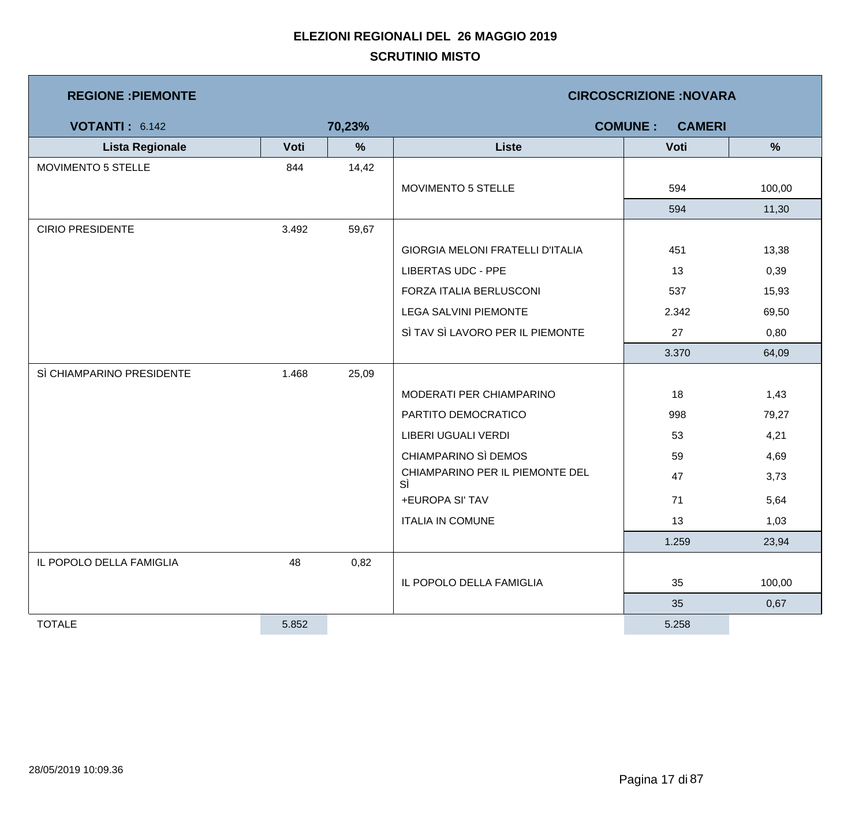| <b>REGIONE : PIEMONTE</b> |       |        | <b>CIRCOSCRIZIONE: NOVARA</b>         |                                 |        |  |  |
|---------------------------|-------|--------|---------------------------------------|---------------------------------|--------|--|--|
| <b>VOTANTI: 6.142</b>     |       | 70,23% |                                       | <b>COMUNE:</b><br><b>CAMERI</b> |        |  |  |
| <b>Lista Regionale</b>    | Voti  | %      | <b>Liste</b>                          | Voti                            | %      |  |  |
| MOVIMENTO 5 STELLE        | 844   | 14,42  |                                       |                                 |        |  |  |
|                           |       |        | MOVIMENTO 5 STELLE                    | 594                             | 100,00 |  |  |
|                           |       |        |                                       | 594                             | 11,30  |  |  |
| <b>CIRIO PRESIDENTE</b>   | 3.492 | 59,67  |                                       |                                 |        |  |  |
|                           |       |        | GIORGIA MELONI FRATELLI D'ITALIA      | 451                             | 13,38  |  |  |
|                           |       |        | <b>LIBERTAS UDC - PPE</b>             | 13                              | 0,39   |  |  |
|                           |       |        | FORZA ITALIA BERLUSCONI               | 537                             | 15,93  |  |  |
|                           |       |        | LEGA SALVINI PIEMONTE                 | 2.342                           | 69,50  |  |  |
|                           |       |        | SÌ TAV SÌ LAVORO PER IL PIEMONTE      | 27                              | 0,80   |  |  |
|                           |       |        |                                       | 3.370                           | 64,09  |  |  |
| SÌ CHIAMPARINO PRESIDENTE | 1.468 | 25,09  |                                       |                                 |        |  |  |
|                           |       |        | MODERATI PER CHIAMPARINO              | 18                              | 1,43   |  |  |
|                           |       |        | PARTITO DEMOCRATICO                   | 998                             | 79,27  |  |  |
|                           |       |        | <b>LIBERI UGUALI VERDI</b>            | 53                              | 4,21   |  |  |
|                           |       |        | CHIAMPARINO SÌ DEMOS                  | 59                              | 4,69   |  |  |
|                           |       |        | CHIAMPARINO PER IL PIEMONTE DEL<br>SÌ | 47                              | 3,73   |  |  |
|                           |       |        | +EUROPA SI' TAV                       | 71                              | 5,64   |  |  |
|                           |       |        | <b>ITALIA IN COMUNE</b>               | 13                              | 1,03   |  |  |
|                           |       |        |                                       | 1.259                           | 23,94  |  |  |
| IL POPOLO DELLA FAMIGLIA  | 48    | 0,82   |                                       |                                 |        |  |  |
|                           |       |        | IL POPOLO DELLA FAMIGLIA              | 35                              | 100,00 |  |  |
|                           |       |        |                                       | 35                              | 0,67   |  |  |
| <b>TOTALE</b>             | 5.852 |        |                                       | 5.258                           |        |  |  |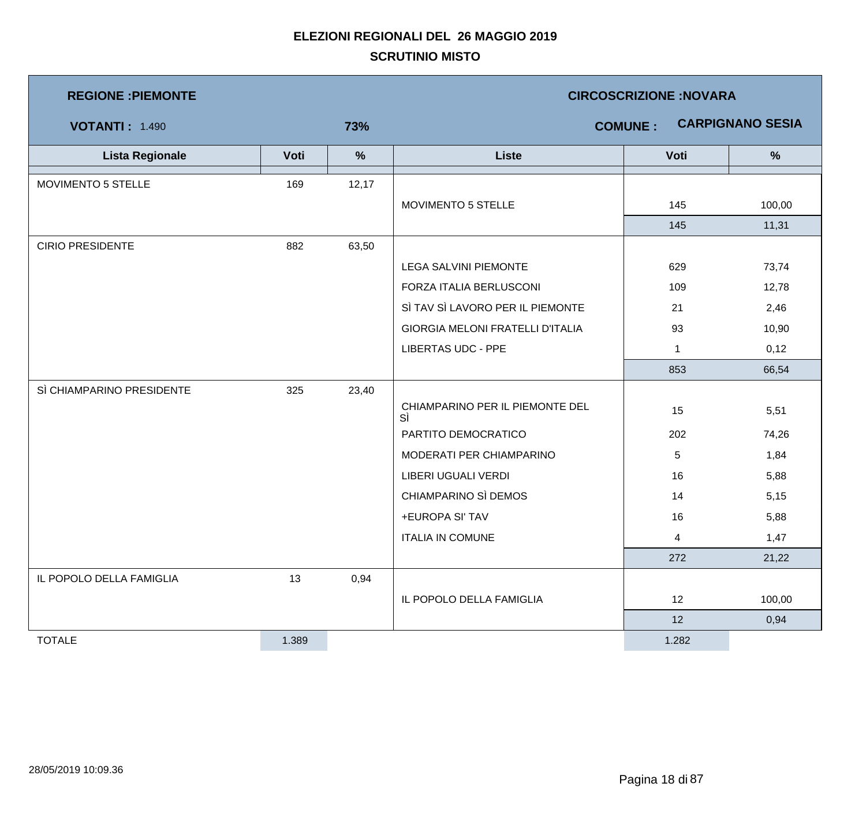| <b>REGIONE: PIEMONTE</b>  |       |       | <b>CIRCOSCRIZIONE: NOVARA</b>           |                 |                         |  |  |
|---------------------------|-------|-------|-----------------------------------------|-----------------|-------------------------|--|--|
| <b>VOTANTI: 1.490</b>     |       | 73%   |                                         | <b>COMUNE:</b>  | <b>CARPIGNANO SESIA</b> |  |  |
| <b>Lista Regionale</b>    | Voti  | %     | <b>Liste</b>                            | Voti            | $\frac{9}{6}$           |  |  |
| MOVIMENTO 5 STELLE        | 169   | 12,17 |                                         |                 |                         |  |  |
|                           |       |       | MOVIMENTO 5 STELLE                      | 145             | 100,00                  |  |  |
|                           |       |       |                                         | 145             | 11,31                   |  |  |
| <b>CIRIO PRESIDENTE</b>   | 882   | 63,50 |                                         |                 |                         |  |  |
|                           |       |       | <b>LEGA SALVINI PIEMONTE</b>            | 629             | 73,74                   |  |  |
|                           |       |       | FORZA ITALIA BERLUSCONI                 | 109             | 12,78                   |  |  |
|                           |       |       | SÌ TAV SÌ LAVORO PER IL PIEMONTE        | 21              | 2,46                    |  |  |
|                           |       |       | <b>GIORGIA MELONI FRATELLI D'ITALIA</b> | 93              | 10,90                   |  |  |
|                           |       |       | <b>LIBERTAS UDC - PPE</b>               | $\mathbf{1}$    | 0,12                    |  |  |
|                           |       |       |                                         | 853             | 66,54                   |  |  |
| SÌ CHIAMPARINO PRESIDENTE | 325   | 23,40 |                                         |                 |                         |  |  |
|                           |       |       | CHIAMPARINO PER IL PIEMONTE DEL<br>SÌ   | 15              | 5,51                    |  |  |
|                           |       |       | PARTITO DEMOCRATICO                     | 202             | 74,26                   |  |  |
|                           |       |       | MODERATI PER CHIAMPARINO                | $5\phantom{.0}$ | 1,84                    |  |  |
|                           |       |       | LIBERI UGUALI VERDI                     | 16              | 5,88                    |  |  |
|                           |       |       | CHIAMPARINO SÌ DEMOS                    | 14              | 5,15                    |  |  |
|                           |       |       | +EUROPA SI' TAV                         | 16              | 5,88                    |  |  |
|                           |       |       | <b>ITALIA IN COMUNE</b>                 | 4               | 1,47                    |  |  |
|                           |       |       |                                         | 272             | 21,22                   |  |  |
| IL POPOLO DELLA FAMIGLIA  | 13    | 0,94  |                                         |                 |                         |  |  |
|                           |       |       | IL POPOLO DELLA FAMIGLIA                | 12              | 100,00                  |  |  |
|                           |       |       |                                         | 12              | 0,94                    |  |  |
| <b>TOTALE</b>             | 1.389 |       |                                         | 1.282           |                         |  |  |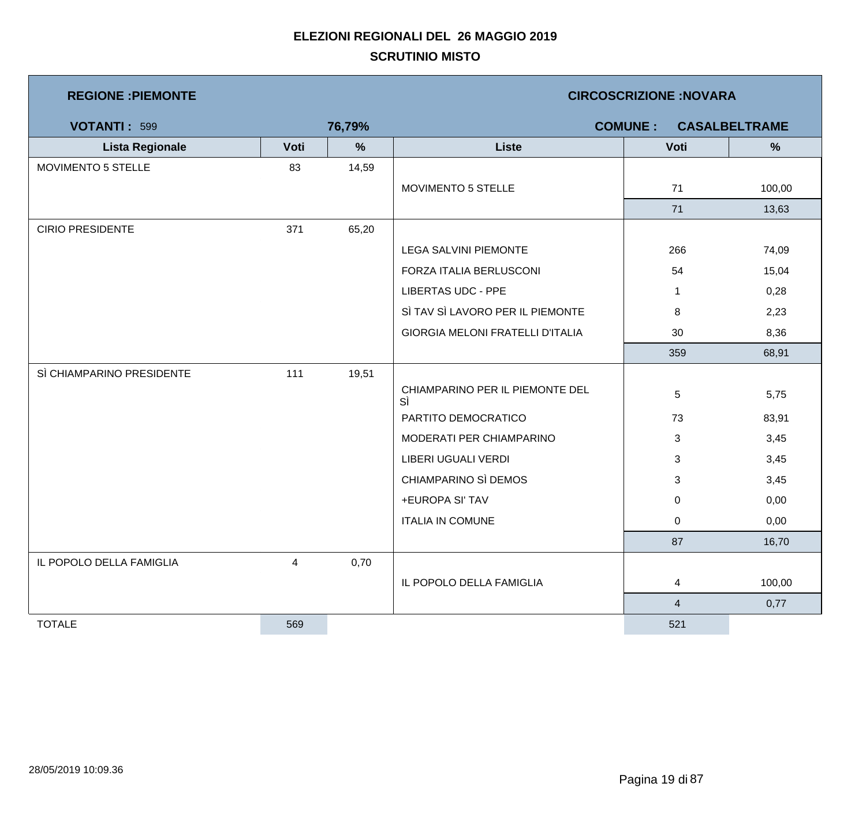| <b>REGIONE: PIEMONTE</b>  |      |        | <b>CIRCOSCRIZIONE: NOVARA</b>           |                |                      |  |  |
|---------------------------|------|--------|-----------------------------------------|----------------|----------------------|--|--|
| <b>VOTANTI: 599</b>       |      | 76,79% |                                         | <b>COMUNE:</b> | <b>CASALBELTRAME</b> |  |  |
| <b>Lista Regionale</b>    | Voti | %      | <b>Liste</b>                            | Voti           | $\%$                 |  |  |
| <b>MOVIMENTO 5 STELLE</b> | 83   | 14,59  |                                         |                |                      |  |  |
|                           |      |        | MOVIMENTO 5 STELLE                      | 71             | 100,00               |  |  |
|                           |      |        |                                         | 71             | 13,63                |  |  |
| <b>CIRIO PRESIDENTE</b>   | 371  | 65,20  |                                         |                |                      |  |  |
|                           |      |        | LEGA SALVINI PIEMONTE                   | 266            | 74,09                |  |  |
|                           |      |        | FORZA ITALIA BERLUSCONI                 | 54             | 15,04                |  |  |
|                           |      |        | <b>LIBERTAS UDC - PPE</b>               | $\mathbf 1$    | 0,28                 |  |  |
|                           |      |        | SÌ TAV SÌ LAVORO PER IL PIEMONTE        | 8              | 2,23                 |  |  |
|                           |      |        | <b>GIORGIA MELONI FRATELLI D'ITALIA</b> | 30             | 8,36                 |  |  |
|                           |      |        |                                         | 359            | 68,91                |  |  |
| SÌ CHIAMPARINO PRESIDENTE | 111  | 19,51  |                                         |                |                      |  |  |
|                           |      |        | CHIAMPARINO PER IL PIEMONTE DEL<br>SÌ   | $\sqrt{5}$     | 5,75                 |  |  |
|                           |      |        | PARTITO DEMOCRATICO                     | 73             | 83,91                |  |  |
|                           |      |        | MODERATI PER CHIAMPARINO                | 3              | 3,45                 |  |  |
|                           |      |        | LIBERI UGUALI VERDI                     | 3              | 3,45                 |  |  |
|                           |      |        | CHIAMPARINO SÌ DEMOS                    | 3              | 3,45                 |  |  |
|                           |      |        | +EUROPA SI' TAV                         | 0              | 0,00                 |  |  |
|                           |      |        | <b>ITALIA IN COMUNE</b>                 | $\mathbf 0$    | 0,00                 |  |  |
|                           |      |        |                                         | 87             | 16,70                |  |  |
| IL POPOLO DELLA FAMIGLIA  | 4    | 0,70   |                                         |                |                      |  |  |
|                           |      |        | IL POPOLO DELLA FAMIGLIA                | $\overline{4}$ | 100,00               |  |  |
|                           |      |        |                                         | $\overline{4}$ | 0,77                 |  |  |
| <b>TOTALE</b>             | 569  |        |                                         | 521            |                      |  |  |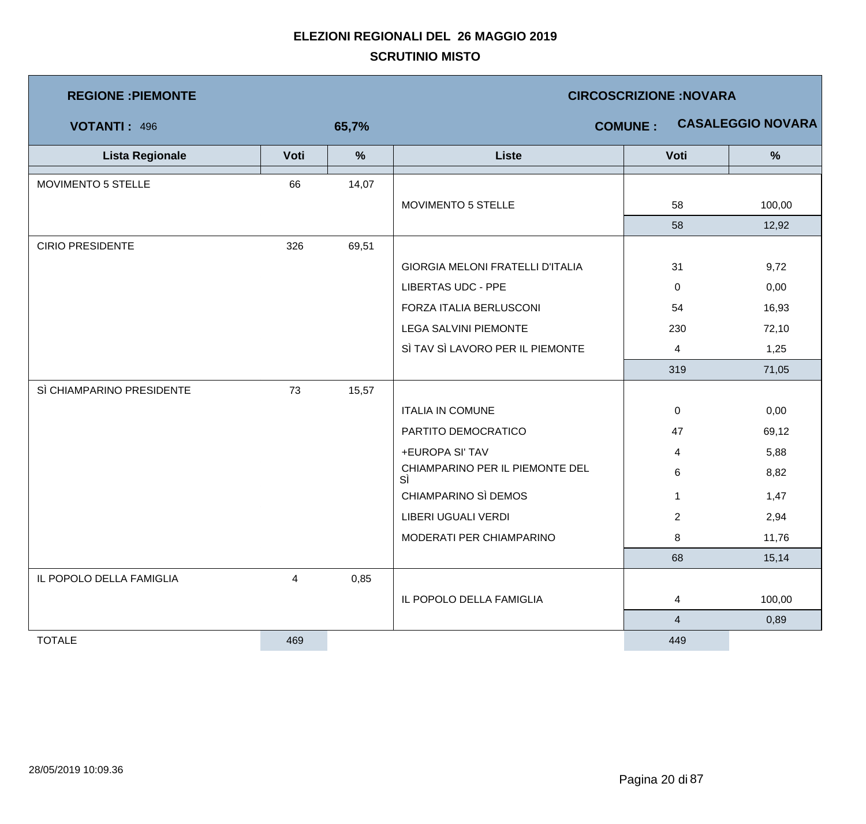| <b>REGIONE : PIEMONTE</b> |                |       | <b>CIRCOSCRIZIONE:NOVARA</b>          |                |                          |  |  |
|---------------------------|----------------|-------|---------------------------------------|----------------|--------------------------|--|--|
| <b>VOTANTI: 496</b>       |                | 65,7% |                                       | <b>COMUNE:</b> | <b>CASALEGGIO NOVARA</b> |  |  |
| <b>Lista Regionale</b>    | Voti           | $\%$  | <b>Liste</b>                          | Voti           | $\frac{9}{6}$            |  |  |
| MOVIMENTO 5 STELLE        | 66             | 14,07 |                                       |                |                          |  |  |
|                           |                |       | MOVIMENTO 5 STELLE                    | 58             | 100,00                   |  |  |
|                           |                |       |                                       | 58             | 12,92                    |  |  |
| <b>CIRIO PRESIDENTE</b>   | 326            | 69,51 |                                       |                |                          |  |  |
|                           |                |       | GIORGIA MELONI FRATELLI D'ITALIA      | 31             | 9,72                     |  |  |
|                           |                |       | <b>LIBERTAS UDC - PPE</b>             | 0              | 0,00                     |  |  |
|                           |                |       | FORZA ITALIA BERLUSCONI               | 54             | 16,93                    |  |  |
|                           |                |       | <b>LEGA SALVINI PIEMONTE</b>          | 230            | 72,10                    |  |  |
|                           |                |       | SÌ TAV SÌ LAVORO PER IL PIEMONTE      | $\overline{4}$ | 1,25                     |  |  |
|                           |                |       |                                       | 319            | 71,05                    |  |  |
| SÌ CHIAMPARINO PRESIDENTE | 73             | 15,57 |                                       |                |                          |  |  |
|                           |                |       | <b>ITALIA IN COMUNE</b>               | 0              | 0,00                     |  |  |
|                           |                |       | PARTITO DEMOCRATICO                   | 47             | 69,12                    |  |  |
|                           |                |       | +EUROPA SI' TAV                       | 4              | 5,88                     |  |  |
|                           |                |       | CHIAMPARINO PER IL PIEMONTE DEL<br>SÌ | 6              | 8,82                     |  |  |
|                           |                |       | CHIAMPARINO SÌ DEMOS                  | $\mathbf 1$    | 1,47                     |  |  |
|                           |                |       | LIBERI UGUALI VERDI                   | $\overline{2}$ | 2,94                     |  |  |
|                           |                |       | MODERATI PER CHIAMPARINO              | 8              | 11,76                    |  |  |
|                           |                |       |                                       | 68             | 15,14                    |  |  |
| IL POPOLO DELLA FAMIGLIA  | $\overline{4}$ | 0,85  |                                       |                |                          |  |  |
|                           |                |       | IL POPOLO DELLA FAMIGLIA              | 4              | 100,00                   |  |  |
|                           |                |       |                                       | $\overline{4}$ | 0,89                     |  |  |
| <b>TOTALE</b>             | 469            |       |                                       | 449            |                          |  |  |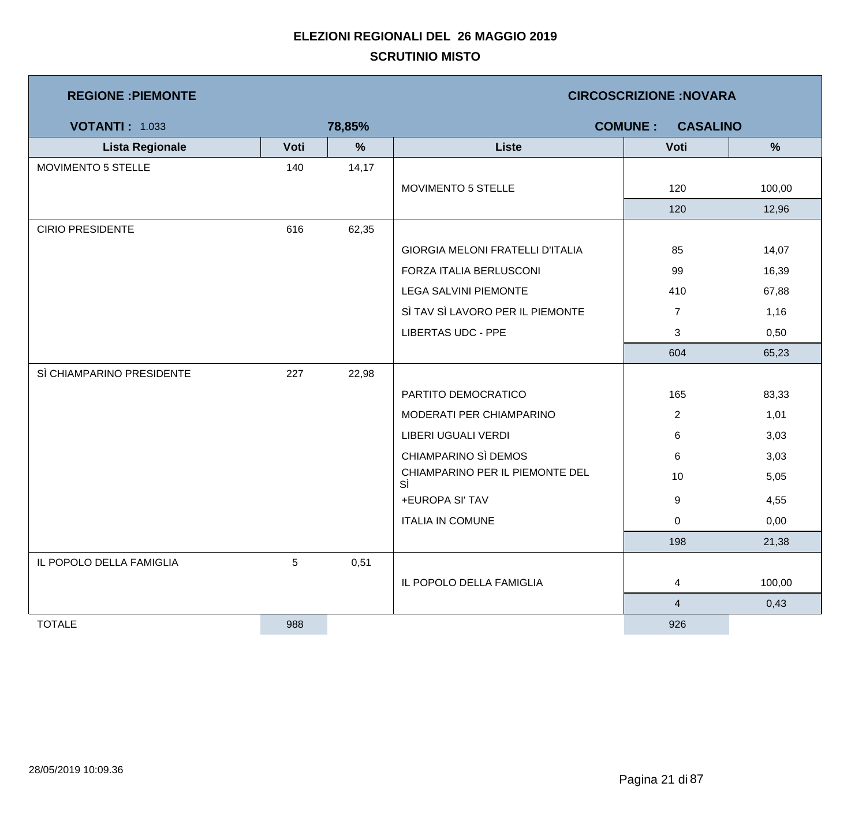| <b>REGIONE : PIEMONTE</b> |      |        | <b>CIRCOSCRIZIONE:NOVARA</b>          |                                   |        |  |  |
|---------------------------|------|--------|---------------------------------------|-----------------------------------|--------|--|--|
| <b>VOTANTI: 1.033</b>     |      | 78,85% |                                       | <b>COMUNE:</b><br><b>CASALINO</b> |        |  |  |
| <b>Lista Regionale</b>    | Voti | %      | <b>Liste</b>                          | Voti                              | %      |  |  |
| MOVIMENTO 5 STELLE        | 140  | 14,17  |                                       |                                   |        |  |  |
|                           |      |        | MOVIMENTO 5 STELLE                    | 120                               | 100,00 |  |  |
|                           |      |        |                                       | 120                               | 12,96  |  |  |
| <b>CIRIO PRESIDENTE</b>   | 616  | 62,35  |                                       |                                   |        |  |  |
|                           |      |        | GIORGIA MELONI FRATELLI D'ITALIA      | 85                                | 14,07  |  |  |
|                           |      |        | FORZA ITALIA BERLUSCONI               | 99                                | 16,39  |  |  |
|                           |      |        | <b>LEGA SALVINI PIEMONTE</b>          | 410                               | 67,88  |  |  |
|                           |      |        | SÌ TAV SÌ LAVORO PER IL PIEMONTE      | $\overline{7}$                    | 1,16   |  |  |
|                           |      |        | <b>LIBERTAS UDC - PPE</b>             | 3                                 | 0,50   |  |  |
|                           |      |        |                                       | 604                               | 65,23  |  |  |
| SÌ CHIAMPARINO PRESIDENTE | 227  | 22,98  |                                       |                                   |        |  |  |
|                           |      |        | PARTITO DEMOCRATICO                   | 165                               | 83,33  |  |  |
|                           |      |        | MODERATI PER CHIAMPARINO              | $\overline{2}$                    | 1,01   |  |  |
|                           |      |        | LIBERI UGUALI VERDI                   | 6                                 | 3,03   |  |  |
|                           |      |        | CHIAMPARINO SÌ DEMOS                  | 6                                 | 3,03   |  |  |
|                           |      |        | CHIAMPARINO PER IL PIEMONTE DEL<br>SÌ | 10                                | 5,05   |  |  |
|                           |      |        | +EUROPA SI' TAV                       | 9                                 | 4,55   |  |  |
|                           |      |        | <b>ITALIA IN COMUNE</b>               | 0                                 | 0,00   |  |  |
|                           |      |        |                                       | 198                               | 21,38  |  |  |
| IL POPOLO DELLA FAMIGLIA  | 5    | 0,51   |                                       |                                   |        |  |  |
|                           |      |        | IL POPOLO DELLA FAMIGLIA              | 4                                 | 100,00 |  |  |
|                           |      |        |                                       | $\overline{\mathbf{4}}$           | 0,43   |  |  |
| <b>TOTALE</b>             | 988  |        |                                       | 926                               |        |  |  |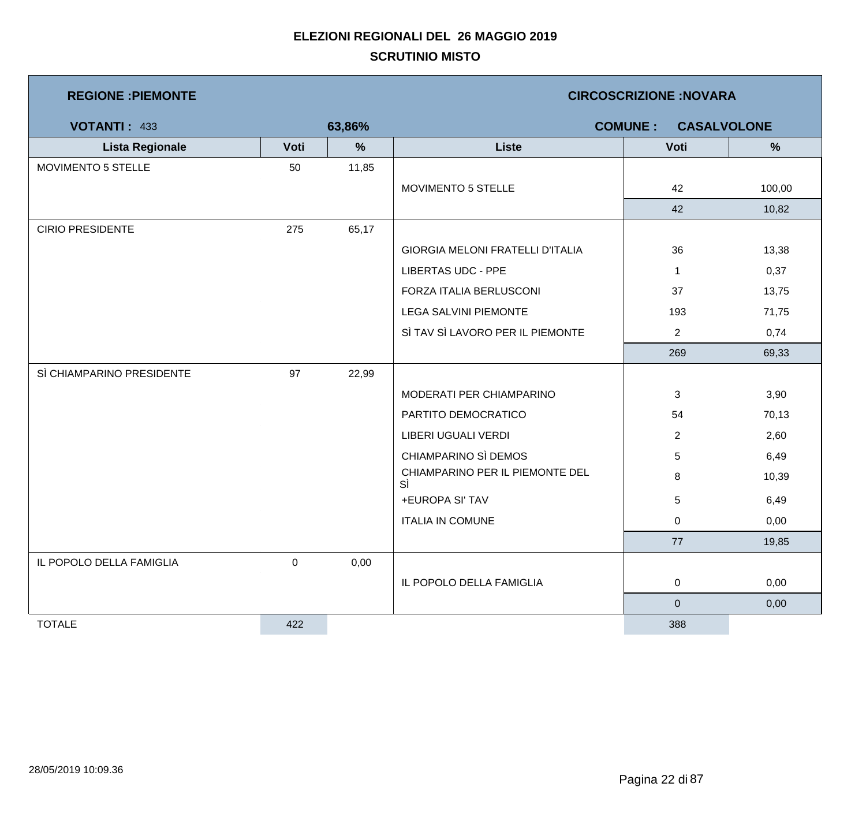| <b>REGIONE: PIEMONTE</b>  |        |       | <b>CIRCOSCRIZIONE: NOVARA</b>         |                  |                                      |  |  |  |
|---------------------------|--------|-------|---------------------------------------|------------------|--------------------------------------|--|--|--|
| <b>VOTANTI: 433</b>       | 63,86% |       |                                       |                  | <b>COMUNE:</b><br><b>CASALVOLONE</b> |  |  |  |
| <b>Lista Regionale</b>    | Voti   | %     | <b>Liste</b>                          | Voti             | %                                    |  |  |  |
| MOVIMENTO 5 STELLE        | 50     | 11,85 |                                       |                  |                                      |  |  |  |
|                           |        |       | MOVIMENTO 5 STELLE                    | 42               | 100,00                               |  |  |  |
|                           |        |       |                                       | 42               | 10,82                                |  |  |  |
| <b>CIRIO PRESIDENTE</b>   | 275    | 65,17 |                                       |                  |                                      |  |  |  |
|                           |        |       | GIORGIA MELONI FRATELLI D'ITALIA      | 36               | 13,38                                |  |  |  |
|                           |        |       | <b>LIBERTAS UDC - PPE</b>             | $\mathbf 1$      | 0,37                                 |  |  |  |
|                           |        |       | FORZA ITALIA BERLUSCONI               | 37               | 13,75                                |  |  |  |
|                           |        |       | LEGA SALVINI PIEMONTE                 | 193              | 71,75                                |  |  |  |
|                           |        |       | SÌ TAV SÌ LAVORO PER IL PIEMONTE      | $\overline{2}$   | 0,74                                 |  |  |  |
|                           |        |       |                                       | 269              | 69,33                                |  |  |  |
| SÌ CHIAMPARINO PRESIDENTE | 97     | 22,99 |                                       |                  |                                      |  |  |  |
|                           |        |       | MODERATI PER CHIAMPARINO              | 3                | 3,90                                 |  |  |  |
|                           |        |       | PARTITO DEMOCRATICO                   | 54               | 70,13                                |  |  |  |
|                           |        |       | LIBERI UGUALI VERDI                   | $\overline{2}$   | 2,60                                 |  |  |  |
|                           |        |       | CHIAMPARINO SÌ DEMOS                  | 5                | 6,49                                 |  |  |  |
|                           |        |       | CHIAMPARINO PER IL PIEMONTE DEL<br>SÌ | 8                | 10,39                                |  |  |  |
|                           |        |       | +EUROPA SI' TAV                       | $\sqrt{5}$       | 6,49                                 |  |  |  |
|                           |        |       | <b>ITALIA IN COMUNE</b>               | $\overline{0}$   | 0,00                                 |  |  |  |
|                           |        |       |                                       | 77               | 19,85                                |  |  |  |
| IL POPOLO DELLA FAMIGLIA  | 0      | 0,00  |                                       |                  |                                      |  |  |  |
|                           |        |       | IL POPOLO DELLA FAMIGLIA              | $\mathbf 0$      | 0,00                                 |  |  |  |
|                           |        |       |                                       | $\boldsymbol{0}$ | 0,00                                 |  |  |  |
| <b>TOTALE</b>             | 422    |       |                                       | 388              |                                      |  |  |  |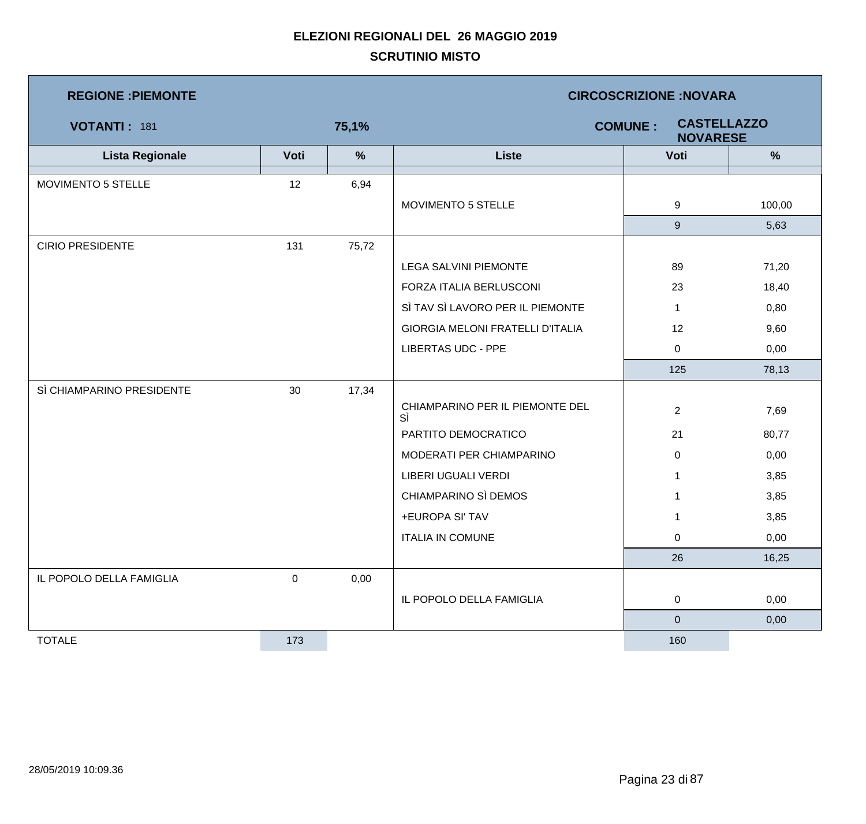| <b>REGIONE : PIEMONTE</b> |                  |       | <b>CIRCOSCRIZIONE:NOVARA</b>          |                                                         |        |  |  |
|---------------------------|------------------|-------|---------------------------------------|---------------------------------------------------------|--------|--|--|
| VOTANTI: 181              |                  | 75,1% |                                       | <b>CASTELLAZZO</b><br><b>COMUNE:</b><br><b>NOVARESE</b> |        |  |  |
| <b>Lista Regionale</b>    | Voti             | %     | <b>Liste</b>                          | Voti                                                    | %      |  |  |
| MOVIMENTO 5 STELLE        | 12               | 6,94  |                                       |                                                         |        |  |  |
|                           |                  |       | MOVIMENTO 5 STELLE                    | 9                                                       | 100,00 |  |  |
|                           |                  |       |                                       | 9                                                       | 5,63   |  |  |
| <b>CIRIO PRESIDENTE</b>   | 131              | 75,72 |                                       |                                                         |        |  |  |
|                           |                  |       | <b>LEGA SALVINI PIEMONTE</b>          | 89                                                      | 71,20  |  |  |
|                           |                  |       | FORZA ITALIA BERLUSCONI               | 23                                                      | 18,40  |  |  |
|                           |                  |       | SÌ TAV SÌ LAVORO PER IL PIEMONTE      | $\mathbf{1}$                                            | 0,80   |  |  |
|                           |                  |       | GIORGIA MELONI FRATELLI D'ITALIA      | 12                                                      | 9,60   |  |  |
|                           |                  |       | <b>LIBERTAS UDC - PPE</b>             | $\mathbf 0$                                             | 0,00   |  |  |
|                           |                  |       |                                       | 125                                                     | 78,13  |  |  |
| SÌ CHIAMPARINO PRESIDENTE | 30               | 17,34 |                                       |                                                         |        |  |  |
|                           |                  |       | CHIAMPARINO PER IL PIEMONTE DEL<br>SÌ | $\overline{2}$                                          | 7,69   |  |  |
|                           |                  |       | PARTITO DEMOCRATICO                   | 21                                                      | 80,77  |  |  |
|                           |                  |       | MODERATI PER CHIAMPARINO              | $\mathbf 0$                                             | 0,00   |  |  |
|                           |                  |       | LIBERI UGUALI VERDI                   | $\mathbf{1}$                                            | 3,85   |  |  |
|                           |                  |       | CHIAMPARINO SÌ DEMOS                  | $\mathbf{1}$                                            | 3,85   |  |  |
|                           |                  |       | +EUROPA SI' TAV                       | $\mathbf{1}$                                            | 3,85   |  |  |
|                           |                  |       | <b>ITALIA IN COMUNE</b>               | 0                                                       | 0,00   |  |  |
|                           |                  |       |                                       | 26                                                      | 16,25  |  |  |
| IL POPOLO DELLA FAMIGLIA  | $\boldsymbol{0}$ | 0,00  |                                       |                                                         |        |  |  |
|                           |                  |       | IL POPOLO DELLA FAMIGLIA              | $\mathbf 0$                                             | 0,00   |  |  |
|                           |                  |       |                                       | $\mathbf 0$                                             | 0,00   |  |  |
| <b>TOTALE</b>             | 173              |       |                                       | 160                                                     |        |  |  |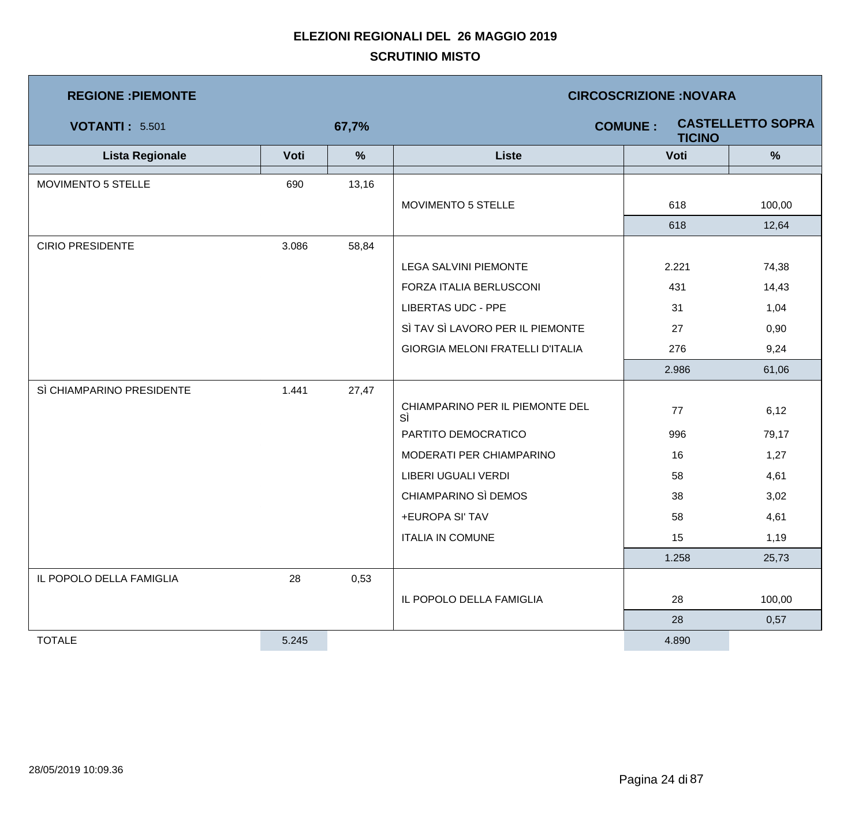| <b>REGIONE : PIEMONTE</b> |       |               | <b>CIRCOSCRIZIONE:NOVARA</b>            |                                 |                          |  |  |
|---------------------------|-------|---------------|-----------------------------------------|---------------------------------|--------------------------|--|--|
| <b>VOTANTI: 5.501</b>     |       | 67,7%         |                                         | <b>COMUNE:</b><br><b>TICINO</b> | <b>CASTELLETTO SOPRA</b> |  |  |
| <b>Lista Regionale</b>    | Voti  | $\frac{9}{6}$ | <b>Liste</b>                            | Voti                            | $\frac{9}{6}$            |  |  |
| MOVIMENTO 5 STELLE        | 690   | 13,16         |                                         |                                 |                          |  |  |
|                           |       |               | MOVIMENTO 5 STELLE                      | 618                             | 100,00                   |  |  |
|                           |       |               |                                         | 618                             | 12,64                    |  |  |
| <b>CIRIO PRESIDENTE</b>   | 3.086 | 58,84         |                                         |                                 |                          |  |  |
|                           |       |               | <b>LEGA SALVINI PIEMONTE</b>            | 2.221                           | 74,38                    |  |  |
|                           |       |               | FORZA ITALIA BERLUSCONI                 | 431                             | 14,43                    |  |  |
|                           |       |               | <b>LIBERTAS UDC - PPE</b>               | 31                              | 1,04                     |  |  |
|                           |       |               | SÌ TAV SÌ LAVORO PER IL PIEMONTE        | 27                              | 0,90                     |  |  |
|                           |       |               | <b>GIORGIA MELONI FRATELLI D'ITALIA</b> | 276                             | 9,24                     |  |  |
|                           |       |               |                                         | 2.986                           | 61,06                    |  |  |
| SÌ CHIAMPARINO PRESIDENTE | 1.441 | 27,47         |                                         |                                 |                          |  |  |
|                           |       |               | CHIAMPARINO PER IL PIEMONTE DEL<br>SÌ   | 77                              | 6,12                     |  |  |
|                           |       |               | PARTITO DEMOCRATICO                     | 996                             | 79,17                    |  |  |
|                           |       |               | MODERATI PER CHIAMPARINO                | 16                              | 1,27                     |  |  |
|                           |       |               | LIBERI UGUALI VERDI                     | 58                              | 4,61                     |  |  |
|                           |       |               | CHIAMPARINO SÌ DEMOS                    | 38                              | 3,02                     |  |  |
|                           |       |               | +EUROPA SI' TAV                         | 58                              | 4,61                     |  |  |
|                           |       |               | <b>ITALIA IN COMUNE</b>                 | 15                              | 1,19                     |  |  |
|                           |       |               |                                         | 1.258                           | 25,73                    |  |  |
| IL POPOLO DELLA FAMIGLIA  | 28    | 0,53          |                                         |                                 |                          |  |  |
|                           |       |               | IL POPOLO DELLA FAMIGLIA                | 28                              | 100,00                   |  |  |
|                           |       |               |                                         | 28                              | 0,57                     |  |  |
| <b>TOTALE</b>             | 5.245 |               |                                         | 4.890                           |                          |  |  |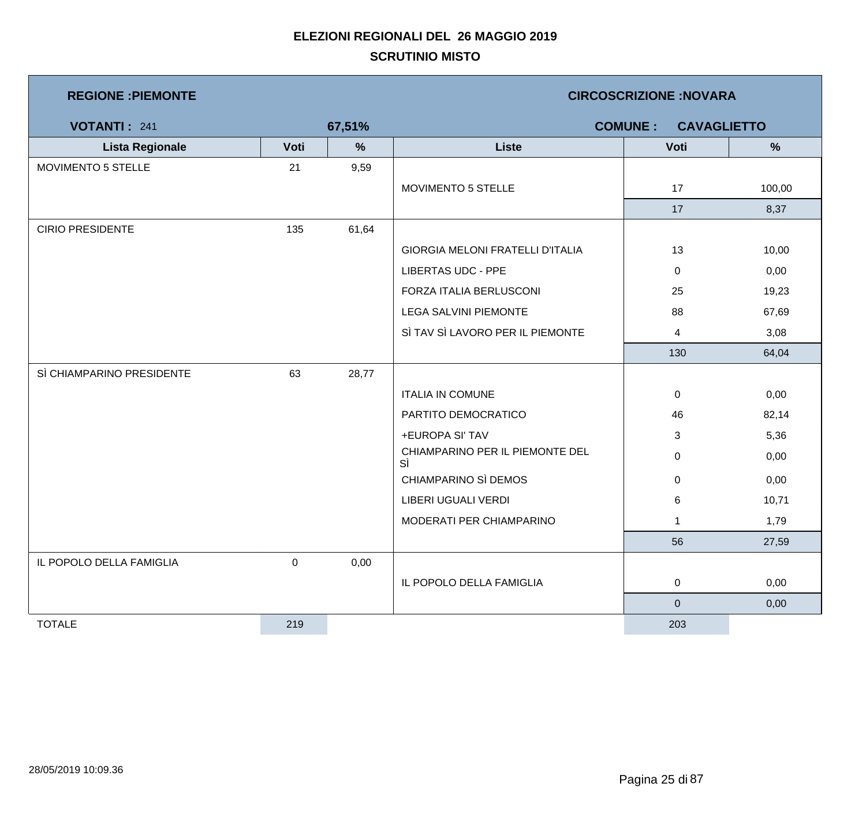| <b>REGIONE : PIEMONTE</b> |                  |               | <b>CIRCOSCRIZIONE:NOVARA</b>            |              |        |  |  |
|---------------------------|------------------|---------------|-----------------------------------------|--------------|--------|--|--|
| <b>VOTANTI: 241</b>       |                  | 67,51%        | <b>COMUNE:</b><br><b>CAVAGLIETTO</b>    |              |        |  |  |
| <b>Lista Regionale</b>    | Voti             | $\frac{9}{6}$ | <b>Liste</b>                            | Voti         | %      |  |  |
| MOVIMENTO 5 STELLE        | 21               | 9,59          |                                         |              |        |  |  |
|                           |                  |               | MOVIMENTO 5 STELLE                      | 17           | 100,00 |  |  |
|                           |                  |               |                                         | 17           | 8,37   |  |  |
| <b>CIRIO PRESIDENTE</b>   | 135              | 61,64         |                                         |              |        |  |  |
|                           |                  |               | <b>GIORGIA MELONI FRATELLI D'ITALIA</b> | 13           | 10,00  |  |  |
|                           |                  |               | <b>LIBERTAS UDC - PPE</b>               | $\mathbf 0$  | 0,00   |  |  |
|                           |                  |               | FORZA ITALIA BERLUSCONI                 | 25           | 19,23  |  |  |
|                           |                  |               | <b>LEGA SALVINI PIEMONTE</b>            | 88           | 67,69  |  |  |
|                           |                  |               | SÌ TAV SÌ LAVORO PER IL PIEMONTE        | 4            | 3,08   |  |  |
|                           |                  |               |                                         | 130          | 64,04  |  |  |
| SÌ CHIAMPARINO PRESIDENTE | 63               | 28,77         |                                         |              |        |  |  |
|                           |                  |               | <b>ITALIA IN COMUNE</b>                 | $\mathbf 0$  | 0,00   |  |  |
|                           |                  |               | PARTITO DEMOCRATICO                     | 46           | 82,14  |  |  |
|                           |                  |               | +EUROPA SI' TAV                         | 3            | 5,36   |  |  |
|                           |                  |               | CHIAMPARINO PER IL PIEMONTE DEL<br>SÌ   | 0            | 0,00   |  |  |
|                           |                  |               | CHIAMPARINO SÌ DEMOS                    | 0            | 0,00   |  |  |
|                           |                  |               | <b>LIBERI UGUALI VERDI</b>              | 6            | 10,71  |  |  |
|                           |                  |               | MODERATI PER CHIAMPARINO                | $\mathbf{1}$ | 1,79   |  |  |
|                           |                  |               |                                         | 56           | 27,59  |  |  |
| IL POPOLO DELLA FAMIGLIA  | $\boldsymbol{0}$ | 0,00          |                                         |              |        |  |  |
|                           |                  |               | IL POPOLO DELLA FAMIGLIA                | $\mathbf 0$  | 0,00   |  |  |
|                           |                  |               |                                         | $\mathbf 0$  | 0,00   |  |  |
| <b>TOTALE</b>             | 219              |               |                                         | 203          |        |  |  |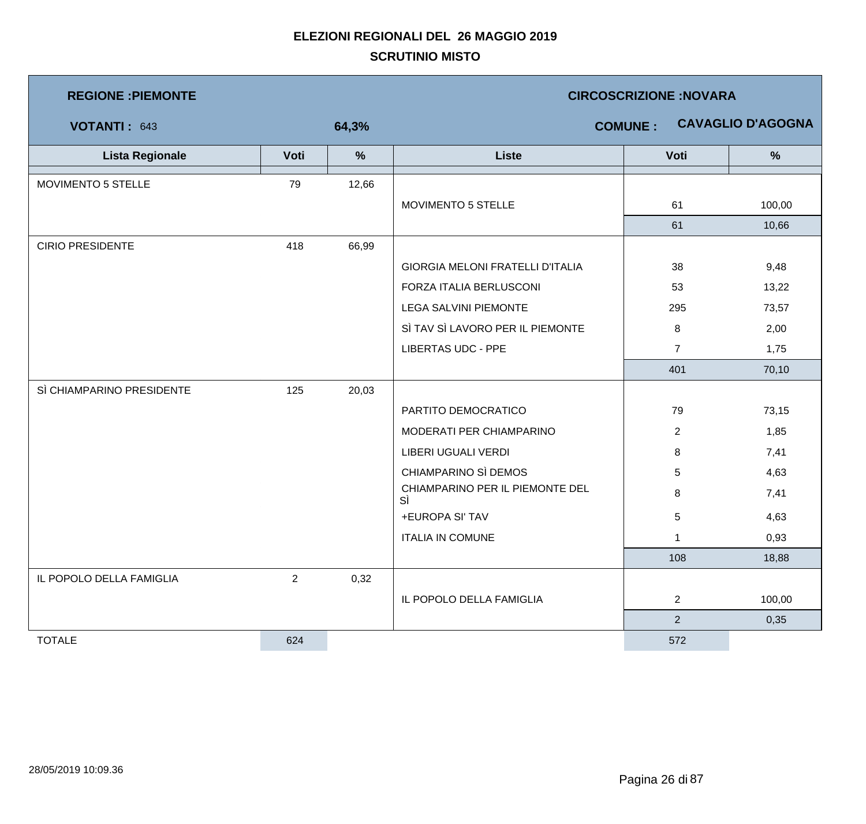| <b>REGIONE : PIEMONTE</b> |                |               | <b>CIRCOSCRIZIONE:NOVARA</b>            |                |                          |  |  |
|---------------------------|----------------|---------------|-----------------------------------------|----------------|--------------------------|--|--|
| VOTANTI: 643              |                | 64,3%         |                                         | <b>COMUNE:</b> | <b>CAVAGLIO D'AGOGNA</b> |  |  |
| <b>Lista Regionale</b>    | Voti           | $\frac{9}{6}$ | <b>Liste</b>                            | Voti           | $\%$                     |  |  |
| MOVIMENTO 5 STELLE        | 79             | 12,66         |                                         |                |                          |  |  |
|                           |                |               | MOVIMENTO 5 STELLE                      | 61             | 100,00                   |  |  |
|                           |                |               |                                         | 61             | 10,66                    |  |  |
| <b>CIRIO PRESIDENTE</b>   | 418            | 66,99         |                                         |                |                          |  |  |
|                           |                |               | <b>GIORGIA MELONI FRATELLI D'ITALIA</b> | 38             | 9,48                     |  |  |
|                           |                |               | FORZA ITALIA BERLUSCONI                 | 53             | 13,22                    |  |  |
|                           |                |               | LEGA SALVINI PIEMONTE                   | 295            | 73,57                    |  |  |
|                           |                |               | SÌ TAV SÌ LAVORO PER IL PIEMONTE        | 8              | 2,00                     |  |  |
|                           |                |               | <b>LIBERTAS UDC - PPE</b>               | $\overline{7}$ | 1,75                     |  |  |
|                           |                |               |                                         | 401            | 70,10                    |  |  |
| SÌ CHIAMPARINO PRESIDENTE | 125            | 20,03         |                                         |                |                          |  |  |
|                           |                |               | PARTITO DEMOCRATICO                     | 79             | 73,15                    |  |  |
|                           |                |               | MODERATI PER CHIAMPARINO                | $\overline{2}$ | 1,85                     |  |  |
|                           |                |               | LIBERI UGUALI VERDI                     | 8              | 7,41                     |  |  |
|                           |                |               | CHIAMPARINO SÌ DEMOS                    | 5              | 4,63                     |  |  |
|                           |                |               | CHIAMPARINO PER IL PIEMONTE DEL<br>SÌ   | 8              | 7,41                     |  |  |
|                           |                |               | +EUROPA SI' TAV                         | 5              | 4,63                     |  |  |
|                           |                |               | <b>ITALIA IN COMUNE</b>                 | 1              | 0,93                     |  |  |
|                           |                |               |                                         | 108            | 18,88                    |  |  |
| IL POPOLO DELLA FAMIGLIA  | $\overline{2}$ | 0,32          |                                         |                |                          |  |  |
|                           |                |               | IL POPOLO DELLA FAMIGLIA                | $\overline{2}$ | 100,00                   |  |  |
|                           |                |               |                                         | $\overline{2}$ | 0,35                     |  |  |
| <b>TOTALE</b>             | 624            |               |                                         | 572            |                          |  |  |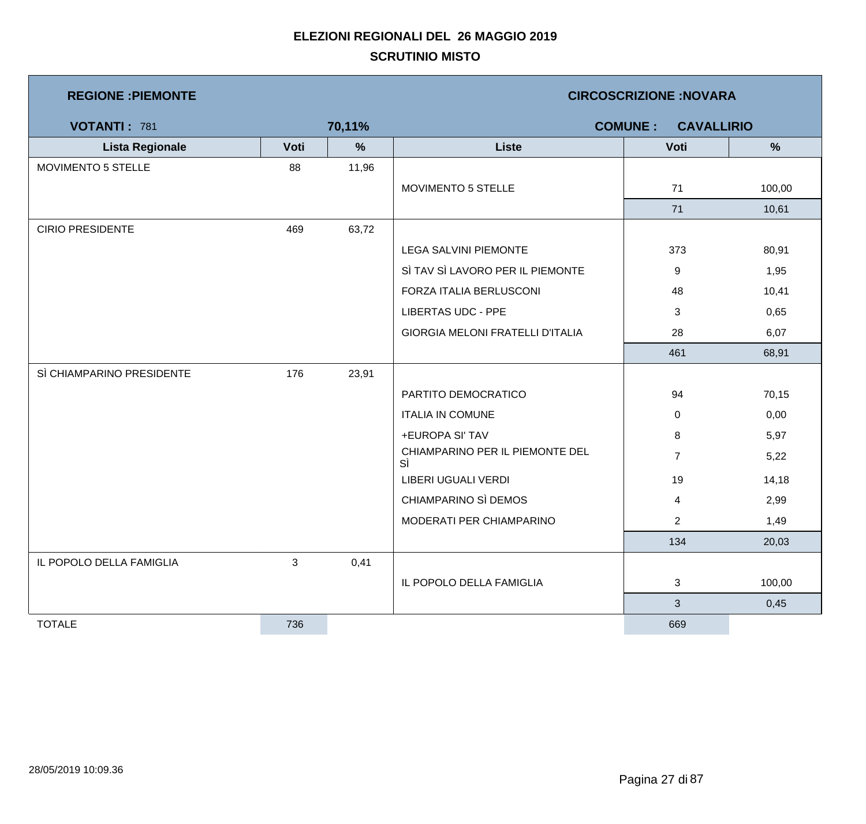| <b>REGIONE : PIEMONTE</b> |      |        | <b>CIRCOSCRIZIONE: NOVARA</b>           |                         |        |  |  |
|---------------------------|------|--------|-----------------------------------------|-------------------------|--------|--|--|
| <b>VOTANTI: 781</b>       |      | 70,11% | <b>COMUNE:</b><br><b>CAVALLIRIO</b>     |                         |        |  |  |
| <b>Lista Regionale</b>    | Voti | $\%$   | <b>Liste</b>                            | Voti                    | %      |  |  |
| MOVIMENTO 5 STELLE        | 88   | 11,96  |                                         |                         |        |  |  |
|                           |      |        | MOVIMENTO 5 STELLE                      | 71                      | 100,00 |  |  |
|                           |      |        |                                         | 71                      | 10,61  |  |  |
| <b>CIRIO PRESIDENTE</b>   | 469  | 63,72  |                                         |                         |        |  |  |
|                           |      |        | <b>LEGA SALVINI PIEMONTE</b>            | 373                     | 80,91  |  |  |
|                           |      |        | SÌ TAV SÌ LAVORO PER IL PIEMONTE        | 9                       | 1,95   |  |  |
|                           |      |        | FORZA ITALIA BERLUSCONI                 | 48                      | 10,41  |  |  |
|                           |      |        | <b>LIBERTAS UDC - PPE</b>               | 3                       | 0,65   |  |  |
|                           |      |        | <b>GIORGIA MELONI FRATELLI D'ITALIA</b> | 28                      | 6,07   |  |  |
|                           |      |        |                                         | 461                     | 68,91  |  |  |
| SÌ CHIAMPARINO PRESIDENTE | 176  | 23,91  |                                         |                         |        |  |  |
|                           |      |        | PARTITO DEMOCRATICO                     | 94                      | 70,15  |  |  |
|                           |      |        | <b>ITALIA IN COMUNE</b>                 | $\mathbf 0$             | 0,00   |  |  |
|                           |      |        | +EUROPA SI' TAV                         | 8                       | 5,97   |  |  |
|                           |      |        | CHIAMPARINO PER IL PIEMONTE DEL<br>SÌ   | $\overline{7}$          | 5,22   |  |  |
|                           |      |        | LIBERI UGUALI VERDI                     | 19                      | 14,18  |  |  |
|                           |      |        | CHIAMPARINO SÌ DEMOS                    | $\overline{\mathbf{4}}$ | 2,99   |  |  |
|                           |      |        | MODERATI PER CHIAMPARINO                | $\overline{2}$          | 1,49   |  |  |
|                           |      |        |                                         | 134                     | 20,03  |  |  |
| IL POPOLO DELLA FAMIGLIA  | 3    | 0,41   |                                         |                         |        |  |  |
|                           |      |        | IL POPOLO DELLA FAMIGLIA                | 3                       | 100,00 |  |  |
|                           |      |        |                                         | 3                       | 0,45   |  |  |
| <b>TOTALE</b>             | 736  |        |                                         | 669                     |        |  |  |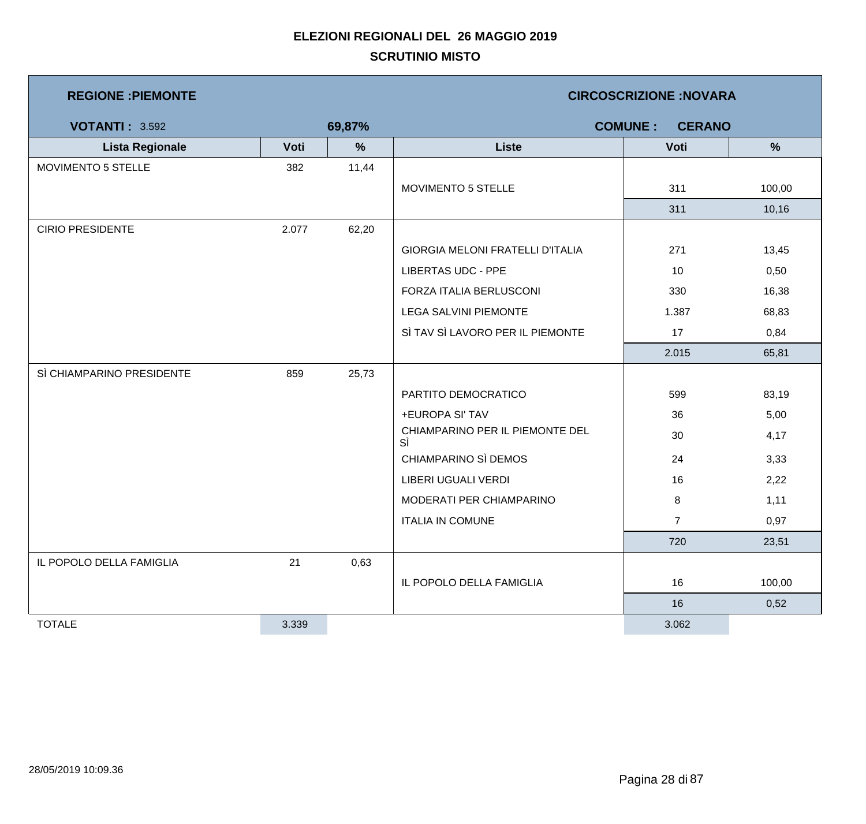| <b>REGIONE : PIEMONTE</b> |       |        | <b>CIRCOSCRIZIONE: NOVARA</b>         |                |        |  |  |
|---------------------------|-------|--------|---------------------------------------|----------------|--------|--|--|
| <b>VOTANTI: 3.592</b>     |       | 69,87% | <b>COMUNE:</b><br><b>CERANO</b>       |                |        |  |  |
| <b>Lista Regionale</b>    | Voti  | %      | <b>Liste</b>                          | Voti           | %      |  |  |
| MOVIMENTO 5 STELLE        | 382   | 11,44  |                                       |                |        |  |  |
|                           |       |        | MOVIMENTO 5 STELLE                    | 311            | 100,00 |  |  |
|                           |       |        |                                       | 311            | 10,16  |  |  |
| <b>CIRIO PRESIDENTE</b>   | 2.077 | 62,20  |                                       |                |        |  |  |
|                           |       |        | GIORGIA MELONI FRATELLI D'ITALIA      | 271            | 13,45  |  |  |
|                           |       |        | <b>LIBERTAS UDC - PPE</b>             | 10             | 0,50   |  |  |
|                           |       |        | FORZA ITALIA BERLUSCONI               | 330            | 16,38  |  |  |
|                           |       |        | <b>LEGA SALVINI PIEMONTE</b>          | 1.387          | 68,83  |  |  |
|                           |       |        | SÌ TAV SÌ LAVORO PER IL PIEMONTE      | 17             | 0,84   |  |  |
|                           |       |        |                                       | 2.015          | 65,81  |  |  |
| SÌ CHIAMPARINO PRESIDENTE | 859   | 25,73  |                                       |                |        |  |  |
|                           |       |        | PARTITO DEMOCRATICO                   | 599            | 83,19  |  |  |
|                           |       |        | +EUROPA SI' TAV                       | 36             | 5,00   |  |  |
|                           |       |        | CHIAMPARINO PER IL PIEMONTE DEL<br>SÌ | 30             | 4,17   |  |  |
|                           |       |        | CHIAMPARINO SÌ DEMOS                  | 24             | 3,33   |  |  |
|                           |       |        | LIBERI UGUALI VERDI                   | 16             | 2,22   |  |  |
|                           |       |        | MODERATI PER CHIAMPARINO              | 8              | 1,11   |  |  |
|                           |       |        | <b>ITALIA IN COMUNE</b>               | $\overline{7}$ | 0,97   |  |  |
|                           |       |        |                                       | 720            | 23,51  |  |  |
| IL POPOLO DELLA FAMIGLIA  | 21    | 0,63   |                                       |                |        |  |  |
|                           |       |        | IL POPOLO DELLA FAMIGLIA              | 16             | 100,00 |  |  |
|                           |       |        |                                       | 16             | 0,52   |  |  |
| <b>TOTALE</b>             | 3.339 |        |                                       | 3.062          |        |  |  |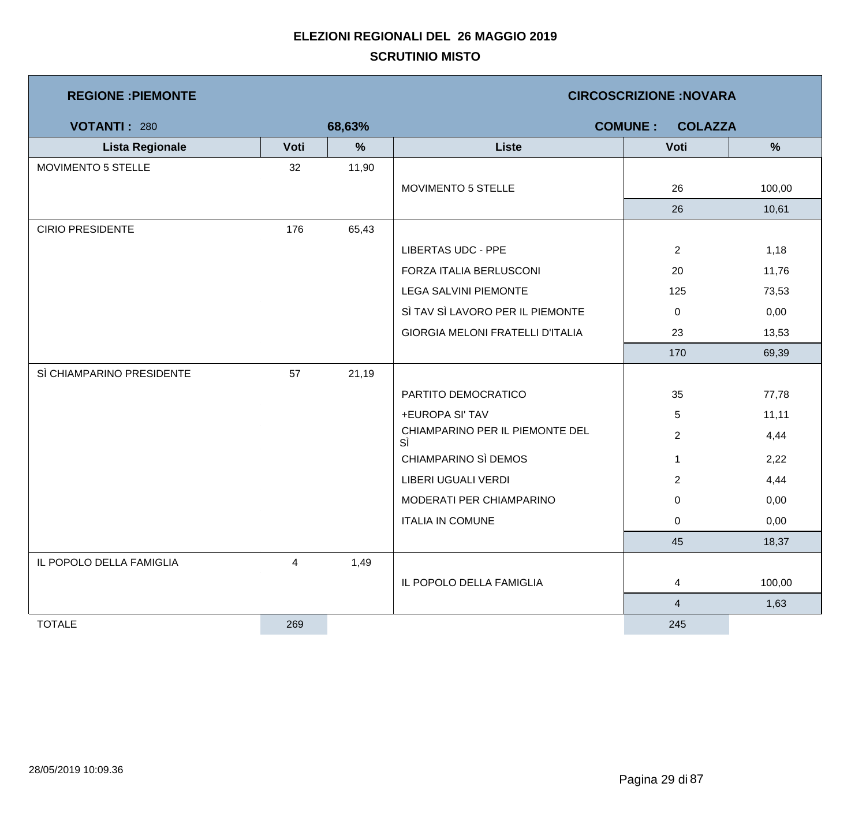| <b>REGIONE : PIEMONTE</b> |      |        | <b>CIRCOSCRIZIONE: NOVARA</b>         |                                  |        |  |  |
|---------------------------|------|--------|---------------------------------------|----------------------------------|--------|--|--|
| <b>VOTANTI: 280</b>       |      | 68,63% |                                       | <b>COMUNE:</b><br><b>COLAZZA</b> |        |  |  |
| <b>Lista Regionale</b>    | Voti | $\%$   | <b>Liste</b>                          | Voti                             | $\%$   |  |  |
| MOVIMENTO 5 STELLE        | 32   | 11,90  |                                       |                                  |        |  |  |
|                           |      |        | MOVIMENTO 5 STELLE                    | 26                               | 100,00 |  |  |
|                           |      |        |                                       | 26                               | 10,61  |  |  |
| <b>CIRIO PRESIDENTE</b>   | 176  | 65,43  |                                       |                                  |        |  |  |
|                           |      |        | <b>LIBERTAS UDC - PPE</b>             | $\overline{2}$                   | 1,18   |  |  |
|                           |      |        | FORZA ITALIA BERLUSCONI               | 20                               | 11,76  |  |  |
|                           |      |        | <b>LEGA SALVINI PIEMONTE</b>          | 125                              | 73,53  |  |  |
|                           |      |        | SÌ TAV SÌ LAVORO PER IL PIEMONTE      | 0                                | 0,00   |  |  |
|                           |      |        | GIORGIA MELONI FRATELLI D'ITALIA      | 23                               | 13,53  |  |  |
|                           |      |        |                                       | 170                              | 69,39  |  |  |
| SÌ CHIAMPARINO PRESIDENTE | 57   | 21,19  |                                       |                                  |        |  |  |
|                           |      |        | PARTITO DEMOCRATICO                   | 35                               | 77,78  |  |  |
|                           |      |        | +EUROPA SI' TAV                       | 5                                | 11,11  |  |  |
|                           |      |        | CHIAMPARINO PER IL PIEMONTE DEL<br>SÌ | $\overline{2}$                   | 4,44   |  |  |
|                           |      |        | CHIAMPARINO SÌ DEMOS                  | $\mathbf{1}$                     | 2,22   |  |  |
|                           |      |        | LIBERI UGUALI VERDI                   | $\overline{2}$                   | 4,44   |  |  |
|                           |      |        | MODERATI PER CHIAMPARINO              | 0                                | 0,00   |  |  |
|                           |      |        | <b>ITALIA IN COMUNE</b>               | 0                                | 0,00   |  |  |
|                           |      |        |                                       | 45                               | 18,37  |  |  |
| IL POPOLO DELLA FAMIGLIA  | 4    | 1,49   |                                       |                                  |        |  |  |
|                           |      |        | IL POPOLO DELLA FAMIGLIA              | 4                                | 100,00 |  |  |
|                           |      |        |                                       | $\overline{\mathbf{4}}$          | 1,63   |  |  |
| <b>TOTALE</b>             | 269  |        |                                       | 245                              |        |  |  |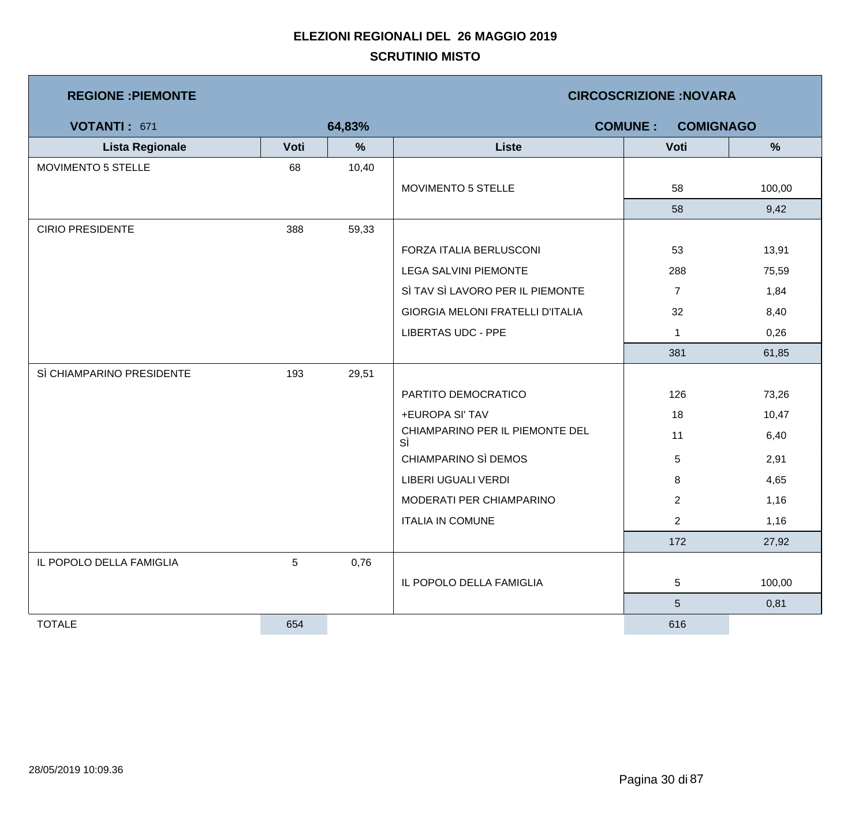| <b>REGIONE: PIEMONTE</b>  |      |        | <b>CIRCOSCRIZIONE:NOVARA</b>          |                 |        |  |  |
|---------------------------|------|--------|---------------------------------------|-----------------|--------|--|--|
| VOTANTI: 671              |      | 64,83% | <b>COMUNE:</b><br><b>COMIGNAGO</b>    |                 |        |  |  |
| <b>Lista Regionale</b>    | Voti | %      | <b>Liste</b>                          | Voti            | %      |  |  |
| MOVIMENTO 5 STELLE        | 68   | 10,40  |                                       |                 |        |  |  |
|                           |      |        | MOVIMENTO 5 STELLE                    | 58              | 100,00 |  |  |
|                           |      |        |                                       | 58              | 9,42   |  |  |
| <b>CIRIO PRESIDENTE</b>   | 388  | 59,33  |                                       |                 |        |  |  |
|                           |      |        | FORZA ITALIA BERLUSCONI               | 53              | 13,91  |  |  |
|                           |      |        | LEGA SALVINI PIEMONTE                 | 288             | 75,59  |  |  |
|                           |      |        | SÌ TAV SÌ LAVORO PER IL PIEMONTE      | $\overline{7}$  | 1,84   |  |  |
|                           |      |        | GIORGIA MELONI FRATELLI D'ITALIA      | 32              | 8,40   |  |  |
|                           |      |        | <b>LIBERTAS UDC - PPE</b>             | $\mathbf 1$     | 0,26   |  |  |
|                           |      |        |                                       | 381             | 61,85  |  |  |
| SÌ CHIAMPARINO PRESIDENTE | 193  | 29,51  |                                       |                 |        |  |  |
|                           |      |        | PARTITO DEMOCRATICO                   | 126             | 73,26  |  |  |
|                           |      |        | +EUROPA SI' TAV                       | 18              | 10,47  |  |  |
|                           |      |        | CHIAMPARINO PER IL PIEMONTE DEL<br>SÌ | 11              | 6,40   |  |  |
|                           |      |        | CHIAMPARINO SÌ DEMOS                  | 5               | 2,91   |  |  |
|                           |      |        | LIBERI UGUALI VERDI                   | 8               | 4,65   |  |  |
|                           |      |        | MODERATI PER CHIAMPARINO              | $\overline{2}$  | 1,16   |  |  |
|                           |      |        | <b>ITALIA IN COMUNE</b>               | $\overline{2}$  | 1,16   |  |  |
|                           |      |        |                                       | 172             | 27,92  |  |  |
| IL POPOLO DELLA FAMIGLIA  | 5    | 0,76   |                                       |                 |        |  |  |
|                           |      |        | IL POPOLO DELLA FAMIGLIA              | 5               | 100,00 |  |  |
|                           |      |        |                                       | $5\phantom{.0}$ | 0,81   |  |  |
| <b>TOTALE</b>             | 654  |        |                                       | 616             |        |  |  |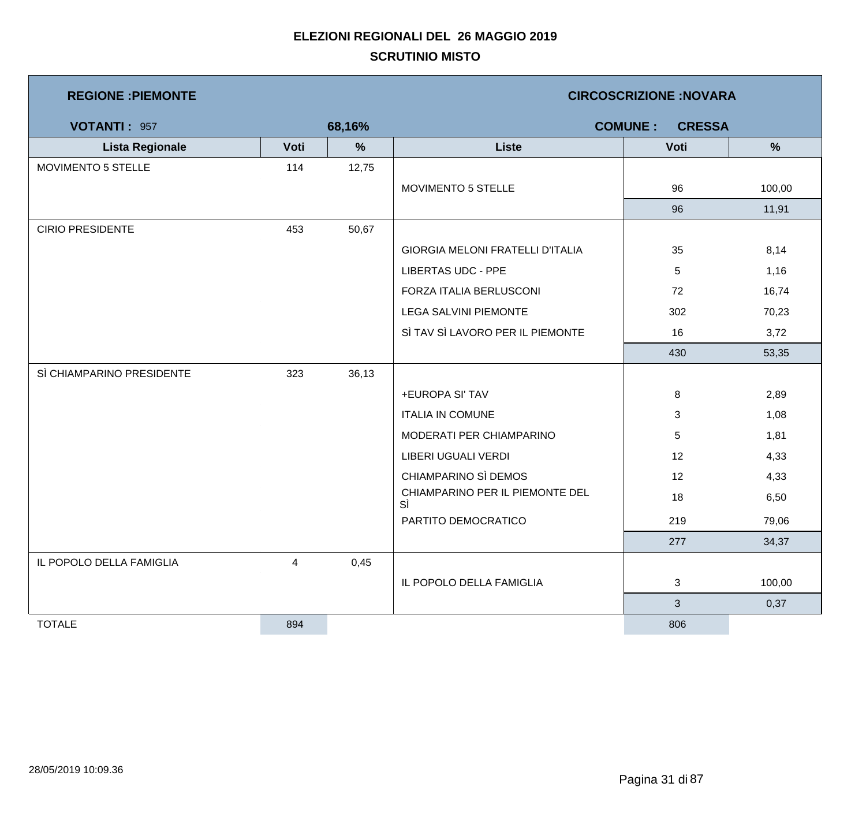| <b>REGIONE : PIEMONTE</b> |      |        | <b>CIRCOSCRIZIONE:NOVARA</b>            |                                 |        |  |
|---------------------------|------|--------|-----------------------------------------|---------------------------------|--------|--|
| <b>VOTANTI: 957</b>       |      | 68,16% |                                         | <b>COMUNE:</b><br><b>CRESSA</b> |        |  |
| <b>Lista Regionale</b>    | Voti | $\%$   | <b>Liste</b>                            | Voti                            | $\%$   |  |
| MOVIMENTO 5 STELLE        | 114  | 12,75  |                                         |                                 |        |  |
|                           |      |        | MOVIMENTO 5 STELLE                      | 96                              | 100,00 |  |
|                           |      |        |                                         | 96                              | 11,91  |  |
| <b>CIRIO PRESIDENTE</b>   | 453  | 50,67  |                                         |                                 |        |  |
|                           |      |        | <b>GIORGIA MELONI FRATELLI D'ITALIA</b> | 35                              | 8,14   |  |
|                           |      |        | <b>LIBERTAS UDC - PPE</b>               | $\sqrt{5}$                      | 1,16   |  |
|                           |      |        | FORZA ITALIA BERLUSCONI                 | 72                              | 16,74  |  |
|                           |      |        | <b>LEGA SALVINI PIEMONTE</b>            | 302                             | 70,23  |  |
|                           |      |        | SÌ TAV SÌ LAVORO PER IL PIEMONTE        | 16                              | 3,72   |  |
|                           |      |        |                                         | 430                             | 53,35  |  |
| SÌ CHIAMPARINO PRESIDENTE | 323  | 36,13  |                                         |                                 |        |  |
|                           |      |        | +EUROPA SI' TAV                         | 8                               | 2,89   |  |
|                           |      |        | <b>ITALIA IN COMUNE</b>                 | 3                               | 1,08   |  |
|                           |      |        | MODERATI PER CHIAMPARINO                | 5                               | 1,81   |  |
|                           |      |        | LIBERI UGUALI VERDI                     | 12                              | 4,33   |  |
|                           |      |        | CHIAMPARINO SÌ DEMOS                    | 12                              | 4,33   |  |
|                           |      |        | CHIAMPARINO PER IL PIEMONTE DEL<br>SÌ   | 18                              | 6,50   |  |
|                           |      |        | PARTITO DEMOCRATICO                     | 219                             | 79,06  |  |
|                           |      |        |                                         | 277                             | 34,37  |  |
| IL POPOLO DELLA FAMIGLIA  | 4    | 0,45   |                                         |                                 |        |  |
|                           |      |        | IL POPOLO DELLA FAMIGLIA                | 3                               | 100,00 |  |
|                           |      |        |                                         | 3 <sup>1</sup>                  | 0,37   |  |
| <b>TOTALE</b>             | 894  |        |                                         | 806                             |        |  |

Ħ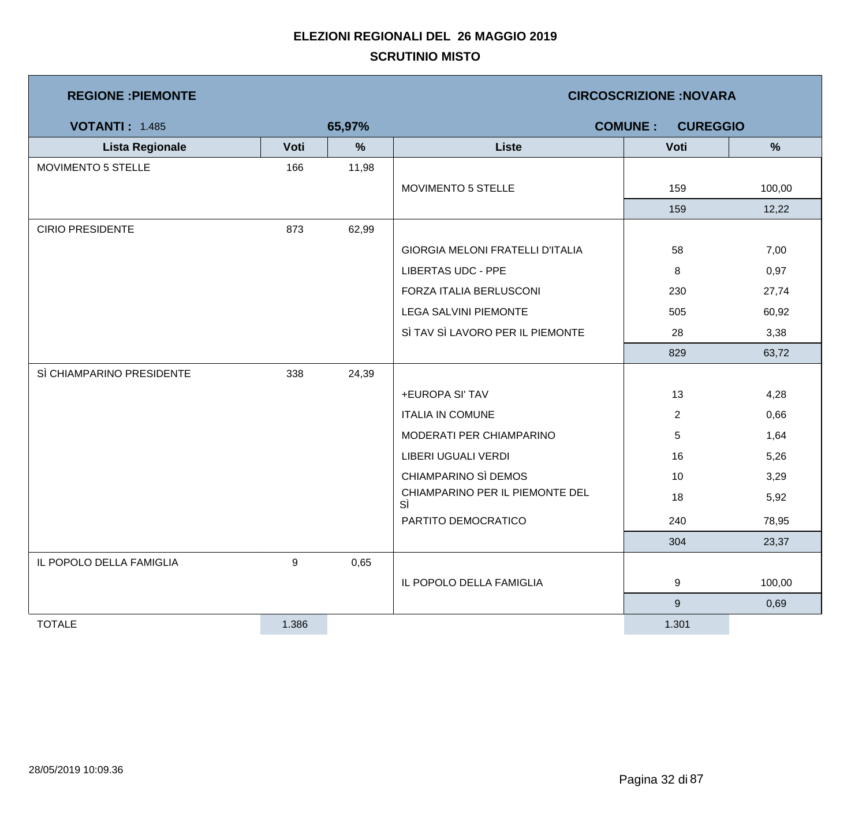| <b>REGIONE: PIEMONTE</b>  |       |        | <b>CIRCOSCRIZIONE:NOVARA</b>          |                                   |        |  |  |
|---------------------------|-------|--------|---------------------------------------|-----------------------------------|--------|--|--|
| <b>VOTANTI: 1.485</b>     |       | 65,97% |                                       | <b>COMUNE:</b><br><b>CUREGGIO</b> |        |  |  |
| <b>Lista Regionale</b>    | Voti  | %      | <b>Liste</b>                          | Voti                              | %      |  |  |
| MOVIMENTO 5 STELLE        | 166   | 11,98  |                                       |                                   |        |  |  |
|                           |       |        | MOVIMENTO 5 STELLE                    | 159                               | 100,00 |  |  |
|                           |       |        |                                       | 159                               | 12,22  |  |  |
| <b>CIRIO PRESIDENTE</b>   | 873   | 62,99  |                                       |                                   |        |  |  |
|                           |       |        | GIORGIA MELONI FRATELLI D'ITALIA      | 58                                | 7,00   |  |  |
|                           |       |        | <b>LIBERTAS UDC - PPE</b>             | 8                                 | 0,97   |  |  |
|                           |       |        | FORZA ITALIA BERLUSCONI               | 230                               | 27,74  |  |  |
|                           |       |        | <b>LEGA SALVINI PIEMONTE</b>          | 505                               | 60,92  |  |  |
|                           |       |        | SÌ TAV SÌ LAVORO PER IL PIEMONTE      | 28                                | 3,38   |  |  |
|                           |       |        |                                       | 829                               | 63,72  |  |  |
| SÌ CHIAMPARINO PRESIDENTE | 338   | 24,39  |                                       |                                   |        |  |  |
|                           |       |        | +EUROPA SI' TAV                       | 13                                | 4,28   |  |  |
|                           |       |        | <b>ITALIA IN COMUNE</b>               | $\overline{2}$                    | 0,66   |  |  |
|                           |       |        | MODERATI PER CHIAMPARINO              | 5                                 | 1,64   |  |  |
|                           |       |        | LIBERI UGUALI VERDI                   | 16                                | 5,26   |  |  |
|                           |       |        | CHIAMPARINO SÌ DEMOS                  | 10                                | 3,29   |  |  |
|                           |       |        | CHIAMPARINO PER IL PIEMONTE DEL<br>SÌ | 18                                | 5,92   |  |  |
|                           |       |        | PARTITO DEMOCRATICO                   | 240                               | 78,95  |  |  |
|                           |       |        |                                       | 304                               | 23,37  |  |  |
| IL POPOLO DELLA FAMIGLIA  | 9     | 0,65   |                                       |                                   |        |  |  |
|                           |       |        | IL POPOLO DELLA FAMIGLIA              | 9                                 | 100,00 |  |  |
|                           |       |        |                                       | $\boldsymbol{9}$                  | 0,69   |  |  |
| <b>TOTALE</b>             | 1.386 |        |                                       | 1.301                             |        |  |  |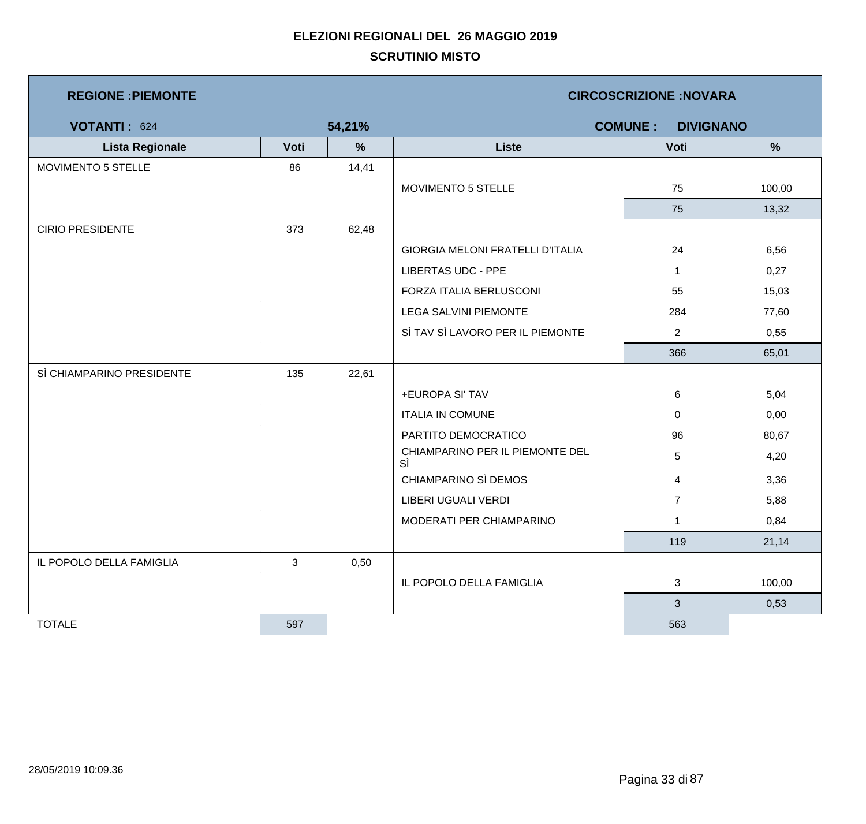| <b>REGIONE : PIEMONTE</b> |      | <b>CIRCOSCRIZIONE: NOVARA</b> |                                         |                |               |  |  |
|---------------------------|------|-------------------------------|-----------------------------------------|----------------|---------------|--|--|
| VOTANTI: 624              |      | 54,21%                        | <b>COMUNE:</b><br><b>DIVIGNANO</b>      |                |               |  |  |
| <b>Lista Regionale</b>    | Voti | $\%$                          | <b>Liste</b>                            | Voti           | $\frac{9}{6}$ |  |  |
| MOVIMENTO 5 STELLE        | 86   | 14,41                         |                                         |                |               |  |  |
|                           |      |                               | MOVIMENTO 5 STELLE                      | 75             | 100,00        |  |  |
|                           |      |                               |                                         | 75             | 13,32         |  |  |
| <b>CIRIO PRESIDENTE</b>   | 373  | 62,48                         |                                         |                |               |  |  |
|                           |      |                               | <b>GIORGIA MELONI FRATELLI D'ITALIA</b> | 24             | 6,56          |  |  |
|                           |      |                               | <b>LIBERTAS UDC - PPE</b>               | $\mathbf{1}$   | 0,27          |  |  |
|                           |      |                               | FORZA ITALIA BERLUSCONI                 | 55             | 15,03         |  |  |
|                           |      |                               | <b>LEGA SALVINI PIEMONTE</b>            | 284            | 77,60         |  |  |
|                           |      |                               | SÌ TAV SÌ LAVORO PER IL PIEMONTE        | $\overline{2}$ | 0,55          |  |  |
|                           |      |                               |                                         | 366            | 65,01         |  |  |
| SÌ CHIAMPARINO PRESIDENTE | 135  | 22,61                         |                                         |                |               |  |  |
|                           |      |                               | +EUROPA SI' TAV                         | 6              | 5,04          |  |  |
|                           |      |                               | <b>ITALIA IN COMUNE</b>                 | 0              | 0,00          |  |  |
|                           |      |                               | PARTITO DEMOCRATICO                     | 96             | 80,67         |  |  |
|                           |      |                               | CHIAMPARINO PER IL PIEMONTE DEL<br>SÌ   | 5              | 4,20          |  |  |
|                           |      |                               | CHIAMPARINO SÌ DEMOS                    | 4              | 3,36          |  |  |
|                           |      |                               | LIBERI UGUALI VERDI                     | $\overline{7}$ | 5,88          |  |  |
|                           |      |                               | MODERATI PER CHIAMPARINO                | $\mathbf{1}$   | 0,84          |  |  |
|                           |      |                               |                                         | 119            | 21,14         |  |  |
| IL POPOLO DELLA FAMIGLIA  | 3    | 0,50                          |                                         |                |               |  |  |
|                           |      |                               | IL POPOLO DELLA FAMIGLIA                | 3              | 100,00        |  |  |
|                           |      |                               |                                         | $\mathbf{3}$   | 0,53          |  |  |
| <b>TOTALE</b>             | 597  |                               |                                         | 563            |               |  |  |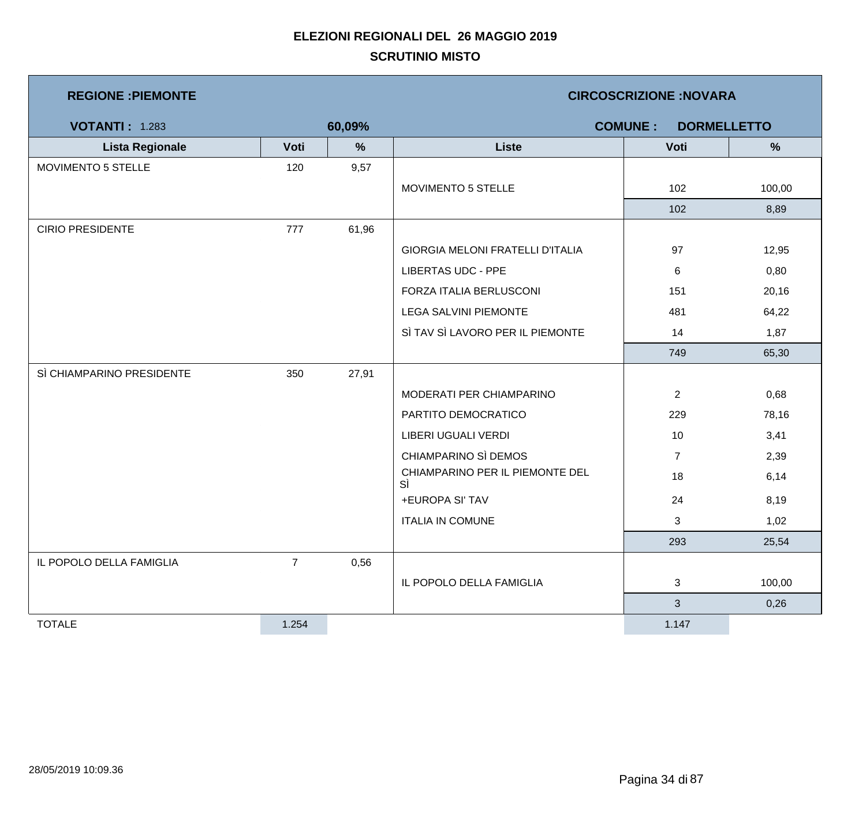| <b>REGIONE : PIEMONTE</b> |                | <b>CIRCOSCRIZIONE:NOVARA</b> |                                         |                |        |  |
|---------------------------|----------------|------------------------------|-----------------------------------------|----------------|--------|--|
| <b>VOTANTI: 1.283</b>     |                | 60,09%                       | <b>COMUNE:</b><br><b>DORMELLETTO</b>    |                |        |  |
| <b>Lista Regionale</b>    | Voti           | $\frac{9}{6}$                | <b>Liste</b>                            | Voti           | %      |  |
| MOVIMENTO 5 STELLE        | 120            | 9,57                         |                                         |                |        |  |
|                           |                |                              | MOVIMENTO 5 STELLE                      | 102            | 100,00 |  |
|                           |                |                              |                                         | 102            | 8,89   |  |
| <b>CIRIO PRESIDENTE</b>   | 777            | 61,96                        |                                         |                |        |  |
|                           |                |                              | <b>GIORGIA MELONI FRATELLI D'ITALIA</b> | 97             | 12,95  |  |
|                           |                |                              | <b>LIBERTAS UDC - PPE</b>               | $\,6$          | 0,80   |  |
|                           |                |                              | FORZA ITALIA BERLUSCONI                 | 151            | 20,16  |  |
|                           |                |                              | <b>LEGA SALVINI PIEMONTE</b>            | 481            | 64,22  |  |
|                           |                |                              | SÌ TAV SÌ LAVORO PER IL PIEMONTE        | 14             | 1,87   |  |
|                           |                |                              |                                         | 749            | 65,30  |  |
| SÌ CHIAMPARINO PRESIDENTE | 350            | 27,91                        |                                         |                |        |  |
|                           |                |                              | MODERATI PER CHIAMPARINO                | $\overline{2}$ | 0,68   |  |
|                           |                |                              | PARTITO DEMOCRATICO                     | 229            | 78,16  |  |
|                           |                |                              | LIBERI UGUALI VERDI                     | 10             | 3,41   |  |
|                           |                |                              | CHIAMPARINO SÌ DEMOS                    | $\overline{7}$ | 2,39   |  |
|                           |                |                              | CHIAMPARINO PER IL PIEMONTE DEL<br>SÌ   | 18             | 6,14   |  |
|                           |                |                              | +EUROPA SI' TAV                         | 24             | 8,19   |  |
|                           |                |                              | <b>ITALIA IN COMUNE</b>                 | 3              | 1,02   |  |
|                           |                |                              |                                         | 293            | 25,54  |  |
| IL POPOLO DELLA FAMIGLIA  | $\overline{7}$ | 0,56                         |                                         |                |        |  |
|                           |                |                              | IL POPOLO DELLA FAMIGLIA                | 3              | 100,00 |  |
|                           |                |                              |                                         | 3              | 0,26   |  |
| <b>TOTALE</b>             | 1.254          |                              |                                         | 1.147          |        |  |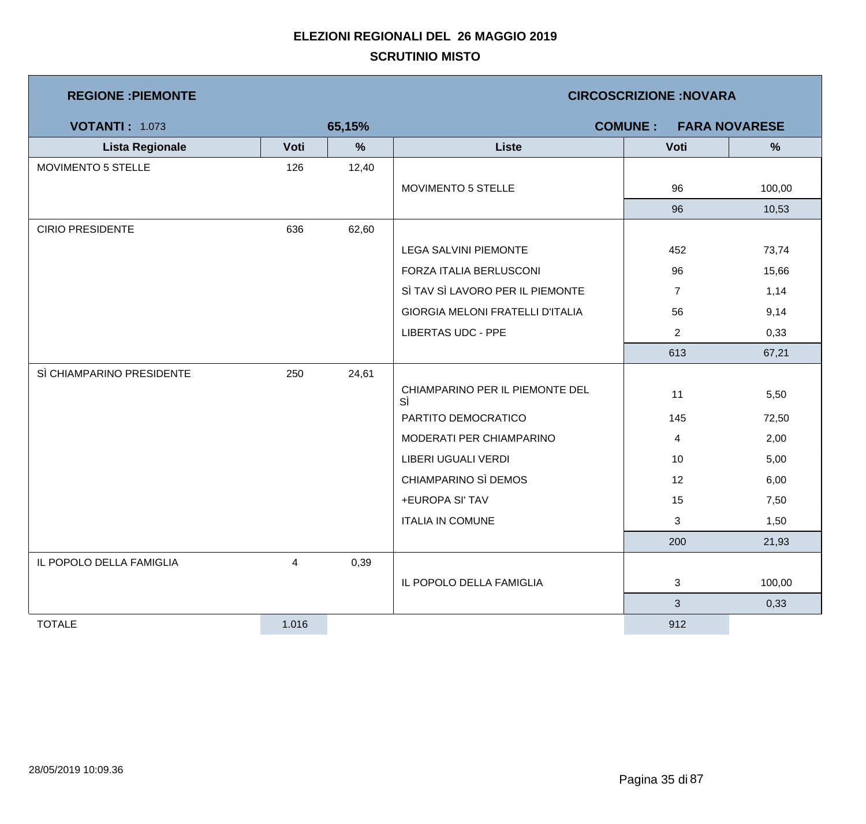| <b>REGIONE : PIEMONTE</b> |       | <b>CIRCOSCRIZIONE:NOVARA</b> |                                        |                |        |  |  |
|---------------------------|-------|------------------------------|----------------------------------------|----------------|--------|--|--|
| <b>VOTANTI: 1.073</b>     |       | 65,15%                       | <b>COMUNE:</b><br><b>FARA NOVARESE</b> |                |        |  |  |
| <b>Lista Regionale</b>    | Voti  | %                            | <b>Liste</b>                           | Voti           | %      |  |  |
| MOVIMENTO 5 STELLE        | 126   | 12,40                        |                                        |                |        |  |  |
|                           |       |                              | MOVIMENTO 5 STELLE                     | 96             | 100,00 |  |  |
|                           |       |                              |                                        | 96             | 10,53  |  |  |
| <b>CIRIO PRESIDENTE</b>   | 636   | 62,60                        |                                        |                |        |  |  |
|                           |       |                              | LEGA SALVINI PIEMONTE                  | 452            | 73,74  |  |  |
|                           |       |                              | FORZA ITALIA BERLUSCONI                | 96             | 15,66  |  |  |
|                           |       |                              | SÌ TAV SÌ LAVORO PER IL PIEMONTE       | $\overline{7}$ | 1,14   |  |  |
|                           |       |                              | GIORGIA MELONI FRATELLI D'ITALIA       | 56             | 9,14   |  |  |
|                           |       |                              | <b>LIBERTAS UDC - PPE</b>              | $\overline{2}$ | 0,33   |  |  |
|                           |       |                              |                                        | 613            | 67,21  |  |  |
| SÌ CHIAMPARINO PRESIDENTE | 250   | 24,61                        |                                        |                |        |  |  |
|                           |       |                              | CHIAMPARINO PER IL PIEMONTE DEL<br>SÌ  | 11             | 5,50   |  |  |
|                           |       |                              | PARTITO DEMOCRATICO                    | 145            | 72,50  |  |  |
|                           |       |                              | MODERATI PER CHIAMPARINO               | $\overline{4}$ | 2,00   |  |  |
|                           |       |                              | <b>LIBERI UGUALI VERDI</b>             | 10             | 5,00   |  |  |
|                           |       |                              | CHIAMPARINO SÌ DEMOS                   | 12             | 6,00   |  |  |
|                           |       |                              | +EUROPA SI' TAV                        | 15             | 7,50   |  |  |
|                           |       |                              | <b>ITALIA IN COMUNE</b>                | 3              | 1,50   |  |  |
|                           |       |                              |                                        | 200            | 21,93  |  |  |
| IL POPOLO DELLA FAMIGLIA  | 4     | 0,39                         |                                        |                |        |  |  |
|                           |       |                              | IL POPOLO DELLA FAMIGLIA               | $\mathbf{3}$   | 100,00 |  |  |
|                           |       |                              |                                        | $\mathfrak{S}$ | 0,33   |  |  |
| <b>TOTALE</b>             | 1.016 |                              |                                        | 912            |        |  |  |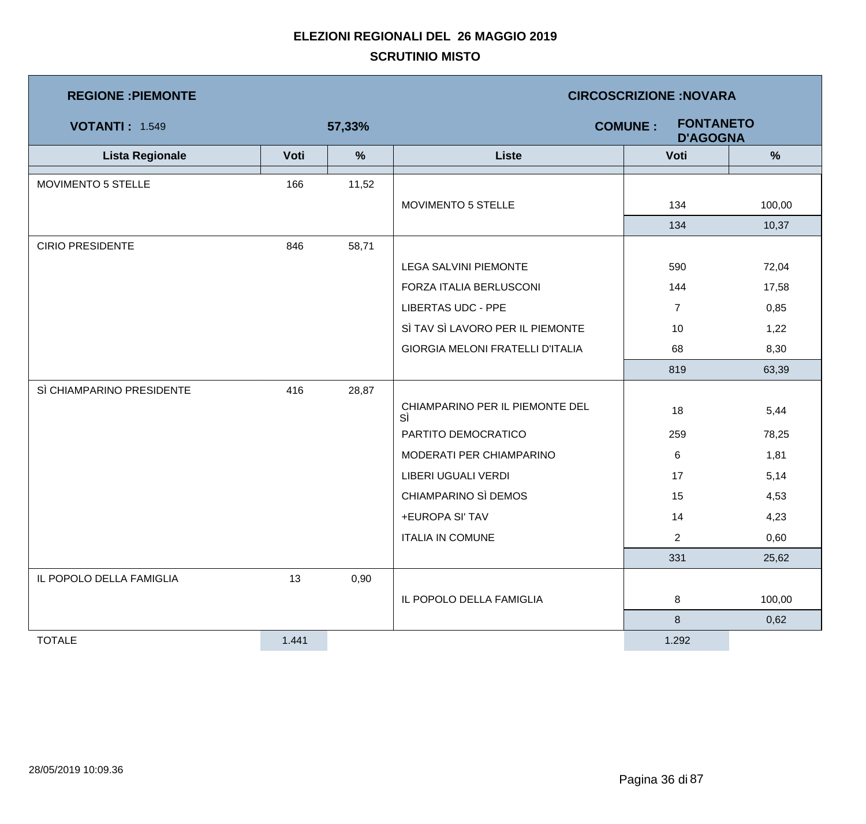| <b>REGIONE : PIEMONTE</b> |       |        | <b>CIRCOSCRIZIONE:NOVARA</b>                          |                |               |  |  |
|---------------------------|-------|--------|-------------------------------------------------------|----------------|---------------|--|--|
| <b>VOTANTI: 1.549</b>     |       | 57,33% | <b>FONTANETO</b><br><b>COMUNE:</b><br><b>D'AGOGNA</b> |                |               |  |  |
| <b>Lista Regionale</b>    | Voti  | %      | <b>Liste</b>                                          | Voti           | $\frac{9}{6}$ |  |  |
| MOVIMENTO 5 STELLE        | 166   | 11,52  |                                                       |                |               |  |  |
|                           |       |        | MOVIMENTO 5 STELLE                                    | 134            | 100,00        |  |  |
|                           |       |        |                                                       | 134            | 10,37         |  |  |
| <b>CIRIO PRESIDENTE</b>   | 846   | 58,71  |                                                       |                |               |  |  |
|                           |       |        | <b>LEGA SALVINI PIEMONTE</b>                          | 590            | 72,04         |  |  |
|                           |       |        | FORZA ITALIA BERLUSCONI                               | 144            | 17,58         |  |  |
|                           |       |        | <b>LIBERTAS UDC - PPE</b>                             | $\overline{7}$ | 0,85          |  |  |
|                           |       |        | SÌ TAV SÌ LAVORO PER IL PIEMONTE                      | 10             | 1,22          |  |  |
|                           |       |        | <b>GIORGIA MELONI FRATELLI D'ITALIA</b>               | 68             | 8,30          |  |  |
|                           |       |        |                                                       | 819            | 63,39         |  |  |
| SÌ CHIAMPARINO PRESIDENTE | 416   | 28,87  |                                                       |                |               |  |  |
|                           |       |        | CHIAMPARINO PER IL PIEMONTE DEL<br>SÌ                 | 18             | 5,44          |  |  |
|                           |       |        | PARTITO DEMOCRATICO                                   | 259            | 78,25         |  |  |
|                           |       |        | MODERATI PER CHIAMPARINO                              | 6              | 1,81          |  |  |
|                           |       |        | LIBERI UGUALI VERDI                                   | 17             | 5,14          |  |  |
|                           |       |        | CHIAMPARINO SÌ DEMOS                                  | 15             | 4,53          |  |  |
|                           |       |        | +EUROPA SI' TAV                                       | 14             | 4,23          |  |  |
|                           |       |        | <b>ITALIA IN COMUNE</b>                               | $\overline{2}$ | 0,60          |  |  |
|                           |       |        |                                                       | 331            | 25,62         |  |  |
| IL POPOLO DELLA FAMIGLIA  | 13    | 0,90   |                                                       |                |               |  |  |
|                           |       |        | IL POPOLO DELLA FAMIGLIA                              | 8              | 100,00        |  |  |
|                           |       |        |                                                       | 8              | 0,62          |  |  |
| <b>TOTALE</b>             | 1.441 |        |                                                       | 1.292          |               |  |  |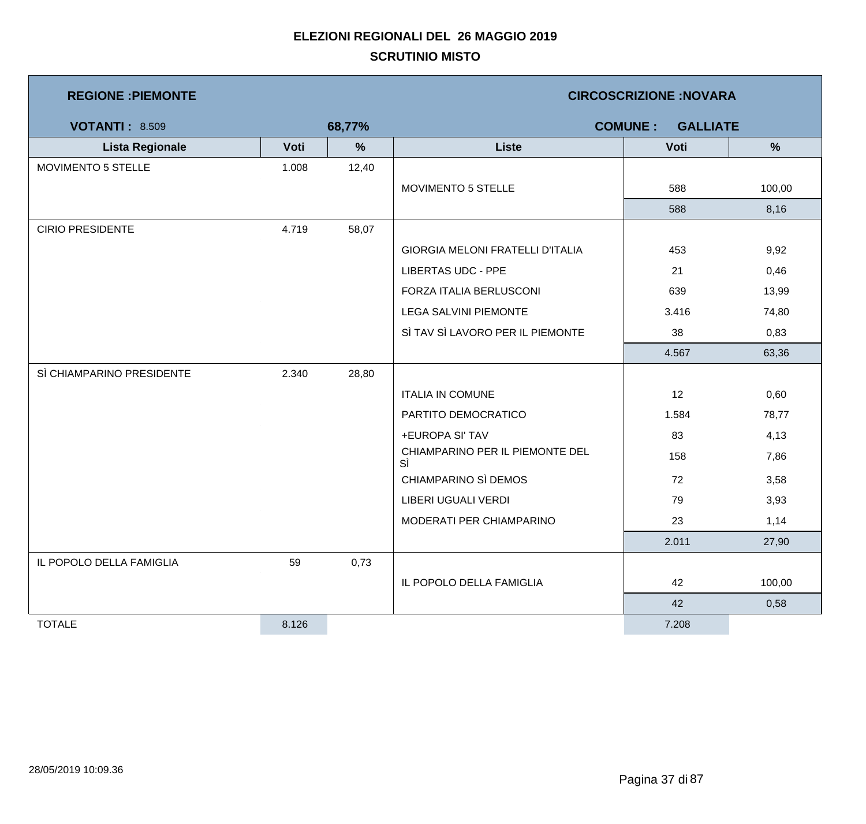| <b>REGIONE : PIEMONTE</b> |       |               | <b>CIRCOSCRIZIONE:NOVARA</b>            |                                   |        |  |  |
|---------------------------|-------|---------------|-----------------------------------------|-----------------------------------|--------|--|--|
| <b>VOTANTI: 8.509</b>     |       | 68,77%        |                                         | <b>COMUNE:</b><br><b>GALLIATE</b> |        |  |  |
| <b>Lista Regionale</b>    | Voti  | $\frac{9}{6}$ | <b>Liste</b>                            | Voti                              | %      |  |  |
| MOVIMENTO 5 STELLE        | 1.008 | 12,40         |                                         |                                   |        |  |  |
|                           |       |               | <b>MOVIMENTO 5 STELLE</b>               | 588                               | 100,00 |  |  |
|                           |       |               |                                         | 588                               | 8,16   |  |  |
| <b>CIRIO PRESIDENTE</b>   | 4.719 | 58,07         |                                         |                                   |        |  |  |
|                           |       |               | <b>GIORGIA MELONI FRATELLI D'ITALIA</b> | 453                               | 9,92   |  |  |
|                           |       |               | <b>LIBERTAS UDC - PPE</b>               | 21                                | 0,46   |  |  |
|                           |       |               | FORZA ITALIA BERLUSCONI                 | 639                               | 13,99  |  |  |
|                           |       |               | <b>LEGA SALVINI PIEMONTE</b>            | 3.416                             | 74,80  |  |  |
|                           |       |               | SÌ TAV SÌ LAVORO PER IL PIEMONTE        | 38                                | 0,83   |  |  |
|                           |       |               |                                         | 4.567                             | 63,36  |  |  |
| SÌ CHIAMPARINO PRESIDENTE | 2.340 | 28,80         |                                         |                                   |        |  |  |
|                           |       |               | <b>ITALIA IN COMUNE</b>                 | 12                                | 0,60   |  |  |
|                           |       |               | PARTITO DEMOCRATICO                     | 1.584                             | 78,77  |  |  |
|                           |       |               | +EUROPA SI' TAV                         | 83                                | 4,13   |  |  |
|                           |       |               | CHIAMPARINO PER IL PIEMONTE DEL<br>SÌ   | 158                               | 7,86   |  |  |
|                           |       |               | CHIAMPARINO SÌ DEMOS                    | 72                                | 3,58   |  |  |
|                           |       |               | LIBERI UGUALI VERDI                     | 79                                | 3,93   |  |  |
|                           |       |               | MODERATI PER CHIAMPARINO                | 23                                | 1,14   |  |  |
|                           |       |               |                                         | 2.011                             | 27,90  |  |  |
| IL POPOLO DELLA FAMIGLIA  | 59    | 0,73          |                                         |                                   |        |  |  |
|                           |       |               | IL POPOLO DELLA FAMIGLIA                | 42                                | 100,00 |  |  |
|                           |       |               |                                         | 42                                | 0,58   |  |  |
| <b>TOTALE</b>             | 8.126 |               |                                         | 7.208                             |        |  |  |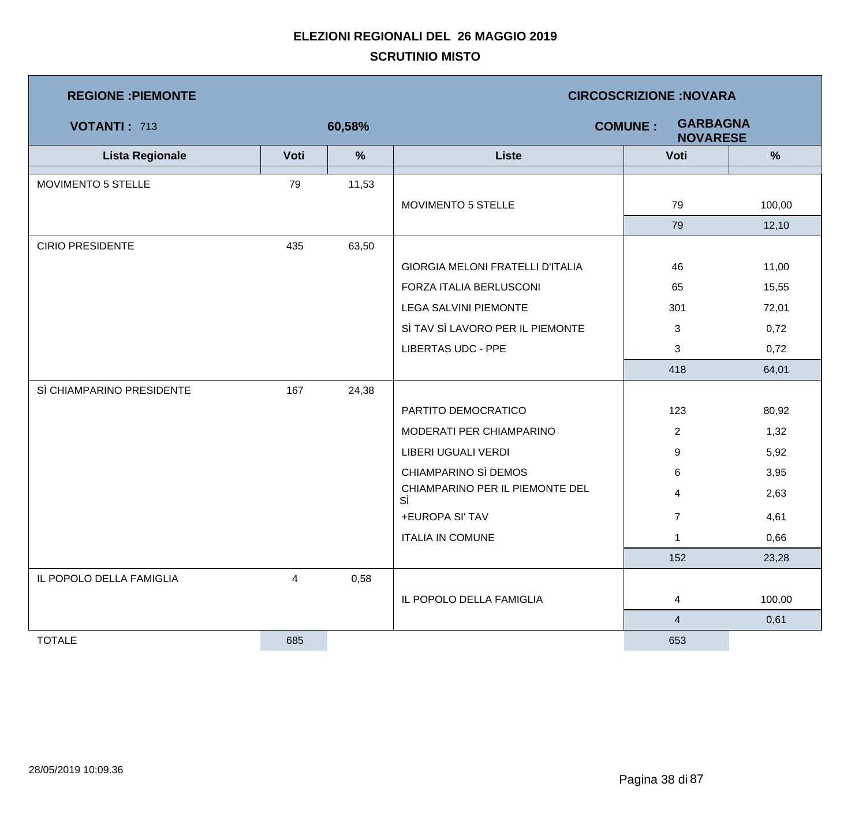| <b>REGIONE : PIEMONTE</b> |                |        | <b>CIRCOSCRIZIONE: NOVARA</b>           |                                                      |        |  |  |
|---------------------------|----------------|--------|-----------------------------------------|------------------------------------------------------|--------|--|--|
| <b>VOTANTI: 713</b>       |                | 60,58% |                                         | <b>GARBAGNA</b><br><b>COMUNE:</b><br><b>NOVARESE</b> |        |  |  |
| <b>Lista Regionale</b>    | Voti           | $\%$   | <b>Liste</b>                            | Voti                                                 | %      |  |  |
| MOVIMENTO 5 STELLE        | 79             | 11,53  |                                         |                                                      |        |  |  |
|                           |                |        | MOVIMENTO 5 STELLE                      | 79                                                   | 100,00 |  |  |
|                           |                |        |                                         | 79                                                   | 12,10  |  |  |
| <b>CIRIO PRESIDENTE</b>   | 435            | 63,50  |                                         |                                                      |        |  |  |
|                           |                |        | <b>GIORGIA MELONI FRATELLI D'ITALIA</b> | 46                                                   | 11,00  |  |  |
|                           |                |        | FORZA ITALIA BERLUSCONI                 | 65                                                   | 15,55  |  |  |
|                           |                |        | <b>LEGA SALVINI PIEMONTE</b>            | 301                                                  | 72,01  |  |  |
|                           |                |        | SÌ TAV SÌ LAVORO PER IL PIEMONTE        | 3                                                    | 0,72   |  |  |
|                           |                |        | <b>LIBERTAS UDC - PPE</b>               | 3                                                    | 0,72   |  |  |
|                           |                |        |                                         | 418                                                  | 64,01  |  |  |
| SÌ CHIAMPARINO PRESIDENTE | 167            | 24,38  |                                         |                                                      |        |  |  |
|                           |                |        | PARTITO DEMOCRATICO                     | 123                                                  | 80,92  |  |  |
|                           |                |        | MODERATI PER CHIAMPARINO                | $\overline{2}$                                       | 1,32   |  |  |
|                           |                |        | LIBERI UGUALI VERDI                     | 9                                                    | 5,92   |  |  |
|                           |                |        | CHIAMPARINO SÌ DEMOS                    | 6                                                    | 3,95   |  |  |
|                           |                |        | CHIAMPARINO PER IL PIEMONTE DEL<br>SÌ   | $\overline{4}$                                       | 2,63   |  |  |
|                           |                |        | +EUROPA SI' TAV                         | $\overline{7}$                                       | 4,61   |  |  |
|                           |                |        | <b>ITALIA IN COMUNE</b>                 | 1                                                    | 0,66   |  |  |
|                           |                |        |                                         | 152                                                  | 23,28  |  |  |
| IL POPOLO DELLA FAMIGLIA  | $\overline{4}$ | 0,58   |                                         |                                                      |        |  |  |
|                           |                |        | IL POPOLO DELLA FAMIGLIA                | 4                                                    | 100,00 |  |  |
|                           |                |        |                                         | $\overline{4}$                                       | 0,61   |  |  |
| <b>TOTALE</b>             | 685            |        |                                         | 653                                                  |        |  |  |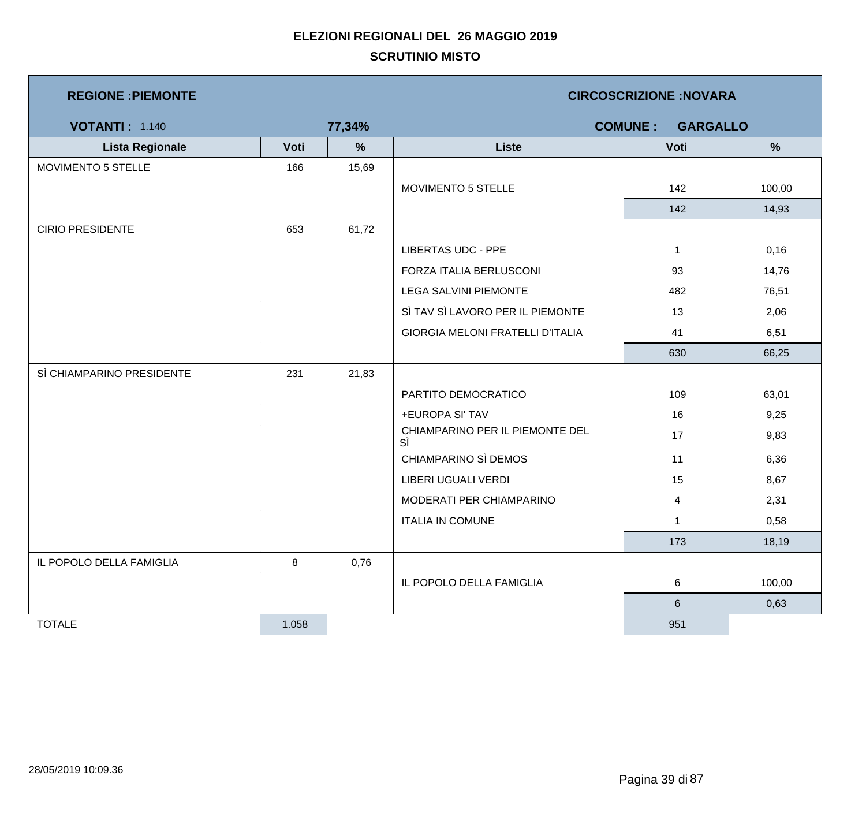| <b>REGIONE : PIEMONTE</b> |       | <b>CIRCOSCRIZIONE:NOVARA</b> |                                         |              |        |  |
|---------------------------|-------|------------------------------|-----------------------------------------|--------------|--------|--|
| <b>VOTANTI: 1.140</b>     |       | 77,34%                       | <b>COMUNE:</b><br><b>GARGALLO</b>       |              |        |  |
| <b>Lista Regionale</b>    | Voti  | $\%$                         | <b>Liste</b>                            | Voti         | %      |  |
| MOVIMENTO 5 STELLE        | 166   | 15,69                        |                                         |              |        |  |
|                           |       |                              | MOVIMENTO 5 STELLE                      | 142          | 100,00 |  |
|                           |       |                              |                                         | 142          | 14,93  |  |
| <b>CIRIO PRESIDENTE</b>   | 653   | 61,72                        |                                         |              |        |  |
|                           |       |                              | <b>LIBERTAS UDC - PPE</b>               | $\mathbf{1}$ | 0,16   |  |
|                           |       |                              | FORZA ITALIA BERLUSCONI                 | 93           | 14,76  |  |
|                           |       |                              | <b>LEGA SALVINI PIEMONTE</b>            | 482          | 76,51  |  |
|                           |       |                              | SÌ TAV SÌ LAVORO PER IL PIEMONTE        | 13           | 2,06   |  |
|                           |       |                              | <b>GIORGIA MELONI FRATELLI D'ITALIA</b> | 41           | 6,51   |  |
|                           |       |                              |                                         | 630          | 66,25  |  |
| SÌ CHIAMPARINO PRESIDENTE | 231   | 21,83                        |                                         |              |        |  |
|                           |       |                              | PARTITO DEMOCRATICO                     | 109          | 63,01  |  |
|                           |       |                              | +EUROPA SI' TAV                         | 16           | 9,25   |  |
|                           |       |                              | CHIAMPARINO PER IL PIEMONTE DEL<br>SÌ   | 17           | 9,83   |  |
|                           |       |                              | CHIAMPARINO SÌ DEMOS                    | 11           | 6,36   |  |
|                           |       |                              | LIBERI UGUALI VERDI                     | 15           | 8,67   |  |
|                           |       |                              | MODERATI PER CHIAMPARINO                | 4            | 2,31   |  |
|                           |       |                              | <b>ITALIA IN COMUNE</b>                 | $\mathbf{1}$ | 0,58   |  |
|                           |       |                              |                                         | 173          | 18,19  |  |
| IL POPOLO DELLA FAMIGLIA  | 8     | 0,76                         |                                         |              |        |  |
|                           |       |                              | IL POPOLO DELLA FAMIGLIA                | 6            | 100,00 |  |
|                           |       |                              |                                         | $\,6$        | 0,63   |  |
| <b>TOTALE</b>             | 1.058 |                              |                                         | 951          |        |  |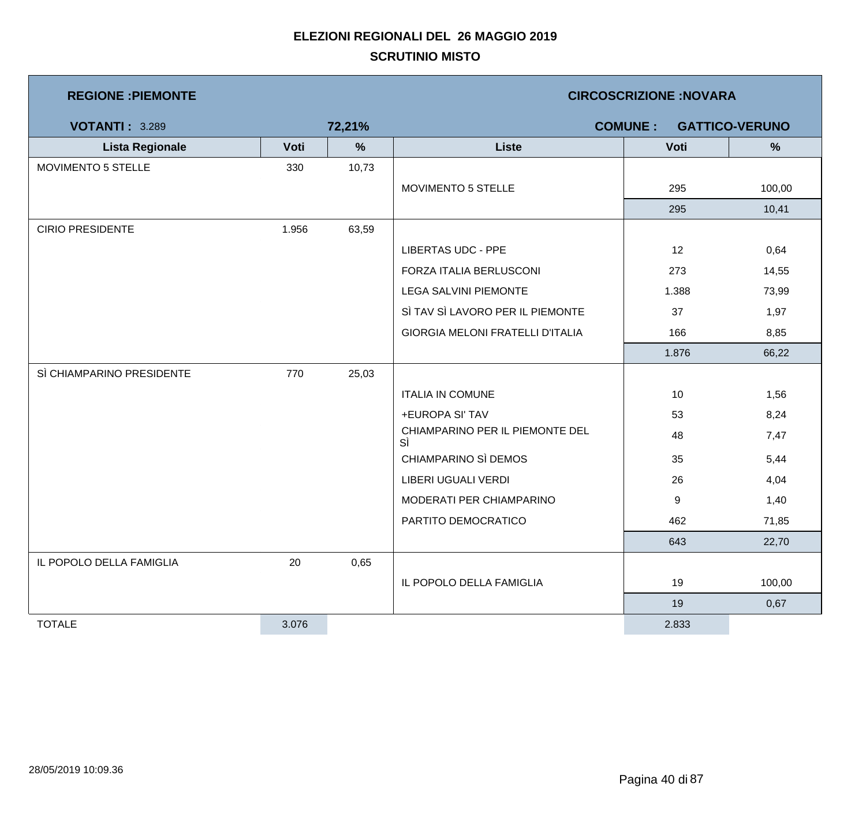| <b>REGIONE : PIEMONTE</b> |       |               | <b>CIRCOSCRIZIONE: NOVARA</b>           |                |                       |  |  |
|---------------------------|-------|---------------|-----------------------------------------|----------------|-----------------------|--|--|
| <b>VOTANTI: 3.289</b>     |       | 72,21%        |                                         | <b>COMUNE:</b> | <b>GATTICO-VERUNO</b> |  |  |
| <b>Lista Regionale</b>    | Voti  | $\frac{9}{6}$ | <b>Liste</b>                            | Voti           | $\frac{9}{6}$         |  |  |
| MOVIMENTO 5 STELLE        | 330   | 10,73         |                                         |                |                       |  |  |
|                           |       |               | <b>MOVIMENTO 5 STELLE</b>               | 295            | 100,00                |  |  |
|                           |       |               |                                         | 295            | 10,41                 |  |  |
| <b>CIRIO PRESIDENTE</b>   | 1.956 | 63,59         |                                         |                |                       |  |  |
|                           |       |               | <b>LIBERTAS UDC - PPE</b>               | 12             | 0,64                  |  |  |
|                           |       |               | FORZA ITALIA BERLUSCONI                 | 273            | 14,55                 |  |  |
|                           |       |               | <b>LEGA SALVINI PIEMONTE</b>            | 1.388          | 73,99                 |  |  |
|                           |       |               | SÌ TAV SÌ LAVORO PER IL PIEMONTE        | 37             | 1,97                  |  |  |
|                           |       |               | <b>GIORGIA MELONI FRATELLI D'ITALIA</b> | 166            | 8,85                  |  |  |
|                           |       |               |                                         | 1.876          | 66,22                 |  |  |
| SÌ CHIAMPARINO PRESIDENTE | 770   | 25,03         |                                         |                |                       |  |  |
|                           |       |               | <b>ITALIA IN COMUNE</b>                 | 10             | 1,56                  |  |  |
|                           |       |               | +EUROPA SI' TAV                         | 53             | 8,24                  |  |  |
|                           |       |               | CHIAMPARINO PER IL PIEMONTE DEL<br>SÌ   | 48             | 7,47                  |  |  |
|                           |       |               | CHIAMPARINO SÌ DEMOS                    | 35             | 5,44                  |  |  |
|                           |       |               | LIBERI UGUALI VERDI                     | 26             | 4,04                  |  |  |
|                           |       |               | MODERATI PER CHIAMPARINO                | 9              | 1,40                  |  |  |
|                           |       |               | PARTITO DEMOCRATICO                     | 462            | 71,85                 |  |  |
|                           |       |               |                                         | 643            | 22,70                 |  |  |
| IL POPOLO DELLA FAMIGLIA  | 20    | 0,65          |                                         |                |                       |  |  |
|                           |       |               | IL POPOLO DELLA FAMIGLIA                | 19             | 100,00                |  |  |
|                           |       |               |                                         | 19             | 0,67                  |  |  |
| <b>TOTALE</b>             | 3.076 |               |                                         | 2.833          |                       |  |  |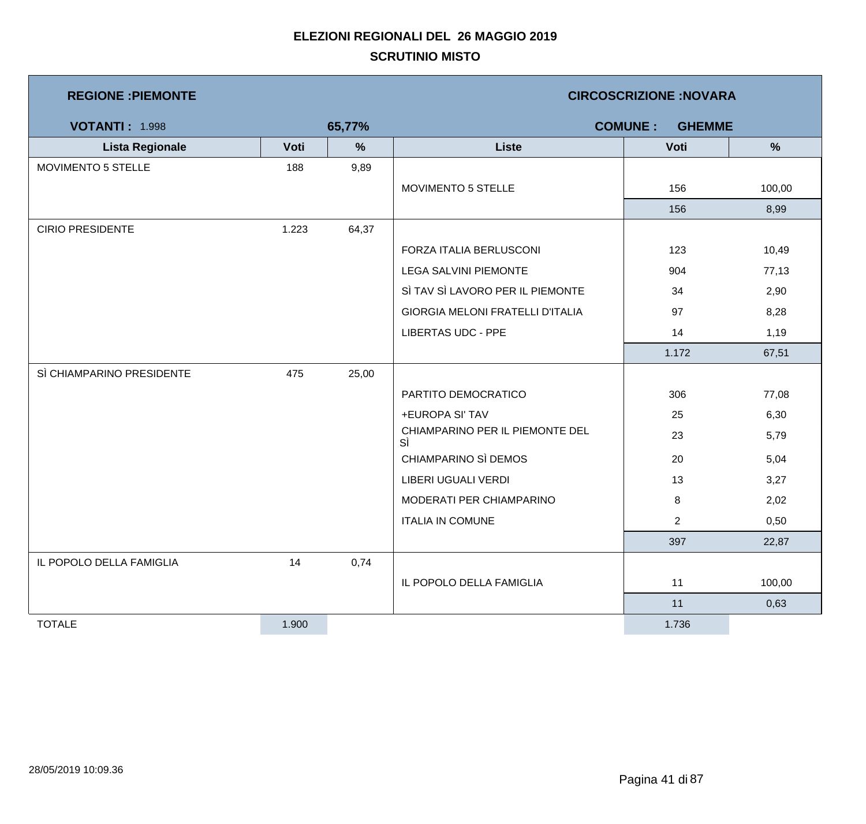| <b>REGIONE : PIEMONTE</b> |       |               | <b>CIRCOSCRIZIONE:NOVARA</b>            |                                 |        |  |  |
|---------------------------|-------|---------------|-----------------------------------------|---------------------------------|--------|--|--|
| <b>VOTANTI: 1.998</b>     |       | 65,77%        |                                         | <b>COMUNE:</b><br><b>GHEMME</b> |        |  |  |
| <b>Lista Regionale</b>    | Voti  | $\frac{9}{6}$ | <b>Liste</b>                            | Voti                            | %      |  |  |
| MOVIMENTO 5 STELLE        | 188   | 9,89          |                                         |                                 |        |  |  |
|                           |       |               | MOVIMENTO 5 STELLE                      | 156                             | 100,00 |  |  |
|                           |       |               |                                         | 156                             | 8,99   |  |  |
| <b>CIRIO PRESIDENTE</b>   | 1.223 | 64,37         |                                         |                                 |        |  |  |
|                           |       |               | FORZA ITALIA BERLUSCONI                 | 123                             | 10,49  |  |  |
|                           |       |               | <b>LEGA SALVINI PIEMONTE</b>            | 904                             | 77,13  |  |  |
|                           |       |               | SÌ TAV SÌ LAVORO PER IL PIEMONTE        | 34                              | 2,90   |  |  |
|                           |       |               | <b>GIORGIA MELONI FRATELLI D'ITALIA</b> | 97                              | 8,28   |  |  |
|                           |       |               | <b>LIBERTAS UDC - PPE</b>               | 14                              | 1,19   |  |  |
|                           |       |               |                                         | 1.172                           | 67,51  |  |  |
| SÌ CHIAMPARINO PRESIDENTE | 475   | 25,00         |                                         |                                 |        |  |  |
|                           |       |               | PARTITO DEMOCRATICO                     | 306                             | 77,08  |  |  |
|                           |       |               | +EUROPA SI' TAV                         | 25                              | 6,30   |  |  |
|                           |       |               | CHIAMPARINO PER IL PIEMONTE DEL<br>SÌ   | 23                              | 5,79   |  |  |
|                           |       |               | CHIAMPARINO SÌ DEMOS                    | 20                              | 5,04   |  |  |
|                           |       |               | LIBERI UGUALI VERDI                     | 13                              | 3,27   |  |  |
|                           |       |               | MODERATI PER CHIAMPARINO                | 8                               | 2,02   |  |  |
|                           |       |               | <b>ITALIA IN COMUNE</b>                 | $\overline{2}$                  | 0,50   |  |  |
|                           |       |               |                                         | 397                             | 22,87  |  |  |
| IL POPOLO DELLA FAMIGLIA  | 14    | 0,74          |                                         |                                 |        |  |  |
|                           |       |               | IL POPOLO DELLA FAMIGLIA                | 11                              | 100,00 |  |  |
|                           |       |               |                                         | 11                              | 0,63   |  |  |
| <b>TOTALE</b>             | 1.900 |               |                                         | 1.736                           |        |  |  |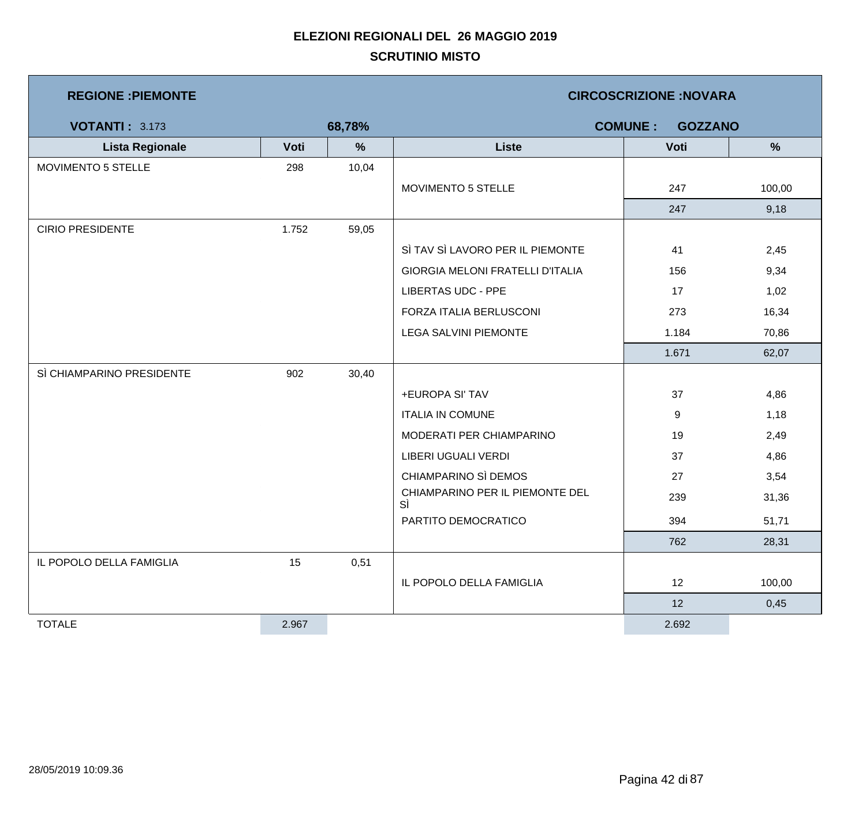| <b>REGIONE : PIEMONTE</b> |       |               | <b>CIRCOSCRIZIONE: NOVARA</b>           |                                  |        |  |  |
|---------------------------|-------|---------------|-----------------------------------------|----------------------------------|--------|--|--|
| <b>VOTANTI: 3.173</b>     |       | 68,78%        |                                         | <b>COMUNE:</b><br><b>GOZZANO</b> |        |  |  |
| <b>Lista Regionale</b>    | Voti  | $\frac{9}{6}$ | <b>Liste</b>                            | Voti                             | %      |  |  |
| MOVIMENTO 5 STELLE        | 298   | 10,04         |                                         |                                  |        |  |  |
|                           |       |               | MOVIMENTO 5 STELLE                      | 247                              | 100,00 |  |  |
|                           |       |               |                                         | 247                              | 9,18   |  |  |
| <b>CIRIO PRESIDENTE</b>   | 1.752 | 59,05         |                                         |                                  |        |  |  |
|                           |       |               | SÌ TAV SÌ LAVORO PER IL PIEMONTE        | 41                               | 2,45   |  |  |
|                           |       |               | <b>GIORGIA MELONI FRATELLI D'ITALIA</b> | 156                              | 9,34   |  |  |
|                           |       |               | <b>LIBERTAS UDC - PPE</b>               | 17                               | 1,02   |  |  |
|                           |       |               | FORZA ITALIA BERLUSCONI                 | 273                              | 16,34  |  |  |
|                           |       |               | LEGA SALVINI PIEMONTE                   | 1.184                            | 70,86  |  |  |
|                           |       |               |                                         | 1.671                            | 62,07  |  |  |
| SÌ CHIAMPARINO PRESIDENTE | 902   | 30,40         |                                         |                                  |        |  |  |
|                           |       |               | +EUROPA SI' TAV                         | 37                               | 4,86   |  |  |
|                           |       |               | <b>ITALIA IN COMUNE</b>                 | 9                                | 1,18   |  |  |
|                           |       |               | MODERATI PER CHIAMPARINO                | 19                               | 2,49   |  |  |
|                           |       |               | LIBERI UGUALI VERDI                     | 37                               | 4,86   |  |  |
|                           |       |               | CHIAMPARINO SÌ DEMOS                    | 27                               | 3,54   |  |  |
|                           |       |               | CHIAMPARINO PER IL PIEMONTE DEL<br>SÌ   | 239                              | 31,36  |  |  |
|                           |       |               | PARTITO DEMOCRATICO                     | 394                              | 51,71  |  |  |
|                           |       |               |                                         | 762                              | 28,31  |  |  |
| IL POPOLO DELLA FAMIGLIA  | 15    | 0,51          |                                         |                                  |        |  |  |
|                           |       |               | IL POPOLO DELLA FAMIGLIA                | 12                               | 100,00 |  |  |
|                           |       |               |                                         | 12                               | 0,45   |  |  |
| <b>TOTALE</b>             | 2.967 |               |                                         | 2.692                            |        |  |  |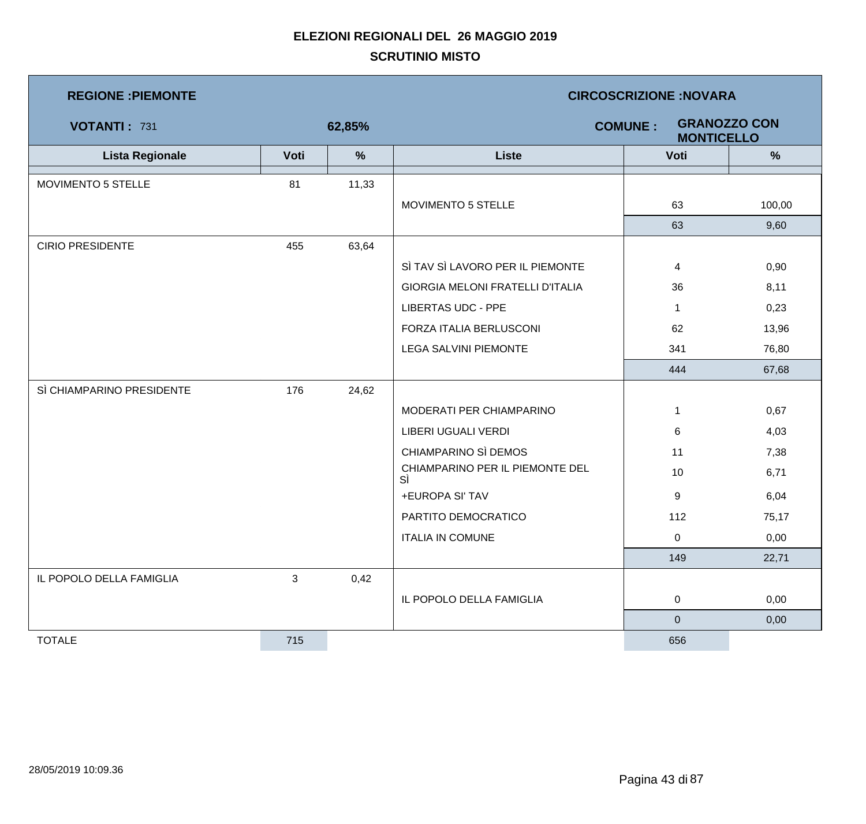| <b>REGIONE : PIEMONTE</b> |              |               | <b>CIRCOSCRIZIONE:NOVARA</b>            |                                     |                     |  |  |
|---------------------------|--------------|---------------|-----------------------------------------|-------------------------------------|---------------------|--|--|
| VOTANTI: 731              |              | 62,85%        |                                         | <b>COMUNE:</b><br><b>MONTICELLO</b> | <b>GRANOZZO CON</b> |  |  |
| <b>Lista Regionale</b>    | Voti         | $\frac{9}{6}$ | <b>Liste</b>                            | Voti                                | $\frac{9}{6}$       |  |  |
| <b>MOVIMENTO 5 STELLE</b> | 81           | 11,33         |                                         |                                     |                     |  |  |
|                           |              |               | MOVIMENTO 5 STELLE                      | 63                                  | 100,00              |  |  |
|                           |              |               |                                         | 63                                  | 9,60                |  |  |
| <b>CIRIO PRESIDENTE</b>   | 455          | 63,64         |                                         |                                     |                     |  |  |
|                           |              |               | SÌ TAV SÌ LAVORO PER IL PIEMONTE        | 4                                   | 0,90                |  |  |
|                           |              |               | <b>GIORGIA MELONI FRATELLI D'ITALIA</b> | 36                                  | 8,11                |  |  |
|                           |              |               | <b>LIBERTAS UDC - PPE</b>               | $\mathbf 1$                         | 0,23                |  |  |
|                           |              |               | FORZA ITALIA BERLUSCONI                 | 62                                  | 13,96               |  |  |
|                           |              |               | <b>LEGA SALVINI PIEMONTE</b>            | 341                                 | 76,80               |  |  |
|                           |              |               |                                         | 444                                 | 67,68               |  |  |
| SÌ CHIAMPARINO PRESIDENTE | 176          | 24,62         |                                         |                                     |                     |  |  |
|                           |              |               | MODERATI PER CHIAMPARINO                | 1                                   | 0,67                |  |  |
|                           |              |               | LIBERI UGUALI VERDI                     | 6                                   | 4,03                |  |  |
|                           |              |               | CHIAMPARINO SÌ DEMOS                    | 11                                  | 7,38                |  |  |
|                           |              |               | CHIAMPARINO PER IL PIEMONTE DEL<br>SÌ   | 10                                  | 6,71                |  |  |
|                           |              |               | +EUROPA SI' TAV                         | 9                                   | 6,04                |  |  |
|                           |              |               | PARTITO DEMOCRATICO                     | 112                                 | 75,17               |  |  |
|                           |              |               | <b>ITALIA IN COMUNE</b>                 | 0                                   | 0,00                |  |  |
|                           |              |               |                                         | 149                                 | 22,71               |  |  |
| IL POPOLO DELLA FAMIGLIA  | $\mathbf{3}$ | 0,42          |                                         |                                     |                     |  |  |
|                           |              |               | IL POPOLO DELLA FAMIGLIA                | 0                                   | 0,00                |  |  |
|                           |              |               |                                         | $\overline{0}$                      | 0,00                |  |  |
| <b>TOTALE</b>             | 715          |               |                                         | 656                                 |                     |  |  |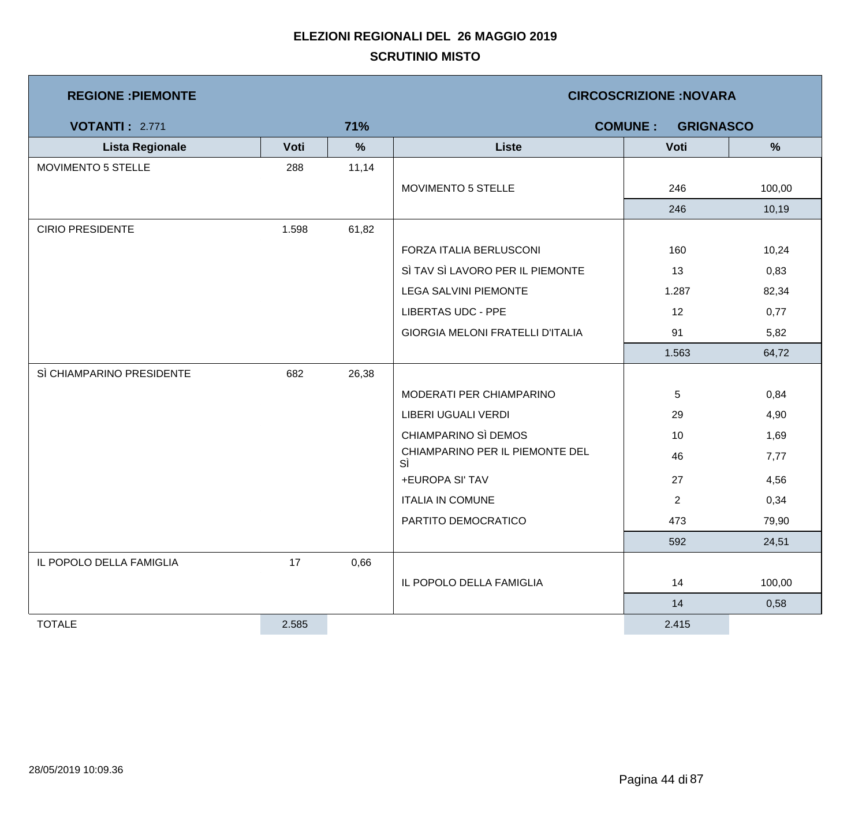| <b>REGIONE : PIEMONTE</b> |       |               | <b>CIRCOSCRIZIONE:NOVARA</b>            |                |               |  |  |
|---------------------------|-------|---------------|-----------------------------------------|----------------|---------------|--|--|
| <b>VOTANTI: 2.771</b>     |       | 71%           | <b>COMUNE:</b><br><b>GRIGNASCO</b>      |                |               |  |  |
| <b>Lista Regionale</b>    | Voti  | $\frac{9}{6}$ | <b>Liste</b>                            | Voti           | $\frac{9}{6}$ |  |  |
| MOVIMENTO 5 STELLE        | 288   | 11,14         |                                         |                |               |  |  |
|                           |       |               | MOVIMENTO 5 STELLE                      | 246            | 100,00        |  |  |
|                           |       |               |                                         | 246            | 10,19         |  |  |
| <b>CIRIO PRESIDENTE</b>   | 1.598 | 61,82         |                                         |                |               |  |  |
|                           |       |               | FORZA ITALIA BERLUSCONI                 | 160            | 10,24         |  |  |
|                           |       |               | SÌ TAV SÌ LAVORO PER IL PIEMONTE        | 13             | 0,83          |  |  |
|                           |       |               | <b>LEGA SALVINI PIEMONTE</b>            | 1.287          | 82,34         |  |  |
|                           |       |               | <b>LIBERTAS UDC - PPE</b>               | 12             | 0,77          |  |  |
|                           |       |               | <b>GIORGIA MELONI FRATELLI D'ITALIA</b> | 91             | 5,82          |  |  |
|                           |       |               |                                         | 1.563          | 64,72         |  |  |
| SÌ CHIAMPARINO PRESIDENTE | 682   | 26,38         |                                         |                |               |  |  |
|                           |       |               | MODERATI PER CHIAMPARINO                | 5              | 0,84          |  |  |
|                           |       |               | LIBERI UGUALI VERDI                     | 29             | 4,90          |  |  |
|                           |       |               | CHIAMPARINO SÌ DEMOS                    | 10             | 1,69          |  |  |
|                           |       |               | CHIAMPARINO PER IL PIEMONTE DEL<br>SÌ   | 46             | 7,77          |  |  |
|                           |       |               | +EUROPA SI' TAV                         | 27             | 4,56          |  |  |
|                           |       |               | <b>ITALIA IN COMUNE</b>                 | $\overline{2}$ | 0,34          |  |  |
|                           |       |               | PARTITO DEMOCRATICO                     | 473            | 79,90         |  |  |
|                           |       |               |                                         | 592            | 24,51         |  |  |
| IL POPOLO DELLA FAMIGLIA  | 17    | 0,66          |                                         |                |               |  |  |
|                           |       |               | IL POPOLO DELLA FAMIGLIA                | 14             | 100,00        |  |  |
|                           |       |               |                                         | 14             | 0,58          |  |  |
| <b>TOTALE</b>             | 2.585 |               |                                         | 2.415          |               |  |  |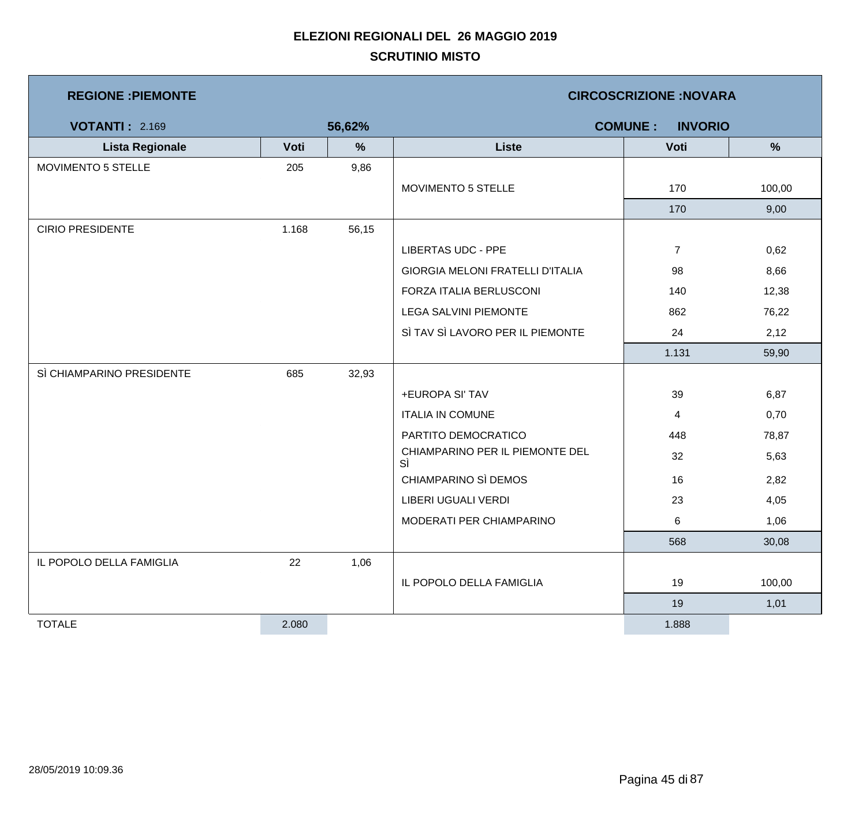| <b>REGIONE : PIEMONTE</b> |       |               | <b>CIRCOSCRIZIONE:NOVARA</b>            |                |               |  |  |
|---------------------------|-------|---------------|-----------------------------------------|----------------|---------------|--|--|
| <b>VOTANTI: 2.169</b>     |       | 56,62%        | <b>COMUNE:</b><br><b>INVORIO</b>        |                |               |  |  |
| <b>Lista Regionale</b>    | Voti  | $\frac{0}{0}$ | <b>Liste</b>                            | Voti           | $\frac{9}{6}$ |  |  |
| MOVIMENTO 5 STELLE        | 205   | 9,86          |                                         |                |               |  |  |
|                           |       |               | MOVIMENTO 5 STELLE                      | 170            | 100,00        |  |  |
|                           |       |               |                                         | 170            | 9,00          |  |  |
| <b>CIRIO PRESIDENTE</b>   | 1.168 | 56,15         |                                         |                |               |  |  |
|                           |       |               | <b>LIBERTAS UDC - PPE</b>               | $\overline{7}$ | 0,62          |  |  |
|                           |       |               | <b>GIORGIA MELONI FRATELLI D'ITALIA</b> | 98             | 8,66          |  |  |
|                           |       |               | FORZA ITALIA BERLUSCONI                 | 140            | 12,38         |  |  |
|                           |       |               | <b>LEGA SALVINI PIEMONTE</b>            | 862            | 76,22         |  |  |
|                           |       |               | SÌ TAV SÌ LAVORO PER IL PIEMONTE        | 24             | 2,12          |  |  |
|                           |       |               |                                         | 1.131          | 59,90         |  |  |
| SÌ CHIAMPARINO PRESIDENTE | 685   | 32,93         |                                         |                |               |  |  |
|                           |       |               | +EUROPA SI' TAV                         | 39             | 6,87          |  |  |
|                           |       |               | <b>ITALIA IN COMUNE</b>                 | 4              | 0,70          |  |  |
|                           |       |               | PARTITO DEMOCRATICO                     | 448            | 78,87         |  |  |
|                           |       |               | CHIAMPARINO PER IL PIEMONTE DEL<br>SÌ   | 32             | 5,63          |  |  |
|                           |       |               | CHIAMPARINO SÌ DEMOS                    | 16             | 2,82          |  |  |
|                           |       |               | LIBERI UGUALI VERDI                     | 23             | 4,05          |  |  |
|                           |       |               | MODERATI PER CHIAMPARINO                | 6              | 1,06          |  |  |
|                           |       |               |                                         | 568            | 30,08         |  |  |
| IL POPOLO DELLA FAMIGLIA  | 22    | 1,06          |                                         |                |               |  |  |
|                           |       |               | IL POPOLO DELLA FAMIGLIA                | 19             | 100,00        |  |  |
|                           |       |               |                                         | 19             | 1,01          |  |  |
| <b>TOTALE</b>             | 2.080 |               |                                         | 1.888          |               |  |  |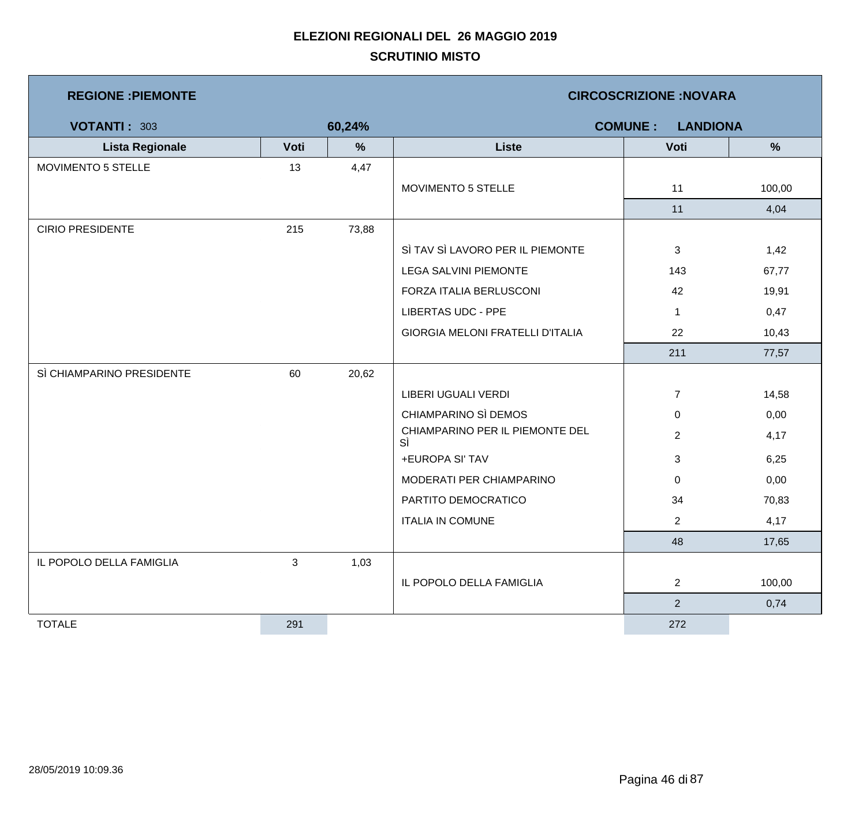| <b>REGIONE: PIEMONTE</b>  |      |        | <b>CIRCOSCRIZIONE:NOVARA</b>          |                                   |        |  |  |
|---------------------------|------|--------|---------------------------------------|-----------------------------------|--------|--|--|
| <b>VOTANTI: 303</b>       |      | 60,24% |                                       | <b>COMUNE:</b><br><b>LANDIONA</b> |        |  |  |
| <b>Lista Regionale</b>    | Voti | %      | <b>Liste</b>                          | Voti                              | %      |  |  |
| MOVIMENTO 5 STELLE        | 13   | 4,47   |                                       |                                   |        |  |  |
|                           |      |        | MOVIMENTO 5 STELLE                    | 11                                | 100,00 |  |  |
|                           |      |        |                                       | 11                                | 4,04   |  |  |
| <b>CIRIO PRESIDENTE</b>   | 215  | 73,88  |                                       |                                   |        |  |  |
|                           |      |        | SÌ TAV SÌ LAVORO PER IL PIEMONTE      | 3                                 | 1,42   |  |  |
|                           |      |        | LEGA SALVINI PIEMONTE                 | 143                               | 67,77  |  |  |
|                           |      |        | FORZA ITALIA BERLUSCONI               | 42                                | 19,91  |  |  |
|                           |      |        | <b>LIBERTAS UDC - PPE</b>             | $\mathbf{1}$                      | 0,47   |  |  |
|                           |      |        | GIORGIA MELONI FRATELLI D'ITALIA      | 22                                | 10,43  |  |  |
|                           |      |        |                                       | 211                               | 77,57  |  |  |
| SÌ CHIAMPARINO PRESIDENTE | 60   | 20,62  |                                       |                                   |        |  |  |
|                           |      |        | LIBERI UGUALI VERDI                   | $\overline{7}$                    | 14,58  |  |  |
|                           |      |        | CHIAMPARINO SÌ DEMOS                  | 0                                 | 0,00   |  |  |
|                           |      |        | CHIAMPARINO PER IL PIEMONTE DEL<br>SÌ | $\overline{2}$                    | 4,17   |  |  |
|                           |      |        | +EUROPA SI' TAV                       | 3                                 | 6,25   |  |  |
|                           |      |        | MODERATI PER CHIAMPARINO              | 0                                 | 0,00   |  |  |
|                           |      |        | PARTITO DEMOCRATICO                   | 34                                | 70,83  |  |  |
|                           |      |        | <b>ITALIA IN COMUNE</b>               | $\overline{2}$                    | 4,17   |  |  |
|                           |      |        |                                       | 48                                | 17,65  |  |  |
| IL POPOLO DELLA FAMIGLIA  | 3    | 1,03   |                                       |                                   |        |  |  |
|                           |      |        | IL POPOLO DELLA FAMIGLIA              | $\overline{2}$                    | 100,00 |  |  |
|                           |      |        |                                       | $\overline{2}$                    | 0,74   |  |  |
| <b>TOTALE</b>             | 291  |        |                                       | 272                               |        |  |  |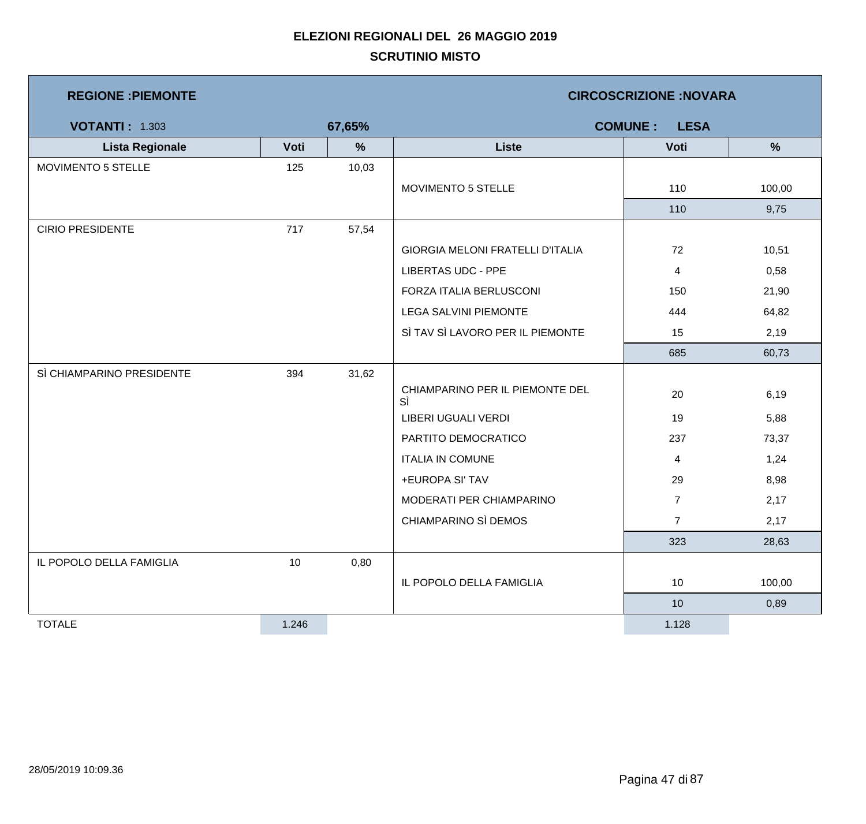| <b>REGIONE : PIEMONTE</b> |       |        |                                       | <b>CIRCOSCRIZIONE:NOVARA</b>  |               |
|---------------------------|-------|--------|---------------------------------------|-------------------------------|---------------|
| <b>VOTANTI: 1.303</b>     |       | 67,65% |                                       | <b>COMUNE:</b><br><b>LESA</b> |               |
| <b>Lista Regionale</b>    | Voti  | $\%$   | <b>Liste</b>                          | Voti                          | $\frac{9}{6}$ |
| MOVIMENTO 5 STELLE        | 125   | 10,03  |                                       |                               |               |
|                           |       |        | MOVIMENTO 5 STELLE                    | 110                           | 100,00        |
|                           |       |        |                                       | 110                           | 9,75          |
| <b>CIRIO PRESIDENTE</b>   | 717   | 57,54  |                                       |                               |               |
|                           |       |        | GIORGIA MELONI FRATELLI D'ITALIA      | 72                            | 10,51         |
|                           |       |        | <b>LIBERTAS UDC - PPE</b>             | 4                             | 0,58          |
|                           |       |        | FORZA ITALIA BERLUSCONI               | 150                           | 21,90         |
|                           |       |        | <b>LEGA SALVINI PIEMONTE</b>          | 444                           | 64,82         |
|                           |       |        | SÌ TAV SÌ LAVORO PER IL PIEMONTE      | 15                            | 2,19          |
|                           |       |        |                                       | 685                           | 60,73         |
| SÌ CHIAMPARINO PRESIDENTE | 394   | 31,62  |                                       |                               |               |
|                           |       |        | CHIAMPARINO PER IL PIEMONTE DEL<br>SÌ | 20                            | 6,19          |
|                           |       |        | LIBERI UGUALI VERDI                   | 19                            | 5,88          |
|                           |       |        | PARTITO DEMOCRATICO                   | 237                           | 73,37         |
|                           |       |        | <b>ITALIA IN COMUNE</b>               | 4                             | 1,24          |
|                           |       |        | +EUROPA SI' TAV                       | 29                            | 8,98          |
|                           |       |        | MODERATI PER CHIAMPARINO              | $\overline{7}$                | 2,17          |
|                           |       |        | CHIAMPARINO SÌ DEMOS                  | $\overline{7}$                | 2,17          |
|                           |       |        |                                       | 323                           | 28,63         |
| IL POPOLO DELLA FAMIGLIA  | 10    | 0,80   |                                       |                               |               |
|                           |       |        | IL POPOLO DELLA FAMIGLIA              | 10                            | 100,00        |
|                           |       |        |                                       | 10                            | 0,89          |
| <b>TOTALE</b>             | 1.246 |        |                                       | 1.128                         |               |

m,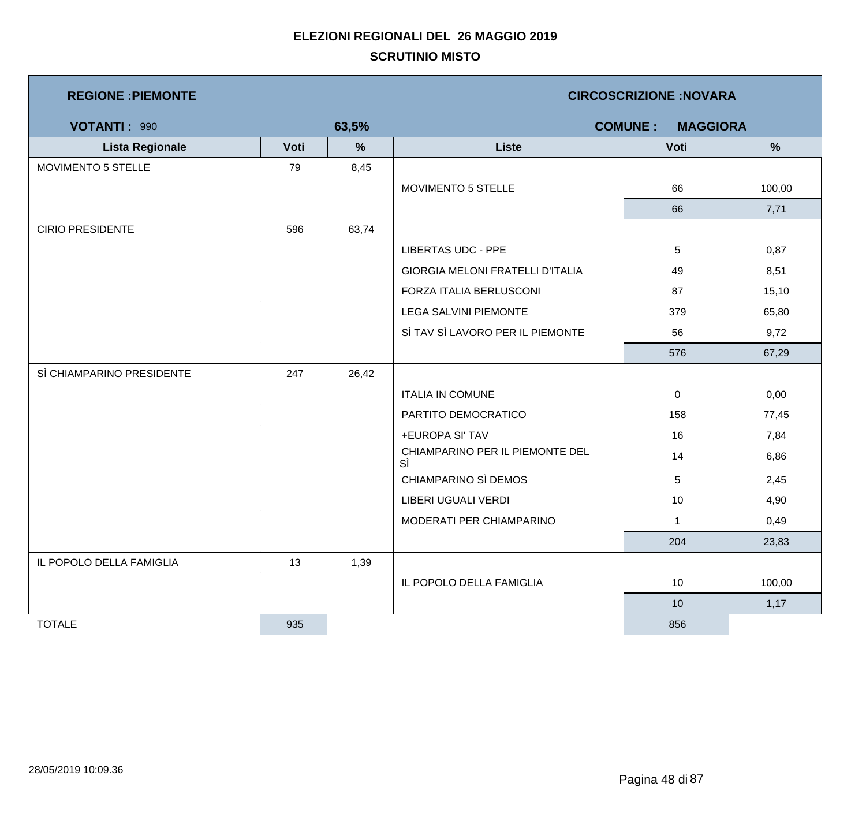| <b>REGIONE : PIEMONTE</b> |      |       | <b>CIRCOSCRIZIONE:NOVARA</b>            |                                   |               |  |  |
|---------------------------|------|-------|-----------------------------------------|-----------------------------------|---------------|--|--|
| <b>VOTANTI: 990</b>       |      | 63,5% |                                         | <b>COMUNE:</b><br><b>MAGGIORA</b> |               |  |  |
| <b>Lista Regionale</b>    | Voti | %     | <b>Liste</b>                            | Voti                              | $\frac{9}{6}$ |  |  |
| MOVIMENTO 5 STELLE        | 79   | 8,45  |                                         |                                   |               |  |  |
|                           |      |       | MOVIMENTO 5 STELLE                      | 66                                | 100,00        |  |  |
|                           |      |       |                                         | 66                                | 7,71          |  |  |
| <b>CIRIO PRESIDENTE</b>   | 596  | 63,74 |                                         |                                   |               |  |  |
|                           |      |       | <b>LIBERTAS UDC - PPE</b>               | 5                                 | 0,87          |  |  |
|                           |      |       | <b>GIORGIA MELONI FRATELLI D'ITALIA</b> | 49                                | 8,51          |  |  |
|                           |      |       | FORZA ITALIA BERLUSCONI                 | 87                                | 15,10         |  |  |
|                           |      |       | <b>LEGA SALVINI PIEMONTE</b>            | 379                               | 65,80         |  |  |
|                           |      |       | SÌ TAV SÌ LAVORO PER IL PIEMONTE        | 56                                | 9,72          |  |  |
|                           |      |       |                                         | 576                               | 67,29         |  |  |
| SÌ CHIAMPARINO PRESIDENTE | 247  | 26,42 |                                         |                                   |               |  |  |
|                           |      |       | <b>ITALIA IN COMUNE</b>                 | $\mathbf 0$                       | 0,00          |  |  |
|                           |      |       | PARTITO DEMOCRATICO                     | 158                               | 77,45         |  |  |
|                           |      |       | +EUROPA SI' TAV                         | 16                                | 7,84          |  |  |
|                           |      |       | CHIAMPARINO PER IL PIEMONTE DEL<br>SÌ   | 14                                | 6,86          |  |  |
|                           |      |       | CHIAMPARINO SÌ DEMOS                    | 5                                 | 2,45          |  |  |
|                           |      |       | LIBERI UGUALI VERDI                     | 10                                | 4,90          |  |  |
|                           |      |       | MODERATI PER CHIAMPARINO                | $\mathbf{1}$                      | 0,49          |  |  |
|                           |      |       |                                         | 204                               | 23,83         |  |  |
| IL POPOLO DELLA FAMIGLIA  | 13   | 1,39  |                                         |                                   |               |  |  |
|                           |      |       | IL POPOLO DELLA FAMIGLIA                | 10                                | 100,00        |  |  |
|                           |      |       |                                         | 10                                | 1,17          |  |  |
| <b>TOTALE</b>             | 935  |       |                                         | 856                               |               |  |  |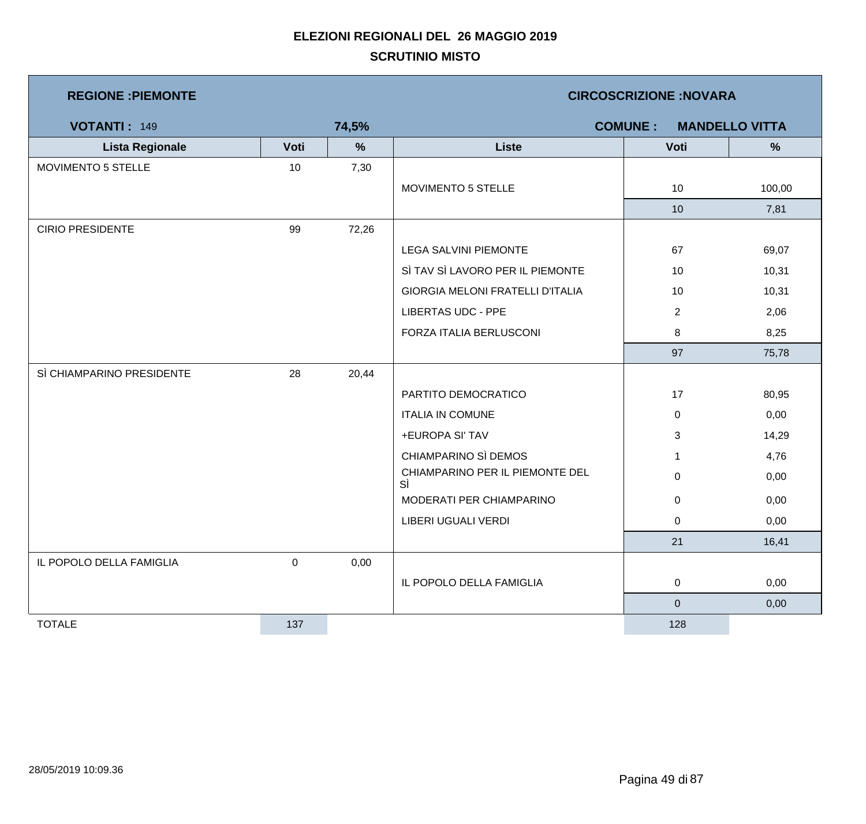| <b>REGIONE: PIEMONTE</b>  |      |       | <b>CIRCOSCRIZIONE: NOVARA</b>         |                                         |        |  |  |
|---------------------------|------|-------|---------------------------------------|-----------------------------------------|--------|--|--|
| <b>VOTANTI: 149</b>       |      | 74,5% |                                       | <b>COMUNE:</b><br><b>MANDELLO VITTA</b> |        |  |  |
| <b>Lista Regionale</b>    | Voti | %     | <b>Liste</b>                          | Voti                                    | %      |  |  |
| MOVIMENTO 5 STELLE        | 10   | 7,30  |                                       |                                         |        |  |  |
|                           |      |       | MOVIMENTO 5 STELLE                    | 10 <sup>°</sup>                         | 100,00 |  |  |
|                           |      |       |                                       | 10                                      | 7,81   |  |  |
| <b>CIRIO PRESIDENTE</b>   | 99   | 72,26 |                                       |                                         |        |  |  |
|                           |      |       | LEGA SALVINI PIEMONTE                 | 67                                      | 69,07  |  |  |
|                           |      |       | SÌ TAV SÌ LAVORO PER IL PIEMONTE      | 10                                      | 10,31  |  |  |
|                           |      |       | GIORGIA MELONI FRATELLI D'ITALIA      | 10                                      | 10,31  |  |  |
|                           |      |       | <b>LIBERTAS UDC - PPE</b>             | $\overline{c}$                          | 2,06   |  |  |
|                           |      |       | FORZA ITALIA BERLUSCONI               | 8                                       | 8,25   |  |  |
|                           |      |       |                                       | 97                                      | 75,78  |  |  |
| SÌ CHIAMPARINO PRESIDENTE | 28   | 20,44 |                                       |                                         |        |  |  |
|                           |      |       | PARTITO DEMOCRATICO                   | 17                                      | 80,95  |  |  |
|                           |      |       | <b>ITALIA IN COMUNE</b>               | $\mathbf 0$                             | 0,00   |  |  |
|                           |      |       | +EUROPA SI' TAV                       | 3                                       | 14,29  |  |  |
|                           |      |       | CHIAMPARINO SÌ DEMOS                  | $\mathbf{1}$                            | 4,76   |  |  |
|                           |      |       | CHIAMPARINO PER IL PIEMONTE DEL<br>SÌ | $\overline{0}$                          | 0,00   |  |  |
|                           |      |       | MODERATI PER CHIAMPARINO              | $\mathbf 0$                             | 0,00   |  |  |
|                           |      |       | LIBERI UGUALI VERDI                   | $\mathbf 0$                             | 0,00   |  |  |
|                           |      |       |                                       | 21                                      | 16,41  |  |  |
| IL POPOLO DELLA FAMIGLIA  | 0    | 0,00  |                                       |                                         |        |  |  |
|                           |      |       | IL POPOLO DELLA FAMIGLIA              | $\mathbf 0$                             | 0,00   |  |  |
|                           |      |       |                                       | $\overline{0}$                          | 0,00   |  |  |
| <b>TOTALE</b>             | 137  |       |                                       | 128                                     |        |  |  |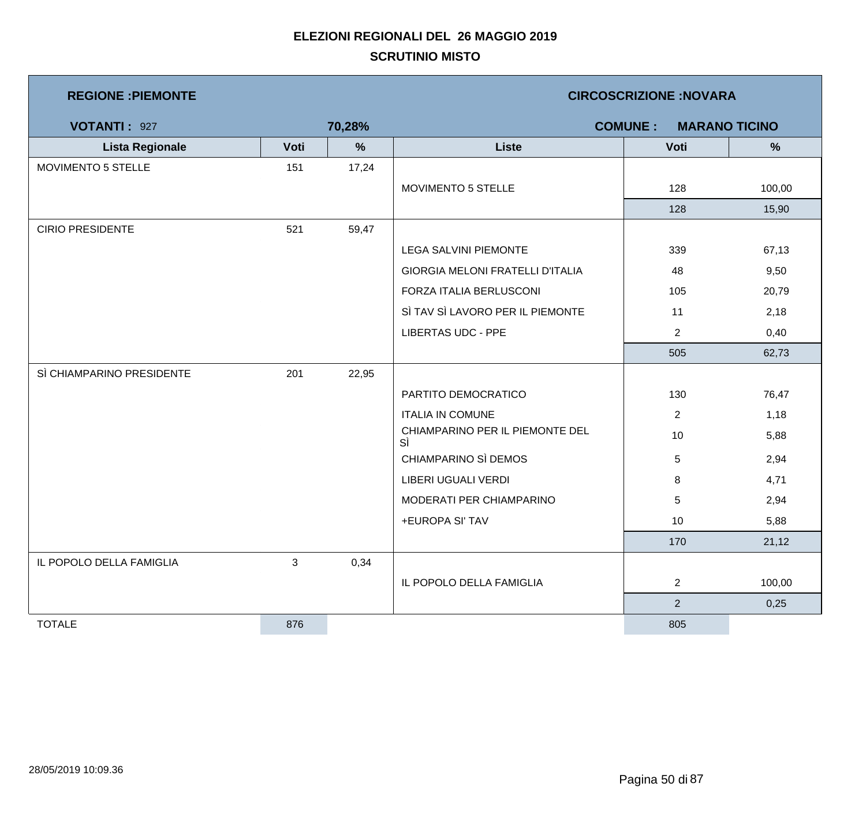| <b>REGIONE : PIEMONTE</b> |      |        | <b>CIRCOSCRIZIONE: NOVARA</b>         |                |                      |  |  |
|---------------------------|------|--------|---------------------------------------|----------------|----------------------|--|--|
| <b>VOTANTI: 927</b>       |      | 70,28% |                                       | <b>COMUNE:</b> | <b>MARANO TICINO</b> |  |  |
| <b>Lista Regionale</b>    | Voti | $\%$   | <b>Liste</b>                          | Voti           | $\%$                 |  |  |
| MOVIMENTO 5 STELLE        | 151  | 17,24  |                                       |                |                      |  |  |
|                           |      |        | MOVIMENTO 5 STELLE                    | 128            | 100,00               |  |  |
|                           |      |        |                                       | 128            | 15,90                |  |  |
| <b>CIRIO PRESIDENTE</b>   | 521  | 59,47  |                                       |                |                      |  |  |
|                           |      |        | <b>LEGA SALVINI PIEMONTE</b>          | 339            | 67,13                |  |  |
|                           |      |        | GIORGIA MELONI FRATELLI D'ITALIA      | 48             | 9,50                 |  |  |
|                           |      |        | FORZA ITALIA BERLUSCONI               | 105            | 20,79                |  |  |
|                           |      |        | SÌ TAV SÌ LAVORO PER IL PIEMONTE      | 11             | 2,18                 |  |  |
|                           |      |        | <b>LIBERTAS UDC - PPE</b>             | $\overline{2}$ | 0,40                 |  |  |
|                           |      |        |                                       | 505            | 62,73                |  |  |
| SÌ CHIAMPARINO PRESIDENTE | 201  | 22,95  |                                       |                |                      |  |  |
|                           |      |        | PARTITO DEMOCRATICO                   | 130            | 76,47                |  |  |
|                           |      |        | <b>ITALIA IN COMUNE</b>               | $\overline{2}$ | 1,18                 |  |  |
|                           |      |        | CHIAMPARINO PER IL PIEMONTE DEL<br>SÌ | 10             | 5,88                 |  |  |
|                           |      |        | CHIAMPARINO SÌ DEMOS                  | $\sqrt{5}$     | 2,94                 |  |  |
|                           |      |        | LIBERI UGUALI VERDI                   | 8              | 4,71                 |  |  |
|                           |      |        | MODERATI PER CHIAMPARINO              | 5              | 2,94                 |  |  |
|                           |      |        | +EUROPA SI' TAV                       | 10             | 5,88                 |  |  |
|                           |      |        |                                       | 170            | 21,12                |  |  |
| IL POPOLO DELLA FAMIGLIA  | 3    | 0,34   |                                       |                |                      |  |  |
|                           |      |        | IL POPOLO DELLA FAMIGLIA              | $\overline{2}$ | 100,00               |  |  |
|                           |      |        |                                       | $\overline{2}$ | 0,25                 |  |  |
| <b>TOTALE</b>             | 876  |        |                                       | 805            |                      |  |  |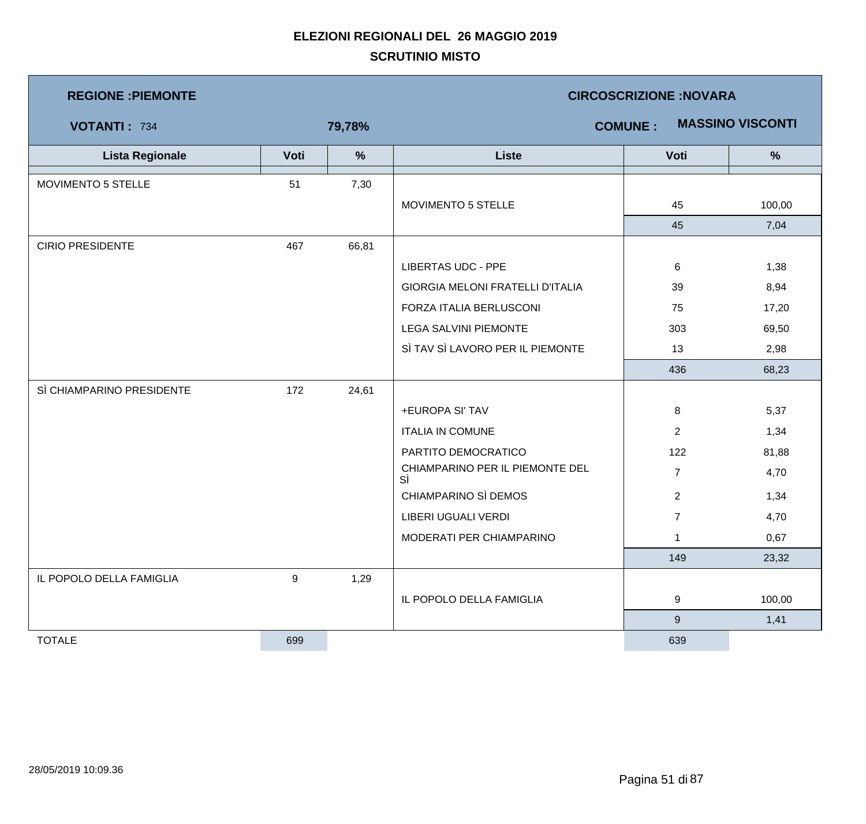| <b>REGIONE : PIEMONTE</b> |      |               | <b>CIRCOSCRIZIONE:NOVARA</b>              |                |               |  |  |
|---------------------------|------|---------------|-------------------------------------------|----------------|---------------|--|--|
| <b>VOTANTI: 734</b>       |      | 79,78%        | <b>MASSINO VISCONTI</b><br><b>COMUNE:</b> |                |               |  |  |
| <b>Lista Regionale</b>    | Voti | $\frac{9}{6}$ | <b>Liste</b>                              | Voti           | $\frac{9}{6}$ |  |  |
| MOVIMENTO 5 STELLE        | 51   | 7,30          |                                           |                |               |  |  |
|                           |      |               | MOVIMENTO 5 STELLE                        | 45             | 100,00        |  |  |
|                           |      |               |                                           | 45             | 7,04          |  |  |
| <b>CIRIO PRESIDENTE</b>   | 467  | 66,81         |                                           |                |               |  |  |
|                           |      |               | <b>LIBERTAS UDC - PPE</b>                 | $\,6$          | 1,38          |  |  |
|                           |      |               | <b>GIORGIA MELONI FRATELLI D'ITALIA</b>   | 39             | 8,94          |  |  |
|                           |      |               | FORZA ITALIA BERLUSCONI                   | 75             | 17,20         |  |  |
|                           |      |               | <b>LEGA SALVINI PIEMONTE</b>              | 303            | 69,50         |  |  |
|                           |      |               | SÌ TAV SÌ LAVORO PER IL PIEMONTE          | 13             | 2,98          |  |  |
|                           |      |               |                                           | 436            | 68,23         |  |  |
| SÌ CHIAMPARINO PRESIDENTE | 172  | 24,61         |                                           |                |               |  |  |
|                           |      |               | +EUROPA SI' TAV                           | 8              | 5,37          |  |  |
|                           |      |               | <b>ITALIA IN COMUNE</b>                   | $\overline{2}$ | 1,34          |  |  |
|                           |      |               | PARTITO DEMOCRATICO                       | 122            | 81,88         |  |  |
|                           |      |               | CHIAMPARINO PER IL PIEMONTE DEL<br>SÌ     | $\overline{7}$ | 4,70          |  |  |
|                           |      |               | CHIAMPARINO SÌ DEMOS                      | $\overline{2}$ | 1,34          |  |  |
|                           |      |               | LIBERI UGUALI VERDI                       | $\overline{7}$ | 4,70          |  |  |
|                           |      |               | MODERATI PER CHIAMPARINO                  | 1              | 0,67          |  |  |
|                           |      |               |                                           | 149            | 23,32         |  |  |
| IL POPOLO DELLA FAMIGLIA  | 9    | 1,29          |                                           |                |               |  |  |
|                           |      |               | IL POPOLO DELLA FAMIGLIA                  | 9              | 100,00        |  |  |
|                           |      |               |                                           | $9\,$          | 1,41          |  |  |
| <b>TOTALE</b>             | 699  |               |                                           | 639            |               |  |  |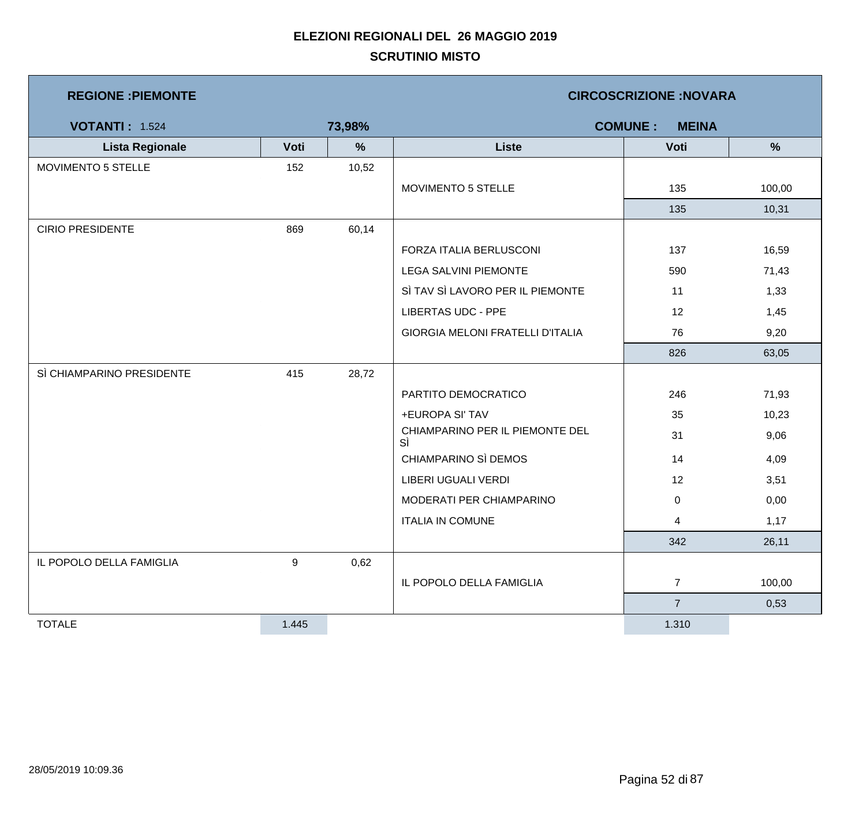| <b>REGIONE: PIEMONTE</b>  |                  |        | <b>CIRCOSCRIZIONE:NOVARA</b>            |                                |        |  |
|---------------------------|------------------|--------|-----------------------------------------|--------------------------------|--------|--|
| <b>VOTANTI: 1.524</b>     |                  | 73,98% |                                         | <b>COMUNE:</b><br><b>MEINA</b> |        |  |
| <b>Lista Regionale</b>    | Voti             | $\%$   | <b>Liste</b>                            | Voti                           | %      |  |
| MOVIMENTO 5 STELLE        | 152              | 10,52  |                                         |                                |        |  |
|                           |                  |        | MOVIMENTO 5 STELLE                      | 135                            | 100,00 |  |
|                           |                  |        |                                         | 135                            | 10,31  |  |
| <b>CIRIO PRESIDENTE</b>   | 869              | 60,14  |                                         |                                |        |  |
|                           |                  |        | FORZA ITALIA BERLUSCONI                 | 137                            | 16,59  |  |
|                           |                  |        | <b>LEGA SALVINI PIEMONTE</b>            | 590                            | 71,43  |  |
|                           |                  |        | SÌ TAV SÌ LAVORO PER IL PIEMONTE        | 11                             | 1,33   |  |
|                           |                  |        | <b>LIBERTAS UDC - PPE</b>               | 12                             | 1,45   |  |
|                           |                  |        | <b>GIORGIA MELONI FRATELLI D'ITALIA</b> | 76                             | 9,20   |  |
|                           |                  |        |                                         | 826                            | 63,05  |  |
| SÌ CHIAMPARINO PRESIDENTE | 415              | 28,72  |                                         |                                |        |  |
|                           |                  |        | PARTITO DEMOCRATICO                     | 246                            | 71,93  |  |
|                           |                  |        | +EUROPA SI' TAV                         | 35                             | 10,23  |  |
|                           |                  |        | CHIAMPARINO PER IL PIEMONTE DEL<br>SÌ   | 31                             | 9,06   |  |
|                           |                  |        | CHIAMPARINO SÌ DEMOS                    | 14                             | 4,09   |  |
|                           |                  |        | LIBERI UGUALI VERDI                     | 12                             | 3,51   |  |
|                           |                  |        | MODERATI PER CHIAMPARINO                | 0                              | 0,00   |  |
|                           |                  |        | <b>ITALIA IN COMUNE</b>                 | 4                              | 1,17   |  |
|                           |                  |        |                                         | 342                            | 26,11  |  |
| IL POPOLO DELLA FAMIGLIA  | $\boldsymbol{9}$ | 0,62   |                                         |                                |        |  |
|                           |                  |        | IL POPOLO DELLA FAMIGLIA                | $\overline{7}$                 | 100,00 |  |
|                           |                  |        |                                         | $\overline{7}$                 | 0,53   |  |
| <b>TOTALE</b>             | 1.445            |        |                                         | 1.310                          |        |  |

 $\mathcal{L}_{\mathcal{A}}$ 

<u> 1980 - Johann Barnett, mars et al. 1980 - </u>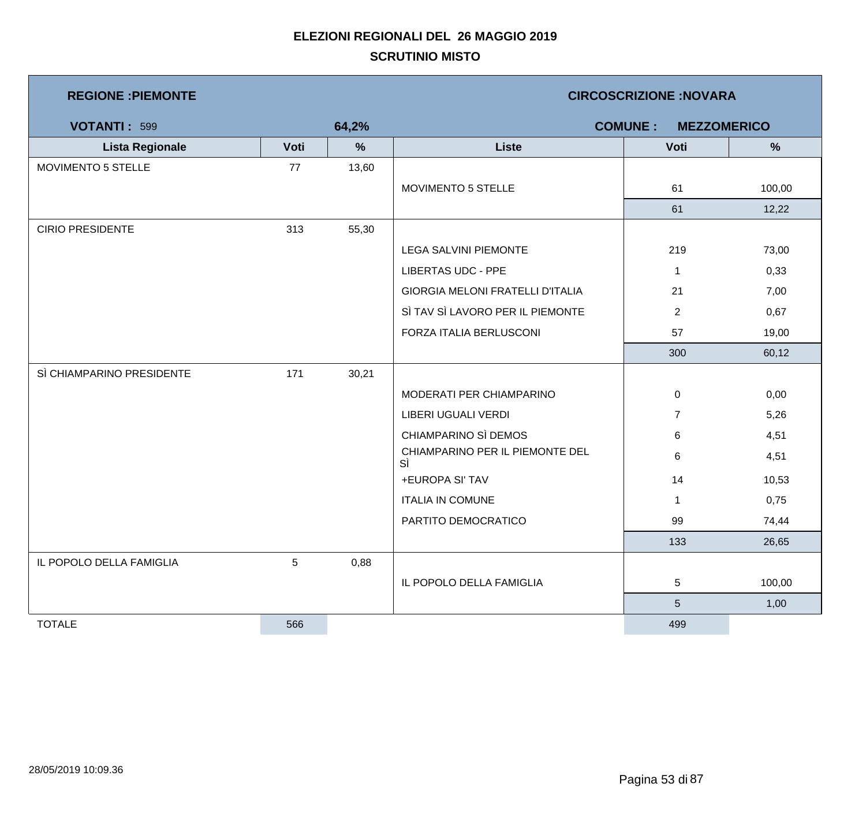| <b>REGIONE : PIEMONTE</b> |      |       | <b>CIRCOSCRIZIONE:NOVARA</b>          |                |        |  |  |
|---------------------------|------|-------|---------------------------------------|----------------|--------|--|--|
| <b>VOTANTI: 599</b>       |      | 64,2% | <b>COMUNE:</b><br><b>MEZZOMERICO</b>  |                |        |  |  |
| <b>Lista Regionale</b>    | Voti | %     | <b>Liste</b>                          | Voti           | %      |  |  |
| MOVIMENTO 5 STELLE        | 77   | 13,60 |                                       |                |        |  |  |
|                           |      |       | MOVIMENTO 5 STELLE                    | 61             | 100,00 |  |  |
|                           |      |       |                                       | 61             | 12,22  |  |  |
| <b>CIRIO PRESIDENTE</b>   | 313  | 55,30 |                                       |                |        |  |  |
|                           |      |       | LEGA SALVINI PIEMONTE                 | 219            | 73,00  |  |  |
|                           |      |       | <b>LIBERTAS UDC - PPE</b>             | $\mathbf{1}$   | 0,33   |  |  |
|                           |      |       | GIORGIA MELONI FRATELLI D'ITALIA      | 21             | 7,00   |  |  |
|                           |      |       | SÌ TAV SÌ LAVORO PER IL PIEMONTE      | $\overline{2}$ | 0,67   |  |  |
|                           |      |       | FORZA ITALIA BERLUSCONI               | 57             | 19,00  |  |  |
|                           |      |       |                                       | 300            | 60,12  |  |  |
| SÌ CHIAMPARINO PRESIDENTE | 171  | 30,21 |                                       |                |        |  |  |
|                           |      |       | MODERATI PER CHIAMPARINO              | 0              | 0,00   |  |  |
|                           |      |       | LIBERI UGUALI VERDI                   | $\overline{7}$ | 5,26   |  |  |
|                           |      |       | CHIAMPARINO SÌ DEMOS                  | 6              | 4,51   |  |  |
|                           |      |       | CHIAMPARINO PER IL PIEMONTE DEL<br>SÌ | 6              | 4,51   |  |  |
|                           |      |       | +EUROPA SI' TAV                       | 14             | 10,53  |  |  |
|                           |      |       | <b>ITALIA IN COMUNE</b>               | $\mathbf{1}$   | 0,75   |  |  |
|                           |      |       | PARTITO DEMOCRATICO                   | 99             | 74,44  |  |  |
|                           |      |       |                                       | 133            | 26,65  |  |  |
| IL POPOLO DELLA FAMIGLIA  | 5    | 0,88  |                                       |                |        |  |  |
|                           |      |       | IL POPOLO DELLA FAMIGLIA              | 5              | 100,00 |  |  |
|                           |      |       |                                       | $\sqrt{5}$     | 1,00   |  |  |
| <b>TOTALE</b>             | 566  |       |                                       | 499            |        |  |  |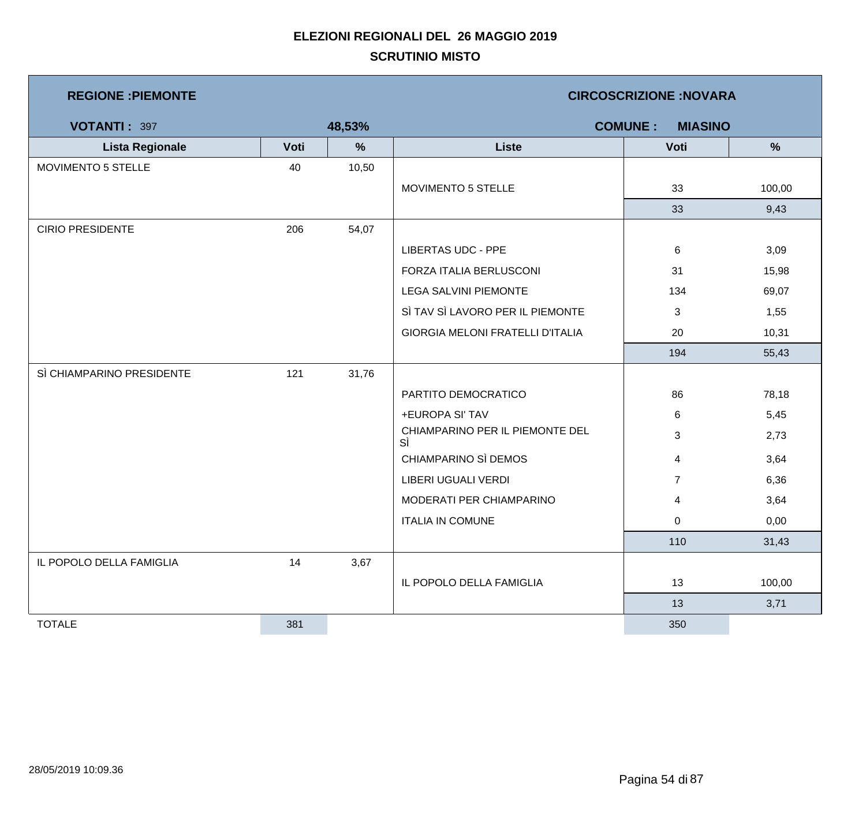| <b>REGIONE : PIEMONTE</b> |      |        | <b>CIRCOSCRIZIONE: NOVARA</b>           |                |               |  |  |
|---------------------------|------|--------|-----------------------------------------|----------------|---------------|--|--|
| VOTANTI: 397              |      | 48,53% | <b>COMUNE:</b><br><b>MIASINO</b>        |                |               |  |  |
| <b>Lista Regionale</b>    | Voti | $\%$   | <b>Liste</b>                            | Voti           | $\frac{9}{6}$ |  |  |
| MOVIMENTO 5 STELLE        | 40   | 10,50  |                                         |                |               |  |  |
|                           |      |        | MOVIMENTO 5 STELLE                      | 33             | 100,00        |  |  |
|                           |      |        |                                         | 33             | 9,43          |  |  |
| <b>CIRIO PRESIDENTE</b>   | 206  | 54,07  |                                         |                |               |  |  |
|                           |      |        | <b>LIBERTAS UDC - PPE</b>               | 6              | 3,09          |  |  |
|                           |      |        | FORZA ITALIA BERLUSCONI                 | 31             | 15,98         |  |  |
|                           |      |        | <b>LEGA SALVINI PIEMONTE</b>            | 134            | 69,07         |  |  |
|                           |      |        | SÌ TAV SÌ LAVORO PER IL PIEMONTE        | 3              | 1,55          |  |  |
|                           |      |        | <b>GIORGIA MELONI FRATELLI D'ITALIA</b> | 20             | 10,31         |  |  |
|                           |      |        |                                         | 194            | 55,43         |  |  |
| SÌ CHIAMPARINO PRESIDENTE | 121  | 31,76  |                                         |                |               |  |  |
|                           |      |        | PARTITO DEMOCRATICO                     | 86             | 78,18         |  |  |
|                           |      |        | +EUROPA SI' TAV                         | 6              | 5,45          |  |  |
|                           |      |        | CHIAMPARINO PER IL PIEMONTE DEL<br>SÌ   | 3              | 2,73          |  |  |
|                           |      |        | CHIAMPARINO SÌ DEMOS                    | 4              | 3,64          |  |  |
|                           |      |        | <b>LIBERI UGUALI VERDI</b>              | $\overline{7}$ | 6,36          |  |  |
|                           |      |        | MODERATI PER CHIAMPARINO                | 4              | 3,64          |  |  |
|                           |      |        | <b>ITALIA IN COMUNE</b>                 | 0              | 0,00          |  |  |
|                           |      |        |                                         | 110            | 31,43         |  |  |
| IL POPOLO DELLA FAMIGLIA  | 14   | 3,67   |                                         |                |               |  |  |
|                           |      |        | IL POPOLO DELLA FAMIGLIA                | 13             | 100,00        |  |  |
|                           |      |        |                                         | 13             | 3,71          |  |  |
| <b>TOTALE</b>             | 381  |        |                                         | 350            |               |  |  |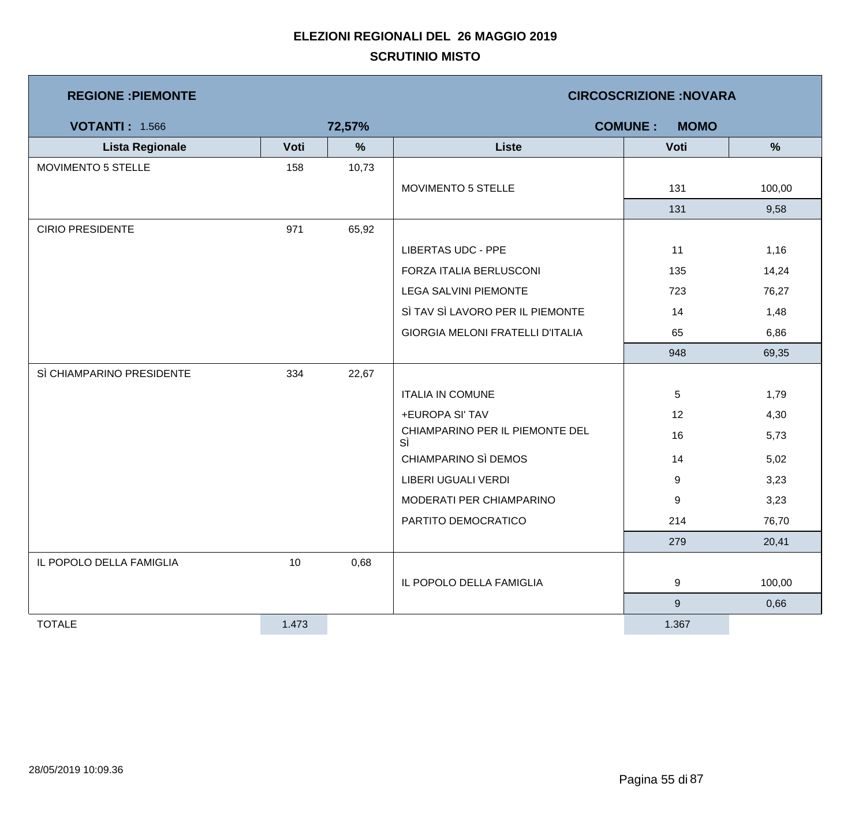| <b>REGIONE: PIEMONTE</b>  |       |        |                                         | <b>CIRCOSCRIZIONE: NOVARA</b> |               |
|---------------------------|-------|--------|-----------------------------------------|-------------------------------|---------------|
| <b>VOTANTI: 1.566</b>     |       | 72,57% |                                         | <b>COMUNE:</b><br><b>MOMO</b> |               |
| <b>Lista Regionale</b>    | Voti  | $\%$   | <b>Liste</b>                            | Voti                          | $\frac{9}{6}$ |
| MOVIMENTO 5 STELLE        | 158   | 10,73  |                                         |                               |               |
|                           |       |        | MOVIMENTO 5 STELLE                      | 131                           | 100,00        |
|                           |       |        |                                         | 131                           | 9,58          |
| <b>CIRIO PRESIDENTE</b>   | 971   | 65,92  |                                         |                               |               |
|                           |       |        | <b>LIBERTAS UDC - PPE</b>               | 11                            | 1,16          |
|                           |       |        | FORZA ITALIA BERLUSCONI                 | 135                           | 14,24         |
|                           |       |        | <b>LEGA SALVINI PIEMONTE</b>            | 723                           | 76,27         |
|                           |       |        | SÌ TAV SÌ LAVORO PER IL PIEMONTE        | 14                            | 1,48          |
|                           |       |        | <b>GIORGIA MELONI FRATELLI D'ITALIA</b> | 65                            | 6,86          |
|                           |       |        |                                         | 948                           | 69,35         |
| SÌ CHIAMPARINO PRESIDENTE | 334   | 22,67  |                                         |                               |               |
|                           |       |        | <b>ITALIA IN COMUNE</b>                 | 5                             | 1,79          |
|                           |       |        | +EUROPA SI' TAV                         | 12                            | 4,30          |
|                           |       |        | CHIAMPARINO PER IL PIEMONTE DEL<br>SÌ   | 16                            | 5,73          |
|                           |       |        | CHIAMPARINO SÌ DEMOS                    | 14                            | 5,02          |
|                           |       |        | LIBERI UGUALI VERDI                     | 9                             | 3,23          |
|                           |       |        | MODERATI PER CHIAMPARINO                | 9                             | 3,23          |
|                           |       |        | PARTITO DEMOCRATICO                     | 214                           | 76,70         |
|                           |       |        |                                         | 279                           | 20,41         |
| IL POPOLO DELLA FAMIGLIA  | 10    | 0,68   |                                         |                               |               |
|                           |       |        | IL POPOLO DELLA FAMIGLIA                | 9                             | 100,00        |
|                           |       |        |                                         | $9\,$                         | 0,66          |
| <b>TOTALE</b>             | 1.473 |        |                                         | 1.367                         |               |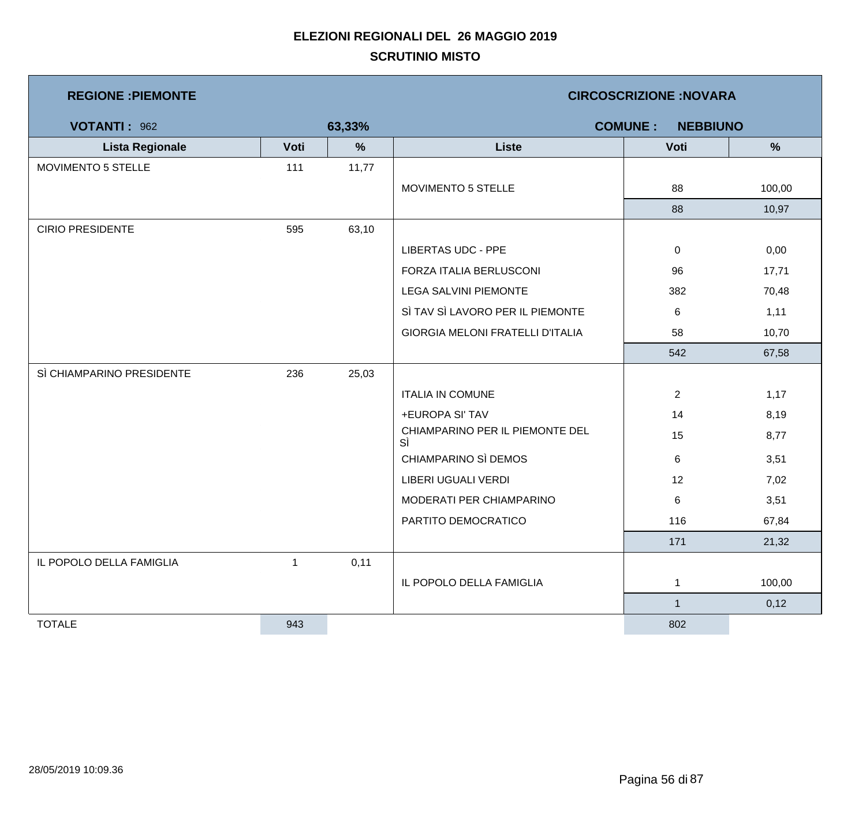| <b>REGIONE : PIEMONTE</b> |              |        | <b>CIRCOSCRIZIONE: NOVARA</b>           |                |               |  |  |
|---------------------------|--------------|--------|-----------------------------------------|----------------|---------------|--|--|
| VOTANTI: 962              |              | 63,33% | <b>COMUNE:</b><br><b>NEBBIUNO</b>       |                |               |  |  |
| <b>Lista Regionale</b>    | Voti         | %      | <b>Liste</b>                            | Voti           | $\frac{9}{6}$ |  |  |
| MOVIMENTO 5 STELLE        | 111          | 11,77  |                                         |                |               |  |  |
|                           |              |        | MOVIMENTO 5 STELLE                      | 88             | 100,00        |  |  |
|                           |              |        |                                         | 88             | 10,97         |  |  |
| <b>CIRIO PRESIDENTE</b>   | 595          | 63,10  |                                         |                |               |  |  |
|                           |              |        | <b>LIBERTAS UDC - PPE</b>               | $\mathbf 0$    | 0,00          |  |  |
|                           |              |        | FORZA ITALIA BERLUSCONI                 | 96             | 17,71         |  |  |
|                           |              |        | <b>LEGA SALVINI PIEMONTE</b>            | 382            | 70,48         |  |  |
|                           |              |        | SÌ TAV SÌ LAVORO PER IL PIEMONTE        | $\,6$          | 1,11          |  |  |
|                           |              |        | <b>GIORGIA MELONI FRATELLI D'ITALIA</b> | 58             | 10,70         |  |  |
|                           |              |        |                                         | 542            | 67,58         |  |  |
| SÌ CHIAMPARINO PRESIDENTE | 236          | 25,03  |                                         |                |               |  |  |
|                           |              |        | <b>ITALIA IN COMUNE</b>                 | $\overline{2}$ | 1,17          |  |  |
|                           |              |        | +EUROPA SI' TAV                         | 14             | 8,19          |  |  |
|                           |              |        | CHIAMPARINO PER IL PIEMONTE DEL<br>SÌ   | 15             | 8,77          |  |  |
|                           |              |        | CHIAMPARINO SÌ DEMOS                    | 6              | 3,51          |  |  |
|                           |              |        | LIBERI UGUALI VERDI                     | 12             | 7,02          |  |  |
|                           |              |        | MODERATI PER CHIAMPARINO                | 6              | 3,51          |  |  |
|                           |              |        | PARTITO DEMOCRATICO                     | 116            | 67,84         |  |  |
|                           |              |        |                                         | 171            | 21,32         |  |  |
| IL POPOLO DELLA FAMIGLIA  | $\mathbf{1}$ | 0,11   |                                         |                |               |  |  |
|                           |              |        | IL POPOLO DELLA FAMIGLIA                | 1              | 100,00        |  |  |
|                           |              |        |                                         | $\mathbf{1}$   | 0,12          |  |  |
| <b>TOTALE</b>             | 943          |        |                                         | 802            |               |  |  |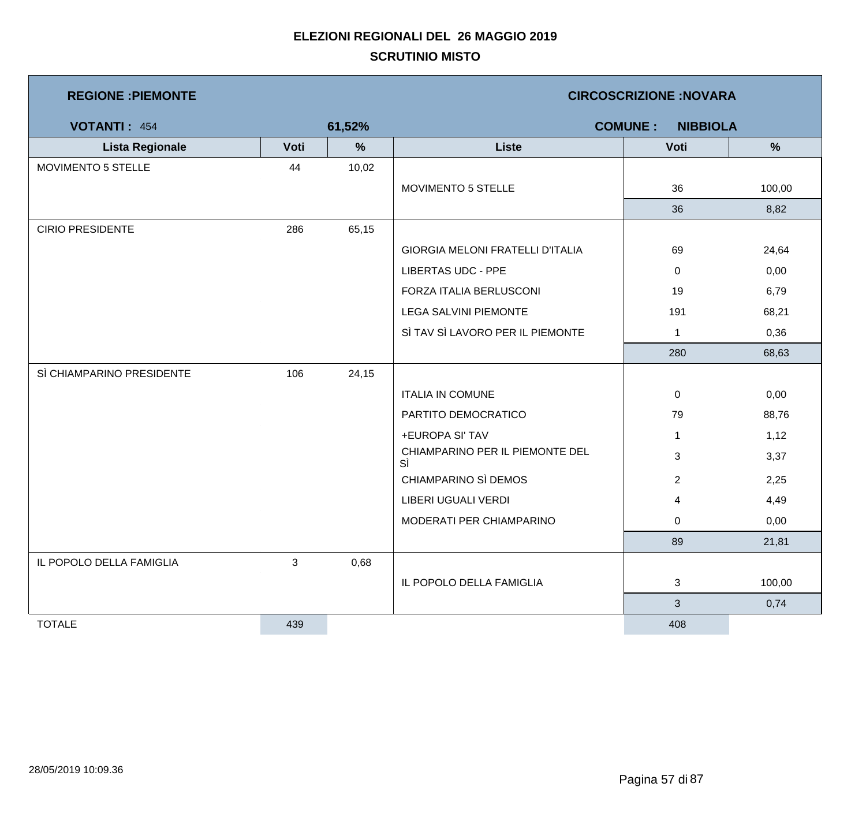| <b>REGIONE : PIEMONTE</b> |                | <b>CIRCOSCRIZIONE: NOVARA</b> |                                         |                                   |        |  |
|---------------------------|----------------|-------------------------------|-----------------------------------------|-----------------------------------|--------|--|
| <b>VOTANTI: 454</b>       |                | 61,52%                        |                                         | <b>COMUNE:</b><br><b>NIBBIOLA</b> |        |  |
| <b>Lista Regionale</b>    | Voti           | $\%$                          | <b>Liste</b>                            | Voti                              | %      |  |
| MOVIMENTO 5 STELLE        | 44             | 10,02                         |                                         |                                   |        |  |
|                           |                |                               | MOVIMENTO 5 STELLE                      | 36                                | 100,00 |  |
|                           |                |                               |                                         | 36                                | 8,82   |  |
| <b>CIRIO PRESIDENTE</b>   | 286            | 65,15                         |                                         |                                   |        |  |
|                           |                |                               | <b>GIORGIA MELONI FRATELLI D'ITALIA</b> | 69                                | 24,64  |  |
|                           |                |                               | <b>LIBERTAS UDC - PPE</b>               | 0                                 | 0,00   |  |
|                           |                |                               | FORZA ITALIA BERLUSCONI                 | 19                                | 6,79   |  |
|                           |                |                               | <b>LEGA SALVINI PIEMONTE</b>            | 191                               | 68,21  |  |
|                           |                |                               | SÌ TAV SÌ LAVORO PER IL PIEMONTE        | $\mathbf{1}$                      | 0,36   |  |
|                           |                |                               |                                         | 280                               | 68,63  |  |
| SÌ CHIAMPARINO PRESIDENTE | 106            | 24,15                         |                                         |                                   |        |  |
|                           |                |                               | <b>ITALIA IN COMUNE</b>                 | 0                                 | 0,00   |  |
|                           |                |                               | PARTITO DEMOCRATICO                     | 79                                | 88,76  |  |
|                           |                |                               | +EUROPA SI' TAV                         | $\mathbf{1}$                      | 1,12   |  |
|                           |                |                               | CHIAMPARINO PER IL PIEMONTE DEL<br>SÌ   | 3                                 | 3,37   |  |
|                           |                |                               | CHIAMPARINO SÌ DEMOS                    | $\overline{2}$                    | 2,25   |  |
|                           |                |                               | LIBERI UGUALI VERDI                     | 4                                 | 4,49   |  |
|                           |                |                               | MODERATI PER CHIAMPARINO                | 0                                 | 0,00   |  |
|                           |                |                               |                                         | 89                                | 21,81  |  |
| IL POPOLO DELLA FAMIGLIA  | $\mathfrak{S}$ | 0,68                          |                                         |                                   |        |  |
|                           |                |                               | IL POPOLO DELLA FAMIGLIA                | 3                                 | 100,00 |  |
|                           |                |                               |                                         | $\mathbf{3}$                      | 0,74   |  |
| <b>TOTALE</b>             | 439            |                               |                                         | 408                               |        |  |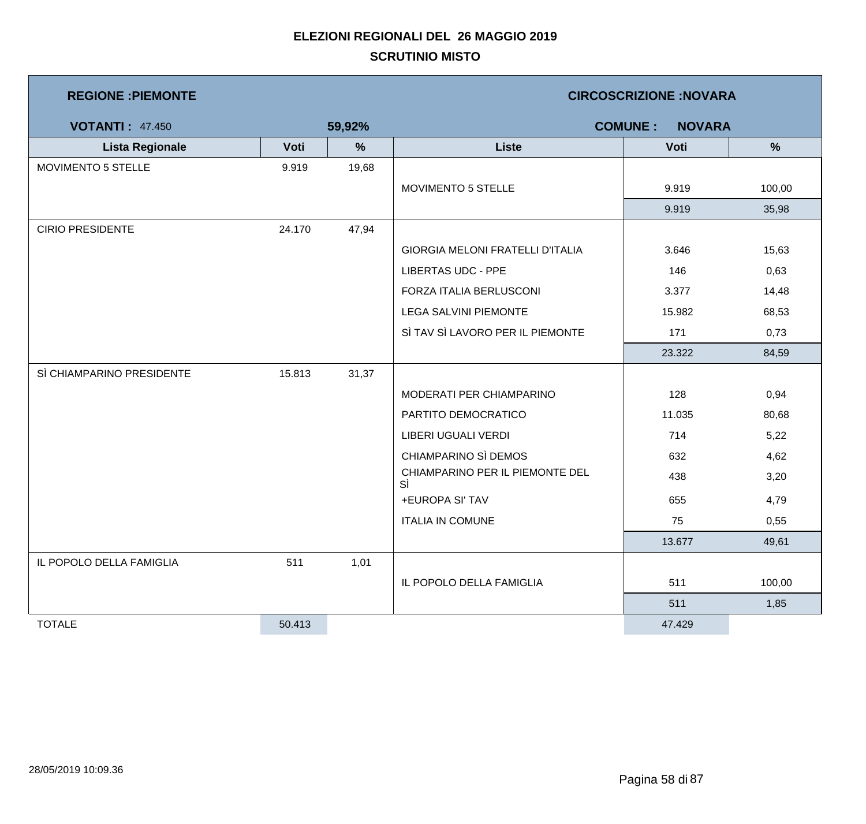| <b>REGIONE : PIEMONTE</b> |        |               | <b>CIRCOSCRIZIONE:NOVARA</b>            |                                 |        |  |  |
|---------------------------|--------|---------------|-----------------------------------------|---------------------------------|--------|--|--|
| <b>VOTANTI: 47.450</b>    |        | 59,92%        |                                         | <b>COMUNE:</b><br><b>NOVARA</b> |        |  |  |
| <b>Lista Regionale</b>    | Voti   | $\frac{9}{6}$ | <b>Liste</b>                            | Voti                            | %      |  |  |
| MOVIMENTO 5 STELLE        | 9.919  | 19,68         |                                         |                                 |        |  |  |
|                           |        |               | <b>MOVIMENTO 5 STELLE</b>               | 9.919                           | 100,00 |  |  |
|                           |        |               |                                         | 9.919                           | 35,98  |  |  |
| <b>CIRIO PRESIDENTE</b>   | 24.170 | 47,94         |                                         |                                 |        |  |  |
|                           |        |               | <b>GIORGIA MELONI FRATELLI D'ITALIA</b> | 3.646                           | 15,63  |  |  |
|                           |        |               | <b>LIBERTAS UDC - PPE</b>               | 146                             | 0,63   |  |  |
|                           |        |               | FORZA ITALIA BERLUSCONI                 | 3.377                           | 14,48  |  |  |
|                           |        |               | <b>LEGA SALVINI PIEMONTE</b>            | 15.982                          | 68,53  |  |  |
|                           |        |               | SÌ TAV SÌ LAVORO PER IL PIEMONTE        | 171                             | 0,73   |  |  |
|                           |        |               |                                         | 23.322                          | 84,59  |  |  |
| SÌ CHIAMPARINO PRESIDENTE | 15.813 | 31,37         |                                         |                                 |        |  |  |
|                           |        |               | MODERATI PER CHIAMPARINO                | 128                             | 0,94   |  |  |
|                           |        |               | PARTITO DEMOCRATICO                     | 11.035                          | 80,68  |  |  |
|                           |        |               | LIBERI UGUALI VERDI                     | 714                             | 5,22   |  |  |
|                           |        |               | CHIAMPARINO SÌ DEMOS                    | 632                             | 4,62   |  |  |
|                           |        |               | CHIAMPARINO PER IL PIEMONTE DEL<br>SÌ   | 438                             | 3,20   |  |  |
|                           |        |               | +EUROPA SI' TAV                         | 655                             | 4,79   |  |  |
|                           |        |               | <b>ITALIA IN COMUNE</b>                 | 75                              | 0,55   |  |  |
|                           |        |               |                                         | 13.677                          | 49,61  |  |  |
| IL POPOLO DELLA FAMIGLIA  | 511    | 1,01          |                                         |                                 |        |  |  |
|                           |        |               | IL POPOLO DELLA FAMIGLIA                | 511                             | 100,00 |  |  |
|                           |        |               |                                         | 511                             | 1,85   |  |  |
| <b>TOTALE</b>             | 50.413 |               |                                         | 47.429                          |        |  |  |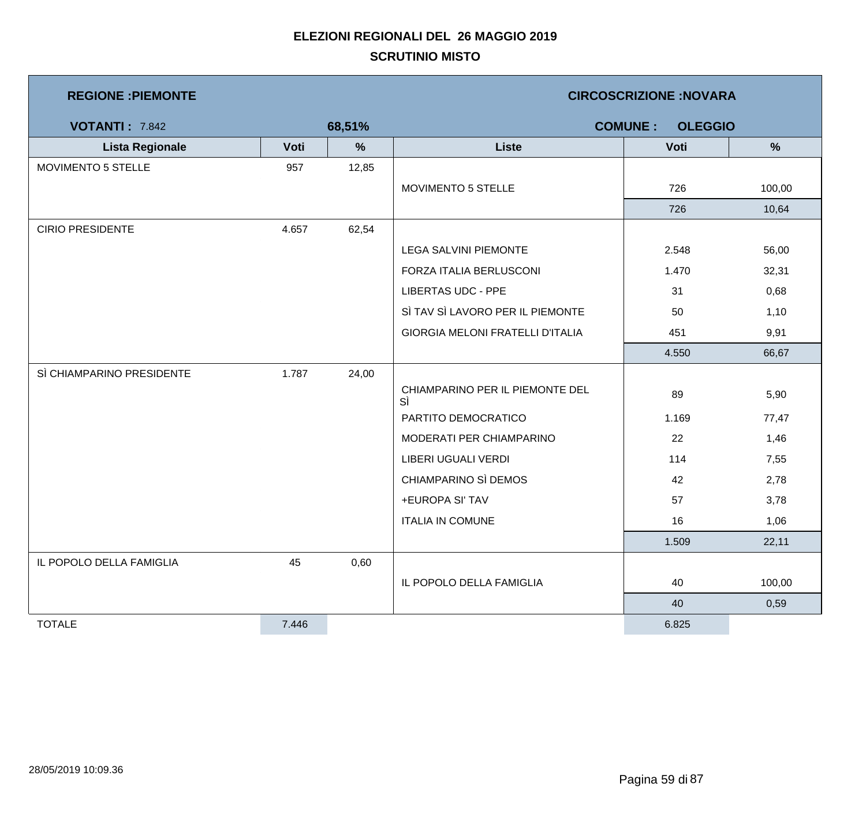| <b>REGIONE: PIEMONTE</b>  |       |               | <b>CIRCOSCRIZIONE:NOVARA</b>            |                                  |        |  |  |  |
|---------------------------|-------|---------------|-----------------------------------------|----------------------------------|--------|--|--|--|
| <b>VOTANTI: 7.842</b>     |       | 68,51%        |                                         | <b>COMUNE:</b><br><b>OLEGGIO</b> |        |  |  |  |
| <b>Lista Regionale</b>    | Voti  | $\frac{9}{6}$ | <b>Liste</b>                            | Voti                             | %      |  |  |  |
| MOVIMENTO 5 STELLE        | 957   | 12,85         |                                         |                                  |        |  |  |  |
|                           |       |               | MOVIMENTO 5 STELLE                      | 726                              | 100,00 |  |  |  |
|                           |       |               |                                         | 726                              | 10,64  |  |  |  |
| <b>CIRIO PRESIDENTE</b>   | 4.657 | 62,54         |                                         |                                  |        |  |  |  |
|                           |       |               | <b>LEGA SALVINI PIEMONTE</b>            | 2.548                            | 56,00  |  |  |  |
|                           |       |               | FORZA ITALIA BERLUSCONI                 | 1.470                            | 32,31  |  |  |  |
|                           |       |               | <b>LIBERTAS UDC - PPE</b>               | 31                               | 0,68   |  |  |  |
|                           |       |               | SÌ TAV SÌ LAVORO PER IL PIEMONTE        | 50                               | 1,10   |  |  |  |
|                           |       |               | <b>GIORGIA MELONI FRATELLI D'ITALIA</b> | 451                              | 9,91   |  |  |  |
|                           |       |               |                                         | 4.550                            | 66,67  |  |  |  |
| SÌ CHIAMPARINO PRESIDENTE | 1.787 | 24,00         |                                         |                                  |        |  |  |  |
|                           |       |               | CHIAMPARINO PER IL PIEMONTE DEL<br>SÌ   | 89                               | 5,90   |  |  |  |
|                           |       |               | PARTITO DEMOCRATICO                     | 1.169                            | 77,47  |  |  |  |
|                           |       |               | MODERATI PER CHIAMPARINO                | 22                               | 1,46   |  |  |  |
|                           |       |               | LIBERI UGUALI VERDI                     | 114                              | 7,55   |  |  |  |
|                           |       |               | CHIAMPARINO SÌ DEMOS                    | 42                               | 2,78   |  |  |  |
|                           |       |               | +EUROPA SI' TAV                         | 57                               | 3,78   |  |  |  |
|                           |       |               | <b>ITALIA IN COMUNE</b>                 | 16                               | 1,06   |  |  |  |
|                           |       |               |                                         | 1.509                            | 22,11  |  |  |  |
| IL POPOLO DELLA FAMIGLIA  | 45    | 0,60          |                                         |                                  |        |  |  |  |
|                           |       |               | IL POPOLO DELLA FAMIGLIA                | 40                               | 100,00 |  |  |  |
|                           |       |               |                                         | 40                               | 0,59   |  |  |  |
| <b>TOTALE</b>             | 7.446 |               |                                         | 6.825                            |        |  |  |  |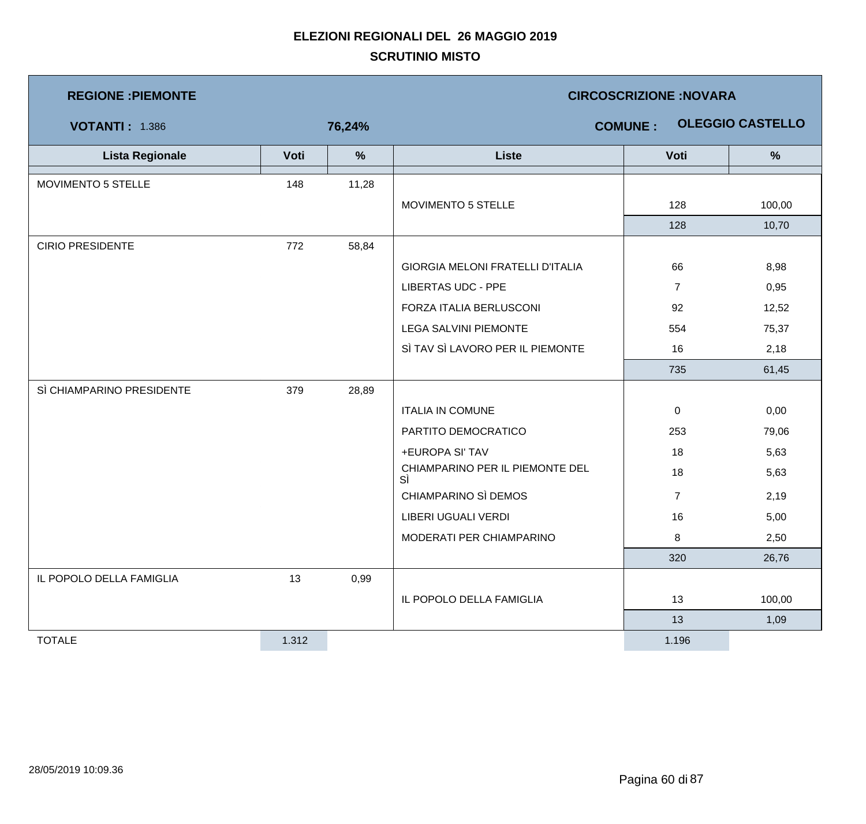| <b>REGIONE : PIEMONTE</b> |       |        | <b>CIRCOSCRIZIONE:NOVARA</b>          |                |                         |  |  |
|---------------------------|-------|--------|---------------------------------------|----------------|-------------------------|--|--|
| <b>VOTANTI: 1.386</b>     |       | 76,24% |                                       | <b>COMUNE:</b> | <b>OLEGGIO CASTELLO</b> |  |  |
| <b>Lista Regionale</b>    | Voti  | $\%$   | <b>Liste</b>                          | Voti           | %                       |  |  |
| MOVIMENTO 5 STELLE        | 148   | 11,28  |                                       |                |                         |  |  |
|                           |       |        | MOVIMENTO 5 STELLE                    | 128            | 100,00                  |  |  |
|                           |       |        |                                       | 128            | 10,70                   |  |  |
| <b>CIRIO PRESIDENTE</b>   | 772   | 58,84  |                                       |                |                         |  |  |
|                           |       |        | GIORGIA MELONI FRATELLI D'ITALIA      | 66             | 8,98                    |  |  |
|                           |       |        | <b>LIBERTAS UDC - PPE</b>             | $\overline{7}$ | 0,95                    |  |  |
|                           |       |        | FORZA ITALIA BERLUSCONI               | 92             | 12,52                   |  |  |
|                           |       |        | <b>LEGA SALVINI PIEMONTE</b>          | 554            | 75,37                   |  |  |
|                           |       |        | SÌ TAV SÌ LAVORO PER IL PIEMONTE      | 16             | 2,18                    |  |  |
|                           |       |        |                                       | 735            | 61,45                   |  |  |
| SÌ CHIAMPARINO PRESIDENTE | 379   | 28,89  |                                       |                |                         |  |  |
|                           |       |        | <b>ITALIA IN COMUNE</b>               | 0              | 0,00                    |  |  |
|                           |       |        | PARTITO DEMOCRATICO                   | 253            | 79,06                   |  |  |
|                           |       |        | +EUROPA SI' TAV                       | 18             | 5,63                    |  |  |
|                           |       |        | CHIAMPARINO PER IL PIEMONTE DEL<br>SÌ | 18             | 5,63                    |  |  |
|                           |       |        | CHIAMPARINO SÌ DEMOS                  | $\overline{7}$ | 2,19                    |  |  |
|                           |       |        | LIBERI UGUALI VERDI                   | 16             | 5,00                    |  |  |
|                           |       |        | MODERATI PER CHIAMPARINO              | 8              | 2,50                    |  |  |
|                           |       |        |                                       | 320            | 26,76                   |  |  |
| IL POPOLO DELLA FAMIGLIA  | 13    | 0,99   |                                       |                |                         |  |  |
|                           |       |        | IL POPOLO DELLA FAMIGLIA              | 13             | 100,00                  |  |  |
|                           |       |        |                                       | 13             | 1,09                    |  |  |
| <b>TOTALE</b>             | 1.312 |        |                                       | 1.196          |                         |  |  |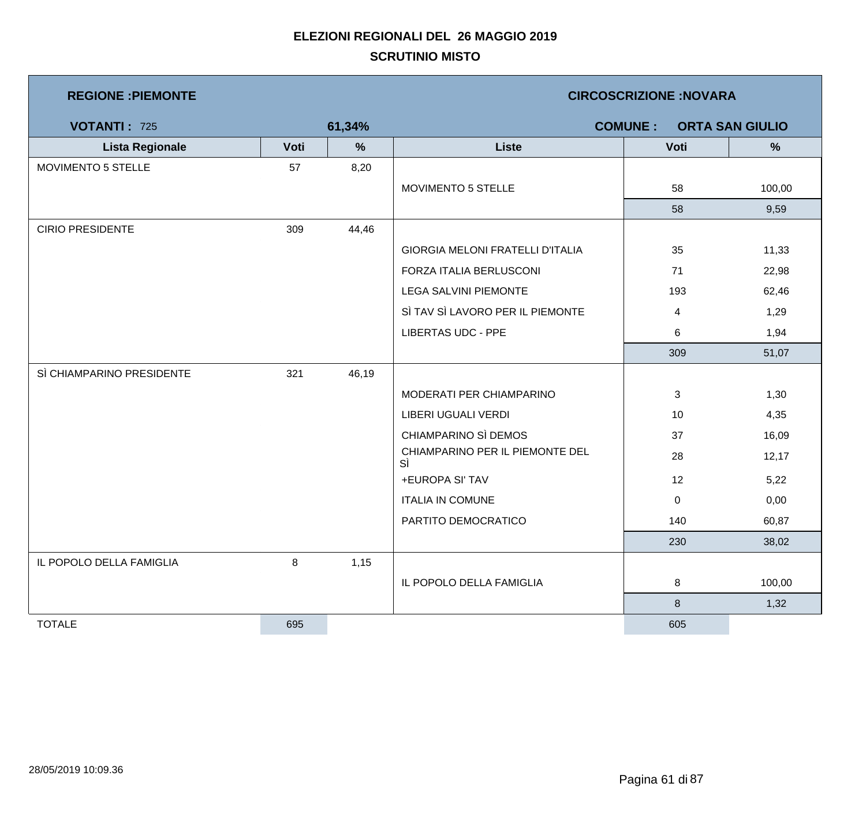| <b>REGIONE : PIEMONTE</b> |      |        | <b>CIRCOSCRIZIONE:NOVARA</b>             |             |        |  |  |
|---------------------------|------|--------|------------------------------------------|-------------|--------|--|--|
| <b>VOTANTI: 725</b>       |      | 61,34% | <b>COMUNE:</b><br><b>ORTA SAN GIULIO</b> |             |        |  |  |
| <b>Lista Regionale</b>    | Voti | %      | <b>Liste</b>                             | Voti        | %      |  |  |
| MOVIMENTO 5 STELLE        | 57   | 8,20   |                                          |             |        |  |  |
|                           |      |        | MOVIMENTO 5 STELLE                       | 58          | 100,00 |  |  |
|                           |      |        |                                          | 58          | 9,59   |  |  |
| <b>CIRIO PRESIDENTE</b>   | 309  | 44,46  |                                          |             |        |  |  |
|                           |      |        | GIORGIA MELONI FRATELLI D'ITALIA         | 35          | 11,33  |  |  |
|                           |      |        | FORZA ITALIA BERLUSCONI                  | 71          | 22,98  |  |  |
|                           |      |        | <b>LEGA SALVINI PIEMONTE</b>             | 193         | 62,46  |  |  |
|                           |      |        | SÌ TAV SÌ LAVORO PER IL PIEMONTE         | 4           | 1,29   |  |  |
|                           |      |        | <b>LIBERTAS UDC - PPE</b>                | 6           | 1,94   |  |  |
|                           |      |        |                                          | 309         | 51,07  |  |  |
| SÌ CHIAMPARINO PRESIDENTE | 321  | 46,19  |                                          |             |        |  |  |
|                           |      |        | MODERATI PER CHIAMPARINO                 | 3           | 1,30   |  |  |
|                           |      |        | LIBERI UGUALI VERDI                      | 10          | 4,35   |  |  |
|                           |      |        | CHIAMPARINO SÌ DEMOS                     | 37          | 16,09  |  |  |
|                           |      |        | CHIAMPARINO PER IL PIEMONTE DEL<br>SÌ    | 28          | 12,17  |  |  |
|                           |      |        | +EUROPA SI' TAV                          | 12          | 5,22   |  |  |
|                           |      |        | <b>ITALIA IN COMUNE</b>                  | $\mathbf 0$ | 0,00   |  |  |
|                           |      |        | PARTITO DEMOCRATICO                      | 140         | 60,87  |  |  |
|                           |      |        |                                          | 230         | 38,02  |  |  |
| IL POPOLO DELLA FAMIGLIA  | 8    | 1,15   |                                          |             |        |  |  |
|                           |      |        | IL POPOLO DELLA FAMIGLIA                 | 8           | 100,00 |  |  |
|                           |      |        |                                          | $\bf 8$     | 1,32   |  |  |
| <b>TOTALE</b>             | 695  |        |                                          | 605         |        |  |  |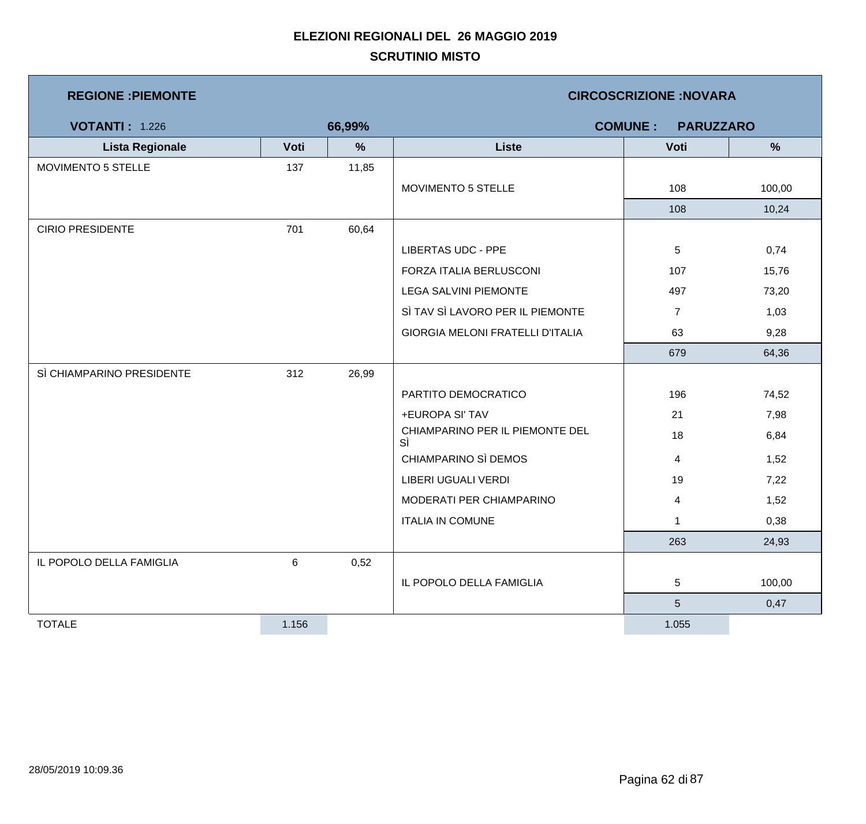| <b>REGIONE: PIEMONTE</b>  |       |        | <b>CIRCOSCRIZIONE:NOVARA</b>          |                |        |  |  |
|---------------------------|-------|--------|---------------------------------------|----------------|--------|--|--|
| <b>VOTANTI: 1.226</b>     |       | 66,99% | <b>COMUNE:</b><br><b>PARUZZARO</b>    |                |        |  |  |
| <b>Lista Regionale</b>    | Voti  | %      | <b>Liste</b>                          | Voti           | %      |  |  |
| MOVIMENTO 5 STELLE        | 137   | 11,85  |                                       |                |        |  |  |
|                           |       |        | MOVIMENTO 5 STELLE                    | 108            | 100,00 |  |  |
|                           |       |        |                                       | 108            | 10,24  |  |  |
| <b>CIRIO PRESIDENTE</b>   | 701   | 60,64  |                                       |                |        |  |  |
|                           |       |        | <b>LIBERTAS UDC - PPE</b>             | $\overline{5}$ | 0,74   |  |  |
|                           |       |        | FORZA ITALIA BERLUSCONI               | 107            | 15,76  |  |  |
|                           |       |        | LEGA SALVINI PIEMONTE                 | 497            | 73,20  |  |  |
|                           |       |        | SÌ TAV SÌ LAVORO PER IL PIEMONTE      | $\overline{7}$ | 1,03   |  |  |
|                           |       |        | GIORGIA MELONI FRATELLI D'ITALIA      | 63             | 9,28   |  |  |
|                           |       |        |                                       | 679            | 64,36  |  |  |
| SÌ CHIAMPARINO PRESIDENTE | 312   | 26,99  |                                       |                |        |  |  |
|                           |       |        | PARTITO DEMOCRATICO                   | 196            | 74,52  |  |  |
|                           |       |        | +EUROPA SI' TAV                       | 21             | 7,98   |  |  |
|                           |       |        | CHIAMPARINO PER IL PIEMONTE DEL<br>SÌ | 18             | 6,84   |  |  |
|                           |       |        | CHIAMPARINO SÌ DEMOS                  | $\overline{4}$ | 1,52   |  |  |
|                           |       |        | LIBERI UGUALI VERDI                   | 19             | 7,22   |  |  |
|                           |       |        | MODERATI PER CHIAMPARINO              | 4              | 1,52   |  |  |
|                           |       |        | <b>ITALIA IN COMUNE</b>               | $\overline{1}$ | 0,38   |  |  |
|                           |       |        |                                       | 263            | 24,93  |  |  |
| IL POPOLO DELLA FAMIGLIA  | 6     | 0,52   |                                       |                |        |  |  |
|                           |       |        | IL POPOLO DELLA FAMIGLIA              | $\overline{5}$ | 100,00 |  |  |
|                           |       |        |                                       | 5              | 0,47   |  |  |
| <b>TOTALE</b>             | 1.156 |        |                                       | 1.055          |        |  |  |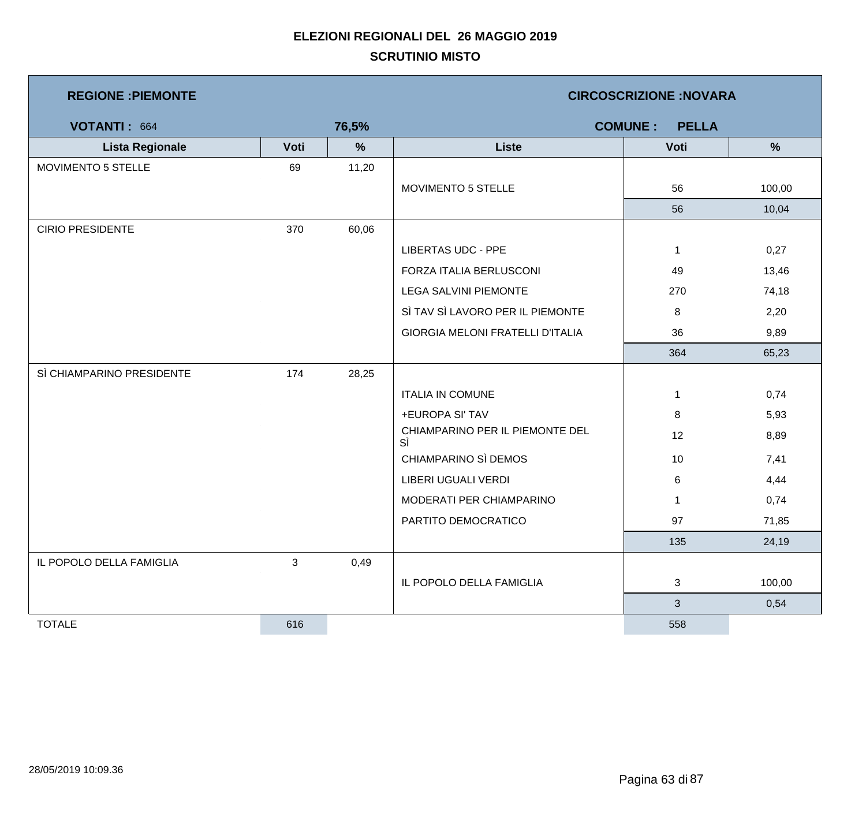| <b>REGIONE : PIEMONTE</b> |              |               | <b>CIRCOSCRIZIONE: NOVARA</b>           |                                |        |  |  |
|---------------------------|--------------|---------------|-----------------------------------------|--------------------------------|--------|--|--|
| VOTANTI: 664              |              | 76,5%         |                                         | <b>COMUNE:</b><br><b>PELLA</b> |        |  |  |
| <b>Lista Regionale</b>    | Voti         | $\frac{9}{6}$ | <b>Liste</b>                            | Voti                           | %      |  |  |
| MOVIMENTO 5 STELLE        | 69           | 11,20         |                                         |                                |        |  |  |
|                           |              |               | MOVIMENTO 5 STELLE                      | 56                             | 100,00 |  |  |
|                           |              |               |                                         | 56                             | 10,04  |  |  |
| <b>CIRIO PRESIDENTE</b>   | 370          | 60,06         |                                         |                                |        |  |  |
|                           |              |               | <b>LIBERTAS UDC - PPE</b>               | $\mathbf{1}$                   | 0,27   |  |  |
|                           |              |               | FORZA ITALIA BERLUSCONI                 | 49                             | 13,46  |  |  |
|                           |              |               | LEGA SALVINI PIEMONTE                   | 270                            | 74,18  |  |  |
|                           |              |               | SÌ TAV SÌ LAVORO PER IL PIEMONTE        | 8                              | 2,20   |  |  |
|                           |              |               | <b>GIORGIA MELONI FRATELLI D'ITALIA</b> | 36                             | 9,89   |  |  |
|                           |              |               |                                         | 364                            | 65,23  |  |  |
| SÌ CHIAMPARINO PRESIDENTE | 174          | 28,25         |                                         |                                |        |  |  |
|                           |              |               | <b>ITALIA IN COMUNE</b>                 | 1                              | 0,74   |  |  |
|                           |              |               | +EUROPA SI' TAV                         | 8                              | 5,93   |  |  |
|                           |              |               | CHIAMPARINO PER IL PIEMONTE DEL<br>SÌ   | 12                             | 8,89   |  |  |
|                           |              |               | CHIAMPARINO SÌ DEMOS                    | 10                             | 7,41   |  |  |
|                           |              |               | LIBERI UGUALI VERDI                     | 6                              | 4,44   |  |  |
|                           |              |               | MODERATI PER CHIAMPARINO                | $\mathbf{1}$                   | 0,74   |  |  |
|                           |              |               | PARTITO DEMOCRATICO                     | 97                             | 71,85  |  |  |
|                           |              |               |                                         | 135                            | 24,19  |  |  |
| IL POPOLO DELLA FAMIGLIA  | $\mathbf{3}$ | 0,49          |                                         |                                |        |  |  |
|                           |              |               | IL POPOLO DELLA FAMIGLIA                | 3                              | 100,00 |  |  |
|                           |              |               |                                         | 3                              | 0,54   |  |  |
| <b>TOTALE</b>             | 616          |               |                                         | 558                            |        |  |  |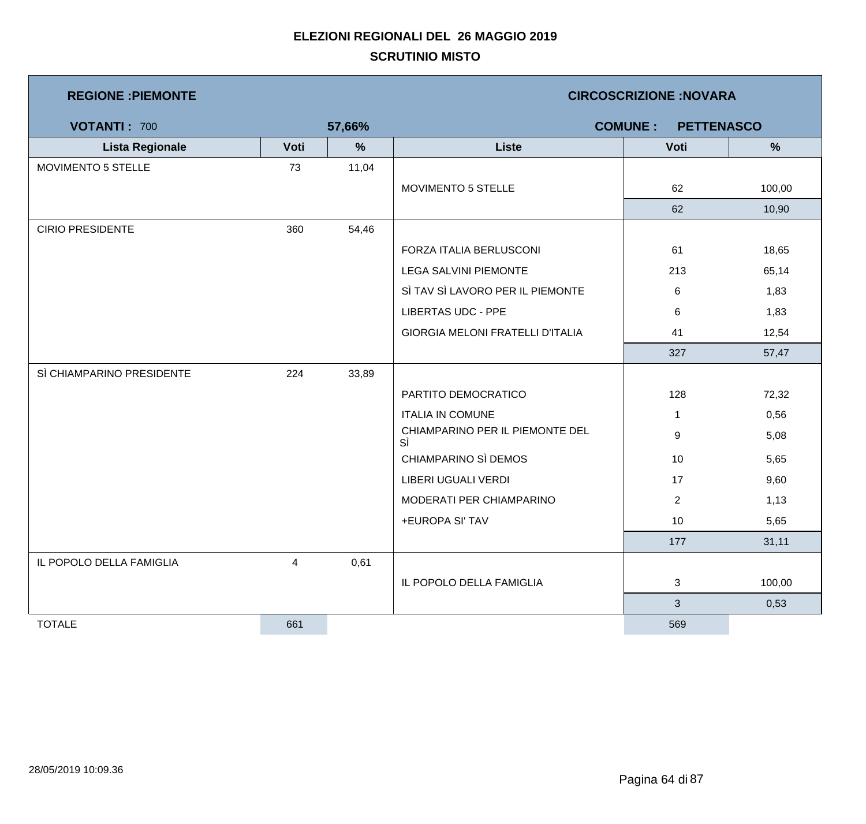| <b>REGIONE : PIEMONTE</b> |      |        | <b>CIRCOSCRIZIONE:NOVARA</b>            |                 |               |  |  |
|---------------------------|------|--------|-----------------------------------------|-----------------|---------------|--|--|
| <b>VOTANTI: 700</b>       |      | 57,66% | <b>PETTENASCO</b><br><b>COMUNE:</b>     |                 |               |  |  |
| <b>Lista Regionale</b>    | Voti | $\%$   | <b>Liste</b>                            | Voti            | $\frac{9}{6}$ |  |  |
| MOVIMENTO 5 STELLE        | 73   | 11,04  |                                         |                 |               |  |  |
|                           |      |        | MOVIMENTO 5 STELLE                      | 62              | 100,00        |  |  |
|                           |      |        |                                         | 62              | 10,90         |  |  |
| <b>CIRIO PRESIDENTE</b>   | 360  | 54,46  |                                         |                 |               |  |  |
|                           |      |        | FORZA ITALIA BERLUSCONI                 | 61              | 18,65         |  |  |
|                           |      |        | <b>LEGA SALVINI PIEMONTE</b>            | 213             | 65,14         |  |  |
|                           |      |        | SÌ TAV SÌ LAVORO PER IL PIEMONTE        | 6               | 1,83          |  |  |
|                           |      |        | <b>LIBERTAS UDC - PPE</b>               | 6               | 1,83          |  |  |
|                           |      |        | <b>GIORGIA MELONI FRATELLI D'ITALIA</b> | 41              | 12,54         |  |  |
|                           |      |        |                                         | 327             | 57,47         |  |  |
| SÌ CHIAMPARINO PRESIDENTE | 224  | 33,89  |                                         |                 |               |  |  |
|                           |      |        | PARTITO DEMOCRATICO                     | 128             | 72,32         |  |  |
|                           |      |        | <b>ITALIA IN COMUNE</b>                 | $\mathbf{1}$    | 0,56          |  |  |
|                           |      |        | CHIAMPARINO PER IL PIEMONTE DEL<br>SÌ   | 9               | 5,08          |  |  |
|                           |      |        | CHIAMPARINO SÌ DEMOS                    | 10              | 5,65          |  |  |
|                           |      |        | LIBERI UGUALI VERDI                     | 17              | 9,60          |  |  |
|                           |      |        | MODERATI PER CHIAMPARINO                | $\overline{2}$  | 1,13          |  |  |
|                           |      |        | +EUROPA SI' TAV                         | 10 <sup>1</sup> | 5,65          |  |  |
|                           |      |        |                                         | 177             | 31,11         |  |  |
| IL POPOLO DELLA FAMIGLIA  | 4    | 0,61   |                                         |                 |               |  |  |
|                           |      |        | IL POPOLO DELLA FAMIGLIA                | 3               | 100,00        |  |  |
|                           |      |        |                                         | 3 <sup>1</sup>  | 0,53          |  |  |
| <b>TOTALE</b>             | 661  |        |                                         | 569             |               |  |  |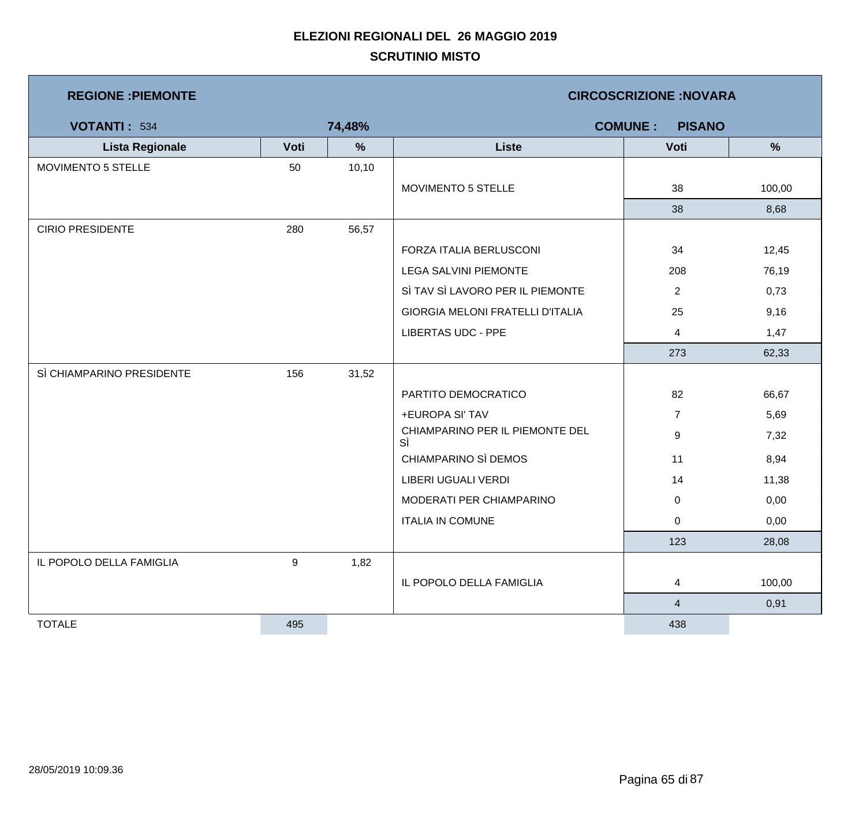| <b>REGIONE : PIEMONTE</b> |      |        | <b>CIRCOSCRIZIONE: NOVARA</b>           |                                 |               |  |  |
|---------------------------|------|--------|-----------------------------------------|---------------------------------|---------------|--|--|
| <b>VOTANTI: 534</b>       |      | 74,48% |                                         | <b>COMUNE:</b><br><b>PISANO</b> |               |  |  |
| <b>Lista Regionale</b>    | Voti | $\%$   | <b>Liste</b>                            | Voti                            | $\frac{9}{6}$ |  |  |
| MOVIMENTO 5 STELLE        | 50   | 10, 10 |                                         |                                 |               |  |  |
|                           |      |        | MOVIMENTO 5 STELLE                      | 38                              | 100,00        |  |  |
|                           |      |        |                                         | 38                              | 8,68          |  |  |
| <b>CIRIO PRESIDENTE</b>   | 280  | 56,57  |                                         |                                 |               |  |  |
|                           |      |        | FORZA ITALIA BERLUSCONI                 | 34                              | 12,45         |  |  |
|                           |      |        | <b>LEGA SALVINI PIEMONTE</b>            | 208                             | 76,19         |  |  |
|                           |      |        | SÌ TAV SÌ LAVORO PER IL PIEMONTE        | $\overline{2}$                  | 0,73          |  |  |
|                           |      |        | <b>GIORGIA MELONI FRATELLI D'ITALIA</b> | 25                              | 9,16          |  |  |
|                           |      |        | <b>LIBERTAS UDC - PPE</b>               | 4                               | 1,47          |  |  |
|                           |      |        |                                         | 273                             | 62,33         |  |  |
| SÌ CHIAMPARINO PRESIDENTE | 156  | 31,52  |                                         |                                 |               |  |  |
|                           |      |        | PARTITO DEMOCRATICO                     | 82                              | 66,67         |  |  |
|                           |      |        | +EUROPA SI' TAV                         | $\overline{7}$                  | 5,69          |  |  |
|                           |      |        | CHIAMPARINO PER IL PIEMONTE DEL<br>SÌ   | 9                               | 7,32          |  |  |
|                           |      |        | CHIAMPARINO SÌ DEMOS                    | 11                              | 8,94          |  |  |
|                           |      |        | LIBERI UGUALI VERDI                     | 14                              | 11,38         |  |  |
|                           |      |        | MODERATI PER CHIAMPARINO                | $\mathbf 0$                     | 0,00          |  |  |
|                           |      |        | <b>ITALIA IN COMUNE</b>                 | 0                               | 0,00          |  |  |
|                           |      |        |                                         | 123                             | 28,08         |  |  |
| IL POPOLO DELLA FAMIGLIA  | 9    | 1,82   |                                         |                                 |               |  |  |
|                           |      |        | IL POPOLO DELLA FAMIGLIA                | $\overline{4}$                  | 100,00        |  |  |
|                           |      |        |                                         | $\overline{4}$                  | 0,91          |  |  |
| <b>TOTALE</b>             | 495  |        |                                         | 438                             |               |  |  |

m,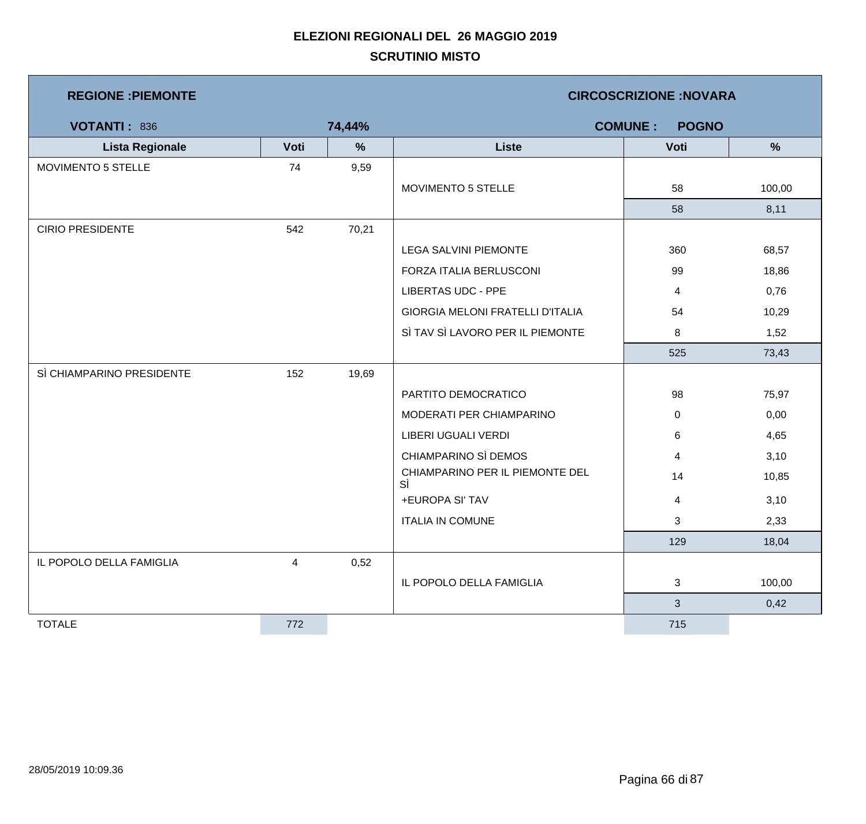| <b>REGIONE : PIEMONTE</b> |      |               | <b>CIRCOSCRIZIONE: NOVARA</b>           |                |        |  |  |
|---------------------------|------|---------------|-----------------------------------------|----------------|--------|--|--|
| VOTANTI: 836              |      | 74,44%        | <b>COMUNE:</b><br><b>POGNO</b>          |                |        |  |  |
| <b>Lista Regionale</b>    | Voti | $\frac{9}{6}$ | <b>Liste</b>                            | Voti           | %      |  |  |
| MOVIMENTO 5 STELLE        | 74   | 9,59          |                                         |                |        |  |  |
|                           |      |               | MOVIMENTO 5 STELLE                      | 58             | 100,00 |  |  |
|                           |      |               |                                         | 58             | 8,11   |  |  |
| <b>CIRIO PRESIDENTE</b>   | 542  | 70,21         |                                         |                |        |  |  |
|                           |      |               | LEGA SALVINI PIEMONTE                   | 360            | 68,57  |  |  |
|                           |      |               | FORZA ITALIA BERLUSCONI                 | 99             | 18,86  |  |  |
|                           |      |               | <b>LIBERTAS UDC - PPE</b>               | 4              | 0,76   |  |  |
|                           |      |               | <b>GIORGIA MELONI FRATELLI D'ITALIA</b> | 54             | 10,29  |  |  |
|                           |      |               | SÌ TAV SÌ LAVORO PER IL PIEMONTE        | 8              | 1,52   |  |  |
|                           |      |               |                                         | 525            | 73,43  |  |  |
| SÌ CHIAMPARINO PRESIDENTE | 152  | 19,69         |                                         |                |        |  |  |
|                           |      |               | PARTITO DEMOCRATICO                     | 98             | 75,97  |  |  |
|                           |      |               | MODERATI PER CHIAMPARINO                | 0              | 0,00   |  |  |
|                           |      |               | LIBERI UGUALI VERDI                     | 6              | 4,65   |  |  |
|                           |      |               | CHIAMPARINO SÌ DEMOS                    | 4              | 3,10   |  |  |
|                           |      |               | CHIAMPARINO PER IL PIEMONTE DEL<br>SÌ   | 14             | 10,85  |  |  |
|                           |      |               | +EUROPA SI' TAV                         | 4              | 3,10   |  |  |
|                           |      |               | <b>ITALIA IN COMUNE</b>                 | 3              | 2,33   |  |  |
|                           |      |               |                                         | 129            | 18,04  |  |  |
| IL POPOLO DELLA FAMIGLIA  | 4    | 0,52          |                                         |                |        |  |  |
|                           |      |               | IL POPOLO DELLA FAMIGLIA                | 3              | 100,00 |  |  |
|                           |      |               |                                         | $\mathfrak{S}$ | 0,42   |  |  |
| <b>TOTALE</b>             | 772  |               |                                         | 715            |        |  |  |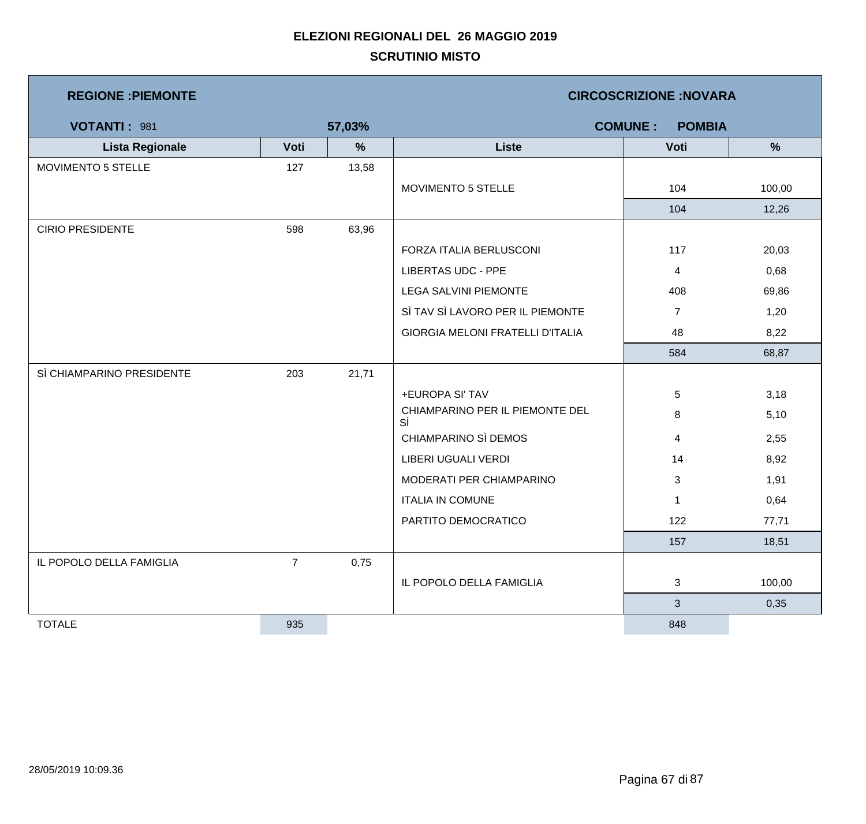| <b>REGIONE : PIEMONTE</b> |                |        | <b>CIRCOSCRIZIONE: NOVARA</b>           |                                 |               |  |
|---------------------------|----------------|--------|-----------------------------------------|---------------------------------|---------------|--|
| VOTANTI: 981              |                | 57,03% |                                         | <b>COMUNE:</b><br><b>POMBIA</b> |               |  |
| <b>Lista Regionale</b>    | Voti           | $\%$   | <b>Liste</b>                            | Voti                            | $\frac{9}{6}$ |  |
| MOVIMENTO 5 STELLE        | 127            | 13,58  |                                         |                                 |               |  |
|                           |                |        | MOVIMENTO 5 STELLE                      | 104                             | 100,00        |  |
|                           |                |        |                                         | 104                             | 12,26         |  |
| <b>CIRIO PRESIDENTE</b>   | 598            | 63,96  |                                         |                                 |               |  |
|                           |                |        | FORZA ITALIA BERLUSCONI                 | 117                             | 20,03         |  |
|                           |                |        | <b>LIBERTAS UDC - PPE</b>               | 4                               | 0,68          |  |
|                           |                |        | LEGA SALVINI PIEMONTE                   | 408                             | 69,86         |  |
|                           |                |        | SÌ TAV SÌ LAVORO PER IL PIEMONTE        | $\overline{7}$                  | 1,20          |  |
|                           |                |        | <b>GIORGIA MELONI FRATELLI D'ITALIA</b> | 48                              | 8,22          |  |
|                           |                |        |                                         | 584                             | 68,87         |  |
| SÌ CHIAMPARINO PRESIDENTE | 203            | 21,71  |                                         |                                 |               |  |
|                           |                |        | +EUROPA SI' TAV                         | 5                               | 3,18          |  |
|                           |                |        | CHIAMPARINO PER IL PIEMONTE DEL<br>SÌ   | 8                               | 5,10          |  |
|                           |                |        | CHIAMPARINO SÌ DEMOS                    | 4                               | 2,55          |  |
|                           |                |        | LIBERI UGUALI VERDI                     | 14                              | 8,92          |  |
|                           |                |        | MODERATI PER CHIAMPARINO                | 3                               | 1,91          |  |
|                           |                |        | <b>ITALIA IN COMUNE</b>                 | -1                              | 0,64          |  |
|                           |                |        | PARTITO DEMOCRATICO                     | 122                             | 77,71         |  |
|                           |                |        |                                         | 157                             | 18,51         |  |
| IL POPOLO DELLA FAMIGLIA  | $\overline{7}$ | 0,75   |                                         |                                 |               |  |
|                           |                |        | IL POPOLO DELLA FAMIGLIA                | 3                               | 100,00        |  |
|                           |                |        |                                         | $\mathbf{3}$                    | 0,35          |  |
| <b>TOTALE</b>             | 935            |        |                                         | 848                             |               |  |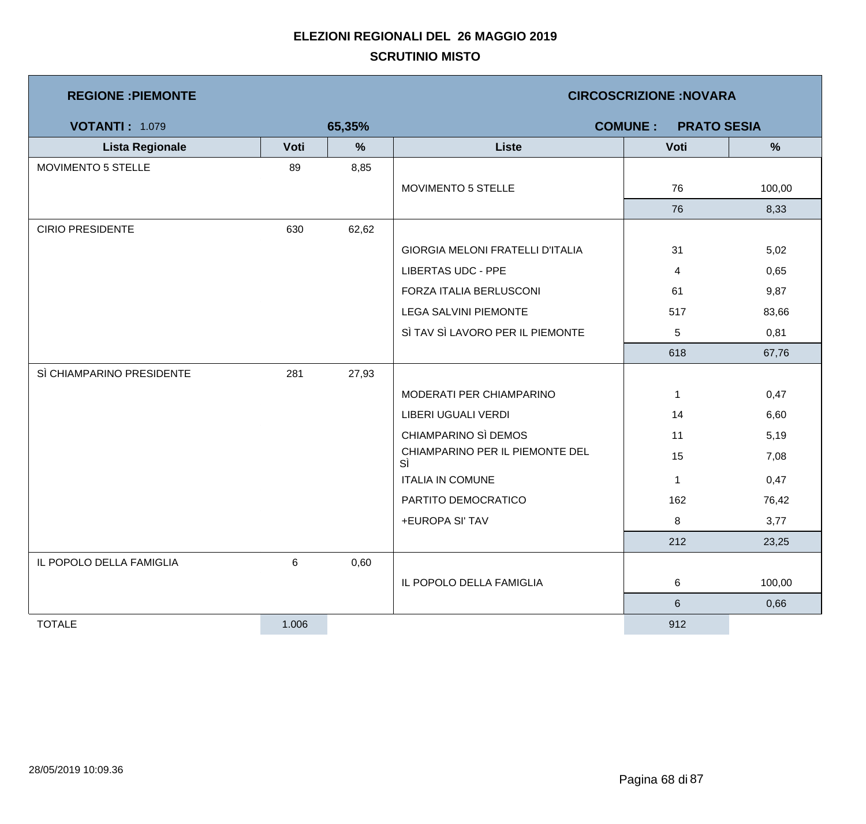| <b>REGIONE: PIEMONTE</b>  |       |        | <b>CIRCOSCRIZIONE:NOVARA</b>          |              |               |  |  |
|---------------------------|-------|--------|---------------------------------------|--------------|---------------|--|--|
| <b>VOTANTI: 1.079</b>     |       | 65,35% | <b>COMUNE:</b><br><b>PRATO SESIA</b>  |              |               |  |  |
| <b>Lista Regionale</b>    | Voti  | $\%$   | <b>Liste</b>                          | Voti         | $\frac{9}{6}$ |  |  |
| MOVIMENTO 5 STELLE        | 89    | 8,85   |                                       |              |               |  |  |
|                           |       |        | MOVIMENTO 5 STELLE                    | 76           | 100,00        |  |  |
|                           |       |        |                                       | 76           | 8,33          |  |  |
| <b>CIRIO PRESIDENTE</b>   | 630   | 62,62  |                                       |              |               |  |  |
|                           |       |        | GIORGIA MELONI FRATELLI D'ITALIA      | 31           | 5,02          |  |  |
|                           |       |        | <b>LIBERTAS UDC - PPE</b>             | 4            | 0,65          |  |  |
|                           |       |        | FORZA ITALIA BERLUSCONI               | 61           | 9,87          |  |  |
|                           |       |        | <b>LEGA SALVINI PIEMONTE</b>          | 517          | 83,66         |  |  |
|                           |       |        | SÌ TAV SÌ LAVORO PER IL PIEMONTE      | $\sqrt{5}$   | 0,81          |  |  |
|                           |       |        |                                       | 618          | 67,76         |  |  |
| SÌ CHIAMPARINO PRESIDENTE | 281   | 27,93  |                                       |              |               |  |  |
|                           |       |        | MODERATI PER CHIAMPARINO              | $\mathbf{1}$ | 0,47          |  |  |
|                           |       |        | LIBERI UGUALI VERDI                   | 14           | 6,60          |  |  |
|                           |       |        | CHIAMPARINO SÌ DEMOS                  | 11           | 5,19          |  |  |
|                           |       |        | CHIAMPARINO PER IL PIEMONTE DEL<br>SÌ | 15           | 7,08          |  |  |
|                           |       |        | <b>ITALIA IN COMUNE</b>               | $\mathbf{1}$ | 0,47          |  |  |
|                           |       |        | PARTITO DEMOCRATICO                   | 162          | 76,42         |  |  |
|                           |       |        | +EUROPA SI' TAV                       | 8            | 3,77          |  |  |
|                           |       |        |                                       | 212          | 23,25         |  |  |
| IL POPOLO DELLA FAMIGLIA  | 6     | 0,60   |                                       |              |               |  |  |
|                           |       |        | IL POPOLO DELLA FAMIGLIA              | 6            | 100,00        |  |  |
|                           |       |        |                                       | $\,6\,$      | 0,66          |  |  |
| <b>TOTALE</b>             | 1.006 |        |                                       | 912          |               |  |  |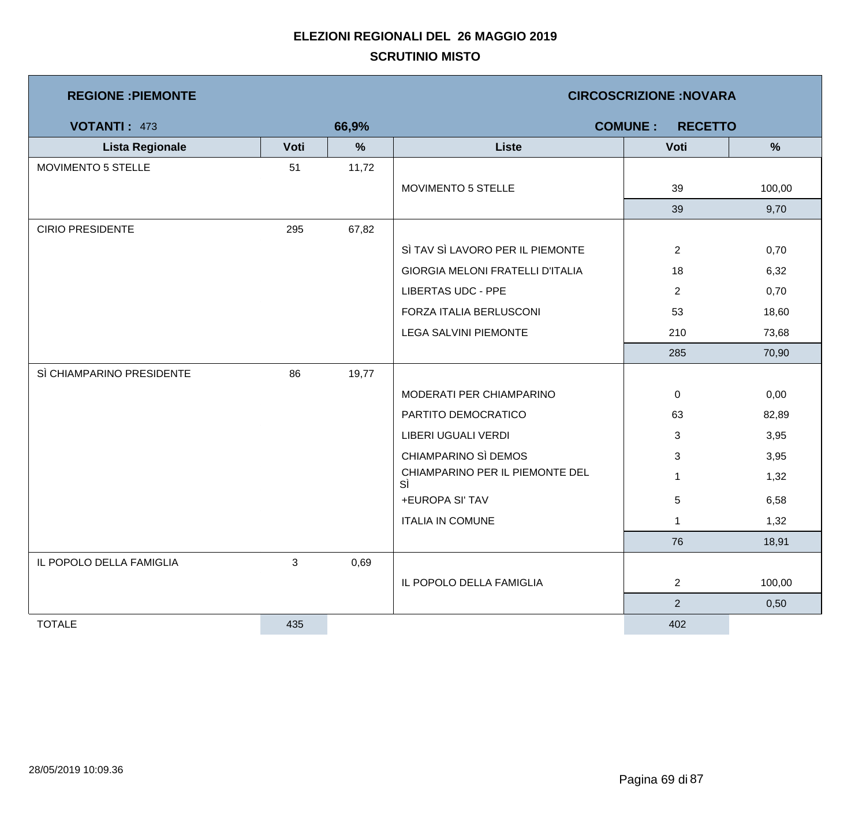| <b>REGIONE : PIEMONTE</b> |                |       | <b>CIRCOSCRIZIONE: NOVARA</b>         |                                  |        |  |  |
|---------------------------|----------------|-------|---------------------------------------|----------------------------------|--------|--|--|
| <b>VOTANTI: 473</b>       |                | 66,9% |                                       | <b>COMUNE:</b><br><b>RECETTO</b> |        |  |  |
| <b>Lista Regionale</b>    | Voti           | $\%$  | <b>Liste</b>                          | Voti                             | %      |  |  |
| MOVIMENTO 5 STELLE        | 51             | 11,72 |                                       |                                  |        |  |  |
|                           |                |       | MOVIMENTO 5 STELLE                    | 39                               | 100,00 |  |  |
|                           |                |       |                                       | 39                               | 9,70   |  |  |
| <b>CIRIO PRESIDENTE</b>   | 295            | 67,82 |                                       |                                  |        |  |  |
|                           |                |       | SÌ TAV SÌ LAVORO PER IL PIEMONTE      | $\overline{2}$                   | 0,70   |  |  |
|                           |                |       | GIORGIA MELONI FRATELLI D'ITALIA      | 18                               | 6,32   |  |  |
|                           |                |       | <b>LIBERTAS UDC - PPE</b>             | $\overline{2}$                   | 0,70   |  |  |
|                           |                |       | FORZA ITALIA BERLUSCONI               | 53                               | 18,60  |  |  |
|                           |                |       | <b>LEGA SALVINI PIEMONTE</b>          | 210                              | 73,68  |  |  |
|                           |                |       |                                       | 285                              | 70,90  |  |  |
| SÌ CHIAMPARINO PRESIDENTE | 86             | 19,77 |                                       |                                  |        |  |  |
|                           |                |       | MODERATI PER CHIAMPARINO              | $\mathbf 0$                      | 0,00   |  |  |
|                           |                |       | PARTITO DEMOCRATICO                   | 63                               | 82,89  |  |  |
|                           |                |       | <b>LIBERI UGUALI VERDI</b>            | 3                                | 3,95   |  |  |
|                           |                |       | CHIAMPARINO SÌ DEMOS                  | 3                                | 3,95   |  |  |
|                           |                |       | CHIAMPARINO PER IL PIEMONTE DEL<br>SÌ | $\mathbf 1$                      | 1,32   |  |  |
|                           |                |       | +EUROPA SI' TAV                       | 5                                | 6,58   |  |  |
|                           |                |       | <b>ITALIA IN COMUNE</b>               | $\mathbf 1$                      | 1,32   |  |  |
|                           |                |       |                                       | 76                               | 18,91  |  |  |
| IL POPOLO DELLA FAMIGLIA  | $\mathfrak{S}$ | 0,69  |                                       |                                  |        |  |  |
|                           |                |       | IL POPOLO DELLA FAMIGLIA              | $\overline{2}$                   | 100,00 |  |  |
|                           |                |       |                                       | 2 <sup>1</sup>                   | 0,50   |  |  |
| <b>TOTALE</b>             | 435            |       |                                       | 402                              |        |  |  |

m,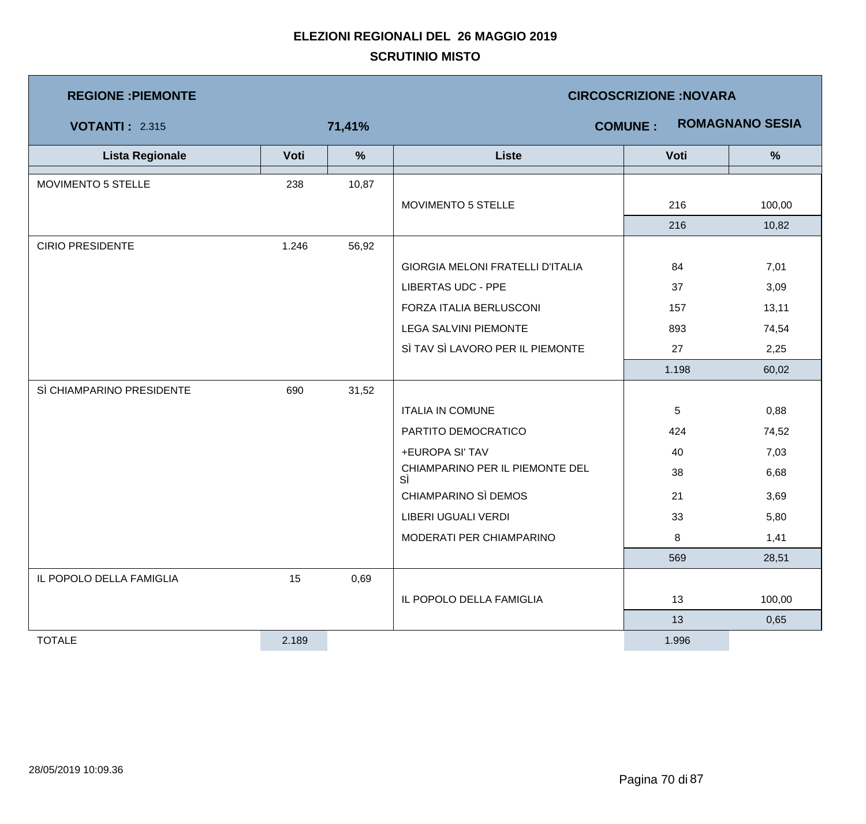| <b>REGIONE : PIEMONTE</b> |       | <b>CIRCOSCRIZIONE: NOVARA</b> |                                          |       |               |  |  |
|---------------------------|-------|-------------------------------|------------------------------------------|-------|---------------|--|--|
| <b>VOTANTI: 2.315</b>     |       | 71,41%                        | <b>ROMAGNANO SESIA</b><br><b>COMUNE:</b> |       |               |  |  |
| <b>Lista Regionale</b>    | Voti  | %                             | <b>Liste</b>                             | Voti  | $\frac{9}{6}$ |  |  |
| MOVIMENTO 5 STELLE        | 238   | 10,87                         |                                          |       |               |  |  |
|                           |       |                               | MOVIMENTO 5 STELLE                       | 216   | 100,00        |  |  |
|                           |       |                               |                                          | 216   | 10,82         |  |  |
| <b>CIRIO PRESIDENTE</b>   | 1.246 | 56,92                         |                                          |       |               |  |  |
|                           |       |                               | GIORGIA MELONI FRATELLI D'ITALIA         | 84    | 7,01          |  |  |
|                           |       |                               | <b>LIBERTAS UDC - PPE</b>                | 37    | 3,09          |  |  |
|                           |       |                               | FORZA ITALIA BERLUSCONI                  | 157   | 13,11         |  |  |
|                           |       |                               | LEGA SALVINI PIEMONTE                    | 893   | 74,54         |  |  |
|                           |       |                               | SÌ TAV SÌ LAVORO PER IL PIEMONTE         | 27    | 2,25          |  |  |
|                           |       |                               |                                          | 1.198 | 60,02         |  |  |
| SÌ CHIAMPARINO PRESIDENTE | 690   | 31,52                         |                                          |       |               |  |  |
|                           |       |                               | <b>ITALIA IN COMUNE</b>                  | 5     | 0,88          |  |  |
|                           |       |                               | PARTITO DEMOCRATICO                      | 424   | 74,52         |  |  |
|                           |       |                               | +EUROPA SI' TAV                          | 40    | 7,03          |  |  |
|                           |       |                               | CHIAMPARINO PER IL PIEMONTE DEL<br>SÌ    | 38    | 6,68          |  |  |
|                           |       |                               | CHIAMPARINO SÌ DEMOS                     | 21    | 3,69          |  |  |
|                           |       |                               | LIBERI UGUALI VERDI                      | 33    | 5,80          |  |  |
|                           |       |                               | MODERATI PER CHIAMPARINO                 | 8     | 1,41          |  |  |
|                           |       |                               |                                          | 569   | 28,51         |  |  |
| IL POPOLO DELLA FAMIGLIA  | 15    | 0,69                          |                                          |       |               |  |  |
|                           |       |                               | IL POPOLO DELLA FAMIGLIA                 | 13    | 100,00        |  |  |
|                           |       |                               |                                          | 13    | 0,65          |  |  |
| <b>TOTALE</b>             | 2.189 |                               |                                          | 1.996 |               |  |  |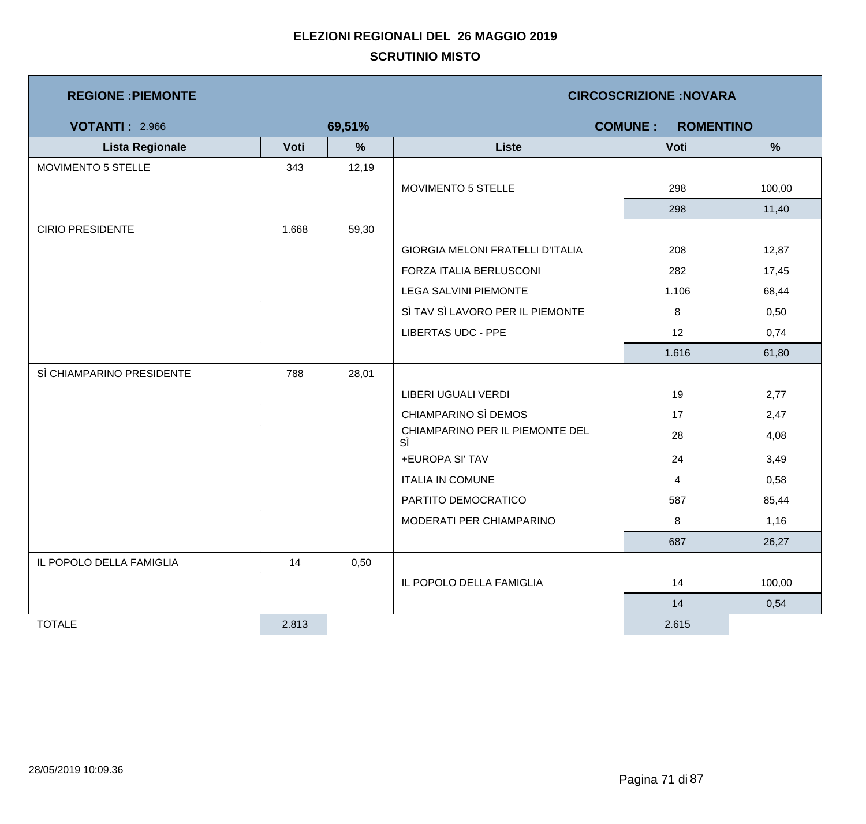| <b>REGIONE: PIEMONTE</b>  |       |        | <b>CIRCOSCRIZIONE:NOVARA</b>            |       |               |  |  |
|---------------------------|-------|--------|-----------------------------------------|-------|---------------|--|--|
| <b>VOTANTI: 2.966</b>     |       | 69,51% | <b>COMUNE:</b><br><b>ROMENTINO</b>      |       |               |  |  |
| <b>Lista Regionale</b>    | Voti  | %      | <b>Liste</b>                            | Voti  | $\frac{9}{6}$ |  |  |
| MOVIMENTO 5 STELLE        | 343   | 12,19  |                                         |       |               |  |  |
|                           |       |        | MOVIMENTO 5 STELLE                      | 298   | 100,00        |  |  |
|                           |       |        |                                         | 298   | 11,40         |  |  |
| <b>CIRIO PRESIDENTE</b>   | 1.668 | 59,30  |                                         |       |               |  |  |
|                           |       |        | <b>GIORGIA MELONI FRATELLI D'ITALIA</b> | 208   | 12,87         |  |  |
|                           |       |        | FORZA ITALIA BERLUSCONI                 | 282   | 17,45         |  |  |
|                           |       |        | <b>LEGA SALVINI PIEMONTE</b>            | 1.106 | 68,44         |  |  |
|                           |       |        | SÌ TAV SÌ LAVORO PER IL PIEMONTE        | 8     | 0,50          |  |  |
|                           |       |        | <b>LIBERTAS UDC - PPE</b>               | 12    | 0,74          |  |  |
|                           |       |        |                                         | 1.616 | 61,80         |  |  |
| SÌ CHIAMPARINO PRESIDENTE | 788   | 28,01  |                                         |       |               |  |  |
|                           |       |        | LIBERI UGUALI VERDI                     | 19    | 2,77          |  |  |
|                           |       |        | CHIAMPARINO SÌ DEMOS                    | 17    | 2,47          |  |  |
|                           |       |        | CHIAMPARINO PER IL PIEMONTE DEL<br>SÌ   | 28    | 4,08          |  |  |
|                           |       |        | +EUROPA SI' TAV                         | 24    | 3,49          |  |  |
|                           |       |        | <b>ITALIA IN COMUNE</b>                 | 4     | 0,58          |  |  |
|                           |       |        | PARTITO DEMOCRATICO                     | 587   | 85,44         |  |  |
|                           |       |        | MODERATI PER CHIAMPARINO                | 8     | 1,16          |  |  |
|                           |       |        |                                         | 687   | 26,27         |  |  |
| IL POPOLO DELLA FAMIGLIA  | 14    | 0,50   |                                         |       |               |  |  |
|                           |       |        | IL POPOLO DELLA FAMIGLIA                | 14    | 100,00        |  |  |
|                           |       |        |                                         | 14    | 0,54          |  |  |
| <b>TOTALE</b>             | 2.813 |        |                                         | 2.615 |               |  |  |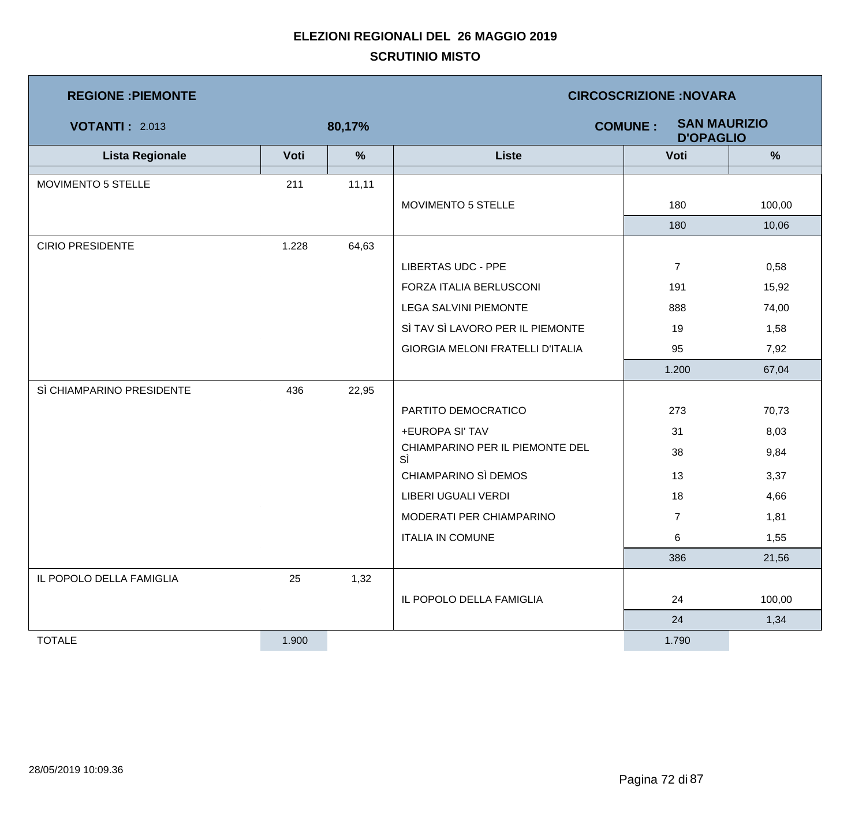| <b>REGIONE: PIEMONTE</b>  |       | <b>CIRCOSCRIZIONE:NOVARA</b> |                                       |                                                           |        |  |
|---------------------------|-------|------------------------------|---------------------------------------|-----------------------------------------------------------|--------|--|
| <b>VOTANTI: 2.013</b>     |       | 80,17%                       |                                       | <b>SAN MAURIZIO</b><br><b>COMUNE:</b><br><b>D'OPAGLIO</b> |        |  |
| <b>Lista Regionale</b>    | Voti  | $\%$                         | <b>Liste</b>                          | Voti                                                      | %      |  |
| MOVIMENTO 5 STELLE        | 211   | 11,11                        |                                       |                                                           |        |  |
|                           |       |                              | MOVIMENTO 5 STELLE                    | 180                                                       | 100,00 |  |
|                           |       |                              |                                       | 180                                                       | 10,06  |  |
| <b>CIRIO PRESIDENTE</b>   | 1.228 | 64,63                        |                                       |                                                           |        |  |
|                           |       |                              | <b>LIBERTAS UDC - PPE</b>             | $\overline{7}$                                            | 0,58   |  |
|                           |       |                              | FORZA ITALIA BERLUSCONI               | 191                                                       | 15,92  |  |
|                           |       |                              | <b>LEGA SALVINI PIEMONTE</b>          | 888                                                       | 74,00  |  |
|                           |       |                              | SÌ TAV SÌ LAVORO PER IL PIEMONTE      | 19                                                        | 1,58   |  |
|                           |       |                              | GIORGIA MELONI FRATELLI D'ITALIA      | 95                                                        | 7,92   |  |
|                           |       |                              |                                       | 1.200                                                     | 67,04  |  |
| SÌ CHIAMPARINO PRESIDENTE | 436   | 22,95                        |                                       |                                                           |        |  |
|                           |       |                              | PARTITO DEMOCRATICO                   | 273                                                       | 70,73  |  |
|                           |       |                              | +EUROPA SI' TAV                       | 31                                                        | 8,03   |  |
|                           |       |                              | CHIAMPARINO PER IL PIEMONTE DEL<br>SÌ | 38                                                        | 9,84   |  |
|                           |       |                              | CHIAMPARINO SÌ DEMOS                  | 13                                                        | 3,37   |  |
|                           |       |                              | <b>LIBERI UGUALI VERDI</b>            | 18                                                        | 4,66   |  |
|                           |       |                              | MODERATI PER CHIAMPARINO              | $\overline{7}$                                            | 1,81   |  |
|                           |       |                              | <b>ITALIA IN COMUNE</b>               | 6                                                         | 1,55   |  |
|                           |       |                              |                                       | 386                                                       | 21,56  |  |
| IL POPOLO DELLA FAMIGLIA  | 25    | 1,32                         |                                       |                                                           |        |  |
|                           |       |                              | IL POPOLO DELLA FAMIGLIA              | 24                                                        | 100,00 |  |
|                           |       |                              |                                       | 24                                                        | 1,34   |  |
| <b>TOTALE</b>             | 1.900 |                              |                                       | 1.790                                                     |        |  |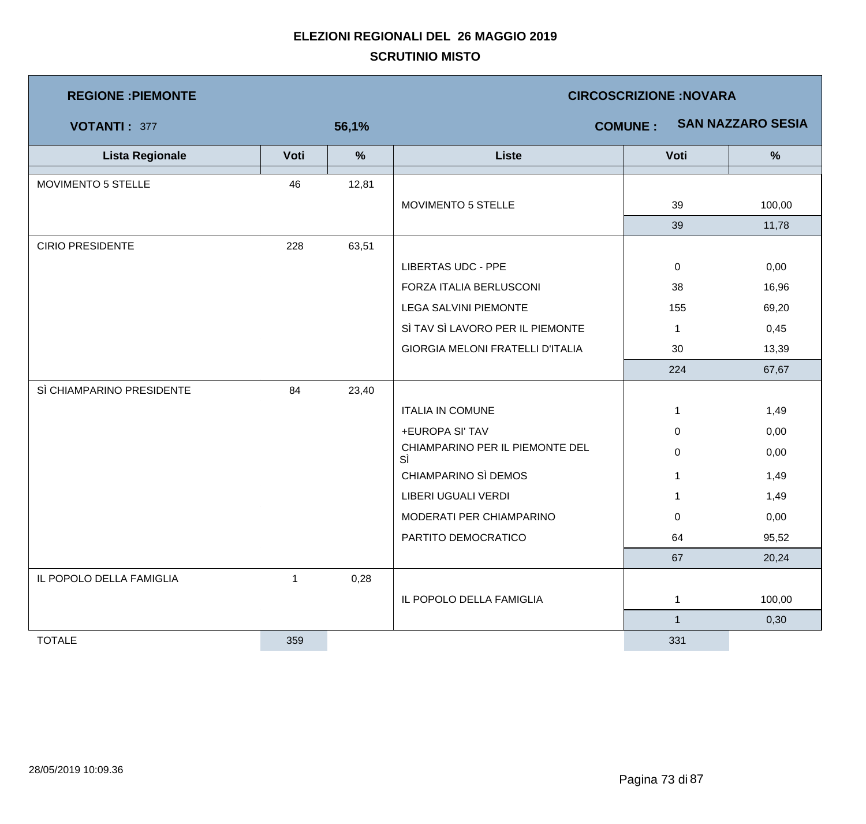| <b>REGIONE : PIEMONTE</b> |              |               | <b>CIRCOSCRIZIONE:NOVARA</b>            |                |                          |  |  |
|---------------------------|--------------|---------------|-----------------------------------------|----------------|--------------------------|--|--|
| <b>VOTANTI: 377</b>       |              | 56,1%         |                                         | <b>COMUNE:</b> | <b>SAN NAZZARO SESIA</b> |  |  |
| <b>Lista Regionale</b>    | Voti         | $\frac{9}{6}$ | <b>Liste</b>                            | Voti           | %                        |  |  |
| MOVIMENTO 5 STELLE        | 46           | 12,81         |                                         |                |                          |  |  |
|                           |              |               | MOVIMENTO 5 STELLE                      | 39             | 100,00                   |  |  |
|                           |              |               |                                         | 39             | 11,78                    |  |  |
| <b>CIRIO PRESIDENTE</b>   | 228          | 63,51         |                                         |                |                          |  |  |
|                           |              |               | <b>LIBERTAS UDC - PPE</b>               | $\mathbf 0$    | 0,00                     |  |  |
|                           |              |               | FORZA ITALIA BERLUSCONI                 | 38             | 16,96                    |  |  |
|                           |              |               | <b>LEGA SALVINI PIEMONTE</b>            | 155            | 69,20                    |  |  |
|                           |              |               | SÌ TAV SÌ LAVORO PER IL PIEMONTE        | 1              | 0,45                     |  |  |
|                           |              |               | <b>GIORGIA MELONI FRATELLI D'ITALIA</b> | 30             | 13,39                    |  |  |
|                           |              |               |                                         | 224            | 67,67                    |  |  |
| SÌ CHIAMPARINO PRESIDENTE | 84           | 23,40         |                                         |                |                          |  |  |
|                           |              |               | <b>ITALIA IN COMUNE</b>                 | 1              | 1,49                     |  |  |
|                           |              |               | +EUROPA SI' TAV                         | $\mathbf 0$    | 0,00                     |  |  |
|                           |              |               | CHIAMPARINO PER IL PIEMONTE DEL<br>SÌ   | 0              | 0,00                     |  |  |
|                           |              |               | CHIAMPARINO SÌ DEMOS                    | 1              | 1,49                     |  |  |
|                           |              |               | LIBERI UGUALI VERDI                     | $\mathbf 1$    | 1,49                     |  |  |
|                           |              |               | MODERATI PER CHIAMPARINO                | $\mathbf 0$    | 0,00                     |  |  |
|                           |              |               | PARTITO DEMOCRATICO                     | 64             | 95,52                    |  |  |
|                           |              |               |                                         | 67             | 20,24                    |  |  |
| IL POPOLO DELLA FAMIGLIA  | $\mathbf{1}$ | 0,28          |                                         |                |                          |  |  |
|                           |              |               | IL POPOLO DELLA FAMIGLIA                | 1              | 100,00                   |  |  |
|                           |              |               |                                         | -1             | 0,30                     |  |  |
| <b>TOTALE</b>             | 359          |               |                                         | 331            |                          |  |  |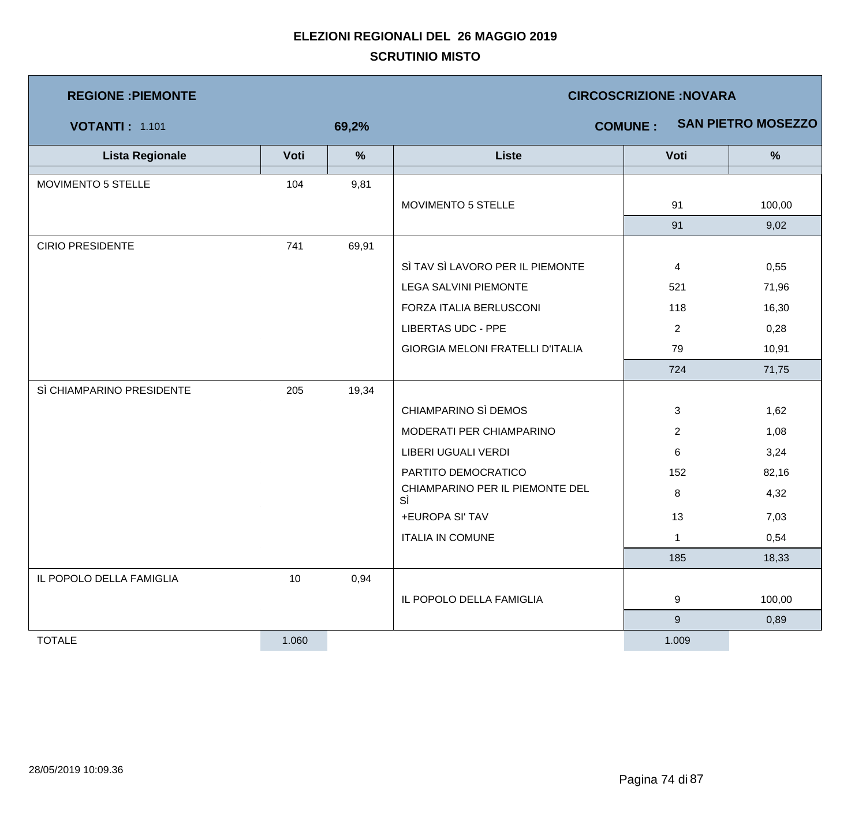| <b>REGIONE : PIEMONTE</b> |       |       | <b>CIRCOSCRIZIONE: NOVARA</b>           |                |                           |  |  |
|---------------------------|-------|-------|-----------------------------------------|----------------|---------------------------|--|--|
| <b>VOTANTI: 1.101</b>     |       | 69,2% |                                         | <b>COMUNE:</b> | <b>SAN PIETRO MOSEZZO</b> |  |  |
| <b>Lista Regionale</b>    | Voti  | %     | <b>Liste</b>                            | Voti           | $\frac{9}{6}$             |  |  |
| MOVIMENTO 5 STELLE        | 104   | 9,81  |                                         |                |                           |  |  |
|                           |       |       | MOVIMENTO 5 STELLE                      | 91             | 100,00                    |  |  |
|                           |       |       |                                         | 91             | 9,02                      |  |  |
| <b>CIRIO PRESIDENTE</b>   | 741   | 69,91 |                                         |                |                           |  |  |
|                           |       |       | SÌ TAV SÌ LAVORO PER IL PIEMONTE        | $\overline{4}$ | 0,55                      |  |  |
|                           |       |       | <b>LEGA SALVINI PIEMONTE</b>            | 521            | 71,96                     |  |  |
|                           |       |       | FORZA ITALIA BERLUSCONI                 | 118            | 16,30                     |  |  |
|                           |       |       | <b>LIBERTAS UDC - PPE</b>               | $\overline{2}$ | 0,28                      |  |  |
|                           |       |       | <b>GIORGIA MELONI FRATELLI D'ITALIA</b> | 79             | 10,91                     |  |  |
|                           |       |       |                                         | 724            | 71,75                     |  |  |
| SÌ CHIAMPARINO PRESIDENTE | 205   | 19,34 |                                         |                |                           |  |  |
|                           |       |       | CHIAMPARINO SÌ DEMOS                    | 3              | 1,62                      |  |  |
|                           |       |       | MODERATI PER CHIAMPARINO                | $\overline{2}$ | 1,08                      |  |  |
|                           |       |       | LIBERI UGUALI VERDI                     | 6              | 3,24                      |  |  |
|                           |       |       | PARTITO DEMOCRATICO                     | 152            | 82,16                     |  |  |
|                           |       |       | CHIAMPARINO PER IL PIEMONTE DEL<br>SÌ   | 8              | 4,32                      |  |  |
|                           |       |       | +EUROPA SI' TAV                         | 13             | 7,03                      |  |  |
|                           |       |       | <b>ITALIA IN COMUNE</b>                 | 1              | 0,54                      |  |  |
|                           |       |       |                                         | 185            | 18,33                     |  |  |
| IL POPOLO DELLA FAMIGLIA  | 10    | 0,94  |                                         |                |                           |  |  |
|                           |       |       | IL POPOLO DELLA FAMIGLIA                | 9              | 100,00                    |  |  |
|                           |       |       |                                         | 9              | 0,89                      |  |  |
| <b>TOTALE</b>             | 1.060 |       |                                         | 1.009          |                           |  |  |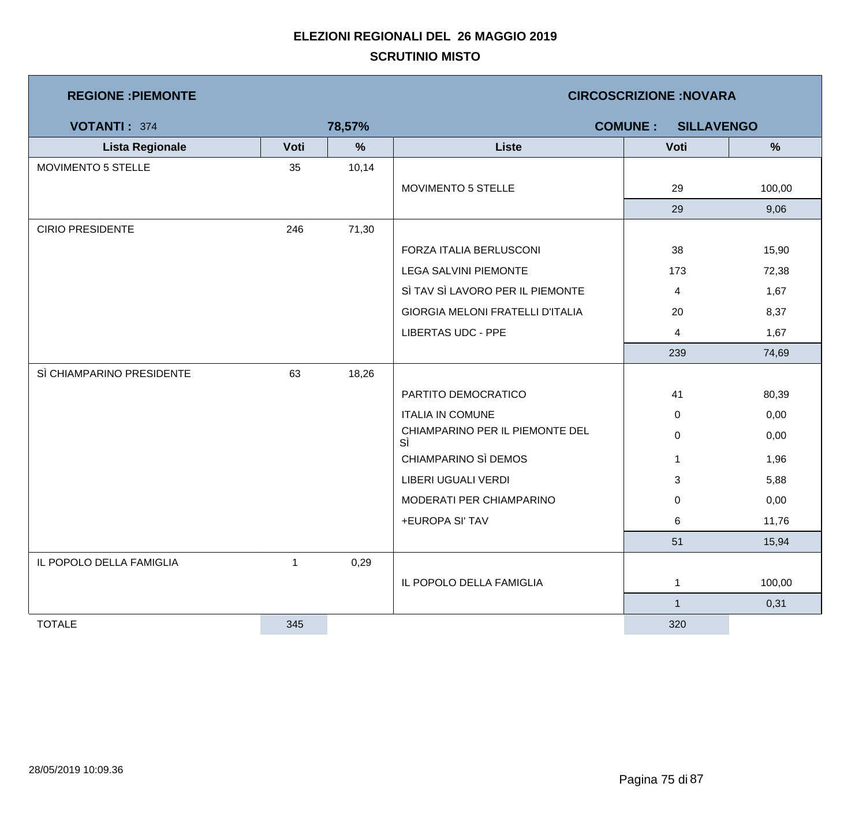| <b>REGIONE: PIEMONTE</b>  |              |               | <b>CIRCOSCRIZIONE:NOVARA</b>          |                |               |  |  |  |
|---------------------------|--------------|---------------|---------------------------------------|----------------|---------------|--|--|--|
| <b>VOTANTI: 374</b>       |              | 78,57%        | <b>COMUNE:</b><br><b>SILLAVENGO</b>   |                |               |  |  |  |
| <b>Lista Regionale</b>    | Voti         | $\frac{9}{6}$ | <b>Liste</b>                          | Voti           | $\frac{9}{6}$ |  |  |  |
| MOVIMENTO 5 STELLE        | 35           | 10,14         |                                       |                |               |  |  |  |
|                           |              |               | MOVIMENTO 5 STELLE                    | 29             | 100,00        |  |  |  |
|                           |              |               |                                       | 29             | 9,06          |  |  |  |
| <b>CIRIO PRESIDENTE</b>   | 246          | 71,30         |                                       |                |               |  |  |  |
|                           |              |               | FORZA ITALIA BERLUSCONI               | 38             | 15,90         |  |  |  |
|                           |              |               | LEGA SALVINI PIEMONTE                 | 173            | 72,38         |  |  |  |
|                           |              |               | SÌ TAV SÌ LAVORO PER IL PIEMONTE      | 4              | 1,67          |  |  |  |
|                           |              |               | GIORGIA MELONI FRATELLI D'ITALIA      | 20             | 8,37          |  |  |  |
|                           |              |               | <b>LIBERTAS UDC - PPE</b>             | $\overline{4}$ | 1,67          |  |  |  |
|                           |              |               |                                       | 239            | 74,69         |  |  |  |
| SÌ CHIAMPARINO PRESIDENTE | 63           | 18,26         |                                       |                |               |  |  |  |
|                           |              |               | PARTITO DEMOCRATICO                   | 41             | 80,39         |  |  |  |
|                           |              |               | <b>ITALIA IN COMUNE</b>               | 0              | 0,00          |  |  |  |
|                           |              |               | CHIAMPARINO PER IL PIEMONTE DEL<br>SÌ | $\mathbf 0$    | 0,00          |  |  |  |
|                           |              |               | CHIAMPARINO SÌ DEMOS                  | $\mathbf 1$    | 1,96          |  |  |  |
|                           |              |               | LIBERI UGUALI VERDI                   | $\mathbf{3}$   | 5,88          |  |  |  |
|                           |              |               | MODERATI PER CHIAMPARINO              | 0              | 0,00          |  |  |  |
|                           |              |               | +EUROPA SI' TAV                       | 6              | 11,76         |  |  |  |
|                           |              |               |                                       | 51             | 15,94         |  |  |  |
| IL POPOLO DELLA FAMIGLIA  | $\mathbf{1}$ | 0,29          |                                       |                |               |  |  |  |
|                           |              |               | IL POPOLO DELLA FAMIGLIA              | $\mathbf{1}$   | 100,00        |  |  |  |
|                           |              |               |                                       | $\mathbf{1}$   | 0,31          |  |  |  |
| <b>TOTALE</b>             | 345          |               |                                       | 320            |               |  |  |  |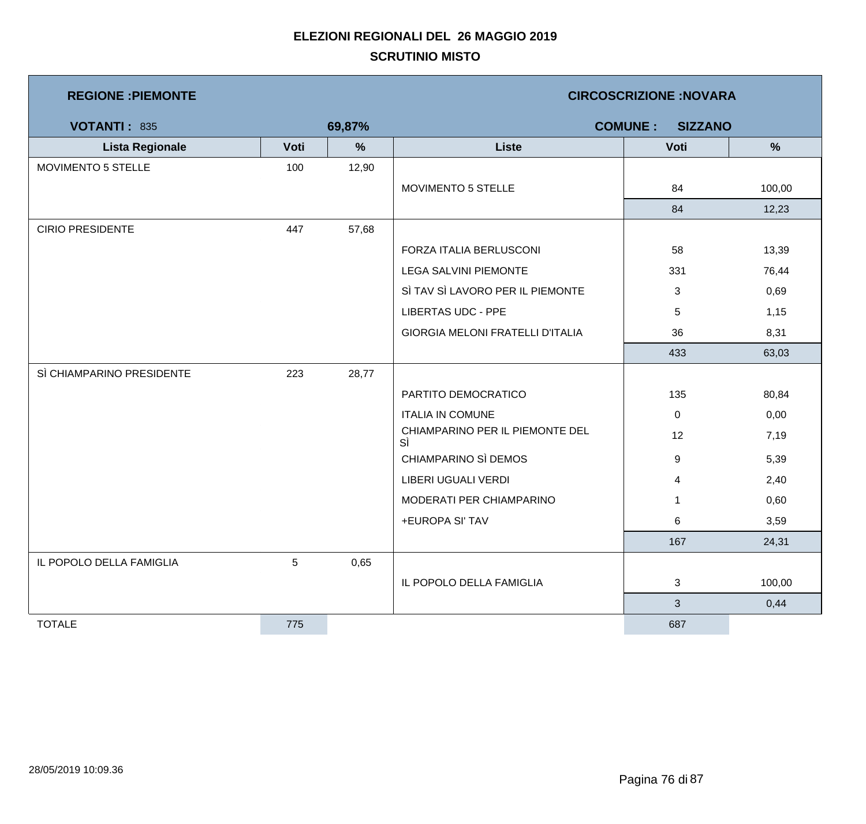| <b>REGIONE: PIEMONTE</b>  |      |               | <b>CIRCOSCRIZIONE:NOVARA</b>            |                |        |  |  |
|---------------------------|------|---------------|-----------------------------------------|----------------|--------|--|--|
| <b>VOTANTI: 835</b>       |      | 69,87%        | <b>COMUNE:</b><br><b>SIZZANO</b>        |                |        |  |  |
| <b>Lista Regionale</b>    | Voti | $\frac{9}{6}$ | <b>Liste</b>                            | Voti           | %      |  |  |
| MOVIMENTO 5 STELLE        | 100  | 12,90         |                                         |                |        |  |  |
|                           |      |               | MOVIMENTO 5 STELLE                      | 84             | 100,00 |  |  |
|                           |      |               |                                         | 84             | 12,23  |  |  |
| <b>CIRIO PRESIDENTE</b>   | 447  | 57,68         |                                         |                |        |  |  |
|                           |      |               | FORZA ITALIA BERLUSCONI                 | 58             | 13,39  |  |  |
|                           |      |               | <b>LEGA SALVINI PIEMONTE</b>            | 331            | 76,44  |  |  |
|                           |      |               | SÌ TAV SÌ LAVORO PER IL PIEMONTE        | 3              | 0,69   |  |  |
|                           |      |               | <b>LIBERTAS UDC - PPE</b>               | 5              | 1,15   |  |  |
|                           |      |               | <b>GIORGIA MELONI FRATELLI D'ITALIA</b> | 36             | 8,31   |  |  |
|                           |      |               |                                         | 433            | 63,03  |  |  |
| SÌ CHIAMPARINO PRESIDENTE | 223  | 28,77         |                                         |                |        |  |  |
|                           |      |               | PARTITO DEMOCRATICO                     | 135            | 80,84  |  |  |
|                           |      |               | <b>ITALIA IN COMUNE</b>                 | $\mathbf 0$    | 0,00   |  |  |
|                           |      |               | CHIAMPARINO PER IL PIEMONTE DEL<br>SÌ   | 12             | 7,19   |  |  |
|                           |      |               | CHIAMPARINO SÌ DEMOS                    | 9              | 5,39   |  |  |
|                           |      |               | LIBERI UGUALI VERDI                     | 4              | 2,40   |  |  |
|                           |      |               | MODERATI PER CHIAMPARINO                |                | 0,60   |  |  |
|                           |      |               | +EUROPA SI' TAV                         | 6              | 3,59   |  |  |
|                           |      |               |                                         | 167            | 24,31  |  |  |
| IL POPOLO DELLA FAMIGLIA  | 5    | 0,65          |                                         |                |        |  |  |
|                           |      |               | IL POPOLO DELLA FAMIGLIA                | 3              | 100,00 |  |  |
|                           |      |               |                                         | 3 <sup>1</sup> | 0,44   |  |  |
| <b>TOTALE</b>             | 775  |               |                                         | 687            |        |  |  |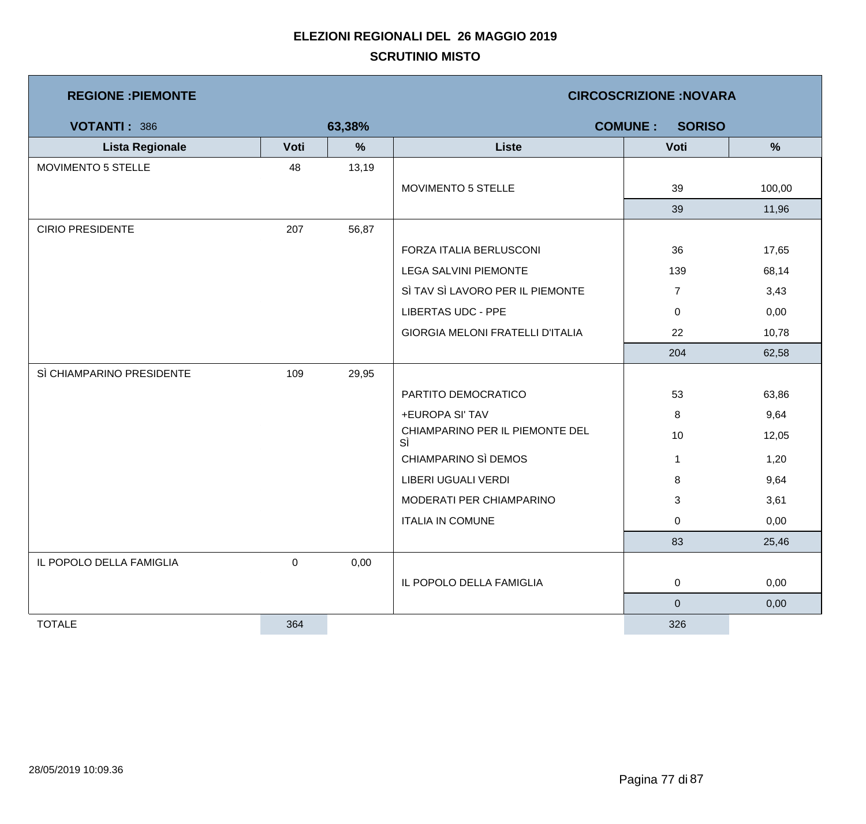| <b>REGIONE: PIEMONTE</b>  |           |        | <b>CIRCOSCRIZIONE:NOVARA</b>            |                                 |        |  |  |
|---------------------------|-----------|--------|-----------------------------------------|---------------------------------|--------|--|--|
| <b>VOTANTI: 386</b>       |           | 63,38% |                                         | <b>COMUNE:</b><br><b>SORISO</b> |        |  |  |
| <b>Lista Regionale</b>    | Voti      | %      | <b>Liste</b>                            | Voti                            | %      |  |  |
| MOVIMENTO 5 STELLE        | 48        | 13,19  |                                         |                                 |        |  |  |
|                           |           |        | MOVIMENTO 5 STELLE                      | 39                              | 100,00 |  |  |
|                           |           |        |                                         | 39                              | 11,96  |  |  |
| <b>CIRIO PRESIDENTE</b>   | 207       | 56,87  |                                         |                                 |        |  |  |
|                           |           |        | FORZA ITALIA BERLUSCONI                 | 36                              | 17,65  |  |  |
|                           |           |        | <b>LEGA SALVINI PIEMONTE</b>            | 139                             | 68,14  |  |  |
|                           |           |        | SÌ TAV SÌ LAVORO PER IL PIEMONTE        | $\overline{7}$                  | 3,43   |  |  |
|                           |           |        | <b>LIBERTAS UDC - PPE</b>               | 0                               | 0,00   |  |  |
|                           |           |        | <b>GIORGIA MELONI FRATELLI D'ITALIA</b> | 22                              | 10,78  |  |  |
|                           |           |        |                                         | 204                             | 62,58  |  |  |
| SÌ CHIAMPARINO PRESIDENTE | 109       | 29,95  |                                         |                                 |        |  |  |
|                           |           |        | PARTITO DEMOCRATICO                     | 53                              | 63,86  |  |  |
|                           |           |        | +EUROPA SI' TAV                         | 8                               | 9,64   |  |  |
|                           |           |        | CHIAMPARINO PER IL PIEMONTE DEL<br>SÌ   | 10                              | 12,05  |  |  |
|                           |           |        | CHIAMPARINO SÌ DEMOS                    | $\mathbf{1}$                    | 1,20   |  |  |
|                           |           |        | LIBERI UGUALI VERDI                     | 8                               | 9,64   |  |  |
|                           |           |        | MODERATI PER CHIAMPARINO                | 3                               | 3,61   |  |  |
|                           |           |        | <b>ITALIA IN COMUNE</b>                 | 0                               | 0,00   |  |  |
|                           |           |        |                                         | 83                              | 25,46  |  |  |
| IL POPOLO DELLA FAMIGLIA  | $\pmb{0}$ | 0,00   |                                         |                                 |        |  |  |
|                           |           |        | IL POPOLO DELLA FAMIGLIA                | $\overline{0}$                  | 0,00   |  |  |
|                           |           |        |                                         | $\pmb{0}$                       | 0,00   |  |  |
| <b>TOTALE</b>             | 364       |        |                                         | 326                             |        |  |  |

 $\mathcal{L}_{\mathcal{A}}$ 

and the state of the state of the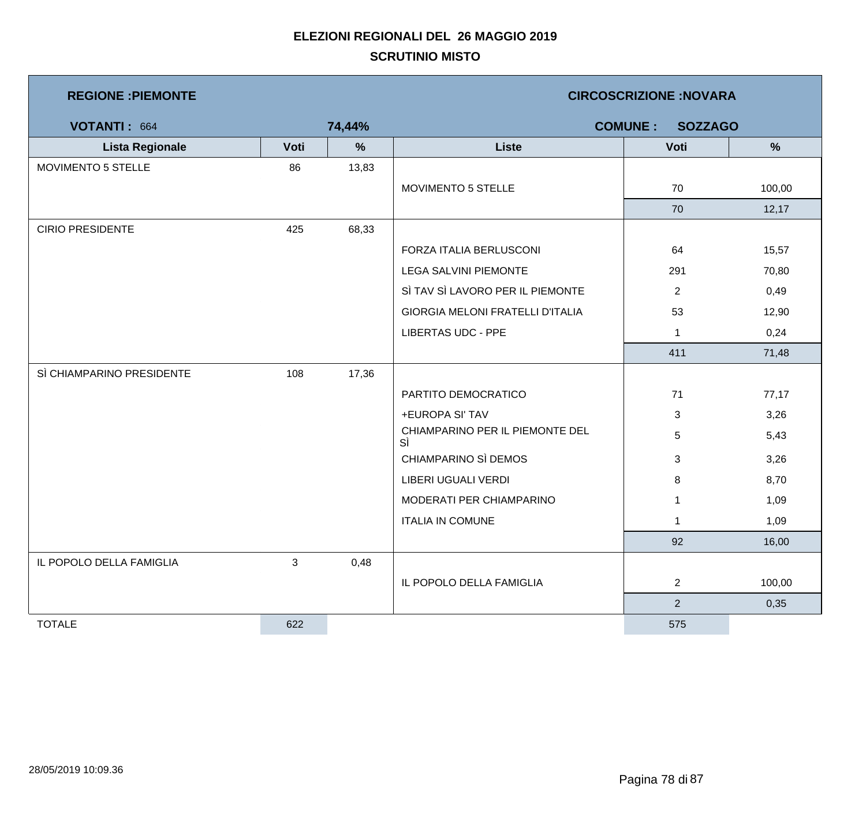| <b>REGIONE : PIEMONTE</b> |      |        | <b>CIRCOSCRIZIONE:NOVARA</b>            |                |               |  |  |
|---------------------------|------|--------|-----------------------------------------|----------------|---------------|--|--|
| <b>VOTANTI: 664</b>       |      | 74,44% | <b>COMUNE:</b><br><b>SOZZAGO</b>        |                |               |  |  |
| <b>Lista Regionale</b>    | Voti | $\%$   | <b>Liste</b>                            | Voti           | $\frac{9}{6}$ |  |  |
| MOVIMENTO 5 STELLE        | 86   | 13,83  |                                         |                |               |  |  |
|                           |      |        | MOVIMENTO 5 STELLE                      | 70             | 100,00        |  |  |
|                           |      |        |                                         | 70             | 12,17         |  |  |
| <b>CIRIO PRESIDENTE</b>   | 425  | 68,33  |                                         |                |               |  |  |
|                           |      |        | FORZA ITALIA BERLUSCONI                 | 64             | 15,57         |  |  |
|                           |      |        | <b>LEGA SALVINI PIEMONTE</b>            | 291            | 70,80         |  |  |
|                           |      |        | SÌ TAV SÌ LAVORO PER IL PIEMONTE        | $\overline{2}$ | 0,49          |  |  |
|                           |      |        | <b>GIORGIA MELONI FRATELLI D'ITALIA</b> | 53             | 12,90         |  |  |
|                           |      |        | <b>LIBERTAS UDC - PPE</b>               | $\mathbf{1}$   | 0,24          |  |  |
|                           |      |        |                                         | 411            | 71,48         |  |  |
| SÌ CHIAMPARINO PRESIDENTE | 108  | 17,36  |                                         |                |               |  |  |
|                           |      |        | PARTITO DEMOCRATICO                     | 71             | 77,17         |  |  |
|                           |      |        | +EUROPA SI' TAV                         | 3              | 3,26          |  |  |
|                           |      |        | CHIAMPARINO PER IL PIEMONTE DEL<br>SÌ   | 5              | 5,43          |  |  |
|                           |      |        | CHIAMPARINO SÌ DEMOS                    | 3              | 3,26          |  |  |
|                           |      |        | LIBERI UGUALI VERDI                     | 8              | 8,70          |  |  |
|                           |      |        | MODERATI PER CHIAMPARINO                | $\mathbf 1$    | 1,09          |  |  |
|                           |      |        | <b>ITALIA IN COMUNE</b>                 | $\mathbf 1$    | 1,09          |  |  |
|                           |      |        |                                         | 92             | 16,00         |  |  |
| IL POPOLO DELLA FAMIGLIA  | 3    | 0,48   |                                         |                |               |  |  |
|                           |      |        | IL POPOLO DELLA FAMIGLIA                | $\overline{2}$ | 100,00        |  |  |
|                           |      |        |                                         | 2 <sup>1</sup> | 0,35          |  |  |
| <b>TOTALE</b>             | 622  |        |                                         | 575            |               |  |  |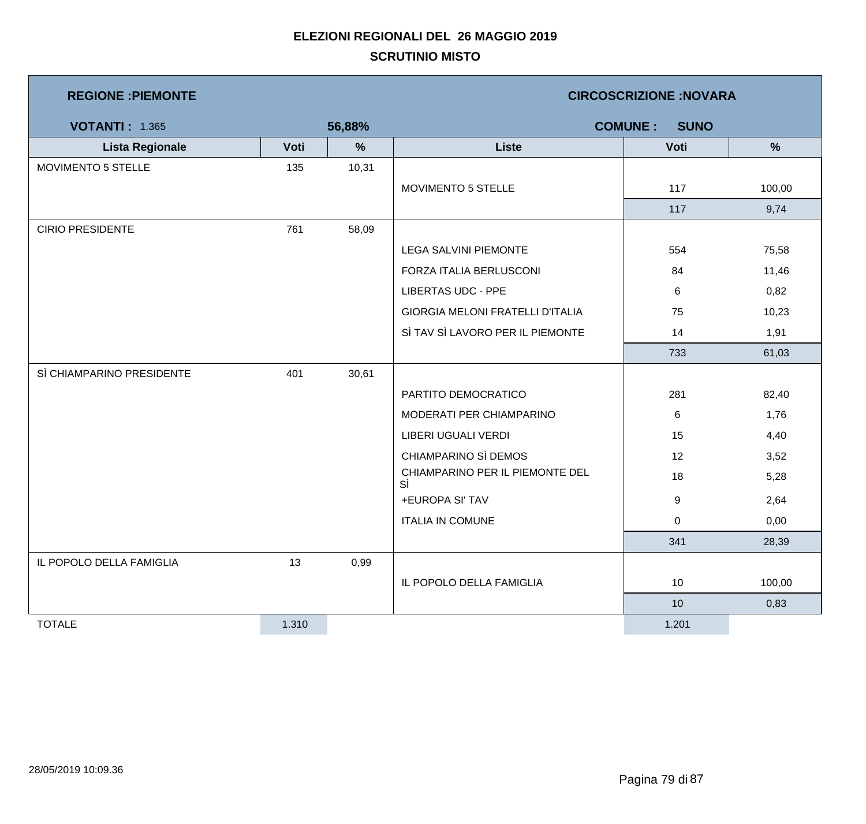| <b>REGIONE: PIEMONTE</b>  |       | <b>CIRCOSCRIZIONE: NOVARA</b> |                                         |                               |               |  |
|---------------------------|-------|-------------------------------|-----------------------------------------|-------------------------------|---------------|--|
| <b>VOTANTI: 1.365</b>     |       | 56,88%                        |                                         | <b>COMUNE:</b><br><b>SUNO</b> |               |  |
| <b>Lista Regionale</b>    | Voti  | $\%$                          | <b>Liste</b>                            | Voti                          | $\frac{9}{6}$ |  |
| MOVIMENTO 5 STELLE        | 135   | 10,31                         |                                         |                               |               |  |
|                           |       |                               | MOVIMENTO 5 STELLE                      | 117                           | 100,00        |  |
|                           |       |                               |                                         | 117                           | 9,74          |  |
| <b>CIRIO PRESIDENTE</b>   | 761   | 58,09                         |                                         |                               |               |  |
|                           |       |                               | <b>LEGA SALVINI PIEMONTE</b>            | 554                           | 75,58         |  |
|                           |       |                               | FORZA ITALIA BERLUSCONI                 | 84                            | 11,46         |  |
|                           |       |                               | <b>LIBERTAS UDC - PPE</b>               | 6                             | 0,82          |  |
|                           |       |                               | <b>GIORGIA MELONI FRATELLI D'ITALIA</b> | 75                            | 10,23         |  |
|                           |       |                               | SÌ TAV SÌ LAVORO PER IL PIEMONTE        | 14                            | 1,91          |  |
|                           |       |                               |                                         | 733                           | 61,03         |  |
| SÌ CHIAMPARINO PRESIDENTE | 401   | 30,61                         |                                         |                               |               |  |
|                           |       |                               | PARTITO DEMOCRATICO                     | 281                           | 82,40         |  |
|                           |       |                               | MODERATI PER CHIAMPARINO                | 6                             | 1,76          |  |
|                           |       |                               | LIBERI UGUALI VERDI                     | 15                            | 4,40          |  |
|                           |       |                               | CHIAMPARINO SÌ DEMOS                    | 12                            | 3,52          |  |
|                           |       |                               | CHIAMPARINO PER IL PIEMONTE DEL<br>SÌ   | 18                            | 5,28          |  |
|                           |       |                               | +EUROPA SI' TAV                         | 9                             | 2,64          |  |
|                           |       |                               | <b>ITALIA IN COMUNE</b>                 | 0                             | 0,00          |  |
|                           |       |                               |                                         | 341                           | 28,39         |  |
| IL POPOLO DELLA FAMIGLIA  | 13    | 0,99                          |                                         |                               |               |  |
|                           |       |                               | IL POPOLO DELLA FAMIGLIA                | 10 <sub>1</sub>               | 100,00        |  |
|                           |       |                               |                                         | 10                            | 0,83          |  |
| <b>TOTALE</b>             | 1.310 |                               |                                         | 1.201                         |               |  |

 $\mathcal{L}_{\mathcal{A}}$ 

and the state of the state of the state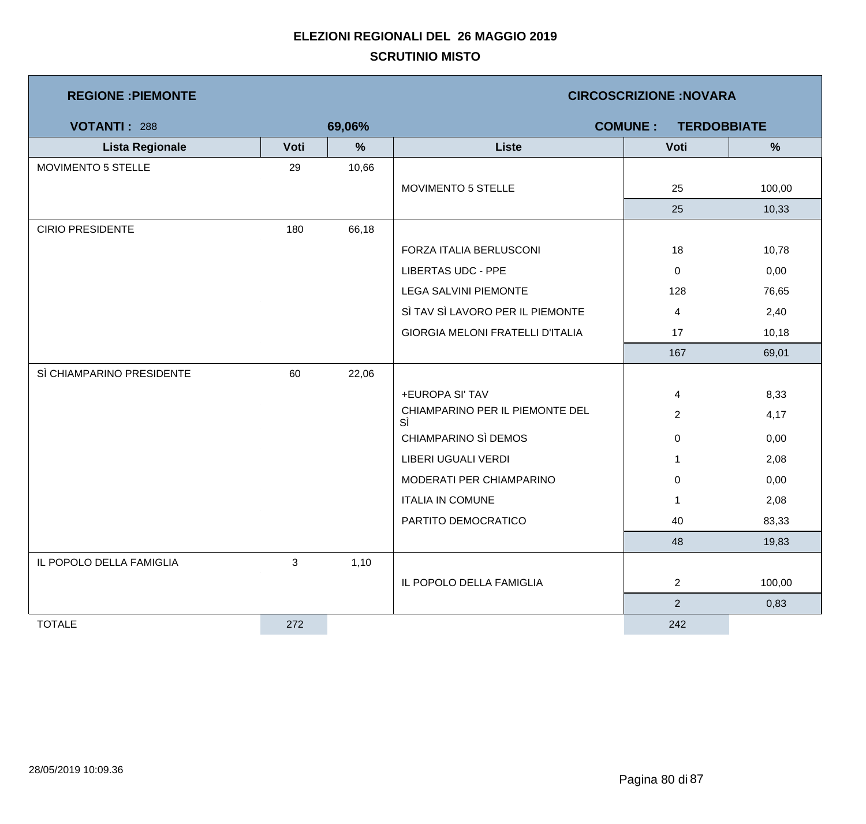| <b>REGIONE : PIEMONTE</b> |      |        | <b>CIRCOSCRIZIONE:NOVARA</b>          |                                      |        |  |  |
|---------------------------|------|--------|---------------------------------------|--------------------------------------|--------|--|--|
| <b>VOTANTI: 288</b>       |      | 69,06% |                                       | <b>COMUNE:</b><br><b>TERDOBBIATE</b> |        |  |  |
| <b>Lista Regionale</b>    | Voti | %      | <b>Liste</b>                          | Voti                                 | %      |  |  |
| <b>MOVIMENTO 5 STELLE</b> | 29   | 10,66  |                                       |                                      |        |  |  |
|                           |      |        | MOVIMENTO 5 STELLE                    | 25                                   | 100,00 |  |  |
|                           |      |        |                                       | 25                                   | 10,33  |  |  |
| <b>CIRIO PRESIDENTE</b>   | 180  | 66,18  |                                       |                                      |        |  |  |
|                           |      |        | FORZA ITALIA BERLUSCONI               | 18                                   | 10,78  |  |  |
|                           |      |        | <b>LIBERTAS UDC - PPE</b>             | 0                                    | 0,00   |  |  |
|                           |      |        | LEGA SALVINI PIEMONTE                 | 128                                  | 76,65  |  |  |
|                           |      |        | SÌ TAV SÌ LAVORO PER IL PIEMONTE      | 4                                    | 2,40   |  |  |
|                           |      |        | GIORGIA MELONI FRATELLI D'ITALIA      | 17                                   | 10,18  |  |  |
|                           |      |        |                                       | 167                                  | 69,01  |  |  |
| SÌ CHIAMPARINO PRESIDENTE | 60   | 22,06  |                                       |                                      |        |  |  |
|                           |      |        | +EUROPA SI' TAV                       | 4                                    | 8,33   |  |  |
|                           |      |        | CHIAMPARINO PER IL PIEMONTE DEL<br>SÌ | $\overline{2}$                       | 4,17   |  |  |
|                           |      |        | CHIAMPARINO SÌ DEMOS                  | 0                                    | 0,00   |  |  |
|                           |      |        | LIBERI UGUALI VERDI                   | $\mathbf 1$                          | 2,08   |  |  |
|                           |      |        | MODERATI PER CHIAMPARINO              | 0                                    | 0,00   |  |  |
|                           |      |        | <b>ITALIA IN COMUNE</b>               | 1                                    | 2,08   |  |  |
|                           |      |        | PARTITO DEMOCRATICO                   | 40                                   | 83,33  |  |  |
|                           |      |        |                                       | 48                                   | 19,83  |  |  |
| IL POPOLO DELLA FAMIGLIA  | 3    | 1,10   |                                       |                                      |        |  |  |
|                           |      |        | IL POPOLO DELLA FAMIGLIA              | $\overline{2}$                       | 100,00 |  |  |
|                           |      |        |                                       | $\overline{2}$                       | 0,83   |  |  |
| <b>TOTALE</b>             | 272  |        |                                       | 242                                  |        |  |  |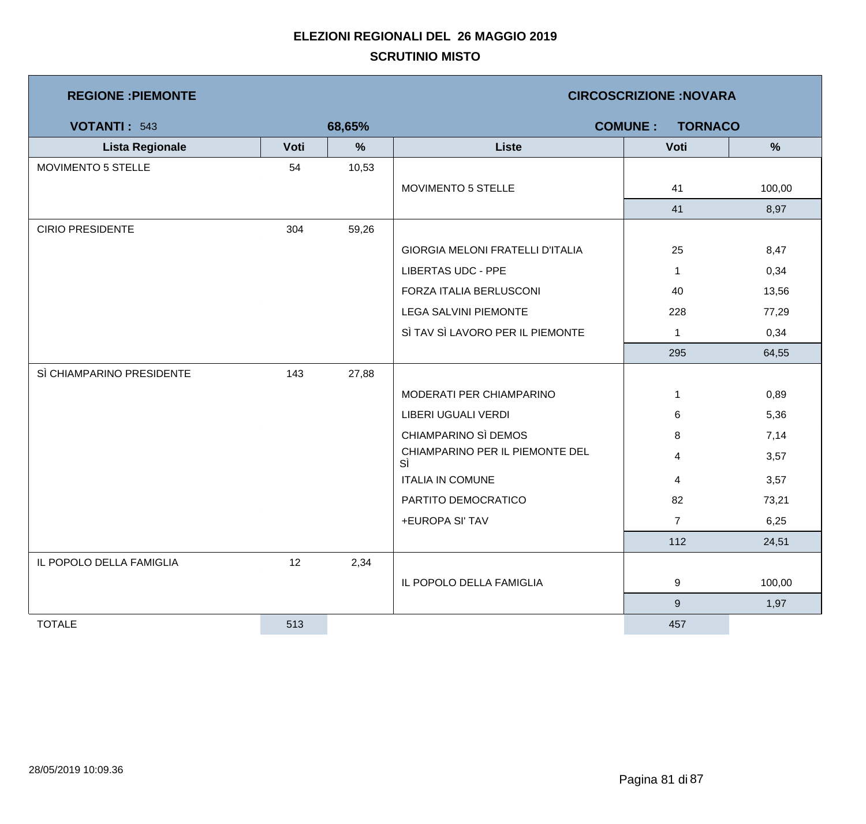| <b>REGIONE : PIEMONTE</b> |      |        | <b>CIRCOSCRIZIONE: NOVARA</b>           |                  |               |  |  |
|---------------------------|------|--------|-----------------------------------------|------------------|---------------|--|--|
| <b>VOTANTI: 543</b>       |      | 68,65% | <b>COMUNE:</b><br><b>TORNACO</b>        |                  |               |  |  |
| <b>Lista Regionale</b>    | Voti | %      | <b>Liste</b>                            | Voti             | $\frac{9}{6}$ |  |  |
| MOVIMENTO 5 STELLE        | 54   | 10,53  |                                         |                  |               |  |  |
|                           |      |        | MOVIMENTO 5 STELLE                      | 41               | 100,00        |  |  |
|                           |      |        |                                         | 41               | 8,97          |  |  |
| <b>CIRIO PRESIDENTE</b>   | 304  | 59,26  |                                         |                  |               |  |  |
|                           |      |        | <b>GIORGIA MELONI FRATELLI D'ITALIA</b> | 25               | 8,47          |  |  |
|                           |      |        | <b>LIBERTAS UDC - PPE</b>               | $\mathbf{1}$     | 0,34          |  |  |
|                           |      |        | FORZA ITALIA BERLUSCONI                 | 40               | 13,56         |  |  |
|                           |      |        | <b>LEGA SALVINI PIEMONTE</b>            | 228              | 77,29         |  |  |
|                           |      |        | SÌ TAV SÌ LAVORO PER IL PIEMONTE        | $\mathbf{1}$     | 0,34          |  |  |
|                           |      |        |                                         | 295              | 64,55         |  |  |
| SÌ CHIAMPARINO PRESIDENTE | 143  | 27,88  |                                         |                  |               |  |  |
|                           |      |        | MODERATI PER CHIAMPARINO                | 1                | 0,89          |  |  |
|                           |      |        | LIBERI UGUALI VERDI                     | 6                | 5,36          |  |  |
|                           |      |        | CHIAMPARINO SÌ DEMOS                    | 8                | 7,14          |  |  |
|                           |      |        | CHIAMPARINO PER IL PIEMONTE DEL<br>SÌ   | 4                | 3,57          |  |  |
|                           |      |        | <b>ITALIA IN COMUNE</b>                 | 4                | 3,57          |  |  |
|                           |      |        | PARTITO DEMOCRATICO                     | 82               | 73,21         |  |  |
|                           |      |        | +EUROPA SI' TAV                         | $\overline{7}$   | 6,25          |  |  |
|                           |      |        |                                         | 112              | 24,51         |  |  |
| IL POPOLO DELLA FAMIGLIA  | 12   | 2,34   |                                         |                  |               |  |  |
|                           |      |        | IL POPOLO DELLA FAMIGLIA                | 9                | 100,00        |  |  |
|                           |      |        |                                         | $\boldsymbol{9}$ | 1,97          |  |  |
| <b>TOTALE</b>             | 513  |        |                                         | 457              |               |  |  |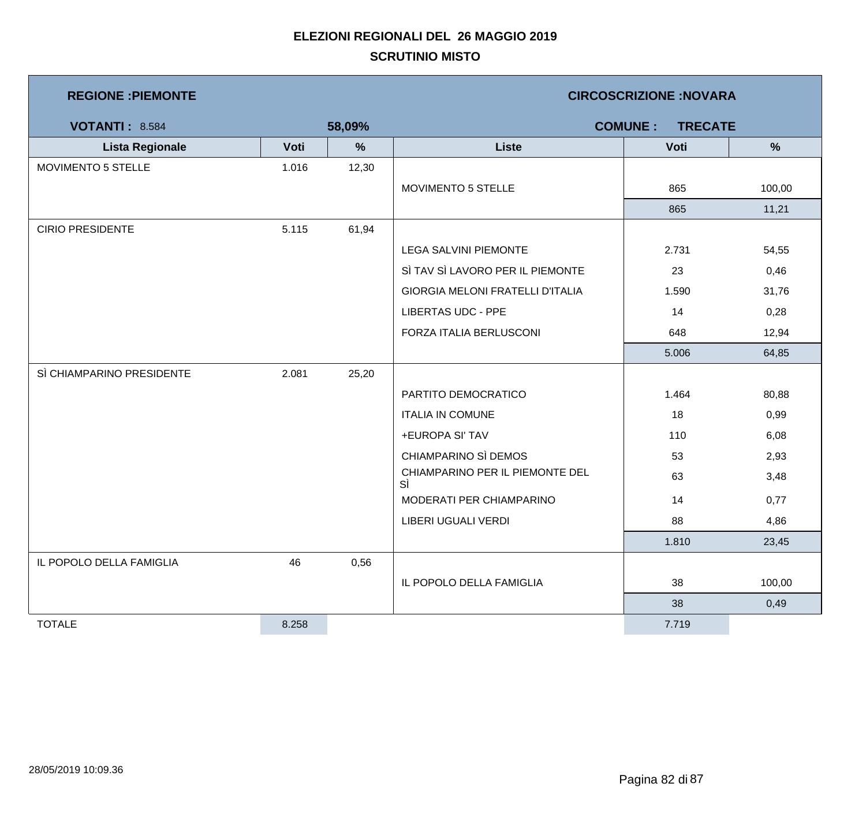| <b>REGIONE : PIEMONTE</b> |       |               | <b>CIRCOSCRIZIONE:NOVARA</b>            |                                  |               |  |  |
|---------------------------|-------|---------------|-----------------------------------------|----------------------------------|---------------|--|--|
| <b>VOTANTI: 8.584</b>     |       | 58,09%        |                                         | <b>COMUNE:</b><br><b>TRECATE</b> |               |  |  |
| <b>Lista Regionale</b>    | Voti  | $\frac{9}{6}$ | <b>Liste</b>                            | Voti                             | $\frac{9}{6}$ |  |  |
| MOVIMENTO 5 STELLE        | 1.016 | 12,30         |                                         |                                  |               |  |  |
|                           |       |               | MOVIMENTO 5 STELLE                      | 865                              | 100,00        |  |  |
|                           |       |               |                                         | 865                              | 11,21         |  |  |
| <b>CIRIO PRESIDENTE</b>   | 5.115 | 61,94         |                                         |                                  |               |  |  |
|                           |       |               | <b>LEGA SALVINI PIEMONTE</b>            | 2.731                            | 54,55         |  |  |
|                           |       |               | SÌ TAV SÌ LAVORO PER IL PIEMONTE        | 23                               | 0,46          |  |  |
|                           |       |               | <b>GIORGIA MELONI FRATELLI D'ITALIA</b> | 1.590                            | 31,76         |  |  |
|                           |       |               | <b>LIBERTAS UDC - PPE</b>               | 14                               | 0,28          |  |  |
|                           |       |               | FORZA ITALIA BERLUSCONI                 | 648                              | 12,94         |  |  |
|                           |       |               |                                         | 5.006                            | 64,85         |  |  |
| SÌ CHIAMPARINO PRESIDENTE | 2.081 | 25,20         |                                         |                                  |               |  |  |
|                           |       |               | PARTITO DEMOCRATICO                     | 1.464                            | 80,88         |  |  |
|                           |       |               | <b>ITALIA IN COMUNE</b>                 | 18                               | 0,99          |  |  |
|                           |       |               | +EUROPA SI' TAV                         | 110                              | 6,08          |  |  |
|                           |       |               | CHIAMPARINO SÌ DEMOS                    | 53                               | 2,93          |  |  |
|                           |       |               | CHIAMPARINO PER IL PIEMONTE DEL<br>SÌ   | 63                               | 3,48          |  |  |
|                           |       |               | MODERATI PER CHIAMPARINO                | 14                               | 0,77          |  |  |
|                           |       |               | LIBERI UGUALI VERDI                     | 88                               | 4,86          |  |  |
|                           |       |               |                                         | 1.810                            | 23,45         |  |  |
| IL POPOLO DELLA FAMIGLIA  | 46    | 0,56          |                                         |                                  |               |  |  |
|                           |       |               | IL POPOLO DELLA FAMIGLIA                | 38                               | 100,00        |  |  |
|                           |       |               |                                         | 38                               | 0,49          |  |  |
| <b>TOTALE</b>             | 8.258 |               |                                         | 7.719                            |               |  |  |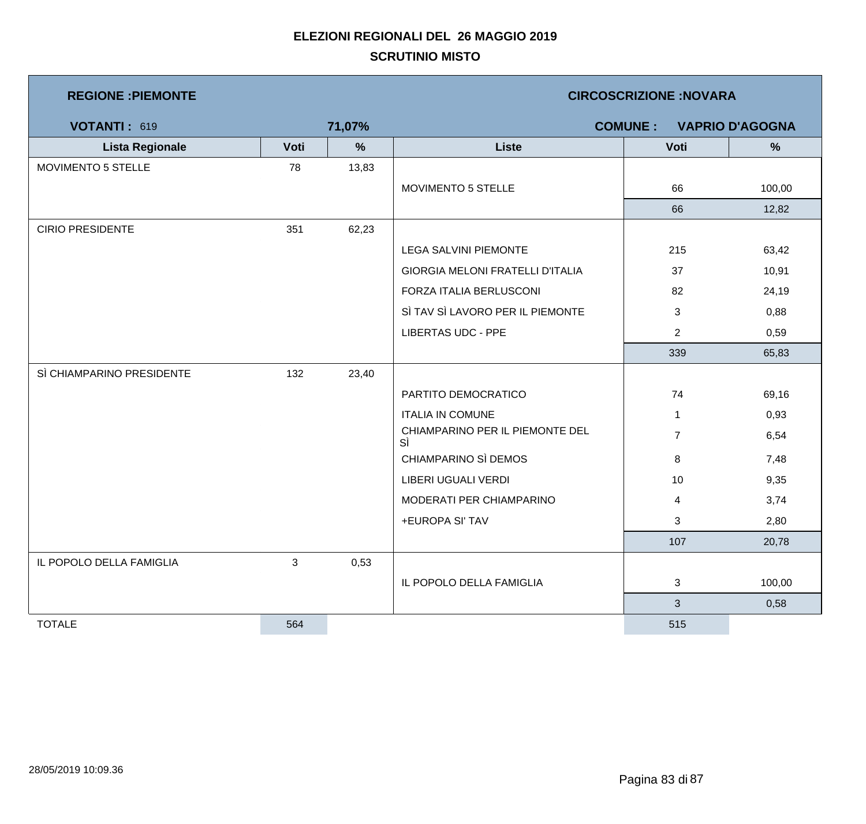| <b>REGIONE: PIEMONTE</b>  |      |        | <b>CIRCOSCRIZIONE:NOVARA</b>          |                |                        |  |  |
|---------------------------|------|--------|---------------------------------------|----------------|------------------------|--|--|
| VOTANTI: 619              |      | 71,07% |                                       | <b>COMUNE:</b> | <b>VAPRIO D'AGOGNA</b> |  |  |
| <b>Lista Regionale</b>    | Voti | $\%$   | <b>Liste</b>                          | Voti           | $\%$                   |  |  |
| MOVIMENTO 5 STELLE        | 78   | 13,83  |                                       |                |                        |  |  |
|                           |      |        | MOVIMENTO 5 STELLE                    | 66             | 100,00                 |  |  |
|                           |      |        |                                       | 66             | 12,82                  |  |  |
| <b>CIRIO PRESIDENTE</b>   | 351  | 62,23  |                                       |                |                        |  |  |
|                           |      |        | <b>LEGA SALVINI PIEMONTE</b>          | 215            | 63,42                  |  |  |
|                           |      |        | GIORGIA MELONI FRATELLI D'ITALIA      | 37             | 10,91                  |  |  |
|                           |      |        | FORZA ITALIA BERLUSCONI               | 82             | 24,19                  |  |  |
|                           |      |        | SÌ TAV SÌ LAVORO PER IL PIEMONTE      | 3              | 0,88                   |  |  |
|                           |      |        | <b>LIBERTAS UDC - PPE</b>             | $\overline{2}$ | 0,59                   |  |  |
|                           |      |        |                                       | 339            | 65,83                  |  |  |
| SÌ CHIAMPARINO PRESIDENTE | 132  | 23,40  |                                       |                |                        |  |  |
|                           |      |        | PARTITO DEMOCRATICO                   | 74             | 69,16                  |  |  |
|                           |      |        | <b>ITALIA IN COMUNE</b>               | $\mathbf{1}$   | 0,93                   |  |  |
|                           |      |        | CHIAMPARINO PER IL PIEMONTE DEL<br>SÌ | $\overline{7}$ | 6,54                   |  |  |
|                           |      |        | CHIAMPARINO SÌ DEMOS                  | 8              | 7,48                   |  |  |
|                           |      |        | LIBERI UGUALI VERDI                   | 10             | 9,35                   |  |  |
|                           |      |        | MODERATI PER CHIAMPARINO              | 4              | 3,74                   |  |  |
|                           |      |        | +EUROPA SI' TAV                       | $\mathbf{3}$   | 2,80                   |  |  |
|                           |      |        |                                       | 107            | 20,78                  |  |  |
| IL POPOLO DELLA FAMIGLIA  | 3    | 0,53   |                                       |                |                        |  |  |
|                           |      |        | IL POPOLO DELLA FAMIGLIA              | 3              | 100,00                 |  |  |
|                           |      |        |                                       | $\mathbf{3}$   | 0,58                   |  |  |
| <b>TOTALE</b>             | 564  |        |                                       | 515            |                        |  |  |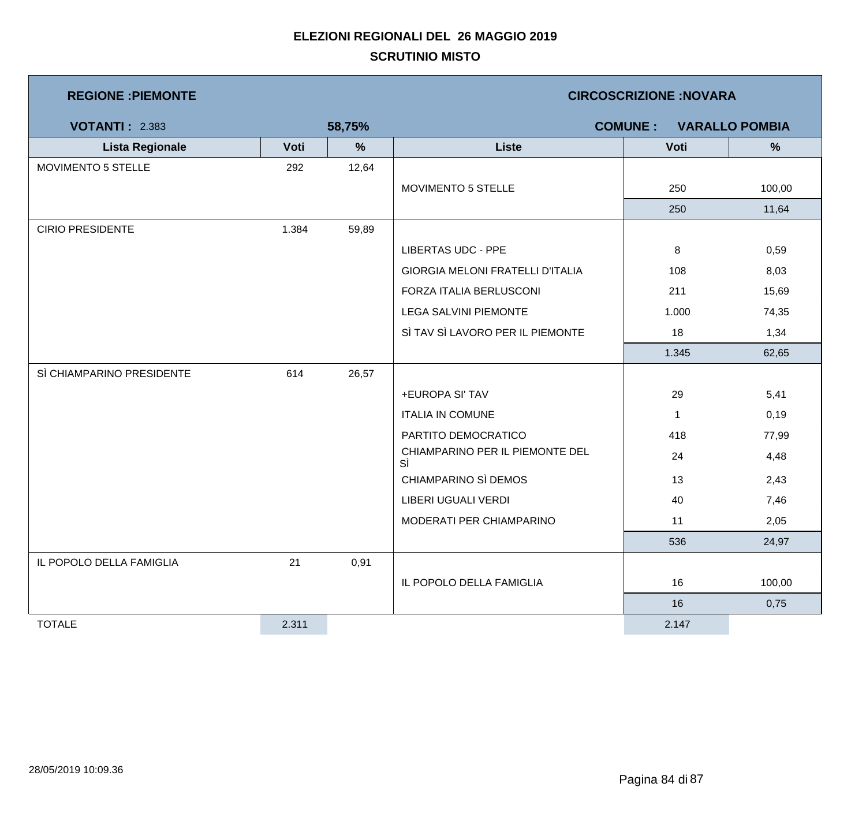| <b>REGIONE : PIEMONTE</b> |       |        | <b>CIRCOSCRIZIONE:NOVARA</b>          |                |                       |  |  |
|---------------------------|-------|--------|---------------------------------------|----------------|-----------------------|--|--|
| <b>VOTANTI: 2.383</b>     |       | 58,75% |                                       | <b>COMUNE:</b> | <b>VARALLO POMBIA</b> |  |  |
| <b>Lista Regionale</b>    | Voti  | %      | <b>Liste</b>                          | Voti           | %                     |  |  |
| MOVIMENTO 5 STELLE        | 292   | 12,64  |                                       |                |                       |  |  |
|                           |       |        | MOVIMENTO 5 STELLE                    | 250            | 100,00                |  |  |
|                           |       |        |                                       | 250            | 11,64                 |  |  |
| <b>CIRIO PRESIDENTE</b>   | 1.384 | 59,89  |                                       |                |                       |  |  |
|                           |       |        | <b>LIBERTAS UDC - PPE</b>             | 8              | 0,59                  |  |  |
|                           |       |        | GIORGIA MELONI FRATELLI D'ITALIA      | 108            | 8,03                  |  |  |
|                           |       |        | FORZA ITALIA BERLUSCONI               | 211            | 15,69                 |  |  |
|                           |       |        | LEGA SALVINI PIEMONTE                 | 1.000          | 74,35                 |  |  |
|                           |       |        | SÌ TAV SÌ LAVORO PER IL PIEMONTE      | 18             | 1,34                  |  |  |
|                           |       |        |                                       | 1.345          | 62,65                 |  |  |
| SÌ CHIAMPARINO PRESIDENTE | 614   | 26,57  |                                       |                |                       |  |  |
|                           |       |        | +EUROPA SI' TAV                       | 29             | 5,41                  |  |  |
|                           |       |        | <b>ITALIA IN COMUNE</b>               | $\mathbf{1}$   | 0,19                  |  |  |
|                           |       |        | PARTITO DEMOCRATICO                   | 418            | 77,99                 |  |  |
|                           |       |        | CHIAMPARINO PER IL PIEMONTE DEL<br>SÌ | 24             | 4,48                  |  |  |
|                           |       |        | CHIAMPARINO SÌ DEMOS                  | 13             | 2,43                  |  |  |
|                           |       |        | LIBERI UGUALI VERDI                   | 40             | 7,46                  |  |  |
|                           |       |        | MODERATI PER CHIAMPARINO              | 11             | 2,05                  |  |  |
|                           |       |        |                                       | 536            | 24,97                 |  |  |
| IL POPOLO DELLA FAMIGLIA  | 21    | 0,91   |                                       |                |                       |  |  |
|                           |       |        | IL POPOLO DELLA FAMIGLIA              | 16             | 100,00                |  |  |
|                           |       |        |                                       | 16             | 0,75                  |  |  |
| <b>TOTALE</b>             | 2.311 |        |                                       | 2.147          |                       |  |  |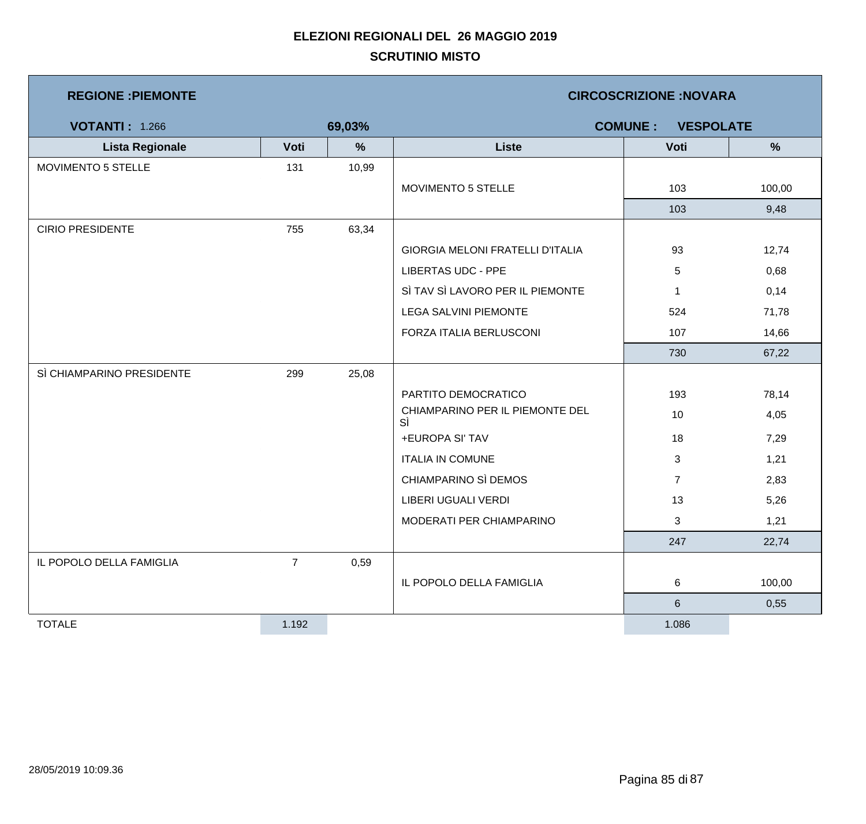| <b>REGIONE : PIEMONTE</b> |                |        | <b>CIRCOSCRIZIONE:NOVARA</b>          |                                    |        |  |
|---------------------------|----------------|--------|---------------------------------------|------------------------------------|--------|--|
| <b>VOTANTI: 1.266</b>     |                | 69,03% |                                       | <b>COMUNE:</b><br><b>VESPOLATE</b> |        |  |
| <b>Lista Regionale</b>    | Voti           | %      | <b>Liste</b>                          | Voti                               | %      |  |
| MOVIMENTO 5 STELLE        | 131            | 10,99  |                                       |                                    |        |  |
|                           |                |        | MOVIMENTO 5 STELLE                    | 103                                | 100,00 |  |
|                           |                |        |                                       | 103                                | 9,48   |  |
| <b>CIRIO PRESIDENTE</b>   | 755            | 63,34  |                                       |                                    |        |  |
|                           |                |        | GIORGIA MELONI FRATELLI D'ITALIA      | 93                                 | 12,74  |  |
|                           |                |        | <b>LIBERTAS UDC - PPE</b>             | 5                                  | 0,68   |  |
|                           |                |        | SÌ TAV SÌ LAVORO PER IL PIEMONTE      | $\mathbf 1$                        | 0,14   |  |
|                           |                |        | <b>LEGA SALVINI PIEMONTE</b>          | 524                                | 71,78  |  |
|                           |                |        | FORZA ITALIA BERLUSCONI               | 107                                | 14,66  |  |
|                           |                |        |                                       | 730                                | 67,22  |  |
| SÌ CHIAMPARINO PRESIDENTE | 299            | 25,08  |                                       |                                    |        |  |
|                           |                |        | PARTITO DEMOCRATICO                   | 193                                | 78,14  |  |
|                           |                |        | CHIAMPARINO PER IL PIEMONTE DEL<br>SÌ | 10                                 | 4,05   |  |
|                           |                |        | +EUROPA SI' TAV                       | 18                                 | 7,29   |  |
|                           |                |        | <b>ITALIA IN COMUNE</b>               | 3                                  | 1,21   |  |
|                           |                |        | CHIAMPARINO SÌ DEMOS                  | $\overline{7}$                     | 2,83   |  |
|                           |                |        | LIBERI UGUALI VERDI                   | 13                                 | 5,26   |  |
|                           |                |        | MODERATI PER CHIAMPARINO              | 3                                  | 1,21   |  |
|                           |                |        |                                       | 247                                | 22,74  |  |
| IL POPOLO DELLA FAMIGLIA  | $\overline{7}$ | 0,59   |                                       |                                    |        |  |
|                           |                |        | IL POPOLO DELLA FAMIGLIA              | 6                                  | 100,00 |  |
|                           |                |        |                                       | $\,6\,$                            | 0,55   |  |
| <b>TOTALE</b>             | 1.192          |        |                                       | 1.086                              |        |  |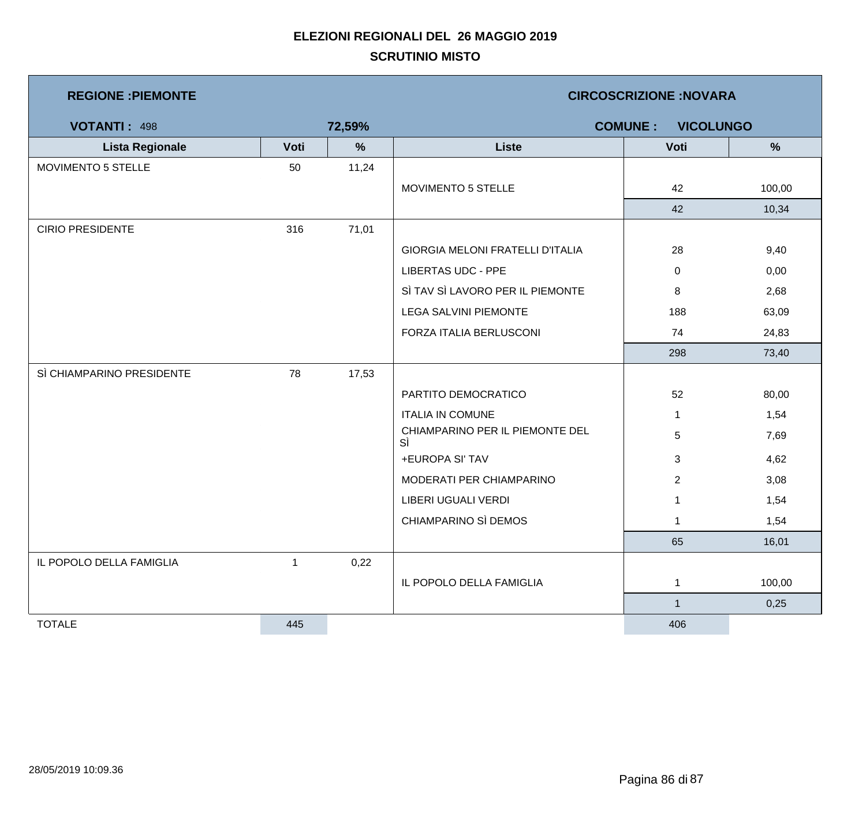| <b>REGIONE : PIEMONTE</b> |      |        | <b>CIRCOSCRIZIONE:NOVARA</b>          |                |        |  |
|---------------------------|------|--------|---------------------------------------|----------------|--------|--|
| <b>VOTANTI: 498</b>       |      | 72,59% | <b>COMUNE:</b><br><b>VICOLUNGO</b>    |                |        |  |
| <b>Lista Regionale</b>    | Voti | %      | <b>Liste</b>                          | Voti           | %      |  |
| MOVIMENTO 5 STELLE        | 50   | 11,24  |                                       |                |        |  |
|                           |      |        | MOVIMENTO 5 STELLE                    | 42             | 100,00 |  |
|                           |      |        |                                       | 42             | 10,34  |  |
| <b>CIRIO PRESIDENTE</b>   | 316  | 71,01  |                                       |                |        |  |
|                           |      |        | GIORGIA MELONI FRATELLI D'ITALIA      | 28             | 9,40   |  |
|                           |      |        | <b>LIBERTAS UDC - PPE</b>             | 0              | 0,00   |  |
|                           |      |        | SÌ TAV SÌ LAVORO PER IL PIEMONTE      | 8              | 2,68   |  |
|                           |      |        | <b>LEGA SALVINI PIEMONTE</b>          | 188            | 63,09  |  |
|                           |      |        | FORZA ITALIA BERLUSCONI               | 74             | 24,83  |  |
|                           |      |        |                                       | 298            | 73,40  |  |
| SÌ CHIAMPARINO PRESIDENTE | 78   | 17,53  |                                       |                |        |  |
|                           |      |        | PARTITO DEMOCRATICO                   | 52             | 80,00  |  |
|                           |      |        | <b>ITALIA IN COMUNE</b>               | $\mathbf{1}$   | 1,54   |  |
|                           |      |        | CHIAMPARINO PER IL PIEMONTE DEL<br>SÌ | 5              | 7,69   |  |
|                           |      |        | +EUROPA SI' TAV                       | 3              | 4,62   |  |
|                           |      |        | MODERATI PER CHIAMPARINO              | $\overline{2}$ | 3,08   |  |
|                           |      |        | LIBERI UGUALI VERDI                   |                | 1,54   |  |
|                           |      |        | CHIAMPARINO SÌ DEMOS                  | $\mathbf{1}$   | 1,54   |  |
|                           |      |        |                                       | 65             | 16,01  |  |
| IL POPOLO DELLA FAMIGLIA  | 1    | 0,22   |                                       |                |        |  |
|                           |      |        | IL POPOLO DELLA FAMIGLIA              | $\mathbf{1}$   | 100,00 |  |
|                           |      |        |                                       | $\mathbf{1}$   | 0,25   |  |
| <b>TOTALE</b>             | 445  |        |                                       | 406            |        |  |